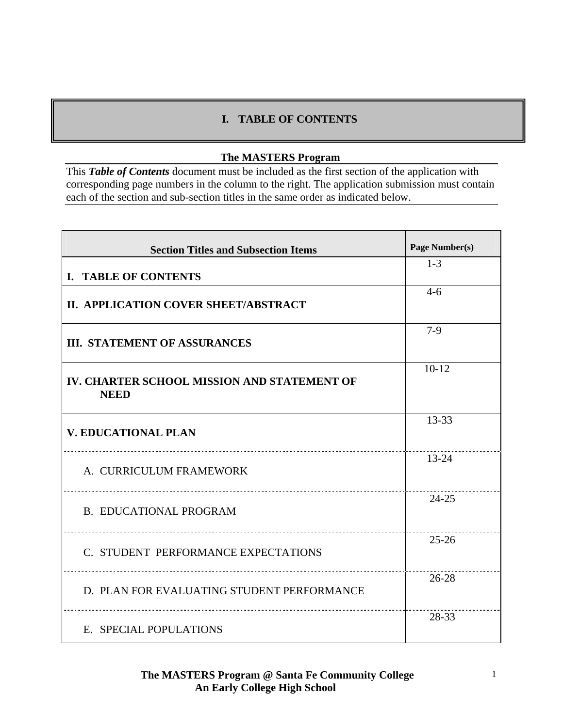### **I. TABLE OF CONTENTS**

### **The MASTERS Program**

This *Table of Contents* document must be included as the first section of the application with corresponding page numbers in the column to the right. The application submission must contain each of the section and sub-section titles in the same order as indicated below.

| <b>Section Titles and Subsection Items</b>                 | Page Number(s) |
|------------------------------------------------------------|----------------|
| <b>I. TABLE OF CONTENTS</b>                                | $1 - 3$        |
| II. APPLICATION COVER SHEET/ABSTRACT                       | $4-6$          |
| <b>III. STATEMENT OF ASSURANCES</b>                        | $7-9$          |
| IV. CHARTER SCHOOL MISSION AND STATEMENT OF<br><b>NEED</b> | $10-12$        |
| <b>V. EDUCATIONAL PLAN</b>                                 | $13 - 33$      |
| A. CURRICULUM FRAMEWORK                                    | $13 - 24$      |
| <b>B. EDUCATIONAL PROGRAM</b>                              | $24 - 25$      |
| C. STUDENT PERFORMANCE EXPECTATIONS                        | $25 - 26$      |
| D. PLAN FOR EVALUATING STUDENT PERFORMANCE                 | $26 - 28$      |
| E. SPECIAL POPULATIONS                                     | 28-33          |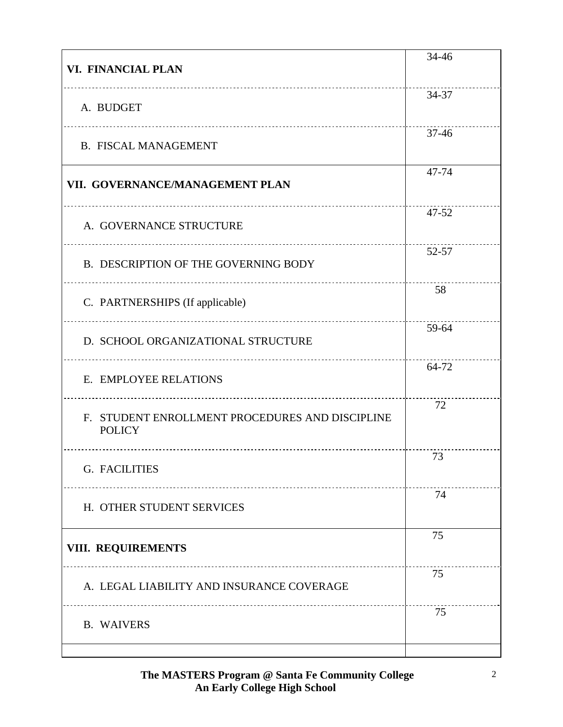| VI. FINANCIAL PLAN                                               | 34-46     |
|------------------------------------------------------------------|-----------|
| A. BUDGET                                                        | 34-37     |
| <b>B. FISCAL MANAGEMENT</b>                                      | $37 - 46$ |
| VII. GOVERNANCE/MANAGEMENT PLAN                                  | 47-74     |
| A. GOVERNANCE STRUCTURE                                          | 47-52     |
| B. DESCRIPTION OF THE GOVERNING BODY                             | 52-57     |
| C. PARTNERSHIPS (If applicable)                                  | 58        |
| D. SCHOOL ORGANIZATIONAL STRUCTURE                               | 59-64     |
| E. EMPLOYEE RELATIONS                                            | 64-72     |
| F. STUDENT ENROLLMENT PROCEDURES AND DISCIPLINE<br><b>POLICY</b> | 72        |
| G. FACILITIES                                                    | 73        |
| H. OTHER STUDENT SERVICES                                        | 74        |
| VIII. REQUIREMENTS                                               | 75        |
| A. LEGAL LIABILITY AND INSURANCE COVERAGE                        | 75        |
| <b>B. WAIVERS</b>                                                | 75        |
|                                                                  |           |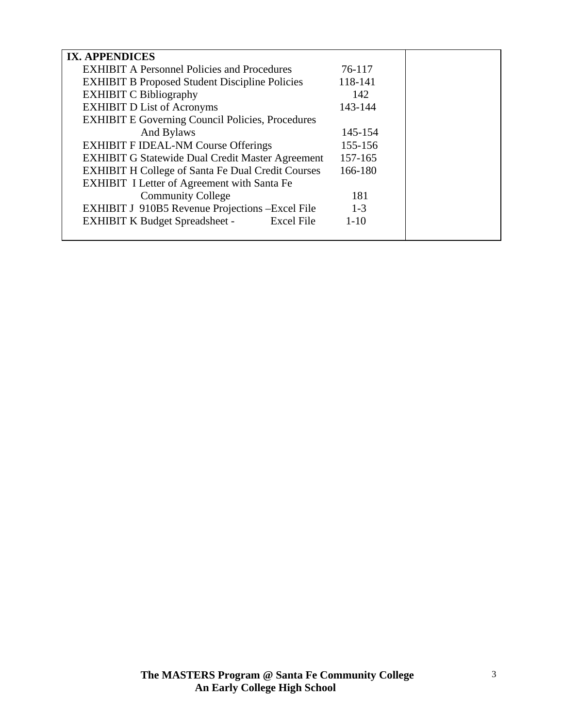| <b>IX. APPENDICES</b>                                      |          |  |
|------------------------------------------------------------|----------|--|
| <b>EXHIBIT A Personnel Policies and Procedures</b>         | 76-117   |  |
| <b>EXHIBIT B Proposed Student Discipline Policies</b>      | 118-141  |  |
| <b>EXHIBIT C Bibliography</b>                              | 142      |  |
| <b>EXHIBIT D List of Acronyms</b>                          | 143-144  |  |
| <b>EXHIBIT E Governing Council Policies, Procedures</b>    |          |  |
| And Bylaws                                                 | 145-154  |  |
| <b>EXHIBIT F IDEAL-NM Course Offerings</b>                 | 155-156  |  |
| <b>EXHIBIT G Statewide Dual Credit Master Agreement</b>    | 157-165  |  |
| <b>EXHIBIT H College of Santa Fe Dual Credit Courses</b>   | 166-180  |  |
| <b>EXHIBIT I Letter of Agreement with Santa Fe</b>         |          |  |
| <b>Community College</b>                                   | 181      |  |
| EXHIBIT J 910B5 Revenue Projections - Excel File           | $1 - 3$  |  |
| <b>EXHIBIT K Budget Spreadsheet -</b><br><b>Excel File</b> | $1 - 10$ |  |
|                                                            |          |  |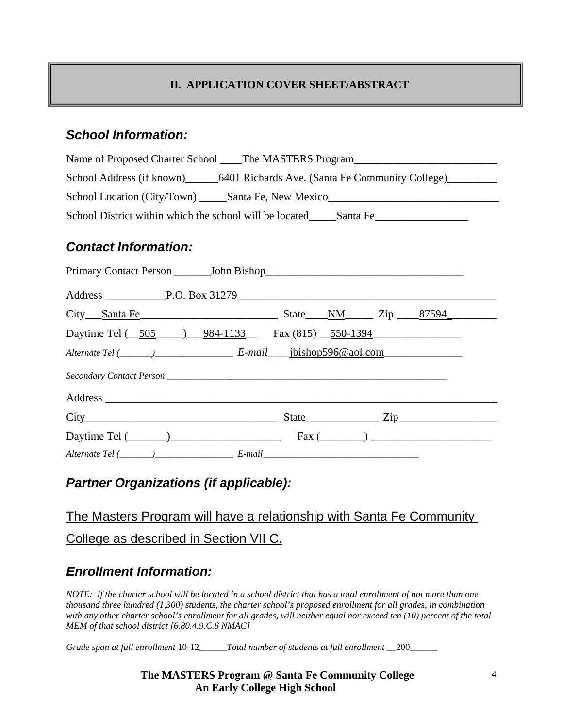# **II. APPLICATION COVER SHEET/ABSTRACT**

# *School Information:*

| Name of Proposed Charter School ______ The MASTERS Program                |  |  |  |
|---------------------------------------------------------------------------|--|--|--|
| School Address (if known) 6401 Richards Ave. (Santa Fe Community College) |  |  |  |
|                                                                           |  |  |  |
| School District within which the school will be located______Santa Fe     |  |  |  |
| <b>Contact Information:</b>                                               |  |  |  |
|                                                                           |  |  |  |
|                                                                           |  |  |  |
| City Santa Fe State NM Zip 87594                                          |  |  |  |
| Daytime Tel (505 ) 984-1133 Fax (815) 550-1394                            |  |  |  |
|                                                                           |  |  |  |
|                                                                           |  |  |  |
|                                                                           |  |  |  |

| City                         | <b>State</b><br>$Z_{1D}$ |
|------------------------------|--------------------------|
| Daytime Tel (                | Fax (                    |
| Alternate Tel (<br>$E$ -mail |                          |

# *Partner Organizations (if applicable):*

# The Masters Program will have a relationship with Santa Fe Community College as described in Section VII C.

# *Enrollment Information:*

*NOTE: If the charter school will be located in a school district that has a total enrollment of not more than one thousand three hundred (1,300) students, the charter school's proposed enrollment for all grades, in combination with any other charter school's enrollment for all grades, will neither equal nor exceed ten (10) percent of the total MEM of that school district [6.80.4.9.C.6 NMAC]* 

*Grade span at full enrollment* 10-12*\_\_\_\_\_\_Total number of students at full enrollment \_\_*200*\_\_\_\_\_\_*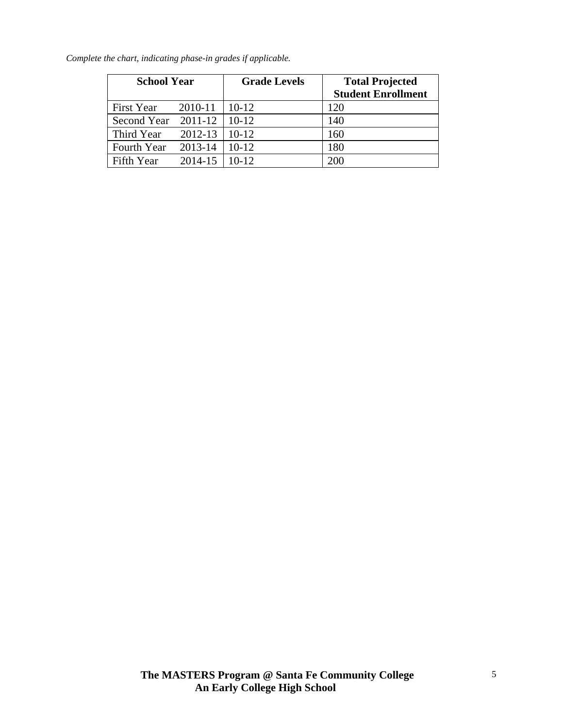| <b>School Year</b>    |         | <b>Grade Levels</b> | <b>Total Projected</b><br><b>Student Enrollment</b> |
|-----------------------|---------|---------------------|-----------------------------------------------------|
| First Year            | 2010-11 | $10-12$             | 120                                                 |
| Second Year $2011-12$ |         | $10-12$             | 140                                                 |
| Third Year            | 2012-13 | $10-12$             | 160                                                 |
| Fourth Year           | 2013-14 | $10-12$             | 180                                                 |
| Fifth Year            | 2014-15 | $10 - 12$           | 200                                                 |

*Complete the chart, indicating phase-in grades if applicable.*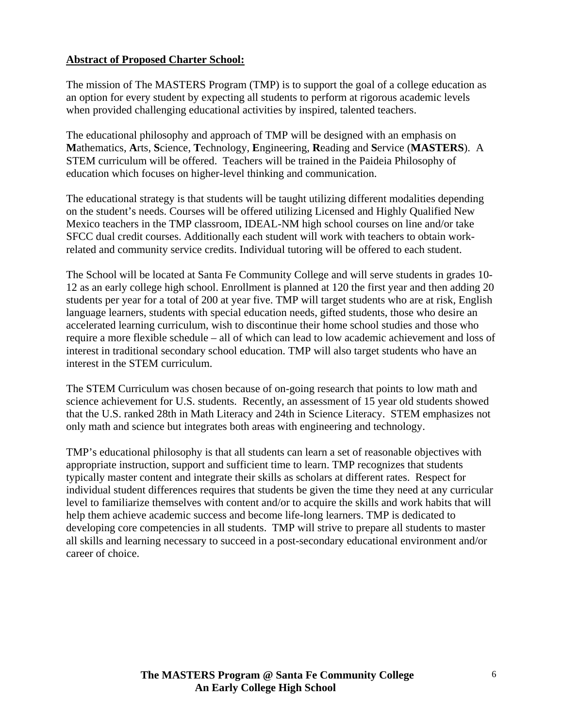### **Abstract of Proposed Charter School:**

The mission of The MASTERS Program (TMP) is to support the goal of a college education as an option for every student by expecting all students to perform at rigorous academic levels when provided challenging educational activities by inspired, talented teachers.

The educational philosophy and approach of TMP will be designed with an emphasis on **M**athematics, **A**rts, **S**cience, **T**echnology, **E**ngineering, **R**eading and **S**ervice (**MASTERS**). A STEM curriculum will be offered. Teachers will be trained in the Paideia Philosophy of education which focuses on higher-level thinking and communication.

The educational strategy is that students will be taught utilizing different modalities depending on the student's needs. Courses will be offered utilizing Licensed and Highly Qualified New Mexico teachers in the TMP classroom, IDEAL-NM high school courses on line and/or take SFCC dual credit courses. Additionally each student will work with teachers to obtain workrelated and community service credits. Individual tutoring will be offered to each student.

The School will be located at Santa Fe Community College and will serve students in grades 10- 12 as an early college high school. Enrollment is planned at 120 the first year and then adding 20 students per year for a total of 200 at year five. TMP will target students who are at risk, English language learners, students with special education needs, gifted students, those who desire an accelerated learning curriculum, wish to discontinue their home school studies and those who require a more flexible schedule – all of which can lead to low academic achievement and loss of interest in traditional secondary school education. TMP will also target students who have an interest in the STEM curriculum.

The STEM Curriculum was chosen because of on-going research that points to low math and science achievement for U.S. students. Recently, an assessment of 15 year old students showed that the U.S. ranked 28th in Math Literacy and 24th in Science Literacy. STEM emphasizes not only math and science but integrates both areas with engineering and technology.

TMP's educational philosophy is that all students can learn a set of reasonable objectives with appropriate instruction, support and sufficient time to learn. TMP recognizes that students typically master content and integrate their skills as scholars at different rates. Respect for individual student differences requires that students be given the time they need at any curricular level to familiarize themselves with content and/or to acquire the skills and work habits that will help them achieve academic success and become life-long learners. TMP is dedicated to developing core competencies in all students. TMP will strive to prepare all students to master all skills and learning necessary to succeed in a post-secondary educational environment and/or career of choice.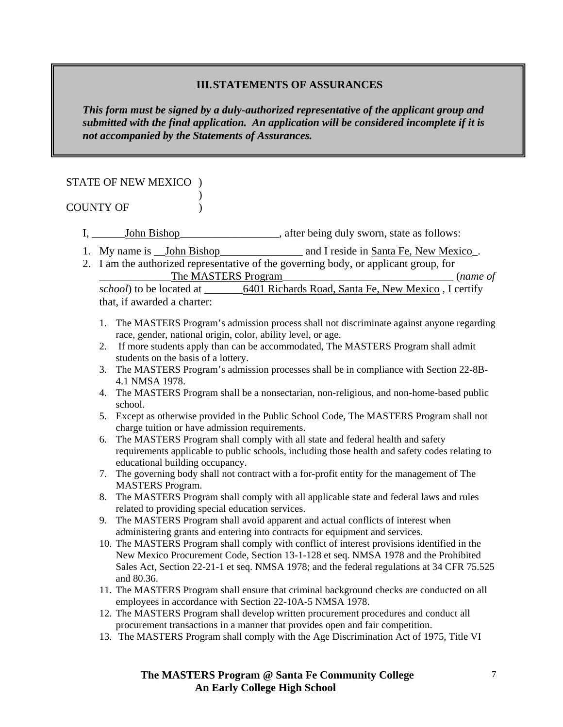### **III.STATEMENTS OF ASSURANCES**

*This form must be signed by a duly-authorized representative of the applicant group and submitted with the final application. An application will be considered incomplete if it is not accompanied by the Statements of Assurances.* 

### STATE OF NEW MEXICO )

#### $\overline{\phantom{a}}$ COUNTY OF  $\qquad$  )

I, \_\_\_\_\_\_\_\_John Bishop\_\_\_\_\_\_\_\_\_\_\_\_\_\_\_\_\_\_\_, after being duly sworn, state as follows:

- 1. My name is \_John Bishop\_\_\_\_\_\_\_\_\_\_\_\_\_\_ and I reside in Santa Fe, New Mexico\_.
- 2. I am the authorized representative of the governing body, or applicant group, for The MASTERS Program<br> $\Box$  (*name of*  $\Box$ )

*school*) to be located at  $\overline{6401}$  Richards Road, Santa Fe, New Mexico , I certify that, if awarded a charter:

- 1. The MASTERS Program's admission process shall not discriminate against anyone regarding race, gender, national origin, color, ability level, or age.
- 2. If more students apply than can be accommodated, The MASTERS Program shall admit students on the basis of a lottery.
- 3. The MASTERS Program's admission processes shall be in compliance with Section 22-8B-4.1 NMSA 1978.
- 4. The MASTERS Program shall be a nonsectarian, non-religious, and non-home-based public school.
- 5. Except as otherwise provided in the Public School Code, The MASTERS Program shall not charge tuition or have admission requirements.
- 6. The MASTERS Program shall comply with all state and federal health and safety requirements applicable to public schools, including those health and safety codes relating to educational building occupancy.
- 7. The governing body shall not contract with a for-profit entity for the management of The MASTERS Program.
- 8. The MASTERS Program shall comply with all applicable state and federal laws and rules related to providing special education services.
- 9. The MASTERS Program shall avoid apparent and actual conflicts of interest when administering grants and entering into contracts for equipment and services.
- 10. The MASTERS Program shall comply with conflict of interest provisions identified in the New Mexico Procurement Code, Section 13-1-128 et seq. NMSA 1978 and the Prohibited Sales Act, Section 22-21-1 et seq. NMSA 1978; and the federal regulations at 34 CFR 75.525 and 80.36.
- 11. The MASTERS Program shall ensure that criminal background checks are conducted on all employees in accordance with Section 22-10A-5 NMSA 1978.
- 12. The MASTERS Program shall develop written procurement procedures and conduct all procurement transactions in a manner that provides open and fair competition.
- 13. The MASTERS Program shall comply with the Age Discrimination Act of 1975, Title VI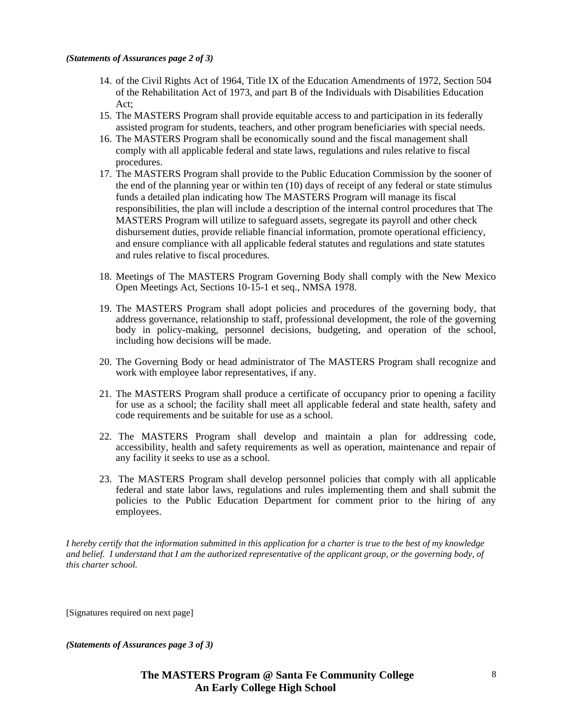- 14. of the Civil Rights Act of 1964, Title IX of the Education Amendments of 1972, Section 504 of the Rehabilitation Act of 1973, and part B of the Individuals with Disabilities Education Act;
- 15. The MASTERS Program shall provide equitable access to and participation in its federally assisted program for students, teachers, and other program beneficiaries with special needs.
- 16. The MASTERS Program shall be economically sound and the fiscal management shall comply with all applicable federal and state laws, regulations and rules relative to fiscal procedures.
- 17. The MASTERS Program shall provide to the Public Education Commission by the sooner of the end of the planning year or within ten (10) days of receipt of any federal or state stimulus funds a detailed plan indicating how The MASTERS Program will manage its fiscal responsibilities, the plan will include a description of the internal control procedures that The MASTERS Program will utilize to safeguard assets, segregate its payroll and other check disbursement duties, provide reliable financial information, promote operational efficiency, and ensure compliance with all applicable federal statutes and regulations and state statutes and rules relative to fiscal procedures.
- 18. Meetings of The MASTERS Program Governing Body shall comply with the New Mexico Open Meetings Act, Sections 10-15-1 et seq., NMSA 1978.
- 19. The MASTERS Program shall adopt policies and procedures of the governing body, that address governance, relationship to staff, professional development, the role of the governing body in policy-making, personnel decisions, budgeting, and operation of the school, including how decisions will be made.
- 20. The Governing Body or head administrator of The MASTERS Program shall recognize and work with employee labor representatives, if any.
- 21. The MASTERS Program shall produce a certificate of occupancy prior to opening a facility for use as a school; the facility shall meet all applicable federal and state health, safety and code requirements and be suitable for use as a school.
- 22. The MASTERS Program shall develop and maintain a plan for addressing code, accessibility, health and safety requirements as well as operation, maintenance and repair of any facility it seeks to use as a school.
- 23. The MASTERS Program shall develop personnel policies that comply with all applicable federal and state labor laws, regulations and rules implementing them and shall submit the policies to the Public Education Department for comment prior to the hiring of any employees.

*I hereby certify that the information submitted in this application for a charter is true to the best of my knowledge and belief. I understand that I am the authorized representative of the applicant group, or the governing body, of this charter school.* 

[Signatures required on next page]

*(Statements of Assurances page 3 of 3)*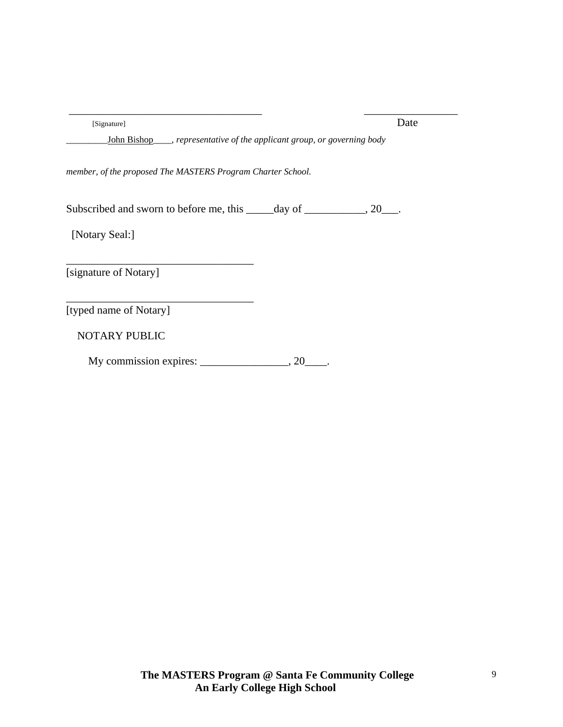| [Signature]                                                                | Date |
|----------------------------------------------------------------------------|------|
| John Bishop ___, representative of the applicant group, or governing body  |      |
| member, of the proposed The MASTERS Program Charter School.                |      |
| Subscribed and sworn to before me, this ______ day of ____________, 20___. |      |
| [Notary Seal:]                                                             |      |
| [signature of Notary]                                                      |      |
| [typed name of Notary]                                                     |      |
| <b>NOTARY PUBLIC</b>                                                       |      |
| $My$ commission expires: $\_\_\_\_$ , 20                                   |      |

 $\overline{\phantom{a}}$  , and the contract of the contract of the contract of the contract of the contract of the contract of the contract of the contract of the contract of the contract of the contract of the contract of the contrac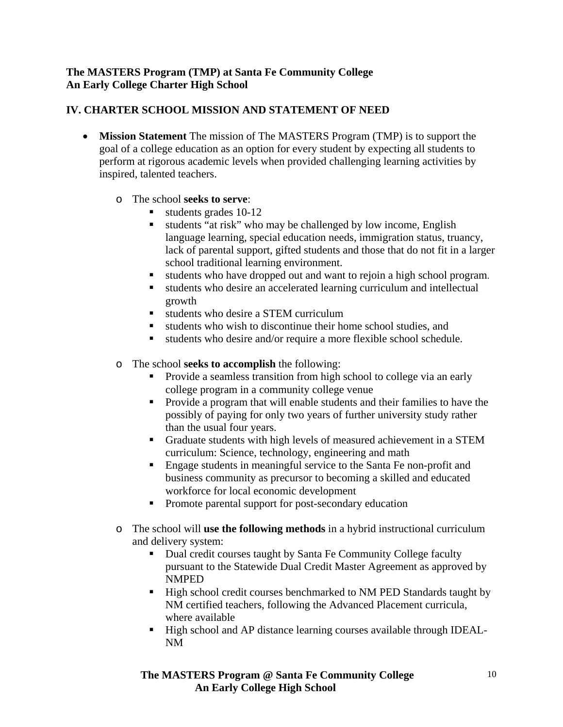### **The MASTERS Program (TMP) at Santa Fe Community College An Early College Charter High School**

### **IV. CHARTER SCHOOL MISSION AND STATEMENT OF NEED**

- **Mission Statement** The mission of The MASTERS Program (TMP) is to support the goal of a college education as an option for every student by expecting all students to perform at rigorous academic levels when provided challenging learning activities by inspired, talented teachers.
	- o The school **seeks to serve**:
		- students grades 10-12
		- students "at risk" who may be challenged by low income, English language learning, special education needs, immigration status, truancy, lack of parental support, gifted students and those that do not fit in a larger school traditional learning environment.
		- students who have dropped out and want to rejoin a high school program.
		- students who desire an accelerated learning curriculum and intellectual growth
		- students who desire a STEM curriculum
		- students who wish to discontinue their home school studies, and
		- students who desire and/or require a more flexible school schedule.
	- o The school **seeks to accomplish** the following:
		- Provide a seamless transition from high school to college via an early college program in a community college venue
		- **Provide a program that will enable students and their families to have the** possibly of paying for only two years of further university study rather than the usual four years.
		- Graduate students with high levels of measured achievement in a STEM curriculum: Science, technology, engineering and math
		- **Engage students in meaningful service to the Santa Fe non-profit and** business community as precursor to becoming a skilled and educated workforce for local economic development
		- Promote parental support for post-secondary education
	- o The school will **use the following methods** in a hybrid instructional curriculum and delivery system:
		- Dual credit courses taught by Santa Fe Community College faculty pursuant to the Statewide Dual Credit Master Agreement as approved by NMPED
		- High school credit courses benchmarked to NM PED Standards taught by NM certified teachers, following the Advanced Placement curricula, where available
		- High school and AP distance learning courses available through IDEAL-NM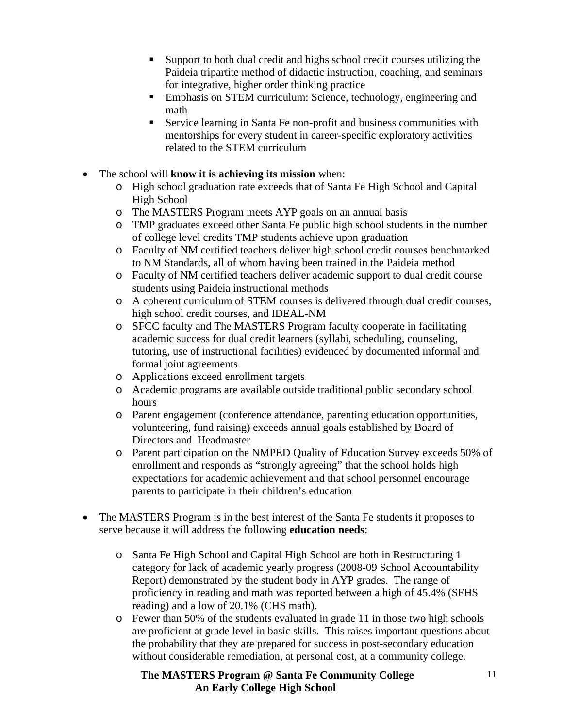- Support to both dual credit and highs school credit courses utilizing the Paideia tripartite method of didactic instruction, coaching, and seminars for integrative, higher order thinking practice
- Emphasis on STEM curriculum: Science, technology, engineering and math
- Service learning in Santa Fe non-profit and business communities with mentorships for every student in career-specific exploratory activities related to the STEM curriculum
- The school will **know it is achieving its mission** when:
	- o High school graduation rate exceeds that of Santa Fe High School and Capital High School
	- o The MASTERS Program meets AYP goals on an annual basis
	- o TMP graduates exceed other Santa Fe public high school students in the number of college level credits TMP students achieve upon graduation
	- o Faculty of NM certified teachers deliver high school credit courses benchmarked to NM Standards, all of whom having been trained in the Paideia method
	- o Faculty of NM certified teachers deliver academic support to dual credit course students using Paideia instructional methods
	- o A coherent curriculum of STEM courses is delivered through dual credit courses, high school credit courses, and IDEAL-NM
	- o SFCC faculty and The MASTERS Program faculty cooperate in facilitating academic success for dual credit learners (syllabi, scheduling, counseling, tutoring, use of instructional facilities) evidenced by documented informal and formal joint agreements
	- o Applications exceed enrollment targets
	- o Academic programs are available outside traditional public secondary school hours
	- o Parent engagement (conference attendance, parenting education opportunities, volunteering, fund raising) exceeds annual goals established by Board of Directors and Headmaster
	- o Parent participation on the NMPED Quality of Education Survey exceeds 50% of enrollment and responds as "strongly agreeing" that the school holds high expectations for academic achievement and that school personnel encourage parents to participate in their children's education
- The MASTERS Program is in the best interest of the Santa Fe students it proposes to serve because it will address the following **education needs**:
	- o Santa Fe High School and Capital High School are both in Restructuring 1 category for lack of academic yearly progress (2008-09 School Accountability Report) demonstrated by the student body in AYP grades. The range of proficiency in reading and math was reported between a high of 45.4% (SFHS reading) and a low of 20.1% (CHS math).
	- o Fewer than 50% of the students evaluated in grade 11 in those two high schools are proficient at grade level in basic skills. This raises important questions about the probability that they are prepared for success in post-secondary education without considerable remediation, at personal cost, at a community college.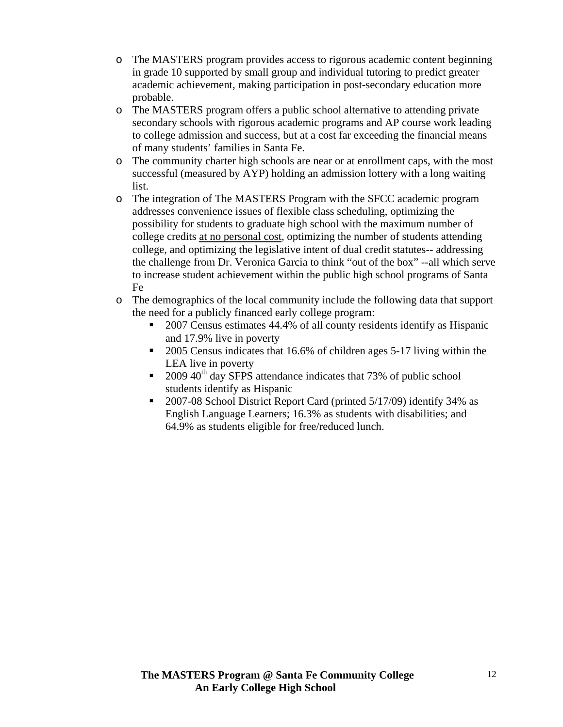- o The MASTERS program provides access to rigorous academic content beginning in grade 10 supported by small group and individual tutoring to predict greater academic achievement, making participation in post-secondary education more probable.
- o The MASTERS program offers a public school alternative to attending private secondary schools with rigorous academic programs and AP course work leading to college admission and success, but at a cost far exceeding the financial means of many students' families in Santa Fe.
- o The community charter high schools are near or at enrollment caps, with the most successful (measured by AYP) holding an admission lottery with a long waiting list.
- o The integration of The MASTERS Program with the SFCC academic program addresses convenience issues of flexible class scheduling, optimizing the possibility for students to graduate high school with the maximum number of college credits at no personal cost, optimizing the number of students attending college, and optimizing the legislative intent of dual credit statutes-- addressing the challenge from Dr. Veronica Garcia to think "out of the box" --all which serve to increase student achievement within the public high school programs of Santa Fe
- o The demographics of the local community include the following data that support the need for a publicly financed early college program:
	- 2007 Census estimates 44.4% of all county residents identify as Hispanic and 17.9% live in poverty
	- 2005 Census indicates that 16.6% of children ages 5-17 living within the LEA live in poverty
	- $\approx 2009\,40^{th}$  day SFPS attendance indicates that 73% of public school students identify as Hispanic
	- 2007-08 School District Report Card (printed 5/17/09) identify 34% as English Language Learners; 16.3% as students with disabilities; and 64.9% as students eligible for free/reduced lunch.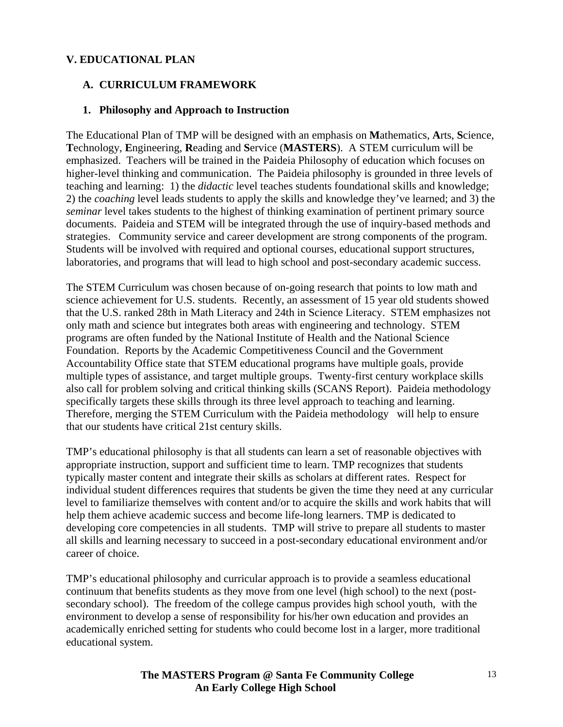### **V. EDUCATIONAL PLAN**

### **A. CURRICULUM FRAMEWORK**

### **1. Philosophy and Approach to Instruction**

The Educational Plan of TMP will be designed with an emphasis on **M**athematics, **A**rts, **S**cience, **T**echnology, **E**ngineering, **R**eading and **S**ervice (**MASTERS**). A STEM curriculum will be emphasized. Teachers will be trained in the Paideia Philosophy of education which focuses on higher-level thinking and communication. The Paideia philosophy is grounded in three levels of teaching and learning: 1) the *didactic* level teaches students foundational skills and knowledge; 2) the *coaching* level leads students to apply the skills and knowledge they've learned; and 3) the *seminar* level takes students to the highest of thinking examination of pertinent primary source documents. Paideia and STEM will be integrated through the use of inquiry-based methods and strategies. Community service and career development are strong components of the program. Students will be involved with required and optional courses, educational support structures, laboratories, and programs that will lead to high school and post-secondary academic success.

The STEM Curriculum was chosen because of on-going research that points to low math and science achievement for U.S. students. Recently, an assessment of 15 year old students showed that the U.S. ranked 28th in Math Literacy and 24th in Science Literacy. STEM emphasizes not only math and science but integrates both areas with engineering and technology. STEM programs are often funded by the National Institute of Health and the National Science Foundation. Reports by the Academic Competitiveness Council and the Government Accountability Office state that STEM educational programs have multiple goals, provide multiple types of assistance, and target multiple groups. Twenty-first century workplace skills also call for problem solving and critical thinking skills (SCANS Report). Paideia methodology specifically targets these skills through its three level approach to teaching and learning. Therefore, merging the STEM Curriculum with the Paideia methodology will help to ensure that our students have critical 21st century skills.

TMP's educational philosophy is that all students can learn a set of reasonable objectives with appropriate instruction, support and sufficient time to learn. TMP recognizes that students typically master content and integrate their skills as scholars at different rates. Respect for individual student differences requires that students be given the time they need at any curricular level to familiarize themselves with content and/or to acquire the skills and work habits that will help them achieve academic success and become life-long learners. TMP is dedicated to developing core competencies in all students. TMP will strive to prepare all students to master all skills and learning necessary to succeed in a post-secondary educational environment and/or career of choice.

TMP's educational philosophy and curricular approach is to provide a seamless educational continuum that benefits students as they move from one level (high school) to the next (postsecondary school). The freedom of the college campus provides high school youth, with the environment to develop a sense of responsibility for his/her own education and provides an academically enriched setting for students who could become lost in a larger, more traditional educational system.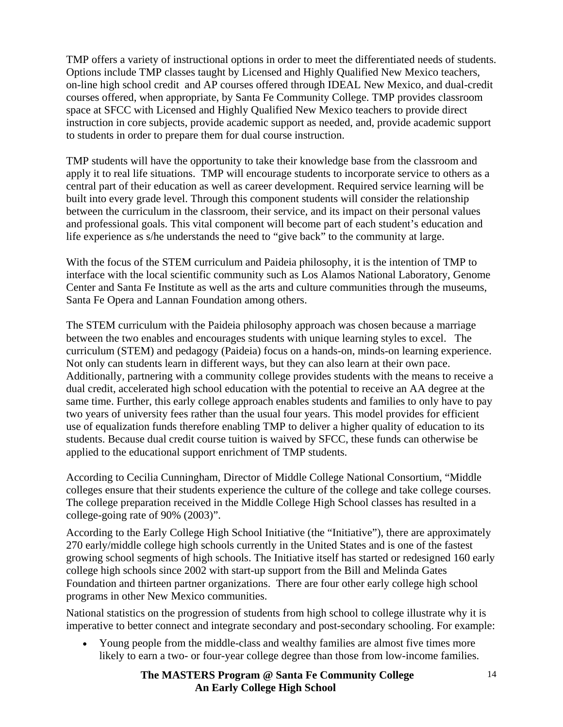TMP offers a variety of instructional options in order to meet the differentiated needs of students. Options include TMP classes taught by Licensed and Highly Qualified New Mexico teachers, on-line high school credit and AP courses offered through IDEAL New Mexico, and dual-credit courses offered, when appropriate, by Santa Fe Community College. TMP provides classroom space at SFCC with Licensed and Highly Qualified New Mexico teachers to provide direct instruction in core subjects, provide academic support as needed, and, provide academic support to students in order to prepare them for dual course instruction.

TMP students will have the opportunity to take their knowledge base from the classroom and apply it to real life situations. TMP will encourage students to incorporate service to others as a central part of their education as well as career development. Required service learning will be built into every grade level. Through this component students will consider the relationship between the curriculum in the classroom, their service, and its impact on their personal values and professional goals. This vital component will become part of each student's education and life experience as s/he understands the need to "give back" to the community at large.

With the focus of the STEM curriculum and Paideia philosophy, it is the intention of TMP to interface with the local scientific community such as Los Alamos National Laboratory, Genome Center and Santa Fe Institute as well as the arts and culture communities through the museums, Santa Fe Opera and Lannan Foundation among others.

The STEM curriculum with the Paideia philosophy approach was chosen because a marriage between the two enables and encourages students with unique learning styles to excel. The curriculum (STEM) and pedagogy (Paideia) focus on a hands-on, minds-on learning experience. Not only can students learn in different ways, but they can also learn at their own pace. Additionally, partnering with a community college provides students with the means to receive a dual credit, accelerated high school education with the potential to receive an AA degree at the same time. Further, this early college approach enables students and families to only have to pay two years of university fees rather than the usual four years. This model provides for efficient use of equalization funds therefore enabling TMP to deliver a higher quality of education to its students. Because dual credit course tuition is waived by SFCC, these funds can otherwise be applied to the educational support enrichment of TMP students.

According to Cecilia Cunningham, Director of Middle College National Consortium, "Middle colleges ensure that their students experience the culture of the college and take college courses. The college preparation received in the Middle College High School classes has resulted in a college-going rate of 90% (2003)".

According to the Early College High School Initiative (the "Initiative"), there are approximately 270 early/middle college high schools currently in the United States and is one of the fastest growing school segments of high schools. The Initiative itself has started or redesigned 160 early college high schools since 2002 with start-up support from the Bill and Melinda Gates Foundation and thirteen partner organizations. There are four other early college high school programs in other New Mexico communities.

National statistics on the progression of students from high school to college illustrate why it is imperative to better connect and integrate secondary and post-secondary schooling. For example:

• Young people from the middle-class and wealthy families are almost five times more likely to earn a two- or four-year college degree than those from low-income families.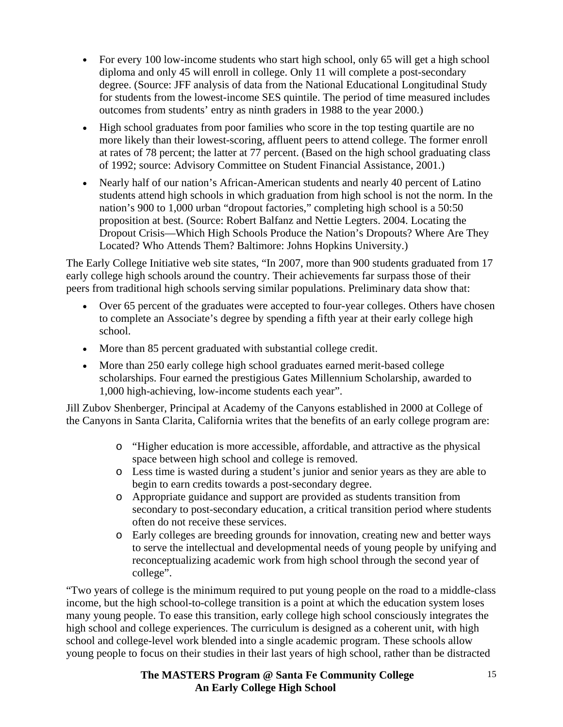- For every 100 low-income students who start high school, only 65 will get a high school diploma and only 45 will enroll in college. Only 11 will complete a post-secondary degree. (Source: JFF analysis of data from the National Educational Longitudinal Study for students from the lowest-income SES quintile. The period of time measured includes outcomes from students' entry as ninth graders in 1988 to the year 2000.)
- High school graduates from poor families who score in the top testing quartile are no more likely than their lowest-scoring, affluent peers to attend college. The former enroll at rates of 78 percent; the latter at 77 percent. (Based on the high school graduating class of 1992; source: Advisory Committee on Student Financial Assistance, 2001.)
- Nearly half of our nation's African-American students and nearly 40 percent of Latino students attend high schools in which graduation from high school is not the norm. In the nation's 900 to 1,000 urban "dropout factories," completing high school is a 50:50 proposition at best. (Source: Robert Balfanz and Nettie Legters. 2004. Locating the Dropout Crisis—Which High Schools Produce the Nation's Dropouts? Where Are They Located? Who Attends Them? Baltimore: Johns Hopkins University.)

The Early College Initiative web site states, "In 2007, more than 900 students graduated from 17 early college high schools around the country. Their achievements far surpass those of their peers from traditional high schools serving similar populations. Preliminary data show that:

- Over 65 percent of the graduates were accepted to four-year colleges. Others have chosen to complete an Associate's degree by spending a fifth year at their early college high school.
- More than 85 percent graduated with substantial college credit.
- More than 250 early college high school graduates earned merit-based college scholarships. Four earned the prestigious Gates Millennium Scholarship, awarded to 1,000 high-achieving, low-income students each year".

Jill Zubov Shenberger, Principal at Academy of the Canyons established in 2000 at College of the Canyons in Santa Clarita, California writes that the benefits of an early college program are:

- o "Higher education is more accessible, affordable, and attractive as the physical space between high school and college is removed.
- o Less time is wasted during a student's junior and senior years as they are able to begin to earn credits towards a post-secondary degree.
- o Appropriate guidance and support are provided as students transition from secondary to post-secondary education, a critical transition period where students often do not receive these services.
- o Early colleges are breeding grounds for innovation, creating new and better ways to serve the intellectual and developmental needs of young people by unifying and reconceptualizing academic work from high school through the second year of college".

"Two years of college is the minimum required to put young people on the road to a middle-class income, but the high school-to-college transition is a point at which the education system loses many young people. To ease this transition, early college high school consciously integrates the high school and college experiences. The curriculum is designed as a coherent unit, with high school and college-level work blended into a single academic program. These schools allow young people to focus on their studies in their last years of high school, rather than be distracted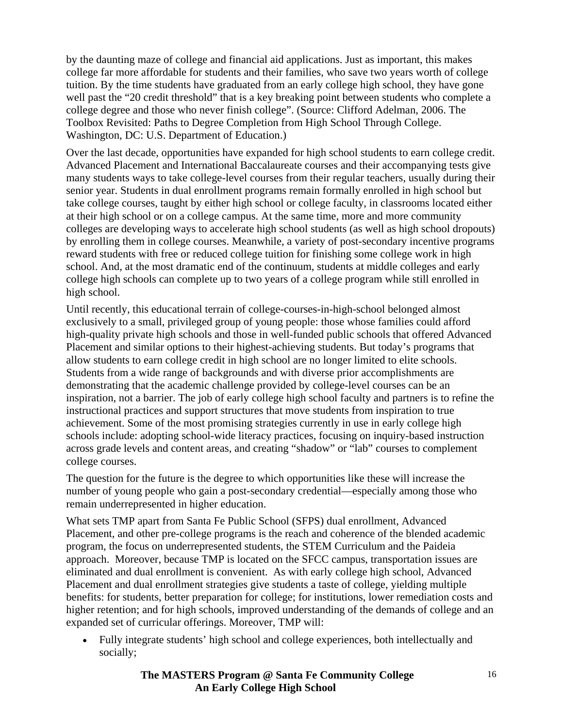by the daunting maze of college and financial aid applications. Just as important, this makes college far more affordable for students and their families, who save two years worth of college tuition. By the time students have graduated from an early college high school, they have gone well past the "20 credit threshold" that is a key breaking point between students who complete a college degree and those who never finish college". (Source: Clifford Adelman, 2006. The Toolbox Revisited: Paths to Degree Completion from High School Through College. Washington, DC: U.S. Department of Education.)

Over the last decade, opportunities have expanded for high school students to earn college credit. Advanced Placement and International Baccalaureate courses and their accompanying tests give many students ways to take college-level courses from their regular teachers, usually during their senior year. Students in dual enrollment programs remain formally enrolled in high school but take college courses, taught by either high school or college faculty, in classrooms located either at their high school or on a college campus. At the same time, more and more community colleges are developing ways to accelerate high school students (as well as high school dropouts) by enrolling them in college courses. Meanwhile, a variety of post-secondary incentive programs reward students with free or reduced college tuition for finishing some college work in high school. And, at the most dramatic end of the continuum, students at middle colleges and early college high schools can complete up to two years of a college program while still enrolled in high school.

Until recently, this educational terrain of college-courses-in-high-school belonged almost exclusively to a small, privileged group of young people: those whose families could afford high-quality private high schools and those in well-funded public schools that offered Advanced Placement and similar options to their highest-achieving students. But today's programs that allow students to earn college credit in high school are no longer limited to elite schools. Students from a wide range of backgrounds and with diverse prior accomplishments are demonstrating that the academic challenge provided by college-level courses can be an inspiration, not a barrier. The job of early college high school faculty and partners is to refine the instructional practices and support structures that move students from inspiration to true achievement. Some of the most promising strategies currently in use in early college high schools include: adopting school-wide literacy practices, focusing on inquiry-based instruction across grade levels and content areas, and creating "shadow" or "lab" courses to complement college courses.

The question for the future is the degree to which opportunities like these will increase the number of young people who gain a post-secondary credential—especially among those who remain underrepresented in higher education.

What sets TMP apart from Santa Fe Public School (SFPS) dual enrollment, Advanced Placement, and other pre-college programs is the reach and coherence of the blended academic program, the focus on underrepresented students, the STEM Curriculum and the Paideia approach. Moreover, because TMP is located on the SFCC campus, transportation issues are eliminated and dual enrollment is convenient. As with early college high school, Advanced Placement and dual enrollment strategies give students a taste of college, yielding multiple benefits: for students, better preparation for college; for institutions, lower remediation costs and higher retention; and for high schools, improved understanding of the demands of college and an expanded set of curricular offerings. Moreover, TMP will:

• Fully integrate students' high school and college experiences, both intellectually and socially;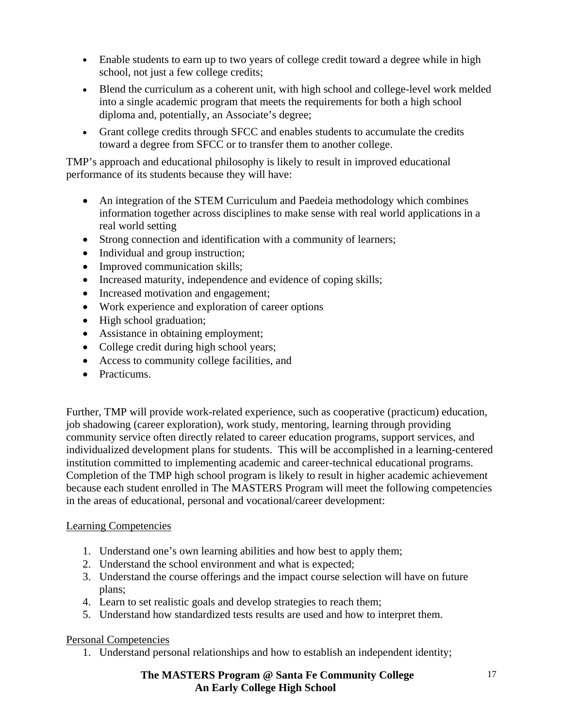- Enable students to earn up to two years of college credit toward a degree while in high school, not just a few college credits;
- Blend the curriculum as a coherent unit, with high school and college-level work melded into a single academic program that meets the requirements for both a high school diploma and, potentially, an Associate's degree;
- Grant college credits through SFCC and enables students to accumulate the credits toward a degree from SFCC or to transfer them to another college.

TMP's approach and educational philosophy is likely to result in improved educational performance of its students because they will have:

- An integration of the STEM Curriculum and Paedeia methodology which combines information together across disciplines to make sense with real world applications in a real world setting
- Strong connection and identification with a community of learners;
- Individual and group instruction;
- Improved communication skills;
- Increased maturity, independence and evidence of coping skills;
- Increased motivation and engagement;
- Work experience and exploration of career options
- High school graduation;
- Assistance in obtaining employment;
- College credit during high school years;
- Access to community college facilities, and
- Practicums.

Further, TMP will provide work-related experience, such as cooperative (practicum) education, job shadowing (career exploration), work study, mentoring, learning through providing community service often directly related to career education programs, support services, and individualized development plans for students. This will be accomplished in a learning-centered institution committed to implementing academic and career-technical educational programs. Completion of the TMP high school program is likely to result in higher academic achievement because each student enrolled in The MASTERS Program will meet the following competencies in the areas of educational, personal and vocational/career development:

### Learning Competencies

- 1. Understand one's own learning abilities and how best to apply them;
- 2. Understand the school environment and what is expected;
- 3. Understand the course offerings and the impact course selection will have on future plans;
- 4. Learn to set realistic goals and develop strategies to reach them;
- 5. Understand how standardized tests results are used and how to interpret them.

### Personal Competencies

1. Understand personal relationships and how to establish an independent identity;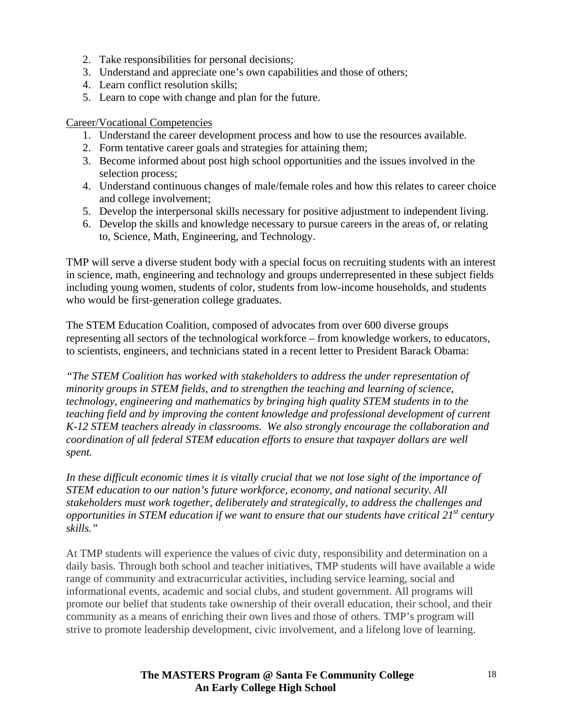- 2. Take responsibilities for personal decisions;
- 3. Understand and appreciate one's own capabilities and those of others;
- 4. Learn conflict resolution skills;
- 5. Learn to cope with change and plan for the future.

### Career/Vocational Competencies

- 1. Understand the career development process and how to use the resources available.
- 2. Form tentative career goals and strategies for attaining them;
- 3. Become informed about post high school opportunities and the issues involved in the selection process;
- 4. Understand continuous changes of male/female roles and how this relates to career choice and college involvement;
- 5. Develop the interpersonal skills necessary for positive adjustment to independent living.
- 6. Develop the skills and knowledge necessary to pursue careers in the areas of, or relating to, Science, Math, Engineering, and Technology.

TMP will serve a diverse student body with a special focus on recruiting students with an interest in science, math, engineering and technology and groups underrepresented in these subject fields including young women, students of color, students from low-income households, and students who would be first-generation college graduates.

The STEM Education Coalition, composed of advocates from over 600 diverse groups representing all sectors of the technological workforce – from knowledge workers, to educators, to scientists, engineers, and technicians stated in a recent letter to President Barack Obama:

*"The STEM Coalition has worked with stakeholders to address the under representation of minority groups in STEM fields, and to strengthen the teaching and learning of science, technology, engineering and mathematics by bringing high quality STEM students in to the teaching field and by improving the content knowledge and professional development of current K-12 STEM teachers already in classrooms. We also strongly encourage the collaboration and coordination of all federal STEM education efforts to ensure that taxpayer dollars are well spent.* 

*In these difficult economic times it is vitally crucial that we not lose sight of the importance of STEM education to our nation's future workforce, economy, and national security. All stakeholders must work together, deliberately and strategically, to address the challenges and opportunities in STEM education if we want to ensure that our students have critical 21st century skills."* 

At TMP students will experience the values of civic duty, responsibility and determination on a daily basis. Through both school and teacher initiatives, TMP students will have available a wide range of community and extracurricular activities, including service learning, social and informational events, academic and social clubs, and student government. All programs will promote our belief that students take ownership of their overall education, their school, and their community as a means of enriching their own lives and those of others. TMP's program will strive to promote leadership development, civic involvement, and a lifelong love of learning.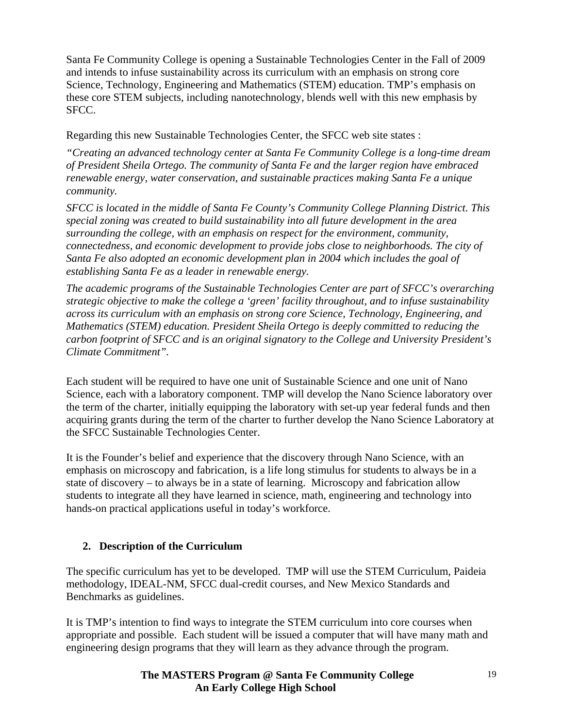Santa Fe Community College is opening a Sustainable Technologies Center in the Fall of 2009 and intends to infuse sustainability across its curriculum with an emphasis on strong core Science, Technology, Engineering and Mathematics (STEM) education. TMP's emphasis on these core STEM subjects, including nanotechnology, blends well with this new emphasis by SFCC.

Regarding this new Sustainable Technologies Center, the SFCC web site states :

*"Creating an advanced technology center at Santa Fe Community College is a long-time dream of President Sheila Ortego. The community of Santa Fe and the larger region have embraced renewable energy, water conservation, and sustainable practices making Santa Fe a unique community.* 

*SFCC is located in the middle of Santa Fe County's Community College Planning District. This special zoning was created to build sustainability into all future development in the area surrounding the college, with an emphasis on respect for the environment, community, connectedness, and economic development to provide jobs close to neighborhoods. The city of Santa Fe also adopted an economic development plan in 2004 which includes the goal of establishing Santa Fe as a leader in renewable energy.* 

*The academic programs of the Sustainable Technologies Center are part of SFCC's overarching strategic objective to make the college a 'green' facility throughout, and to infuse sustainability across its curriculum with an emphasis on strong core Science, Technology, Engineering, and Mathematics (STEM) education. President Sheila Ortego is deeply committed to reducing the carbon footprint of SFCC and is an original signatory to the College and University President's Climate Commitment".* 

Each student will be required to have one unit of Sustainable Science and one unit of Nano Science, each with a laboratory component. TMP will develop the Nano Science laboratory over the term of the charter, initially equipping the laboratory with set-up year federal funds and then acquiring grants during the term of the charter to further develop the Nano Science Laboratory at the SFCC Sustainable Technologies Center.

It is the Founder's belief and experience that the discovery through Nano Science, with an emphasis on microscopy and fabrication, is a life long stimulus for students to always be in a state of discovery – to always be in a state of learning. Microscopy and fabrication allow students to integrate all they have learned in science, math, engineering and technology into hands-on practical applications useful in today's workforce.

### **2. Description of the Curriculum**

The specific curriculum has yet to be developed. TMP will use the STEM Curriculum, Paideia methodology, IDEAL-NM, SFCC dual-credit courses, and New Mexico Standards and Benchmarks as guidelines.

It is TMP's intention to find ways to integrate the STEM curriculum into core courses when appropriate and possible. Each student will be issued a computer that will have many math and engineering design programs that they will learn as they advance through the program.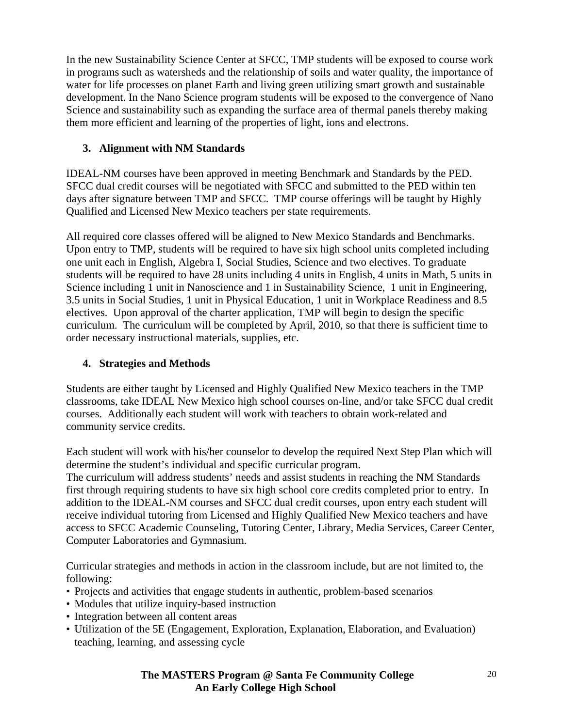In the new Sustainability Science Center at SFCC, TMP students will be exposed to course work in programs such as watersheds and the relationship of soils and water quality, the importance of water for life processes on planet Earth and living green utilizing smart growth and sustainable development. In the Nano Science program students will be exposed to the convergence of Nano Science and sustainability such as expanding the surface area of thermal panels thereby making them more efficient and learning of the properties of light, ions and electrons.

# **3. Alignment with NM Standards**

IDEAL-NM courses have been approved in meeting Benchmark and Standards by the PED. SFCC dual credit courses will be negotiated with SFCC and submitted to the PED within ten days after signature between TMP and SFCC. TMP course offerings will be taught by Highly Qualified and Licensed New Mexico teachers per state requirements.

All required core classes offered will be aligned to New Mexico Standards and Benchmarks. Upon entry to TMP, students will be required to have six high school units completed including one unit each in English, Algebra I, Social Studies, Science and two electives. To graduate students will be required to have 28 units including 4 units in English, 4 units in Math, 5 units in Science including 1 unit in Nanoscience and 1 in Sustainability Science, 1 unit in Engineering, 3.5 units in Social Studies, 1 unit in Physical Education, 1 unit in Workplace Readiness and 8.5 electives. Upon approval of the charter application, TMP will begin to design the specific curriculum. The curriculum will be completed by April, 2010, so that there is sufficient time to order necessary instructional materials, supplies, etc.

# **4. Strategies and Methods**

Students are either taught by Licensed and Highly Qualified New Mexico teachers in the TMP classrooms, take IDEAL New Mexico high school courses on-line, and/or take SFCC dual credit courses. Additionally each student will work with teachers to obtain work-related and community service credits.

Each student will work with his/her counselor to develop the required Next Step Plan which will determine the student's individual and specific curricular program.

The curriculum will address students' needs and assist students in reaching the NM Standards first through requiring students to have six high school core credits completed prior to entry. In addition to the IDEAL-NM courses and SFCC dual credit courses, upon entry each student will receive individual tutoring from Licensed and Highly Qualified New Mexico teachers and have access to SFCC Academic Counseling, Tutoring Center, Library, Media Services, Career Center, Computer Laboratories and Gymnasium.

Curricular strategies and methods in action in the classroom include, but are not limited to, the following:

- Projects and activities that engage students in authentic, problem-based scenarios
- Modules that utilize inquiry-based instruction
- Integration between all content areas
- Utilization of the 5E (Engagement, Exploration, Explanation, Elaboration, and Evaluation) teaching, learning, and assessing cycle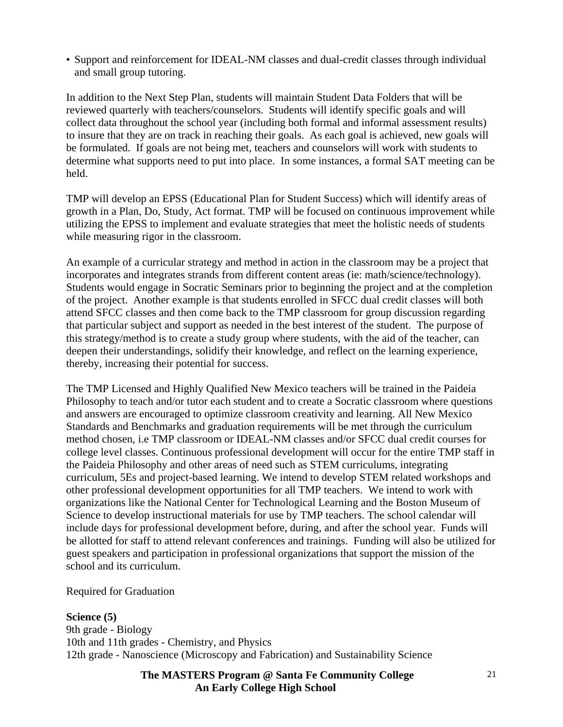• Support and reinforcement for IDEAL-NM classes and dual-credit classes through individual and small group tutoring.

In addition to the Next Step Plan, students will maintain Student Data Folders that will be reviewed quarterly with teachers/counselors. Students will identify specific goals and will collect data throughout the school year (including both formal and informal assessment results) to insure that they are on track in reaching their goals. As each goal is achieved, new goals will be formulated. If goals are not being met, teachers and counselors will work with students to determine what supports need to put into place. In some instances, a formal SAT meeting can be held.

TMP will develop an EPSS (Educational Plan for Student Success) which will identify areas of growth in a Plan, Do, Study, Act format. TMP will be focused on continuous improvement while utilizing the EPSS to implement and evaluate strategies that meet the holistic needs of students while measuring rigor in the classroom.

An example of a curricular strategy and method in action in the classroom may be a project that incorporates and integrates strands from different content areas (ie: math/science/technology). Students would engage in Socratic Seminars prior to beginning the project and at the completion of the project. Another example is that students enrolled in SFCC dual credit classes will both attend SFCC classes and then come back to the TMP classroom for group discussion regarding that particular subject and support as needed in the best interest of the student. The purpose of this strategy/method is to create a study group where students, with the aid of the teacher, can deepen their understandings, solidify their knowledge, and reflect on the learning experience, thereby, increasing their potential for success.

The TMP Licensed and Highly Qualified New Mexico teachers will be trained in the Paideia Philosophy to teach and/or tutor each student and to create a Socratic classroom where questions and answers are encouraged to optimize classroom creativity and learning. All New Mexico Standards and Benchmarks and graduation requirements will be met through the curriculum method chosen, i.e TMP classroom or IDEAL-NM classes and/or SFCC dual credit courses for college level classes. Continuous professional development will occur for the entire TMP staff in the Paideia Philosophy and other areas of need such as STEM curriculums, integrating curriculum, 5Es and project-based learning. We intend to develop STEM related workshops and other professional development opportunities for all TMP teachers. We intend to work with organizations like the National Center for Technological Learning and the Boston Museum of Science to develop instructional materials for use by TMP teachers. The school calendar will include days for professional development before, during, and after the school year. Funds will be allotted for staff to attend relevant conferences and trainings. Funding will also be utilized for guest speakers and participation in professional organizations that support the mission of the school and its curriculum.

### Required for Graduation

### **Science (5)**

9th grade - Biology 10th and 11th grades - Chemistry, and Physics 12th grade - Nanoscience (Microscopy and Fabrication) and Sustainability Science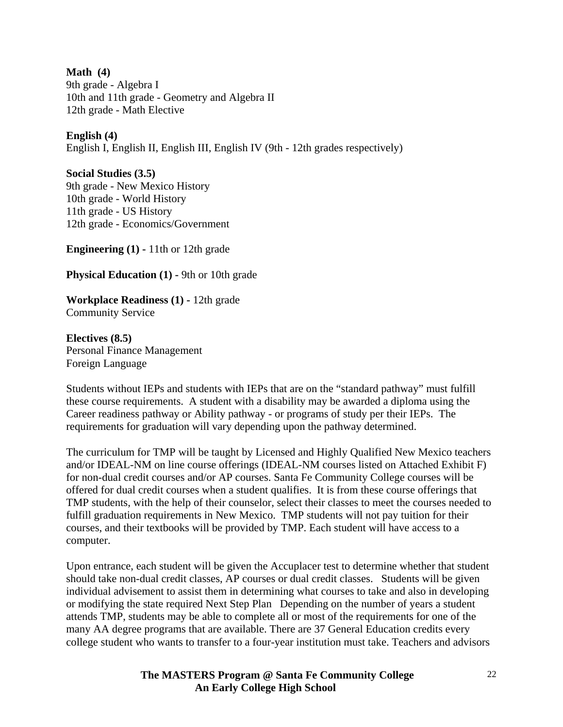**Math (4)**  9th grade - Algebra I 10th and 11th grade - Geometry and Algebra II 12th grade - Math Elective

### **English (4)**

English I, English II, English III, English IV (9th - 12th grades respectively)

**Social Studies (3.5)** 

9th grade - New Mexico History 10th grade - World History 11th grade - US History 12th grade - Economics/Government

**Engineering (1) -** 11th or 12th grade

**Physical Education (1) - 9th or 10th grade** 

**Workplace Readiness (1) -** 12th grade Community Service

**Electives (8.5)**  Personal Finance Management Foreign Language

Students without IEPs and students with IEPs that are on the "standard pathway" must fulfill these course requirements. A student with a disability may be awarded a diploma using the Career readiness pathway or Ability pathway - or programs of study per their IEPs. The requirements for graduation will vary depending upon the pathway determined.

The curriculum for TMP will be taught by Licensed and Highly Qualified New Mexico teachers and/or IDEAL-NM on line course offerings (IDEAL-NM courses listed on Attached Exhibit F) for non-dual credit courses and/or AP courses. Santa Fe Community College courses will be offered for dual credit courses when a student qualifies. It is from these course offerings that TMP students, with the help of their counselor, select their classes to meet the courses needed to fulfill graduation requirements in New Mexico. TMP students will not pay tuition for their courses, and their textbooks will be provided by TMP. Each student will have access to a computer.

Upon entrance, each student will be given the Accuplacer test to determine whether that student should take non-dual credit classes, AP courses or dual credit classes. Students will be given individual advisement to assist them in determining what courses to take and also in developing or modifying the state required Next Step Plan Depending on the number of years a student attends TMP, students may be able to complete all or most of the requirements for one of the many AA degree programs that are available. There are 37 General Education credits every college student who wants to transfer to a four-year institution must take. Teachers and advisors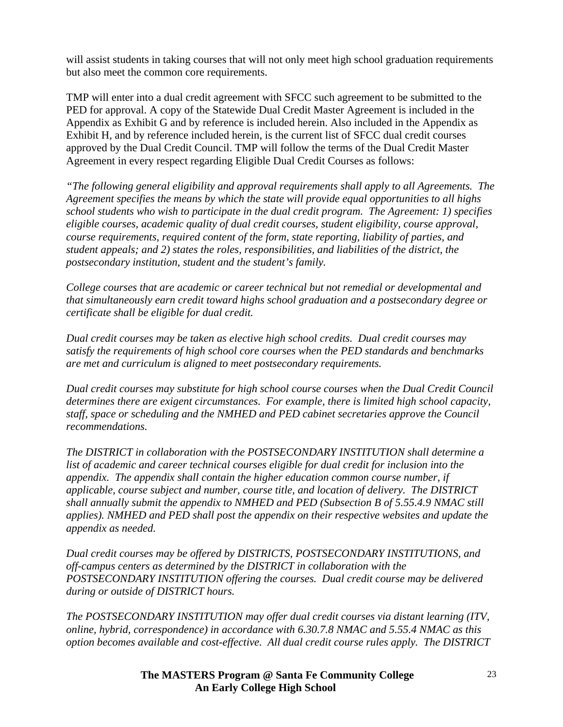will assist students in taking courses that will not only meet high school graduation requirements but also meet the common core requirements.

TMP will enter into a dual credit agreement with SFCC such agreement to be submitted to the PED for approval. A copy of the Statewide Dual Credit Master Agreement is included in the Appendix as Exhibit G and by reference is included herein. Also included in the Appendix as Exhibit H, and by reference included herein, is the current list of SFCC dual credit courses approved by the Dual Credit Council. TMP will follow the terms of the Dual Credit Master Agreement in every respect regarding Eligible Dual Credit Courses as follows:

*"The following general eligibility and approval requirements shall apply to all Agreements. The Agreement specifies the means by which the state will provide equal opportunities to all highs school students who wish to participate in the dual credit program. The Agreement: 1) specifies eligible courses, academic quality of dual credit courses, student eligibility, course approval, course requirements, required content of the form, state reporting, liability of parties, and student appeals; and 2) states the roles, responsibilities, and liabilities of the district, the postsecondary institution, student and the student's family.* 

*College courses that are academic or career technical but not remedial or developmental and that simultaneously earn credit toward highs school graduation and a postsecondary degree or certificate shall be eligible for dual credit.* 

*Dual credit courses may be taken as elective high school credits. Dual credit courses may satisfy the requirements of high school core courses when the PED standards and benchmarks are met and curriculum is aligned to meet postsecondary requirements.* 

*Dual credit courses may substitute for high school course courses when the Dual Credit Council determines there are exigent circumstances. For example, there is limited high school capacity, staff, space or scheduling and the NMHED and PED cabinet secretaries approve the Council recommendations.* 

*The DISTRICT in collaboration with the POSTSECONDARY INSTITUTION shall determine a list of academic and career technical courses eligible for dual credit for inclusion into the appendix. The appendix shall contain the higher education common course number, if applicable, course subject and number, course title, and location of delivery. The DISTRICT shall annually submit the appendix to NMHED and PED (Subsection B of 5.55.4.9 NMAC still applies). NMHED and PED shall post the appendix on their respective websites and update the appendix as needed.* 

*Dual credit courses may be offered by DISTRICTS, POSTSECONDARY INSTITUTIONS, and off-campus centers as determined by the DISTRICT in collaboration with the POSTSECONDARY INSTITUTION offering the courses. Dual credit course may be delivered during or outside of DISTRICT hours.* 

*The POSTSECONDARY INSTITUTION may offer dual credit courses via distant learning (ITV, online, hybrid, correspondence) in accordance with 6.30.7.8 NMAC and 5.55.4 NMAC as this option becomes available and cost-effective. All dual credit course rules apply. The DISTRICT*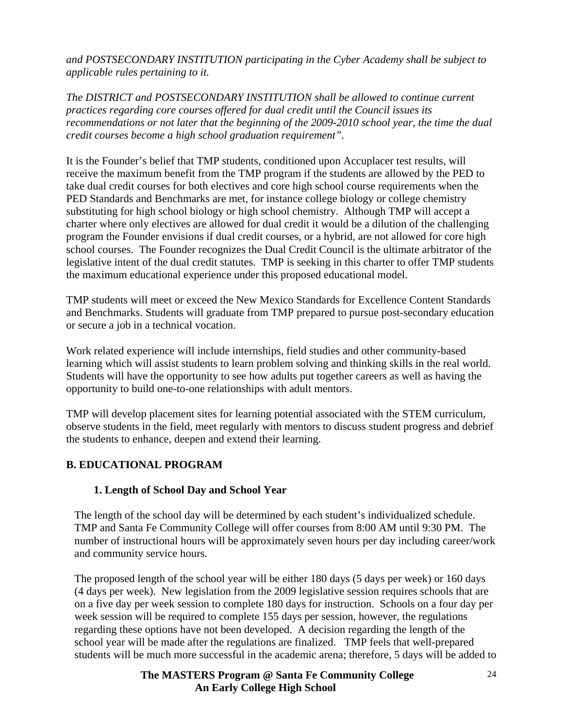*and POSTSECONDARY INSTITUTION participating in the Cyber Academy shall be subject to applicable rules pertaining to it.* 

*The DISTRICT and POSTSECONDARY INSTITUTION shall be allowed to continue current practices regarding core courses offered for dual credit until the Council issues its recommendations or not later that the beginning of the 2009-2010 school year, the time the dual credit courses become a high school graduation requirement".* 

It is the Founder's belief that TMP students, conditioned upon Accuplacer test results, will receive the maximum benefit from the TMP program if the students are allowed by the PED to take dual credit courses for both electives and core high school course requirements when the PED Standards and Benchmarks are met, for instance college biology or college chemistry substituting for high school biology or high school chemistry. Although TMP will accept a charter where only electives are allowed for dual credit it would be a dilution of the challenging program the Founder envisions if dual credit courses, or a hybrid, are not allowed for core high school courses. The Founder recognizes the Dual Credit Council is the ultimate arbitrator of the legislative intent of the dual credit statutes. TMP is seeking in this charter to offer TMP students the maximum educational experience under this proposed educational model.

TMP students will meet or exceed the New Mexico Standards for Excellence Content Standards and Benchmarks. Students will graduate from TMP prepared to pursue post-secondary education or secure a job in a technical vocation.

Work related experience will include internships, field studies and other community-based learning which will assist students to learn problem solving and thinking skills in the real world. Students will have the opportunity to see how adults put together careers as well as having the opportunity to build one-to-one relationships with adult mentors.

TMP will develop placement sites for learning potential associated with the STEM curriculum, observe students in the field, meet regularly with mentors to discuss student progress and debrief the students to enhance, deepen and extend their learning.

# **B. EDUCATIONAL PROGRAM**

### **1. Length of School Day and School Year**

The length of the school day will be determined by each student's individualized schedule. TMP and Santa Fe Community College will offer courses from 8:00 AM until 9:30 PM. The number of instructional hours will be approximately seven hours per day including career/work and community service hours.

The proposed length of the school year will be either 180 days (5 days per week) or 160 days (4 days per week). New legislation from the 2009 legislative session requires schools that are on a five day per week session to complete 180 days for instruction. Schools on a four day per week session will be required to complete 155 days per session, however, the regulations regarding these options have not been developed. A decision regarding the length of the school year will be made after the regulations are finalized. TMP feels that well-prepared students will be much more successful in the academic arena; therefore, 5 days will be added to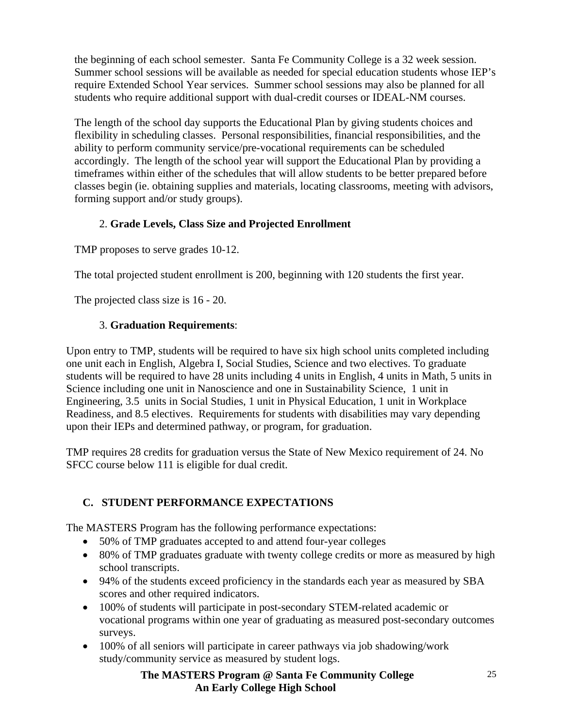the beginning of each school semester. Santa Fe Community College is a 32 week session. Summer school sessions will be available as needed for special education students whose IEP's require Extended School Year services. Summer school sessions may also be planned for all students who require additional support with dual-credit courses or IDEAL-NM courses.

The length of the school day supports the Educational Plan by giving students choices and flexibility in scheduling classes. Personal responsibilities, financial responsibilities, and the ability to perform community service/pre-vocational requirements can be scheduled accordingly. The length of the school year will support the Educational Plan by providing a timeframes within either of the schedules that will allow students to be better prepared before classes begin (ie. obtaining supplies and materials, locating classrooms, meeting with advisors, forming support and/or study groups).

# 2. **Grade Levels, Class Size and Projected Enrollment**

TMP proposes to serve grades 10-12.

The total projected student enrollment is 200, beginning with 120 students the first year.

The projected class size is 16 - 20.

### 3. **Graduation Requirements**:

Upon entry to TMP, students will be required to have six high school units completed including one unit each in English, Algebra I, Social Studies, Science and two electives. To graduate students will be required to have 28 units including 4 units in English, 4 units in Math, 5 units in Science including one unit in Nanoscience and one in Sustainability Science, 1 unit in Engineering, 3.5 units in Social Studies, 1 unit in Physical Education, 1 unit in Workplace Readiness, and 8.5 electives. Requirements for students with disabilities may vary depending upon their IEPs and determined pathway, or program, for graduation.

TMP requires 28 credits for graduation versus the State of New Mexico requirement of 24. No SFCC course below 111 is eligible for dual credit.

# **C. STUDENT PERFORMANCE EXPECTATIONS**

The MASTERS Program has the following performance expectations:

- 50% of TMP graduates accepted to and attend four-year colleges
- 80% of TMP graduates graduate with twenty college credits or more as measured by high school transcripts.
- 94% of the students exceed proficiency in the standards each year as measured by SBA scores and other required indicators.
- 100% of students will participate in post-secondary STEM-related academic or vocational programs within one year of graduating as measured post-secondary outcomes surveys.
- 100% of all seniors will participate in career pathways via job shadowing/work study/community service as measured by student logs.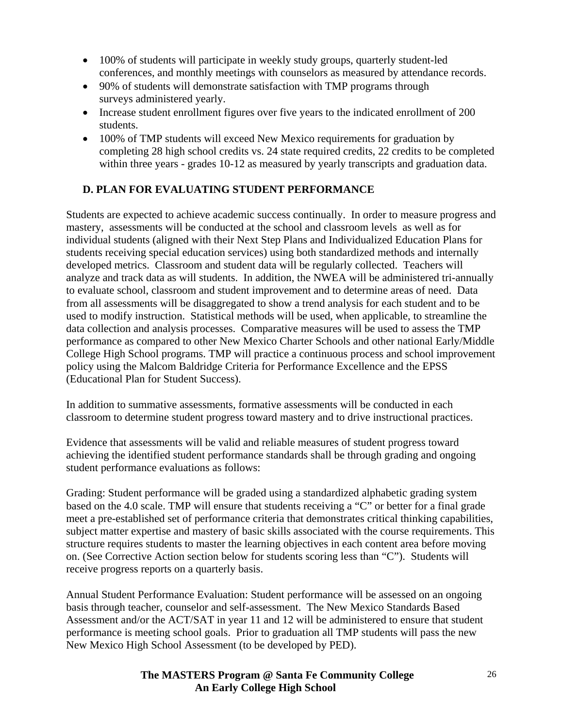- 100% of students will participate in weekly study groups, quarterly student-led conferences, and monthly meetings with counselors as measured by attendance records.
- 90% of students will demonstrate satisfaction with TMP programs through surveys administered yearly.
- Increase student enrollment figures over five years to the indicated enrollment of 200 students.
- 100% of TMP students will exceed New Mexico requirements for graduation by completing 28 high school credits vs. 24 state required credits, 22 credits to be completed within three years - grades 10-12 as measured by yearly transcripts and graduation data.

# **D. PLAN FOR EVALUATING STUDENT PERFORMANCE**

Students are expected to achieve academic success continually. In order to measure progress and mastery, assessments will be conducted at the school and classroom levels as well as for individual students (aligned with their Next Step Plans and Individualized Education Plans for students receiving special education services) using both standardized methods and internally developed metrics. Classroom and student data will be regularly collected. Teachers will analyze and track data as will students. In addition, the NWEA will be administered tri-annually to evaluate school, classroom and student improvement and to determine areas of need. Data from all assessments will be disaggregated to show a trend analysis for each student and to be used to modify instruction. Statistical methods will be used, when applicable, to streamline the data collection and analysis processes. Comparative measures will be used to assess the TMP performance as compared to other New Mexico Charter Schools and other national Early/Middle College High School programs. TMP will practice a continuous process and school improvement policy using the Malcom Baldridge Criteria for Performance Excellence and the EPSS (Educational Plan for Student Success).

In addition to summative assessments, formative assessments will be conducted in each classroom to determine student progress toward mastery and to drive instructional practices.

Evidence that assessments will be valid and reliable measures of student progress toward achieving the identified student performance standards shall be through grading and ongoing student performance evaluations as follows:

Grading: Student performance will be graded using a standardized alphabetic grading system based on the 4.0 scale. TMP will ensure that students receiving a "C" or better for a final grade meet a pre-established set of performance criteria that demonstrates critical thinking capabilities, subject matter expertise and mastery of basic skills associated with the course requirements. This structure requires students to master the learning objectives in each content area before moving on. (See Corrective Action section below for students scoring less than "C"). Students will receive progress reports on a quarterly basis.

Annual Student Performance Evaluation: Student performance will be assessed on an ongoing basis through teacher, counselor and self-assessment. The New Mexico Standards Based Assessment and/or the ACT/SAT in year 11 and 12 will be administered to ensure that student performance is meeting school goals. Prior to graduation all TMP students will pass the new New Mexico High School Assessment (to be developed by PED).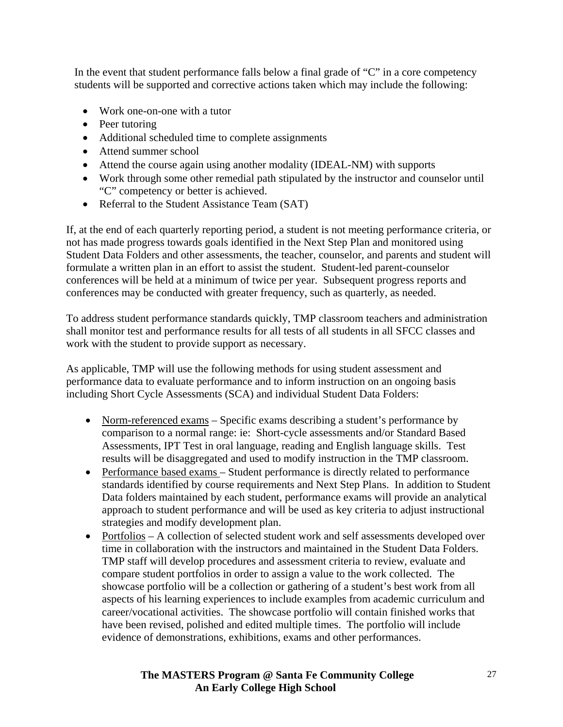In the event that student performance falls below a final grade of "C" in a core competency students will be supported and corrective actions taken which may include the following:

- Work one-on-one with a tutor
- Peer tutoring
- Additional scheduled time to complete assignments
- Attend summer school
- Attend the course again using another modality (IDEAL-NM) with supports
- Work through some other remedial path stipulated by the instructor and counselor until "C" competency or better is achieved.
- Referral to the Student Assistance Team (SAT)

If, at the end of each quarterly reporting period, a student is not meeting performance criteria, or not has made progress towards goals identified in the Next Step Plan and monitored using Student Data Folders and other assessments, the teacher, counselor, and parents and student will formulate a written plan in an effort to assist the student. Student-led parent-counselor conferences will be held at a minimum of twice per year. Subsequent progress reports and conferences may be conducted with greater frequency, such as quarterly, as needed.

To address student performance standards quickly, TMP classroom teachers and administration shall monitor test and performance results for all tests of all students in all SFCC classes and work with the student to provide support as necessary.

As applicable, TMP will use the following methods for using student assessment and performance data to evaluate performance and to inform instruction on an ongoing basis including Short Cycle Assessments (SCA) and individual Student Data Folders:

- Norm-referenced exams Specific exams describing a student's performance by comparison to a normal range: ie: Short-cycle assessments and/or Standard Based Assessments, IPT Test in oral language, reading and English language skills. Test results will be disaggregated and used to modify instruction in the TMP classroom.
- Performance based exams Student performance is directly related to performance standards identified by course requirements and Next Step Plans. In addition to Student Data folders maintained by each student, performance exams will provide an analytical approach to student performance and will be used as key criteria to adjust instructional strategies and modify development plan.
- Portfolios A collection of selected student work and self assessments developed over time in collaboration with the instructors and maintained in the Student Data Folders. TMP staff will develop procedures and assessment criteria to review, evaluate and compare student portfolios in order to assign a value to the work collected. The showcase portfolio will be a collection or gathering of a student's best work from all aspects of his learning experiences to include examples from academic curriculum and career/vocational activities. The showcase portfolio will contain finished works that have been revised, polished and edited multiple times. The portfolio will include evidence of demonstrations, exhibitions, exams and other performances.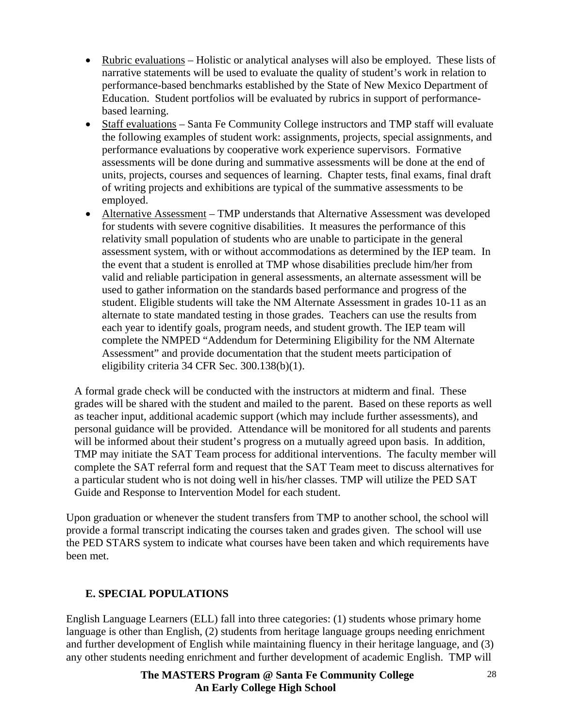- Rubric evaluations Holistic or analytical analyses will also be employed. These lists of narrative statements will be used to evaluate the quality of student's work in relation to performance-based benchmarks established by the State of New Mexico Department of Education. Student portfolios will be evaluated by rubrics in support of performancebased learning.
- Staff evaluations Santa Fe Community College instructors and TMP staff will evaluate the following examples of student work: assignments, projects, special assignments, and performance evaluations by cooperative work experience supervisors. Formative assessments will be done during and summative assessments will be done at the end of units, projects, courses and sequences of learning. Chapter tests, final exams, final draft of writing projects and exhibitions are typical of the summative assessments to be employed.
- Alternative Assessment TMP understands that Alternative Assessment was developed for students with severe cognitive disabilities. It measures the performance of this relativity small population of students who are unable to participate in the general assessment system, with or without accommodations as determined by the IEP team. In the event that a student is enrolled at TMP whose disabilities preclude him/her from valid and reliable participation in general assessments, an alternate assessment will be used to gather information on the standards based performance and progress of the student. Eligible students will take the NM Alternate Assessment in grades 10-11 as an alternate to state mandated testing in those grades. Teachers can use the results from each year to identify goals, program needs, and student growth. The IEP team will complete the NMPED "Addendum for Determining Eligibility for the NM Alternate Assessment" and provide documentation that the student meets participation of eligibility criteria 34 CFR Sec. 300.138(b)(1).

A formal grade check will be conducted with the instructors at midterm and final. These grades will be shared with the student and mailed to the parent. Based on these reports as well as teacher input, additional academic support (which may include further assessments), and personal guidance will be provided. Attendance will be monitored for all students and parents will be informed about their student's progress on a mutually agreed upon basis. In addition, TMP may initiate the SAT Team process for additional interventions. The faculty member will complete the SAT referral form and request that the SAT Team meet to discuss alternatives for a particular student who is not doing well in his/her classes. TMP will utilize the PED SAT Guide and Response to Intervention Model for each student.

Upon graduation or whenever the student transfers from TMP to another school, the school will provide a formal transcript indicating the courses taken and grades given. The school will use the PED STARS system to indicate what courses have been taken and which requirements have been met.

### **E. SPECIAL POPULATIONS**

English Language Learners (ELL) fall into three categories: (1) students whose primary home language is other than English, (2) students from heritage language groups needing enrichment and further development of English while maintaining fluency in their heritage language, and (3) any other students needing enrichment and further development of academic English. TMP will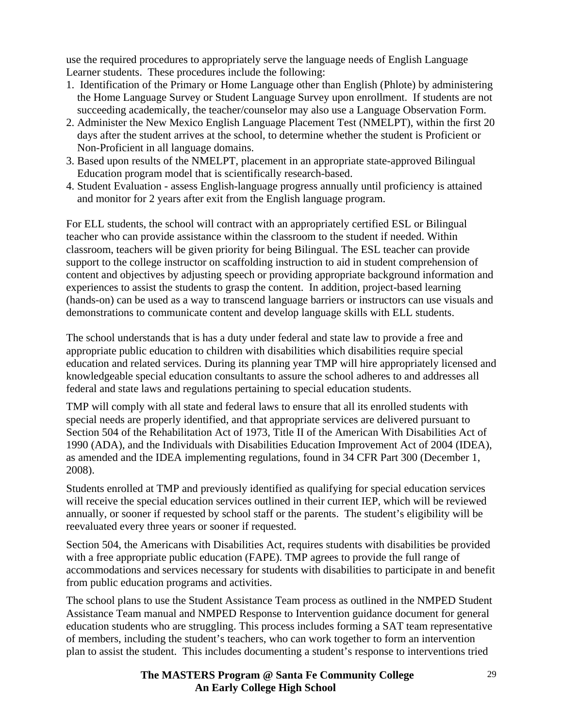use the required procedures to appropriately serve the language needs of English Language Learner students. These procedures include the following:

- 1. Identification of the Primary or Home Language other than English (Phlote) by administering the Home Language Survey or Student Language Survey upon enrollment. If students are not succeeding academically, the teacher/counselor may also use a Language Observation Form.
- 2. Administer the New Mexico English Language Placement Test (NMELPT), within the first 20 days after the student arrives at the school, to determine whether the student is Proficient or Non-Proficient in all language domains.
- 3. Based upon results of the NMELPT, placement in an appropriate state-approved Bilingual Education program model that is scientifically research-based.
- 4. Student Evaluation assess English-language progress annually until proficiency is attained and monitor for 2 years after exit from the English language program.

For ELL students, the school will contract with an appropriately certified ESL or Bilingual teacher who can provide assistance within the classroom to the student if needed. Within classroom, teachers will be given priority for being Bilingual. The ESL teacher can provide support to the college instructor on scaffolding instruction to aid in student comprehension of content and objectives by adjusting speech or providing appropriate background information and experiences to assist the students to grasp the content. In addition, project-based learning (hands-on) can be used as a way to transcend language barriers or instructors can use visuals and demonstrations to communicate content and develop language skills with ELL students.

The school understands that is has a duty under federal and state law to provide a free and appropriate public education to children with disabilities which disabilities require special education and related services. During its planning year TMP will hire appropriately licensed and knowledgeable special education consultants to assure the school adheres to and addresses all federal and state laws and regulations pertaining to special education students.

TMP will comply with all state and federal laws to ensure that all its enrolled students with special needs are properly identified, and that appropriate services are delivered pursuant to Section 504 of the Rehabilitation Act of 1973, Title II of the American With Disabilities Act of 1990 (ADA), and the Individuals with Disabilities Education Improvement Act of 2004 (IDEA), as amended and the IDEA implementing regulations, found in 34 CFR Part 300 (December 1, 2008).

Students enrolled at TMP and previously identified as qualifying for special education services will receive the special education services outlined in their current IEP, which will be reviewed annually, or sooner if requested by school staff or the parents. The student's eligibility will be reevaluated every three years or sooner if requested.

Section 504, the Americans with Disabilities Act, requires students with disabilities be provided with a free appropriate public education (FAPE). TMP agrees to provide the full range of accommodations and services necessary for students with disabilities to participate in and benefit from public education programs and activities.

The school plans to use the Student Assistance Team process as outlined in the NMPED Student Assistance Team manual and NMPED Response to Intervention guidance document for general education students who are struggling. This process includes forming a SAT team representative of members, including the student's teachers, who can work together to form an intervention plan to assist the student. This includes documenting a student's response to interventions tried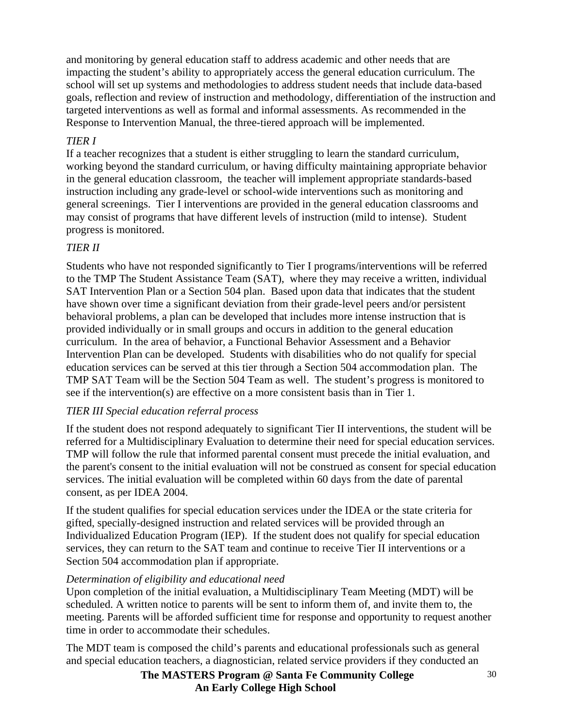and monitoring by general education staff to address academic and other needs that are impacting the student's ability to appropriately access the general education curriculum. The school will set up systems and methodologies to address student needs that include data-based goals, reflection and review of instruction and methodology, differentiation of the instruction and targeted interventions as well as formal and informal assessments. As recommended in the Response to Intervention Manual, the three-tiered approach will be implemented.

# *TIER I*

If a teacher recognizes that a student is either struggling to learn the standard curriculum, working beyond the standard curriculum, or having difficulty maintaining appropriate behavior in the general education classroom, the teacher will implement appropriate standards-based instruction including any grade-level or school-wide interventions such as monitoring and general screenings. Tier I interventions are provided in the general education classrooms and may consist of programs that have different levels of instruction (mild to intense). Student progress is monitored.

# *TIER II*

Students who have not responded significantly to Tier I programs/interventions will be referred to the TMP The Student Assistance Team (SAT), where they may receive a written, individual SAT Intervention Plan or a Section 504 plan. Based upon data that indicates that the student have shown over time a significant deviation from their grade-level peers and/or persistent behavioral problems, a plan can be developed that includes more intense instruction that is provided individually or in small groups and occurs in addition to the general education curriculum. In the area of behavior, a Functional Behavior Assessment and a Behavior Intervention Plan can be developed. Students with disabilities who do not qualify for special education services can be served at this tier through a Section 504 accommodation plan. The TMP SAT Team will be the Section 504 Team as well. The student's progress is monitored to see if the intervention(s) are effective on a more consistent basis than in Tier 1.

# *TIER III Special education referral process*

If the student does not respond adequately to significant Tier II interventions, the student will be referred for a Multidisciplinary Evaluation to determine their need for special education services. TMP will follow the rule that informed parental consent must precede the initial evaluation, and the parent's consent to the initial evaluation will not be construed as consent for special education services. The initial evaluation will be completed within 60 days from the date of parental consent, as per IDEA 2004.

If the student qualifies for special education services under the IDEA or the state criteria for gifted, specially-designed instruction and related services will be provided through an Individualized Education Program (IEP). If the student does not qualify for special education services, they can return to the SAT team and continue to receive Tier II interventions or a Section 504 accommodation plan if appropriate.

# *Determination of eligibility and educational need*

Upon completion of the initial evaluation, a Multidisciplinary Team Meeting (MDT) will be scheduled. A written notice to parents will be sent to inform them of, and invite them to, the meeting. Parents will be afforded sufficient time for response and opportunity to request another time in order to accommodate their schedules.

The MDT team is composed the child's parents and educational professionals such as general and special education teachers, a diagnostician, related service providers if they conducted an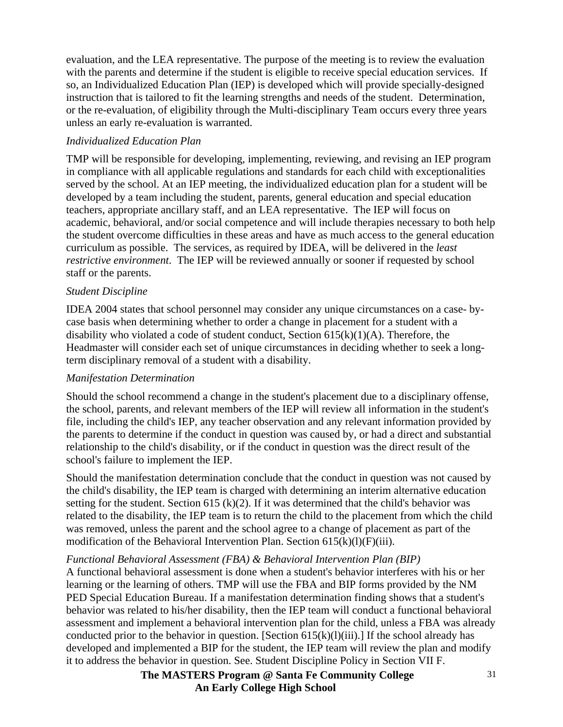evaluation, and the LEA representative. The purpose of the meeting is to review the evaluation with the parents and determine if the student is eligible to receive special education services. If so, an Individualized Education Plan (IEP) is developed which will provide specially-designed instruction that is tailored to fit the learning strengths and needs of the student. Determination, or the re-evaluation, of eligibility through the Multi-disciplinary Team occurs every three years unless an early re-evaluation is warranted.

### *Individualized Education Plan*

TMP will be responsible for developing, implementing, reviewing, and revising an IEP program in compliance with all applicable regulations and standards for each child with exceptionalities served by the school. At an IEP meeting, the individualized education plan for a student will be developed by a team including the student, parents, general education and special education teachers, appropriate ancillary staff, and an LEA representative. The IEP will focus on academic, behavioral, and/or social competence and will include therapies necessary to both help the student overcome difficulties in these areas and have as much access to the general education curriculum as possible. The services, as required by IDEA, will be delivered in the *least restrictive environment*. The IEP will be reviewed annually or sooner if requested by school staff or the parents.

### *Student Discipline*

IDEA 2004 states that school personnel may consider any unique circumstances on a case- bycase basis when determining whether to order a change in placement for a student with a disability who violated a code of student conduct, Section  $615(k)(1)(A)$ . Therefore, the Headmaster will consider each set of unique circumstances in deciding whether to seek a longterm disciplinary removal of a student with a disability.

### *Manifestation Determination*

Should the school recommend a change in the student's placement due to a disciplinary offense, the school, parents, and relevant members of the IEP will review all information in the student's file, including the child's IEP, any teacher observation and any relevant information provided by the parents to determine if the conduct in question was caused by, or had a direct and substantial relationship to the child's disability, or if the conduct in question was the direct result of the school's failure to implement the IEP.

Should the manifestation determination conclude that the conduct in question was not caused by the child's disability, the IEP team is charged with determining an interim alternative education setting for the student. Section 615 (k)(2). If it was determined that the child's behavior was related to the disability, the IEP team is to return the child to the placement from which the child was removed, unless the parent and the school agree to a change of placement as part of the modification of the Behavioral Intervention Plan. Section  $615(k)(l)(F)(iii)$ .

# *Functional Behavioral Assessment (FBA) & Behavioral Intervention Plan (BIP)*

A functional behavioral assessment is done when a student's behavior interferes with his or her learning or the learning of others. TMP will use the FBA and BIP forms provided by the NM PED Special Education Bureau. If a manifestation determination finding shows that a student's behavior was related to his/her disability, then the IEP team will conduct a functional behavioral assessment and implement a behavioral intervention plan for the child, unless a FBA was already conducted prior to the behavior in question. [Section  $615(k)(l)(iii)$ .] If the school already has developed and implemented a BIP for the student, the IEP team will review the plan and modify it to address the behavior in question. See. Student Discipline Policy in Section VII F.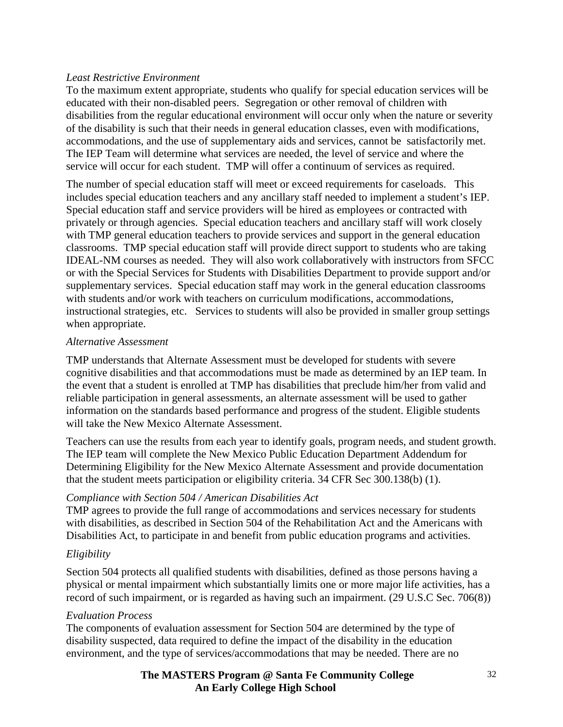### *Least Restrictive Environment*

To the maximum extent appropriate, students who qualify for special education services will be educated with their non-disabled peers. Segregation or other removal of children with disabilities from the regular educational environment will occur only when the nature or severity of the disability is such that their needs in general education classes, even with modifications, accommodations, and the use of supplementary aids and services, cannot be satisfactorily met. The IEP Team will determine what services are needed, the level of service and where the service will occur for each student. TMP will offer a continuum of services as required.

The number of special education staff will meet or exceed requirements for caseloads. This includes special education teachers and any ancillary staff needed to implement a student's IEP. Special education staff and service providers will be hired as employees or contracted with privately or through agencies. Special education teachers and ancillary staff will work closely with TMP general education teachers to provide services and support in the general education classrooms. TMP special education staff will provide direct support to students who are taking IDEAL-NM courses as needed. They will also work collaboratively with instructors from SFCC or with the Special Services for Students with Disabilities Department to provide support and/or supplementary services. Special education staff may work in the general education classrooms with students and/or work with teachers on curriculum modifications, accommodations, instructional strategies, etc. Services to students will also be provided in smaller group settings when appropriate.

### *Alternative Assessment*

TMP understands that Alternate Assessment must be developed for students with severe cognitive disabilities and that accommodations must be made as determined by an IEP team. In the event that a student is enrolled at TMP has disabilities that preclude him/her from valid and reliable participation in general assessments, an alternate assessment will be used to gather information on the standards based performance and progress of the student. Eligible students will take the New Mexico Alternate Assessment.

Teachers can use the results from each year to identify goals, program needs, and student growth. The IEP team will complete the New Mexico Public Education Department Addendum for Determining Eligibility for the New Mexico Alternate Assessment and provide documentation that the student meets participation or eligibility criteria. 34 CFR Sec 300.138(b) (1).

### *Compliance with Section 504 / American Disabilities Act*

TMP agrees to provide the full range of accommodations and services necessary for students with disabilities, as described in Section 504 of the Rehabilitation Act and the Americans with Disabilities Act, to participate in and benefit from public education programs and activities.

### *Eligibility*

Section 504 protects all qualified students with disabilities, defined as those persons having a physical or mental impairment which substantially limits one or more major life activities, has a record of such impairment, or is regarded as having such an impairment. (29 U.S.C Sec. 706(8))

### *Evaluation Process*

The components of evaluation assessment for Section 504 are determined by the type of disability suspected, data required to define the impact of the disability in the education environment, and the type of services/accommodations that may be needed. There are no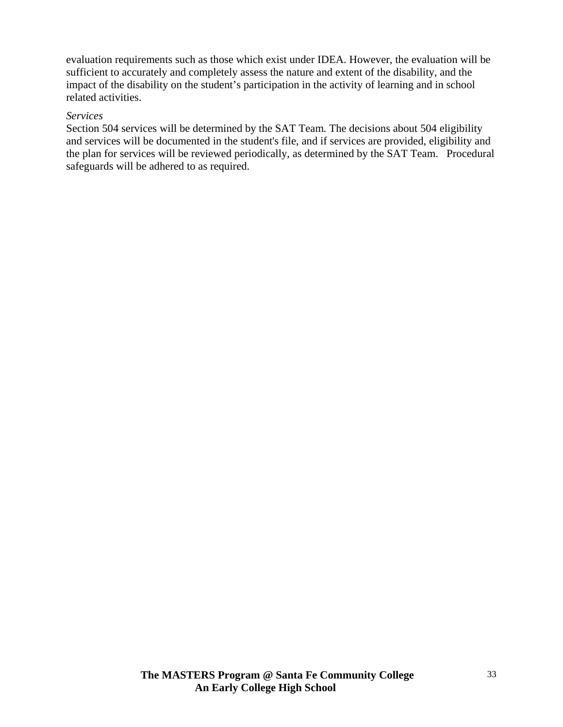evaluation requirements such as those which exist under IDEA. However, the evaluation will be sufficient to accurately and completely assess the nature and extent of the disability, and the impact of the disability on the student's participation in the activity of learning and in school related activities.

### *Services*

Section 504 services will be determined by the SAT Team*.* The decisions about 504 eligibility and services will be documented in the student's file, and if services are provided, eligibility and the plan for services will be reviewed periodically, as determined by the SAT Team. Procedural safeguards will be adhered to as required.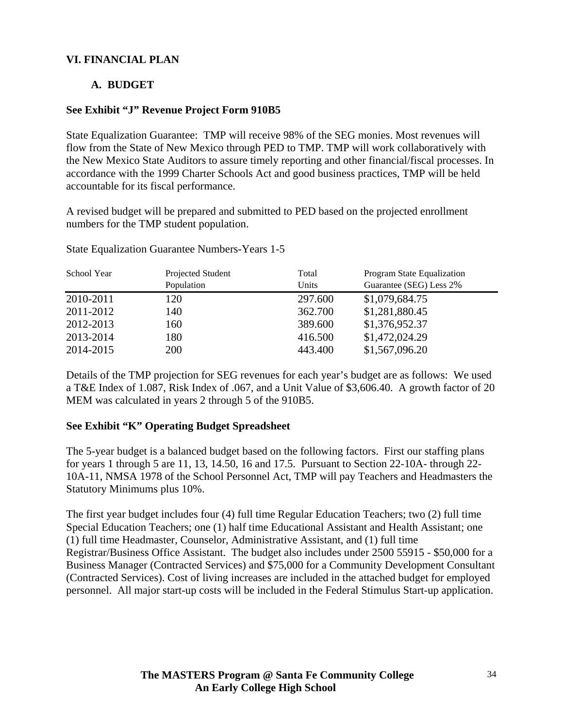### **VI. FINANCIAL PLAN**

### **A. BUDGET**

### **See Exhibit "J" Revenue Project Form 910B5**

State Equalization Guarantee: TMP will receive 98% of the SEG monies. Most revenues will flow from the State of New Mexico through PED to TMP. TMP will work collaboratively with the New Mexico State Auditors to assure timely reporting and other financial/fiscal processes. In accordance with the 1999 Charter Schools Act and good business practices, TMP will be held accountable for its fiscal performance.

A revised budget will be prepared and submitted to PED based on the projected enrollment numbers for the TMP student population.

| School Year | Projected Student | Total   | Program State Equalization |
|-------------|-------------------|---------|----------------------------|
|             | Population        | Units   | Guarantee (SEG) Less 2%    |
| 2010-2011   | 120               | 297.600 | \$1,079,684.75             |
| 2011-2012   | 140               | 362.700 | \$1,281,880.45             |
| 2012-2013   | 160               | 389.600 | \$1,376,952.37             |
| 2013-2014   | 180               | 416.500 | \$1,472,024.29             |
| 2014-2015   | 200               | 443.400 | \$1,567,096.20             |

State Equalization Guarantee Numbers-Years 1-5

Details of the TMP projection for SEG revenues for each year's budget are as follows: We used a T&E Index of 1.087, Risk Index of .067, and a Unit Value of \$3,606.40. A growth factor of 20 MEM was calculated in years 2 through 5 of the 910B5.

### **See Exhibit "K" Operating Budget Spreadsheet**

The 5-year budget is a balanced budget based on the following factors. First our staffing plans for years 1 through 5 are 11, 13, 14.50, 16 and 17.5. Pursuant to Section 22-10A- through 22- 10A-11, NMSA 1978 of the School Personnel Act, TMP will pay Teachers and Headmasters the Statutory Minimums plus 10%.

The first year budget includes four (4) full time Regular Education Teachers; two (2) full time Special Education Teachers; one (1) half time Educational Assistant and Health Assistant; one (1) full time Headmaster, Counselor, Administrative Assistant, and (1) full time Registrar/Business Office Assistant. The budget also includes under 2500 55915 - \$50,000 for a Business Manager (Contracted Services) and \$75,000 for a Community Development Consultant (Contracted Services). Cost of living increases are included in the attached budget for employed personnel. All major start-up costs will be included in the Federal Stimulus Start-up application.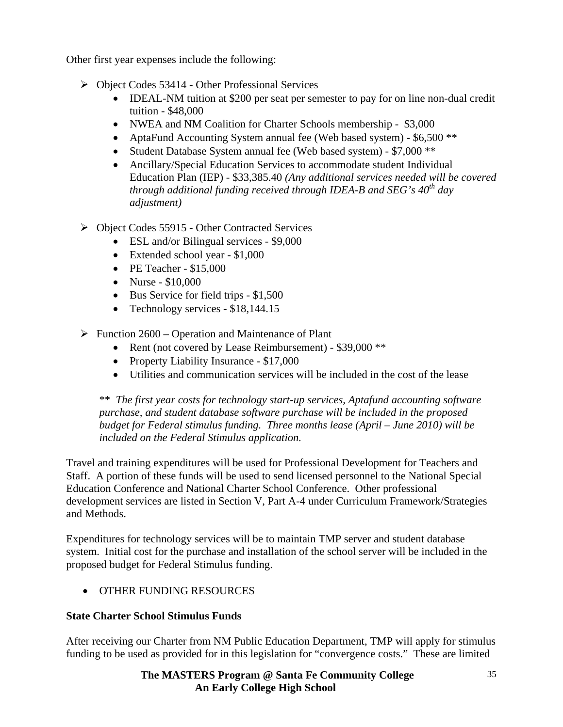Other first year expenses include the following:

- ¾ Object Codes 53414 Other Professional Services
	- **IDEAL-NM** tuition at \$200 per seat per semester to pay for on line non-dual credit tuition - \$48,000
	- NWEA and NM Coalition for Charter Schools membership \$3,000
	- AptaFund Accounting System annual fee (Web based system) \$6,500<sup>\*\*</sup>
	- Student Database System annual fee (Web based system) \$7,000 \*\*
	- Ancillary/Special Education Services to accommodate student Individual Education Plan (IEP) - \$33,385.40 *(Any additional services needed will be covered through additional funding received through IDEA-B and SEG's 40<sup>th</sup> day adjustment)*
- ¾ Object Codes 55915 Other Contracted Services
	- ESL and/or Bilingual services \$9,000
	- Extended school year \$1,000
	- PE Teacher \$15,000
	- Nurse \$10,000
	- Bus Service for field trips \$1,500
	- Technology services \$18,144.15
- $\triangleright$  Function 2600 Operation and Maintenance of Plant
	- Rent (not covered by Lease Reimbursement) \$39,000 \*\*
	- Property Liability Insurance \$17,000
	- Utilities and communication services will be included in the cost of the lease

\*\* *The first year costs for technology start-up services, Aptafund accounting software purchase, and student database software purchase will be included in the proposed budget for Federal stimulus funding. Three months lease (April – June 2010) will be included on the Federal Stimulus application.* 

Travel and training expenditures will be used for Professional Development for Teachers and Staff. A portion of these funds will be used to send licensed personnel to the National Special Education Conference and National Charter School Conference. Other professional development services are listed in Section V, Part A-4 under Curriculum Framework/Strategies and Methods.

Expenditures for technology services will be to maintain TMP server and student database system. Initial cost for the purchase and installation of the school server will be included in the proposed budget for Federal Stimulus funding.

• OTHER FUNDING RESOURCES

# **State Charter School Stimulus Funds**

After receiving our Charter from NM Public Education Department, TMP will apply for stimulus funding to be used as provided for in this legislation for "convergence costs." These are limited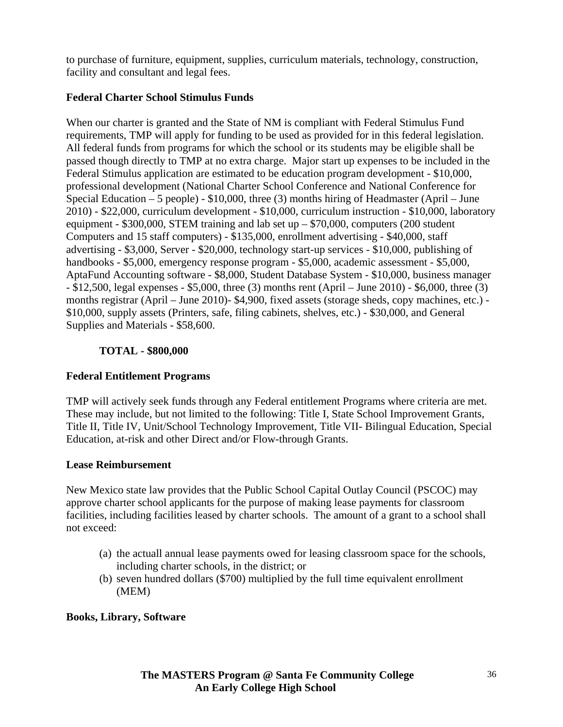to purchase of furniture, equipment, supplies, curriculum materials, technology, construction, facility and consultant and legal fees.

### **Federal Charter School Stimulus Funds**

When our charter is granted and the State of NM is compliant with Federal Stimulus Fund requirements, TMP will apply for funding to be used as provided for in this federal legislation. All federal funds from programs for which the school or its students may be eligible shall be passed though directly to TMP at no extra charge. Major start up expenses to be included in the Federal Stimulus application are estimated to be education program development - \$10,000, professional development (National Charter School Conference and National Conference for Special Education – 5 people) - \$10,000, three (3) months hiring of Headmaster (April – June 2010) - \$22,000, curriculum development - \$10,000, curriculum instruction - \$10,000, laboratory equipment -  $$300,000$ , STEM training and lab set up  $- $70,000$ , computers (200 student Computers and 15 staff computers) - \$135,000, enrollment advertising - \$40,000, staff advertising - \$3,000, Server - \$20,000, technology start-up services - \$10,000, publishing of handbooks - \$5,000, emergency response program - \$5,000, academic assessment - \$5,000, AptaFund Accounting software - \$8,000, Student Database System - \$10,000, business manager - \$12,500, legal expenses - \$5,000, three (3) months rent (April – June 2010) - \$6,000, three (3) months registrar (April – June 2010)- \$4,900, fixed assets (storage sheds, copy machines, etc.) - \$10,000, supply assets (Printers, safe, filing cabinets, shelves, etc.) - \$30,000, and General Supplies and Materials - \$58,600.

# **TOTAL - \$800,000**

# **Federal Entitlement Programs**

TMP will actively seek funds through any Federal entitlement Programs where criteria are met. These may include, but not limited to the following: Title I, State School Improvement Grants, Title II, Title IV, Unit/School Technology Improvement, Title VII- Bilingual Education, Special Education, at-risk and other Direct and/or Flow-through Grants.

### **Lease Reimbursement**

New Mexico state law provides that the Public School Capital Outlay Council (PSCOC) may approve charter school applicants for the purpose of making lease payments for classroom facilities, including facilities leased by charter schools. The amount of a grant to a school shall not exceed:

- (a) the actuall annual lease payments owed for leasing classroom space for the schools, including charter schools, in the district; or
- (b) seven hundred dollars (\$700) multiplied by the full time equivalent enrollment (MEM)

# **Books, Library, Software**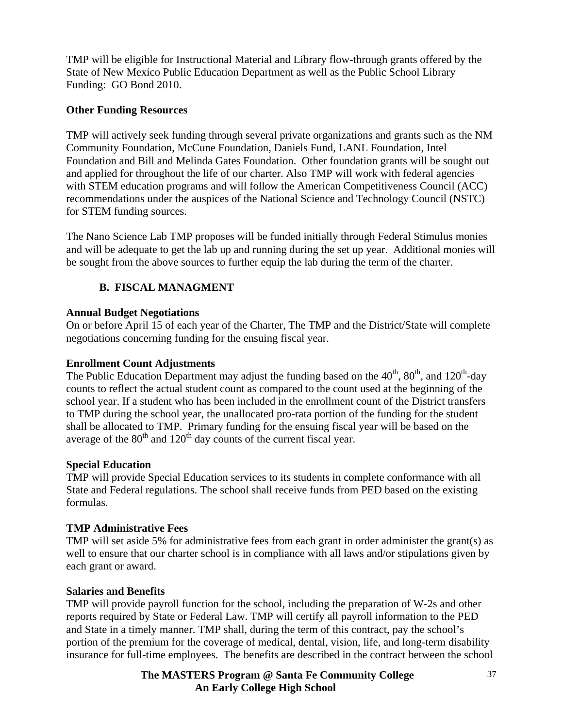TMP will be eligible for Instructional Material and Library flow-through grants offered by the State of New Mexico Public Education Department as well as the Public School Library Funding: GO Bond 2010.

### **Other Funding Resources**

TMP will actively seek funding through several private organizations and grants such as the NM Community Foundation, McCune Foundation, Daniels Fund, LANL Foundation, Intel Foundation and Bill and Melinda Gates Foundation. Other foundation grants will be sought out and applied for throughout the life of our charter. Also TMP will work with federal agencies with STEM education programs and will follow the American Competitiveness Council (ACC) recommendations under the auspices of the National Science and Technology Council (NSTC) for STEM funding sources.

The Nano Science Lab TMP proposes will be funded initially through Federal Stimulus monies and will be adequate to get the lab up and running during the set up year. Additional monies will be sought from the above sources to further equip the lab during the term of the charter.

# **B. FISCAL MANAGMENT**

### **Annual Budget Negotiations**

On or before April 15 of each year of the Charter, The TMP and the District/State will complete negotiations concerning funding for the ensuing fiscal year.

### **Enrollment Count Adjustments**

The Public Education Department may adjust the funding based on the  $40^{th}$ ,  $80^{th}$ , and  $120^{th}$ -day counts to reflect the actual student count as compared to the count used at the beginning of the school year. If a student who has been included in the enrollment count of the District transfers to TMP during the school year, the unallocated pro-rata portion of the funding for the student shall be allocated to TMP. Primary funding for the ensuing fiscal year will be based on the average of the  $80<sup>th</sup>$  and  $120<sup>th</sup>$  day counts of the current fiscal year.

### **Special Education**

TMP will provide Special Education services to its students in complete conformance with all State and Federal regulations. The school shall receive funds from PED based on the existing formulas.

## **TMP Administrative Fees**

TMP will set aside 5% for administrative fees from each grant in order administer the grant(s) as well to ensure that our charter school is in compliance with all laws and/or stipulations given by each grant or award.

## **Salaries and Benefits**

TMP will provide payroll function for the school, including the preparation of W-2s and other reports required by State or Federal Law. TMP will certify all payroll information to the PED and State in a timely manner. TMP shall, during the term of this contract, pay the school's portion of the premium for the coverage of medical, dental, vision, life, and long-term disability insurance for full-time employees. The benefits are described in the contract between the school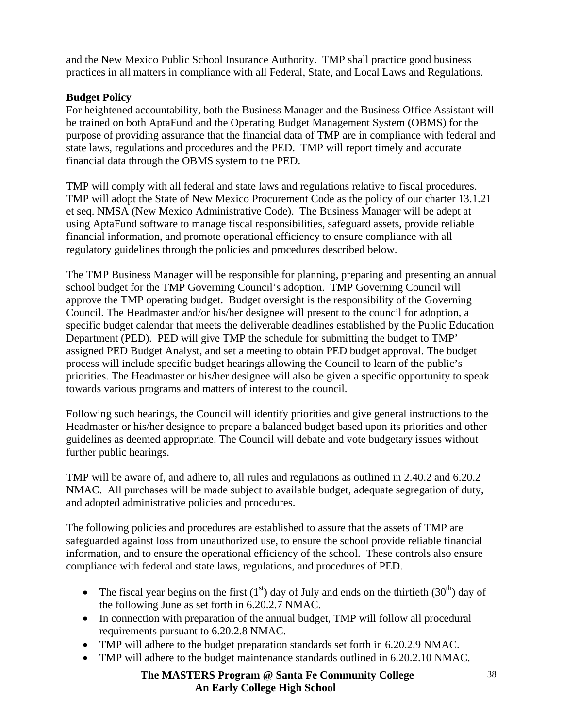and the New Mexico Public School Insurance Authority. TMP shall practice good business practices in all matters in compliance with all Federal, State, and Local Laws and Regulations.

### **Budget Policy**

For heightened accountability, both the Business Manager and the Business Office Assistant will be trained on both AptaFund and the Operating Budget Management System (OBMS) for the purpose of providing assurance that the financial data of TMP are in compliance with federal and state laws, regulations and procedures and the PED. TMP will report timely and accurate financial data through the OBMS system to the PED.

TMP will comply with all federal and state laws and regulations relative to fiscal procedures. TMP will adopt the State of New Mexico Procurement Code as the policy of our charter 13.1.21 et seq. NMSA (New Mexico Administrative Code). The Business Manager will be adept at using AptaFund software to manage fiscal responsibilities, safeguard assets, provide reliable financial information, and promote operational efficiency to ensure compliance with all regulatory guidelines through the policies and procedures described below.

The TMP Business Manager will be responsible for planning, preparing and presenting an annual school budget for the TMP Governing Council's adoption. TMP Governing Council will approve the TMP operating budget. Budget oversight is the responsibility of the Governing Council. The Headmaster and/or his/her designee will present to the council for adoption, a specific budget calendar that meets the deliverable deadlines established by the Public Education Department (PED). PED will give TMP the schedule for submitting the budget to TMP' assigned PED Budget Analyst, and set a meeting to obtain PED budget approval. The budget process will include specific budget hearings allowing the Council to learn of the public's priorities. The Headmaster or his/her designee will also be given a specific opportunity to speak towards various programs and matters of interest to the council.

Following such hearings, the Council will identify priorities and give general instructions to the Headmaster or his/her designee to prepare a balanced budget based upon its priorities and other guidelines as deemed appropriate. The Council will debate and vote budgetary issues without further public hearings.

TMP will be aware of, and adhere to, all rules and regulations as outlined in 2.40.2 and 6.20.2 NMAC. All purchases will be made subject to available budget, adequate segregation of duty, and adopted administrative policies and procedures.

The following policies and procedures are established to assure that the assets of TMP are safeguarded against loss from unauthorized use, to ensure the school provide reliable financial information, and to ensure the operational efficiency of the school. These controls also ensure compliance with federal and state laws, regulations, and procedures of PED.

- The fiscal year begins on the first  $(1<sup>st</sup>)$  day of July and ends on the thirtieth  $(30<sup>th</sup>)$  day of the following June as set forth in 6.20.2.7 NMAC.
- In connection with preparation of the annual budget, TMP will follow all procedural requirements pursuant to 6.20.2.8 NMAC.
- TMP will adhere to the budget preparation standards set forth in 6.20.2.9 NMAC.
- TMP will adhere to the budget maintenance standards outlined in 6.20.2.10 NMAC.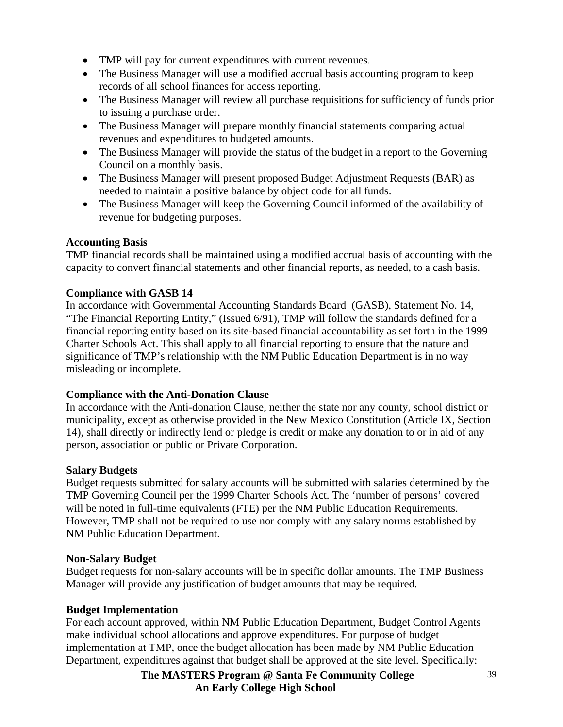- TMP will pay for current expenditures with current revenues.
- The Business Manager will use a modified accrual basis accounting program to keep records of all school finances for access reporting.
- The Business Manager will review all purchase requisitions for sufficiency of funds prior to issuing a purchase order.
- The Business Manager will prepare monthly financial statements comparing actual revenues and expenditures to budgeted amounts.
- The Business Manager will provide the status of the budget in a report to the Governing Council on a monthly basis.
- The Business Manager will present proposed Budget Adjustment Requests (BAR) as needed to maintain a positive balance by object code for all funds.
- The Business Manager will keep the Governing Council informed of the availability of revenue for budgeting purposes.

### **Accounting Basis**

TMP financial records shall be maintained using a modified accrual basis of accounting with the capacity to convert financial statements and other financial reports, as needed, to a cash basis.

### **Compliance with GASB 14**

In accordance with Governmental Accounting Standards Board (GASB), Statement No. 14, "The Financial Reporting Entity," (Issued 6/91), TMP will follow the standards defined for a financial reporting entity based on its site-based financial accountability as set forth in the 1999 Charter Schools Act. This shall apply to all financial reporting to ensure that the nature and significance of TMP's relationship with the NM Public Education Department is in no way misleading or incomplete.

### **Compliance with the Anti-Donation Clause**

In accordance with the Anti-donation Clause, neither the state nor any county, school district or municipality, except as otherwise provided in the New Mexico Constitution (Article IX, Section 14), shall directly or indirectly lend or pledge is credit or make any donation to or in aid of any person, association or public or Private Corporation.

### **Salary Budgets**

Budget requests submitted for salary accounts will be submitted with salaries determined by the TMP Governing Council per the 1999 Charter Schools Act. The 'number of persons' covered will be noted in full-time equivalents (FTE) per the NM Public Education Requirements. However, TMP shall not be required to use nor comply with any salary norms established by NM Public Education Department.

### **Non-Salary Budget**

Budget requests for non-salary accounts will be in specific dollar amounts. The TMP Business Manager will provide any justification of budget amounts that may be required.

### **Budget Implementation**

For each account approved, within NM Public Education Department, Budget Control Agents make individual school allocations and approve expenditures. For purpose of budget implementation at TMP, once the budget allocation has been made by NM Public Education Department, expenditures against that budget shall be approved at the site level. Specifically: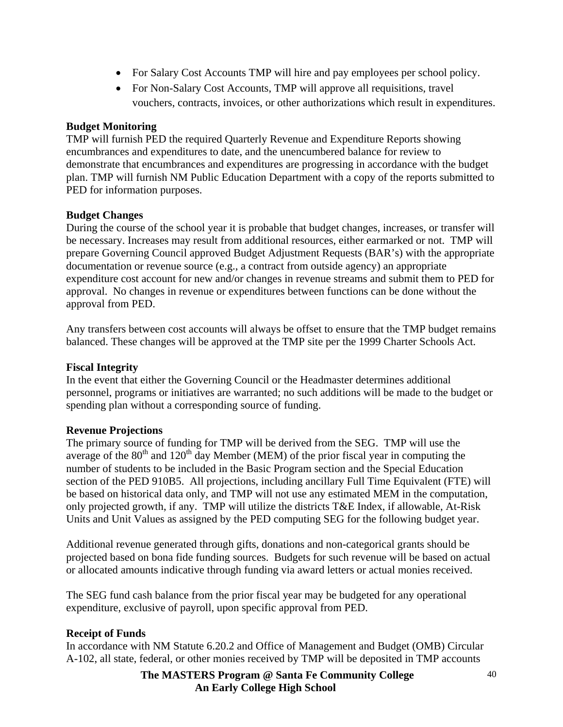- For Salary Cost Accounts TMP will hire and pay employees per school policy.
- For Non-Salary Cost Accounts, TMP will approve all requisitions, travel vouchers, contracts, invoices, or other authorizations which result in expenditures.

### **Budget Monitoring**

TMP will furnish PED the required Quarterly Revenue and Expenditure Reports showing encumbrances and expenditures to date, and the unencumbered balance for review to demonstrate that encumbrances and expenditures are progressing in accordance with the budget plan. TMP will furnish NM Public Education Department with a copy of the reports submitted to PED for information purposes.

### **Budget Changes**

During the course of the school year it is probable that budget changes, increases, or transfer will be necessary. Increases may result from additional resources, either earmarked or not. TMP will prepare Governing Council approved Budget Adjustment Requests (BAR's) with the appropriate documentation or revenue source (e.g., a contract from outside agency) an appropriate expenditure cost account for new and/or changes in revenue streams and submit them to PED for approval. No changes in revenue or expenditures between functions can be done without the approval from PED.

Any transfers between cost accounts will always be offset to ensure that the TMP budget remains balanced. These changes will be approved at the TMP site per the 1999 Charter Schools Act.

### **Fiscal Integrity**

In the event that either the Governing Council or the Headmaster determines additional personnel, programs or initiatives are warranted; no such additions will be made to the budget or spending plan without a corresponding source of funding.

### **Revenue Projections**

The primary source of funding for TMP will be derived from the SEG. TMP will use the average of the  $80<sup>th</sup>$  and  $120<sup>th</sup>$  day Member (MEM) of the prior fiscal year in computing the number of students to be included in the Basic Program section and the Special Education section of the PED 910B5. All projections, including ancillary Full Time Equivalent (FTE) will be based on historical data only, and TMP will not use any estimated MEM in the computation, only projected growth, if any. TMP will utilize the districts T&E Index, if allowable, At-Risk Units and Unit Values as assigned by the PED computing SEG for the following budget year.

Additional revenue generated through gifts, donations and non-categorical grants should be projected based on bona fide funding sources. Budgets for such revenue will be based on actual or allocated amounts indicative through funding via award letters or actual monies received.

The SEG fund cash balance from the prior fiscal year may be budgeted for any operational expenditure, exclusive of payroll, upon specific approval from PED.

### **Receipt of Funds**

In accordance with NM Statute 6.20.2 and Office of Management and Budget (OMB) Circular A-102, all state, federal, or other monies received by TMP will be deposited in TMP accounts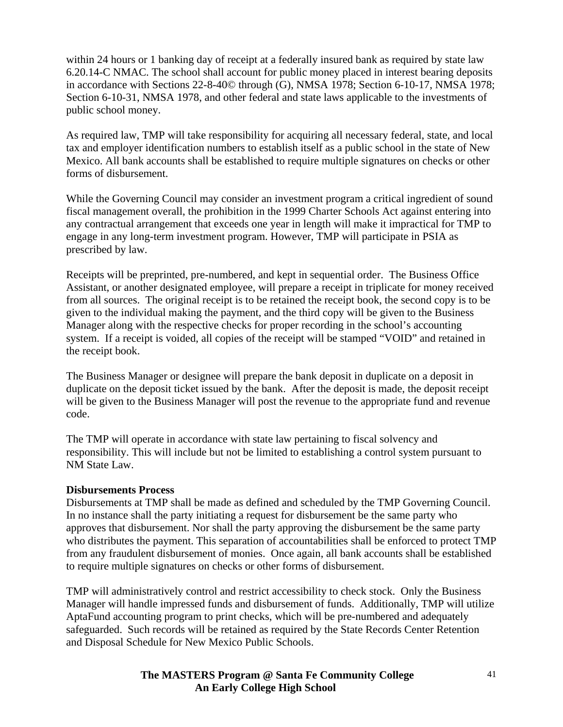within 24 hours or 1 banking day of receipt at a federally insured bank as required by state law 6.20.14-C NMAC. The school shall account for public money placed in interest bearing deposits in accordance with Sections 22-8-40© through (G), NMSA 1978; Section 6-10-17, NMSA 1978; Section 6-10-31, NMSA 1978, and other federal and state laws applicable to the investments of public school money.

As required law, TMP will take responsibility for acquiring all necessary federal, state, and local tax and employer identification numbers to establish itself as a public school in the state of New Mexico. All bank accounts shall be established to require multiple signatures on checks or other forms of disbursement.

While the Governing Council may consider an investment program a critical ingredient of sound fiscal management overall, the prohibition in the 1999 Charter Schools Act against entering into any contractual arrangement that exceeds one year in length will make it impractical for TMP to engage in any long-term investment program. However, TMP will participate in PSIA as prescribed by law.

Receipts will be preprinted, pre-numbered, and kept in sequential order. The Business Office Assistant, or another designated employee, will prepare a receipt in triplicate for money received from all sources. The original receipt is to be retained the receipt book, the second copy is to be given to the individual making the payment, and the third copy will be given to the Business Manager along with the respective checks for proper recording in the school's accounting system. If a receipt is voided, all copies of the receipt will be stamped "VOID" and retained in the receipt book.

The Business Manager or designee will prepare the bank deposit in duplicate on a deposit in duplicate on the deposit ticket issued by the bank. After the deposit is made, the deposit receipt will be given to the Business Manager will post the revenue to the appropriate fund and revenue code.

The TMP will operate in accordance with state law pertaining to fiscal solvency and responsibility. This will include but not be limited to establishing a control system pursuant to NM State Law.

### **Disbursements Process**

Disbursements at TMP shall be made as defined and scheduled by the TMP Governing Council. In no instance shall the party initiating a request for disbursement be the same party who approves that disbursement. Nor shall the party approving the disbursement be the same party who distributes the payment. This separation of accountabilities shall be enforced to protect TMP from any fraudulent disbursement of monies. Once again, all bank accounts shall be established to require multiple signatures on checks or other forms of disbursement.

TMP will administratively control and restrict accessibility to check stock. Only the Business Manager will handle impressed funds and disbursement of funds. Additionally, TMP will utilize AptaFund accounting program to print checks, which will be pre-numbered and adequately safeguarded. Such records will be retained as required by the State Records Center Retention and Disposal Schedule for New Mexico Public Schools.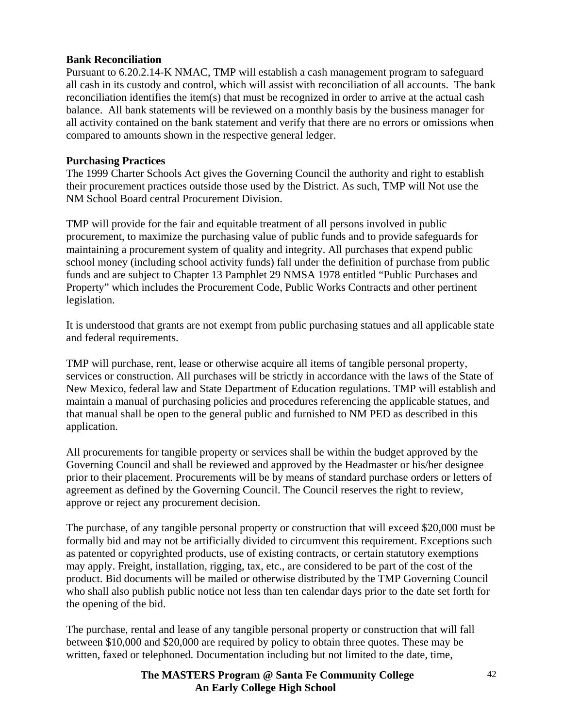#### **Bank Reconciliation**

Pursuant to 6.20.2.14-K NMAC, TMP will establish a cash management program to safeguard all cash in its custody and control, which will assist with reconciliation of all accounts. The bank reconciliation identifies the item(s) that must be recognized in order to arrive at the actual cash balance. All bank statements will be reviewed on a monthly basis by the business manager for all activity contained on the bank statement and verify that there are no errors or omissions when compared to amounts shown in the respective general ledger.

#### **Purchasing Practices**

The 1999 Charter Schools Act gives the Governing Council the authority and right to establish their procurement practices outside those used by the District. As such, TMP will Not use the NM School Board central Procurement Division.

TMP will provide for the fair and equitable treatment of all persons involved in public procurement, to maximize the purchasing value of public funds and to provide safeguards for maintaining a procurement system of quality and integrity. All purchases that expend public school money (including school activity funds) fall under the definition of purchase from public funds and are subject to Chapter 13 Pamphlet 29 NMSA 1978 entitled "Public Purchases and Property" which includes the Procurement Code, Public Works Contracts and other pertinent legislation.

It is understood that grants are not exempt from public purchasing statues and all applicable state and federal requirements.

TMP will purchase, rent, lease or otherwise acquire all items of tangible personal property, services or construction. All purchases will be strictly in accordance with the laws of the State of New Mexico, federal law and State Department of Education regulations. TMP will establish and maintain a manual of purchasing policies and procedures referencing the applicable statues, and that manual shall be open to the general public and furnished to NM PED as described in this application.

All procurements for tangible property or services shall be within the budget approved by the Governing Council and shall be reviewed and approved by the Headmaster or his/her designee prior to their placement. Procurements will be by means of standard purchase orders or letters of agreement as defined by the Governing Council. The Council reserves the right to review, approve or reject any procurement decision.

The purchase, of any tangible personal property or construction that will exceed \$20,000 must be formally bid and may not be artificially divided to circumvent this requirement. Exceptions such as patented or copyrighted products, use of existing contracts, or certain statutory exemptions may apply. Freight, installation, rigging, tax, etc., are considered to be part of the cost of the product. Bid documents will be mailed or otherwise distributed by the TMP Governing Council who shall also publish public notice not less than ten calendar days prior to the date set forth for the opening of the bid.

The purchase, rental and lease of any tangible personal property or construction that will fall between \$10,000 and \$20,000 are required by policy to obtain three quotes. These may be written, faxed or telephoned. Documentation including but not limited to the date, time,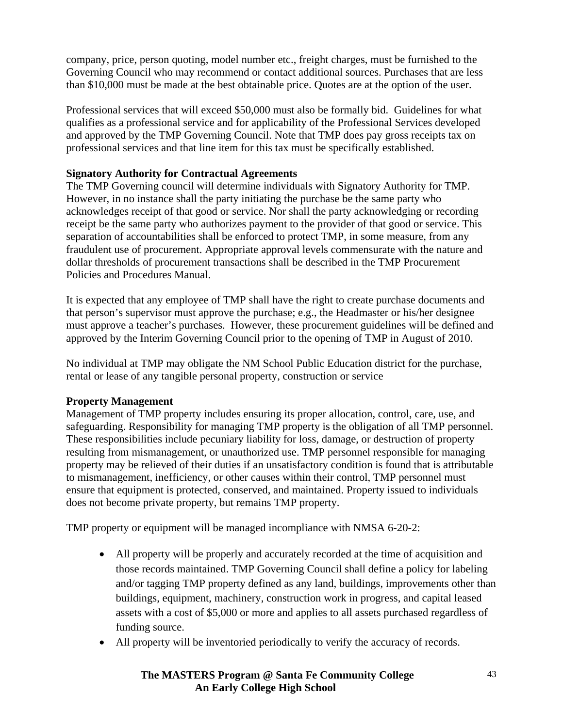company, price, person quoting, model number etc., freight charges, must be furnished to the Governing Council who may recommend or contact additional sources. Purchases that are less than \$10,000 must be made at the best obtainable price. Quotes are at the option of the user.

Professional services that will exceed \$50,000 must also be formally bid. Guidelines for what qualifies as a professional service and for applicability of the Professional Services developed and approved by the TMP Governing Council. Note that TMP does pay gross receipts tax on professional services and that line item for this tax must be specifically established.

### **Signatory Authority for Contractual Agreements**

The TMP Governing council will determine individuals with Signatory Authority for TMP. However, in no instance shall the party initiating the purchase be the same party who acknowledges receipt of that good or service. Nor shall the party acknowledging or recording receipt be the same party who authorizes payment to the provider of that good or service. This separation of accountabilities shall be enforced to protect TMP, in some measure, from any fraudulent use of procurement. Appropriate approval levels commensurate with the nature and dollar thresholds of procurement transactions shall be described in the TMP Procurement Policies and Procedures Manual.

It is expected that any employee of TMP shall have the right to create purchase documents and that person's supervisor must approve the purchase; e.g., the Headmaster or his/her designee must approve a teacher's purchases. However, these procurement guidelines will be defined and approved by the Interim Governing Council prior to the opening of TMP in August of 2010.

No individual at TMP may obligate the NM School Public Education district for the purchase, rental or lease of any tangible personal property, construction or service

### **Property Management**

Management of TMP property includes ensuring its proper allocation, control, care, use, and safeguarding. Responsibility for managing TMP property is the obligation of all TMP personnel. These responsibilities include pecuniary liability for loss, damage, or destruction of property resulting from mismanagement, or unauthorized use. TMP personnel responsible for managing property may be relieved of their duties if an unsatisfactory condition is found that is attributable to mismanagement, inefficiency, or other causes within their control, TMP personnel must ensure that equipment is protected, conserved, and maintained. Property issued to individuals does not become private property, but remains TMP property.

TMP property or equipment will be managed incompliance with NMSA 6-20-2:

- All property will be properly and accurately recorded at the time of acquisition and those records maintained. TMP Governing Council shall define a policy for labeling and/or tagging TMP property defined as any land, buildings, improvements other than buildings, equipment, machinery, construction work in progress, and capital leased assets with a cost of \$5,000 or more and applies to all assets purchased regardless of funding source.
- All property will be inventoried periodically to verify the accuracy of records.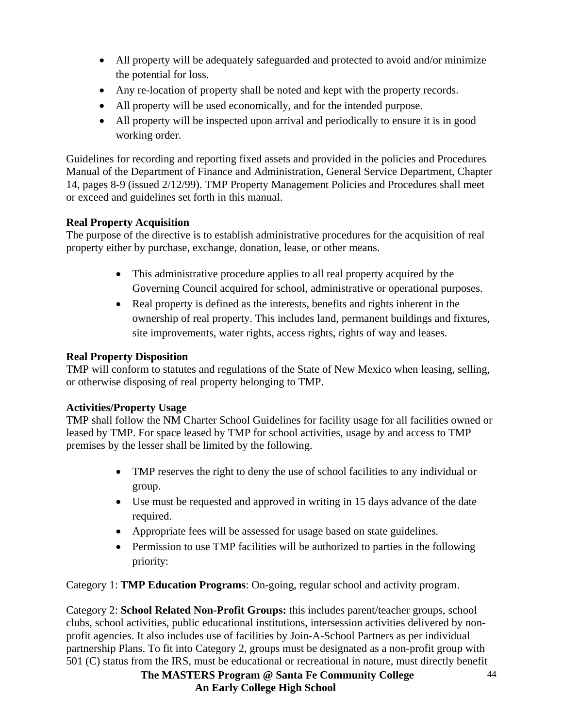- All property will be adequately safeguarded and protected to avoid and/or minimize the potential for loss.
- Any re-location of property shall be noted and kept with the property records.
- All property will be used economically, and for the intended purpose.
- All property will be inspected upon arrival and periodically to ensure it is in good working order.

Guidelines for recording and reporting fixed assets and provided in the policies and Procedures Manual of the Department of Finance and Administration, General Service Department, Chapter 14, pages 8-9 (issued 2/12/99). TMP Property Management Policies and Procedures shall meet or exceed and guidelines set forth in this manual.

## **Real Property Acquisition**

The purpose of the directive is to establish administrative procedures for the acquisition of real property either by purchase, exchange, donation, lease, or other means.

- This administrative procedure applies to all real property acquired by the Governing Council acquired for school, administrative or operational purposes.
- Real property is defined as the interests, benefits and rights inherent in the ownership of real property. This includes land, permanent buildings and fixtures, site improvements, water rights, access rights, rights of way and leases.

## **Real Property Disposition**

TMP will conform to statutes and regulations of the State of New Mexico when leasing, selling, or otherwise disposing of real property belonging to TMP.

## **Activities/Property Usage**

TMP shall follow the NM Charter School Guidelines for facility usage for all facilities owned or leased by TMP. For space leased by TMP for school activities, usage by and access to TMP premises by the lesser shall be limited by the following.

- TMP reserves the right to deny the use of school facilities to any individual or group.
- Use must be requested and approved in writing in 15 days advance of the date required.
- Appropriate fees will be assessed for usage based on state guidelines.
- Permission to use TMP facilities will be authorized to parties in the following priority:

Category 1: **TMP Education Programs**: On-going, regular school and activity program.

Category 2: **School Related Non-Profit Groups:** this includes parent/teacher groups, school clubs, school activities, public educational institutions, intersession activities delivered by nonprofit agencies. It also includes use of facilities by Join-A-School Partners as per individual partnership Plans. To fit into Category 2, groups must be designated as a non-profit group with 501 (C) status from the IRS, must be educational or recreational in nature, must directly benefit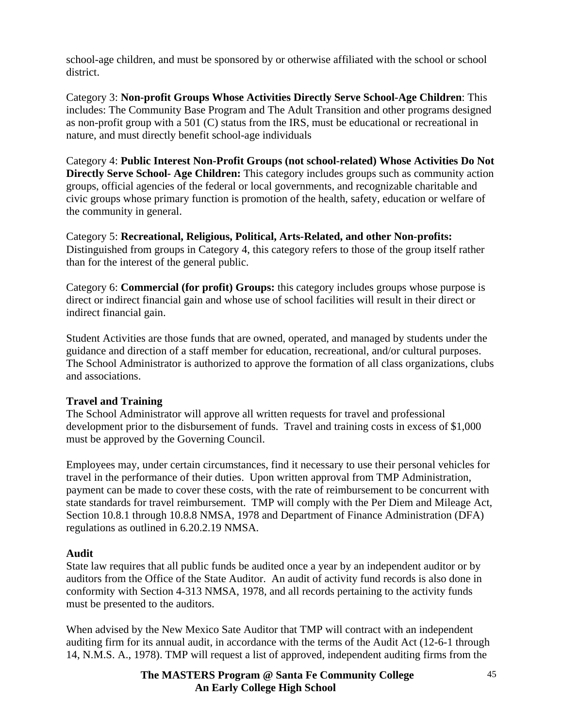school-age children, and must be sponsored by or otherwise affiliated with the school or school district.

Category 3: **Non-profit Groups Whose Activities Directly Serve School-Age Children**: This includes: The Community Base Program and The Adult Transition and other programs designed as non-profit group with a 501 (C) status from the IRS, must be educational or recreational in nature, and must directly benefit school-age individuals

Category 4: **Public Interest Non-Profit Groups (not school-related) Whose Activities Do Not Directly Serve School- Age Children:** This category includes groups such as community action groups, official agencies of the federal or local governments, and recognizable charitable and civic groups whose primary function is promotion of the health, safety, education or welfare of the community in general.

Category 5: **Recreational, Religious, Political, Arts-Related, and other Non-profits:** Distinguished from groups in Category 4, this category refers to those of the group itself rather than for the interest of the general public.

Category 6: **Commercial (for profit) Groups:** this category includes groups whose purpose is direct or indirect financial gain and whose use of school facilities will result in their direct or indirect financial gain.

Student Activities are those funds that are owned, operated, and managed by students under the guidance and direction of a staff member for education, recreational, and/or cultural purposes. The School Administrator is authorized to approve the formation of all class organizations, clubs and associations.

### **Travel and Training**

The School Administrator will approve all written requests for travel and professional development prior to the disbursement of funds. Travel and training costs in excess of \$1,000 must be approved by the Governing Council.

Employees may, under certain circumstances, find it necessary to use their personal vehicles for travel in the performance of their duties. Upon written approval from TMP Administration, payment can be made to cover these costs, with the rate of reimbursement to be concurrent with state standards for travel reimbursement. TMP will comply with the Per Diem and Mileage Act, Section 10.8.1 through 10.8.8 NMSA, 1978 and Department of Finance Administration (DFA) regulations as outlined in 6.20.2.19 NMSA.

### **Audit**

State law requires that all public funds be audited once a year by an independent auditor or by auditors from the Office of the State Auditor. An audit of activity fund records is also done in conformity with Section 4-313 NMSA, 1978, and all records pertaining to the activity funds must be presented to the auditors.

When advised by the New Mexico Sate Auditor that TMP will contract with an independent auditing firm for its annual audit, in accordance with the terms of the Audit Act (12-6-1 through 14, N.M.S. A., 1978). TMP will request a list of approved, independent auditing firms from the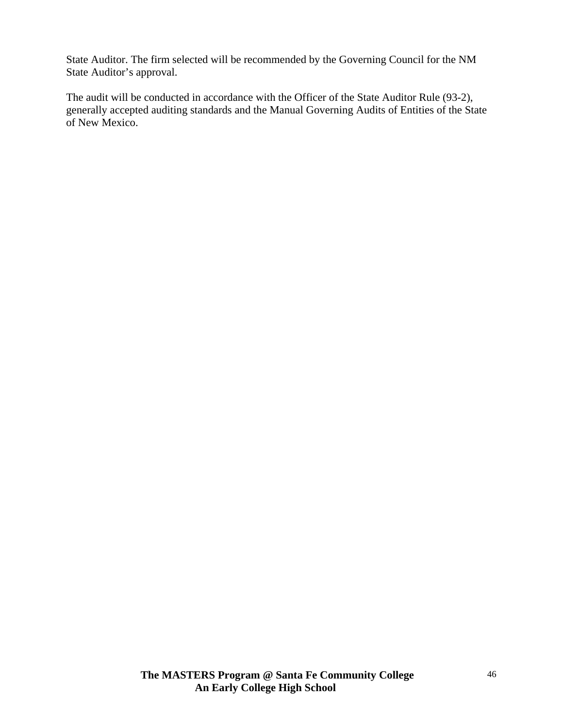State Auditor. The firm selected will be recommended by the Governing Council for the NM State Auditor's approval.

The audit will be conducted in accordance with the Officer of the State Auditor Rule (93-2), generally accepted auditing standards and the Manual Governing Audits of Entities of the State of New Mexico.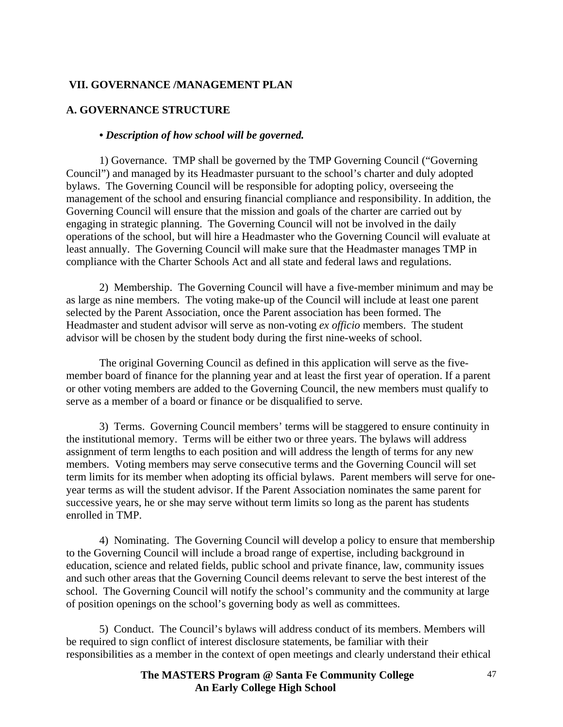### **VII. GOVERNANCE /MANAGEMENT PLAN**

#### **A. GOVERNANCE STRUCTURE**

#### *• Description of how school will be governed.*

1) Governance. TMP shall be governed by the TMP Governing Council ("Governing Council") and managed by its Headmaster pursuant to the school's charter and duly adopted bylaws. The Governing Council will be responsible for adopting policy, overseeing the management of the school and ensuring financial compliance and responsibility. In addition, the Governing Council will ensure that the mission and goals of the charter are carried out by engaging in strategic planning. The Governing Council will not be involved in the daily operations of the school, but will hire a Headmaster who the Governing Council will evaluate at least annually. The Governing Council will make sure that the Headmaster manages TMP in compliance with the Charter Schools Act and all state and federal laws and regulations.

 2) Membership. The Governing Council will have a five-member minimum and may be as large as nine members. The voting make-up of the Council will include at least one parent selected by the Parent Association, once the Parent association has been formed. The Headmaster and student advisor will serve as non-voting *ex officio* members. The student advisor will be chosen by the student body during the first nine-weeks of school.

 The original Governing Council as defined in this application will serve as the fivemember board of finance for the planning year and at least the first year of operation. If a parent or other voting members are added to the Governing Council, the new members must qualify to serve as a member of a board or finance or be disqualified to serve.

 3) Terms. Governing Council members' terms will be staggered to ensure continuity in the institutional memory. Terms will be either two or three years. The bylaws will address assignment of term lengths to each position and will address the length of terms for any new members. Voting members may serve consecutive terms and the Governing Council will set term limits for its member when adopting its official bylaws. Parent members will serve for oneyear terms as will the student advisor. If the Parent Association nominates the same parent for successive years, he or she may serve without term limits so long as the parent has students enrolled in TMP.

 4) Nominating. The Governing Council will develop a policy to ensure that membership to the Governing Council will include a broad range of expertise, including background in education, science and related fields, public school and private finance, law, community issues and such other areas that the Governing Council deems relevant to serve the best interest of the school. The Governing Council will notify the school's community and the community at large of position openings on the school's governing body as well as committees.

 5) Conduct. The Council's bylaws will address conduct of its members. Members will be required to sign conflict of interest disclosure statements, be familiar with their responsibilities as a member in the context of open meetings and clearly understand their ethical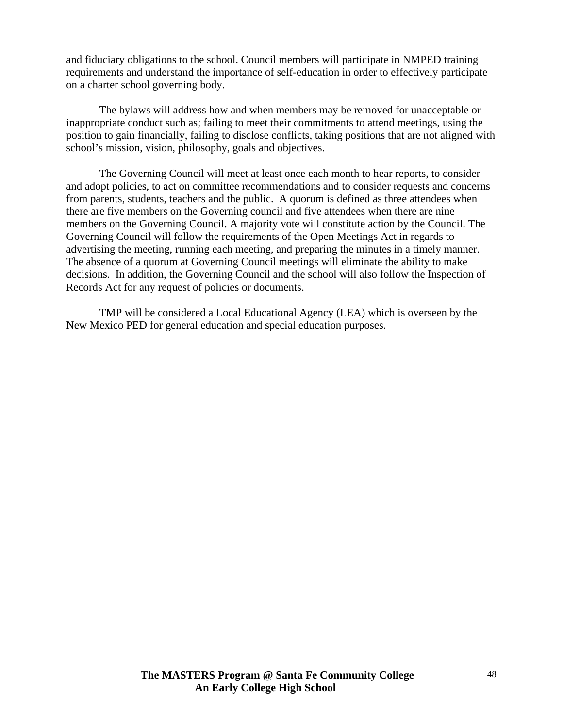and fiduciary obligations to the school. Council members will participate in NMPED training requirements and understand the importance of self-education in order to effectively participate on a charter school governing body.

The bylaws will address how and when members may be removed for unacceptable or inappropriate conduct such as; failing to meet their commitments to attend meetings, using the position to gain financially, failing to disclose conflicts, taking positions that are not aligned with school's mission, vision, philosophy, goals and objectives.

The Governing Council will meet at least once each month to hear reports, to consider and adopt policies, to act on committee recommendations and to consider requests and concerns from parents, students, teachers and the public. A quorum is defined as three attendees when there are five members on the Governing council and five attendees when there are nine members on the Governing Council. A majority vote will constitute action by the Council. The Governing Council will follow the requirements of the Open Meetings Act in regards to advertising the meeting, running each meeting, and preparing the minutes in a timely manner. The absence of a quorum at Governing Council meetings will eliminate the ability to make decisions. In addition, the Governing Council and the school will also follow the Inspection of Records Act for any request of policies or documents.

TMP will be considered a Local Educational Agency (LEA) which is overseen by the New Mexico PED for general education and special education purposes.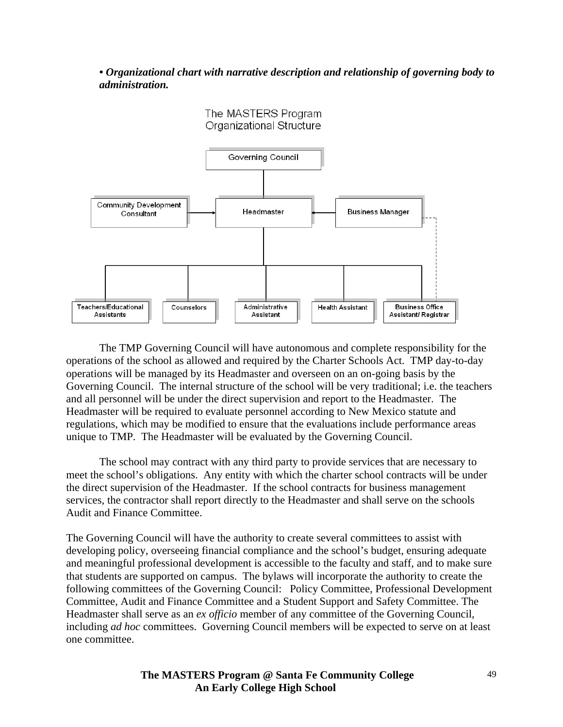*• Organizational chart with narrative description and relationship of governing body to administration.* 



The TMP Governing Council will have autonomous and complete responsibility for the operations of the school as allowed and required by the Charter Schools Act. TMP day-to-day operations will be managed by its Headmaster and overseen on an on-going basis by the Governing Council. The internal structure of the school will be very traditional; i.e. the teachers and all personnel will be under the direct supervision and report to the Headmaster. The Headmaster will be required to evaluate personnel according to New Mexico statute and regulations, which may be modified to ensure that the evaluations include performance areas unique to TMP. The Headmaster will be evaluated by the Governing Council.

The school may contract with any third party to provide services that are necessary to meet the school's obligations. Any entity with which the charter school contracts will be under the direct supervision of the Headmaster. If the school contracts for business management services, the contractor shall report directly to the Headmaster and shall serve on the schools Audit and Finance Committee.

The Governing Council will have the authority to create several committees to assist with developing policy, overseeing financial compliance and the school's budget, ensuring adequate and meaningful professional development is accessible to the faculty and staff, and to make sure that students are supported on campus. The bylaws will incorporate the authority to create the following committees of the Governing Council: Policy Committee, Professional Development Committee, Audit and Finance Committee and a Student Support and Safety Committee. The Headmaster shall serve as an *ex officio* member of any committee of the Governing Council, including *ad hoc* committees. Governing Council members will be expected to serve on at least one committee.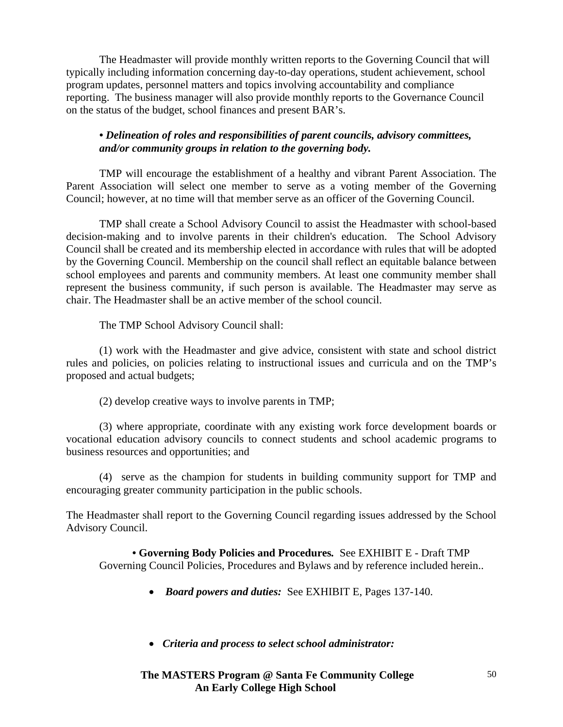The Headmaster will provide monthly written reports to the Governing Council that will typically including information concerning day-to-day operations, student achievement, school program updates, personnel matters and topics involving accountability and compliance reporting. The business manager will also provide monthly reports to the Governance Council on the status of the budget, school finances and present BAR's.

#### *• Delineation of roles and responsibilities of parent councils, advisory committees, and/or community groups in relation to the governing body.*

TMP will encourage the establishment of a healthy and vibrant Parent Association. The Parent Association will select one member to serve as a voting member of the Governing Council; however, at no time will that member serve as an officer of the Governing Council.

TMP shall create a School Advisory Council to assist the Headmaster with school-based decision-making and to involve parents in their children's education. The School Advisory Council shall be created and its membership elected in accordance with rules that will be adopted by the Governing Council. Membership on the council shall reflect an equitable balance between school employees and parents and community members. At least one community member shall represent the business community, if such person is available. The Headmaster may serve as chair. The Headmaster shall be an active member of the school council.

The TMP School Advisory Council shall:

 (1) work with the Headmaster and give advice, consistent with state and school district rules and policies, on policies relating to instructional issues and curricula and on the TMP's proposed and actual budgets;

(2) develop creative ways to involve parents in TMP;

 (3) where appropriate, coordinate with any existing work force development boards or vocational education advisory councils to connect students and school academic programs to business resources and opportunities; and

 (4) serve as the champion for students in building community support for TMP and encouraging greater community participation in the public schools.

The Headmaster shall report to the Governing Council regarding issues addressed by the School Advisory Council.

**• Governing Body Policies and Procedures***.* See EXHIBIT E - Draft TMP Governing Council Policies, Procedures and Bylaws and by reference included herein..

- *Board powers and duties:* See EXHIBIT E, Pages 137-140.
- • *Criteria and process to select school administrator:*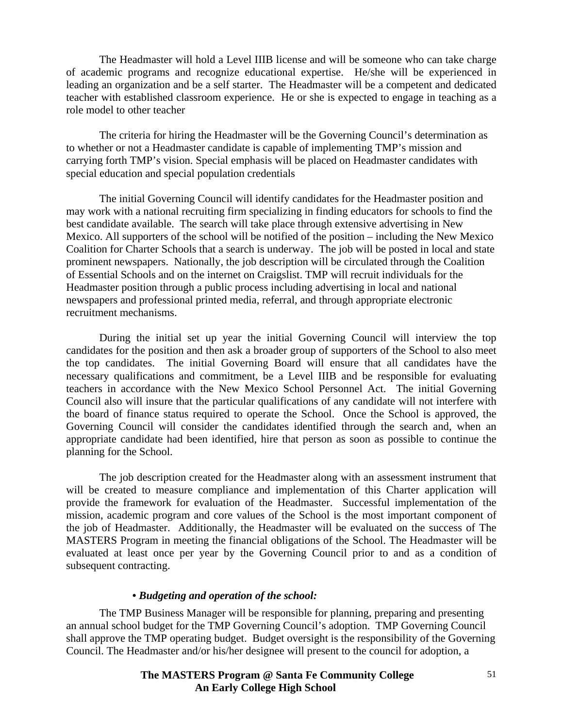The Headmaster will hold a Level IIIB license and will be someone who can take charge of academic programs and recognize educational expertise. He/she will be experienced in leading an organization and be a self starter. The Headmaster will be a competent and dedicated teacher with established classroom experience. He or she is expected to engage in teaching as a role model to other teacher

The criteria for hiring the Headmaster will be the Governing Council's determination as to whether or not a Headmaster candidate is capable of implementing TMP's mission and carrying forth TMP's vision. Special emphasis will be placed on Headmaster candidates with special education and special population credentials

The initial Governing Council will identify candidates for the Headmaster position and may work with a national recruiting firm specializing in finding educators for schools to find the best candidate available. The search will take place through extensive advertising in New Mexico. All supporters of the school will be notified of the position – including the New Mexico Coalition for Charter Schools that a search is underway. The job will be posted in local and state prominent newspapers. Nationally, the job description will be circulated through the Coalition of Essential Schools and on the internet on Craigslist. TMP will recruit individuals for the Headmaster position through a public process including advertising in local and national newspapers and professional printed media, referral, and through appropriate electronic recruitment mechanisms.

During the initial set up year the initial Governing Council will interview the top candidates for the position and then ask a broader group of supporters of the School to also meet the top candidates. The initial Governing Board will ensure that all candidates have the necessary qualifications and commitment, be a Level IIIB and be responsible for evaluating teachers in accordance with the New Mexico School Personnel Act. The initial Governing Council also will insure that the particular qualifications of any candidate will not interfere with the board of finance status required to operate the School. Once the School is approved, the Governing Council will consider the candidates identified through the search and, when an appropriate candidate had been identified, hire that person as soon as possible to continue the planning for the School.

The job description created for the Headmaster along with an assessment instrument that will be created to measure compliance and implementation of this Charter application will provide the framework for evaluation of the Headmaster. Successful implementation of the mission, academic program and core values of the School is the most important component of the job of Headmaster. Additionally, the Headmaster will be evaluated on the success of The MASTERS Program in meeting the financial obligations of the School. The Headmaster will be evaluated at least once per year by the Governing Council prior to and as a condition of subsequent contracting.

#### *• Budgeting and operation of the school:*

The TMP Business Manager will be responsible for planning, preparing and presenting an annual school budget for the TMP Governing Council's adoption. TMP Governing Council shall approve the TMP operating budget. Budget oversight is the responsibility of the Governing Council. The Headmaster and/or his/her designee will present to the council for adoption, a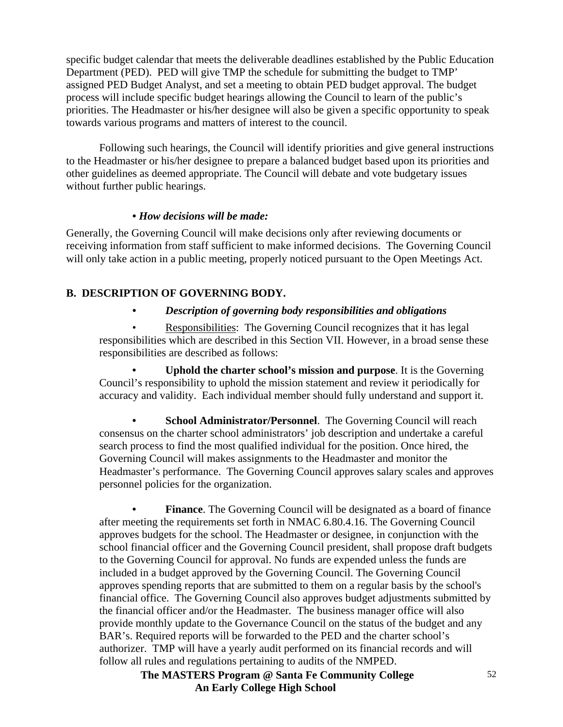specific budget calendar that meets the deliverable deadlines established by the Public Education Department (PED). PED will give TMP the schedule for submitting the budget to TMP' assigned PED Budget Analyst, and set a meeting to obtain PED budget approval. The budget process will include specific budget hearings allowing the Council to learn of the public's priorities. The Headmaster or his/her designee will also be given a specific opportunity to speak towards various programs and matters of interest to the council.

Following such hearings, the Council will identify priorities and give general instructions to the Headmaster or his/her designee to prepare a balanced budget based upon its priorities and other guidelines as deemed appropriate. The Council will debate and vote budgetary issues without further public hearings.

### *• How decisions will be made:*

Generally, the Governing Council will make decisions only after reviewing documents or receiving information from staff sufficient to make informed decisions. The Governing Council will only take action in a public meeting, properly noticed pursuant to the Open Meetings Act.

### **B. DESCRIPTION OF GOVERNING BODY.**

### *• Description of governing body responsibilities and obligations*

 • Responsibilities: The Governing Council recognizes that it has legal responsibilities which are described in this Section VII. However, in a broad sense these responsibilities are described as follows:

 **• Uphold the charter school's mission and purpose**. It is the Governing Council's responsibility to uphold the mission statement and review it periodically for accuracy and validity. Each individual member should fully understand and support it.

**School Administrator/Personnel.** The Governing Council will reach consensus on the charter school administrators' job description and undertake a careful search process to find the most qualified individual for the position. Once hired, the Governing Council will makes assignments to the Headmaster and monitor the Headmaster's performance. The Governing Council approves salary scales and approves personnel policies for the organization.

**Finance**. The Governing Council will be designated as a board of finance after meeting the requirements set forth in NMAC 6.80.4.16. The Governing Council approves budgets for the school. The Headmaster or designee, in conjunction with the school financial officer and the Governing Council president, shall propose draft budgets to the Governing Council for approval. No funds are expended unless the funds are included in a budget approved by the Governing Council. The Governing Council approves spending reports that are submitted to them on a regular basis by the school's financial office. The Governing Council also approves budget adjustments submitted by the financial officer and/or the Headmaster*.* The business manager office will also provide monthly update to the Governance Council on the status of the budget and any BAR's. Required reports will be forwarded to the PED and the charter school's authorizer. TMP will have a yearly audit performed on its financial records and will follow all rules and regulations pertaining to audits of the NMPED.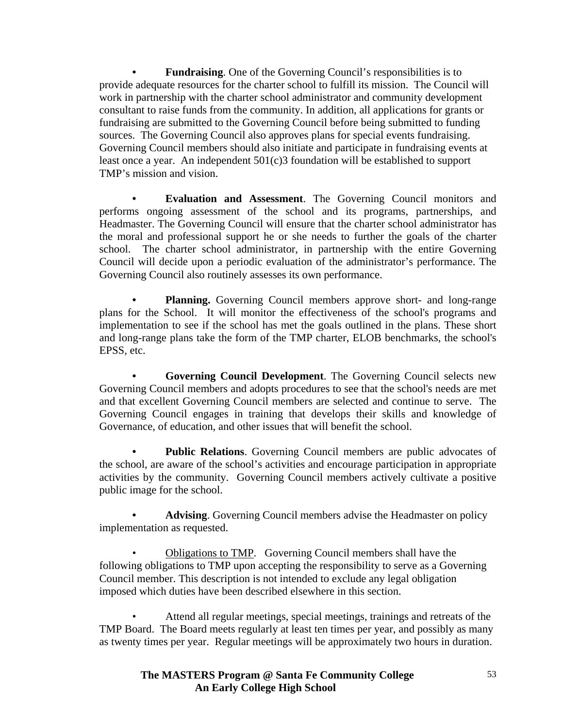**Fundraising.** One of the Governing Council's responsibilities is to provide adequate resources for the charter school to fulfill its mission. The Council will work in partnership with the charter school administrator and community development consultant to raise funds from the community. In addition, all applications for grants or fundraising are submitted to the Governing Council before being submitted to funding sources. The Governing Council also approves plans for special events fundraising. Governing Council members should also initiate and participate in fundraising events at least once a year. An independent 501(c)3 foundation will be established to support TMP's mission and vision.

 **• Evaluation and Assessment**. The Governing Council monitors and performs ongoing assessment of the school and its programs, partnerships, and Headmaster. The Governing Council will ensure that the charter school administrator has the moral and professional support he or she needs to further the goals of the charter school. The charter school administrator, in partnership with the entire Governing Council will decide upon a periodic evaluation of the administrator's performance. The Governing Council also routinely assesses its own performance.

**Planning.** Governing Council members approve short- and long-range plans for the School. It will monitor the effectiveness of the school's programs and implementation to see if the school has met the goals outlined in the plans. These short and long-range plans take the form of the TMP charter, ELOB benchmarks, the school's EPSS, etc.

**Governing Council Development**. The Governing Council selects new Governing Council members and adopts procedures to see that the school's needs are met and that excellent Governing Council members are selected and continue to serve. The Governing Council engages in training that develops their skills and knowledge of Governance, of education, and other issues that will benefit the school.

**Public Relations.** Governing Council members are public advocates of the school, are aware of the school's activities and encourage participation in appropriate activities by the community. Governing Council members actively cultivate a positive public image for the school.

Advising. Governing Council members advise the Headmaster on policy implementation as requested.

 • Obligations to TMP. Governing Council members shall have the following obligations to TMP upon accepting the responsibility to serve as a Governing Council member. This description is not intended to exclude any legal obligation imposed which duties have been described elsewhere in this section.

 • Attend all regular meetings, special meetings, trainings and retreats of the TMP Board. The Board meets regularly at least ten times per year, and possibly as many as twenty times per year. Regular meetings will be approximately two hours in duration.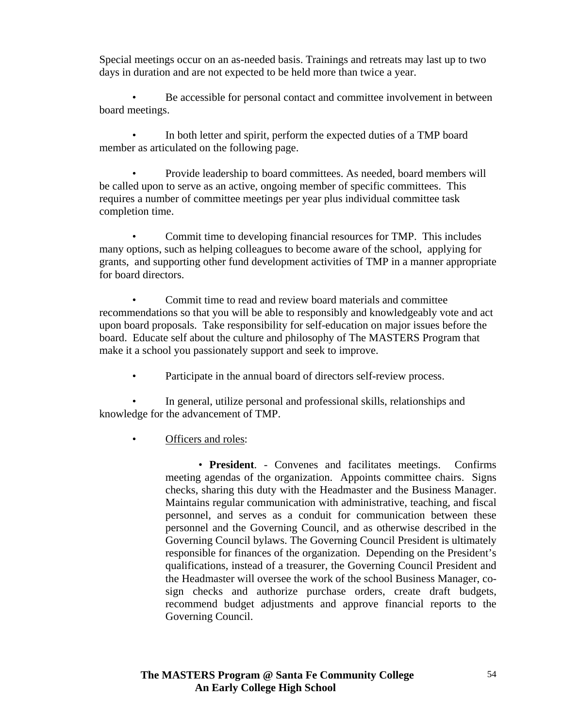Special meetings occur on an as-needed basis. Trainings and retreats may last up to two days in duration and are not expected to be held more than twice a year.

 • Be accessible for personal contact and committee involvement in between board meetings.

 • In both letter and spirit, perform the expected duties of a TMP board member as articulated on the following page.

 • Provide leadership to board committees. As needed, board members will be called upon to serve as an active, ongoing member of specific committees. This requires a number of committee meetings per year plus individual committee task completion time.

 • Commit time to developing financial resources for TMP. This includes many options, such as helping colleagues to become aware of the school, applying for grants, and supporting other fund development activities of TMP in a manner appropriate for board directors.

 • Commit time to read and review board materials and committee recommendations so that you will be able to responsibly and knowledgeably vote and act upon board proposals. Take responsibility for self-education on major issues before the board. Educate self about the culture and philosophy of The MASTERS Program that make it a school you passionately support and seek to improve.

Participate in the annual board of directors self-review process.

 • In general, utilize personal and professional skills, relationships and knowledge for the advancement of TMP.

## Officers and roles:

 • **President**. - Convenes and facilitates meetings. Confirms meeting agendas of the organization. Appoints committee chairs. Signs checks, sharing this duty with the Headmaster and the Business Manager. Maintains regular communication with administrative, teaching, and fiscal personnel, and serves as a conduit for communication between these personnel and the Governing Council, and as otherwise described in the Governing Council bylaws. The Governing Council President is ultimately responsible for finances of the organization. Depending on the President's qualifications, instead of a treasurer, the Governing Council President and the Headmaster will oversee the work of the school Business Manager, cosign checks and authorize purchase orders, create draft budgets, recommend budget adjustments and approve financial reports to the Governing Council.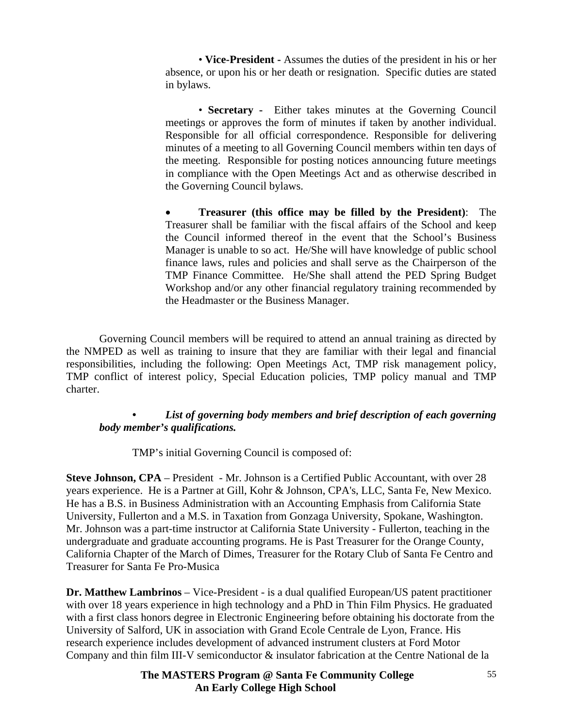• **Vice-President -** Assumes the duties of the president in his or her absence, or upon his or her death or resignation. Specific duties are stated in bylaws.

 • **Secretary -** Either takes minutes at the Governing Council meetings or approves the form of minutes if taken by another individual. Responsible for all official correspondence. Responsible for delivering minutes of a meeting to all Governing Council members within ten days of the meeting. Responsible for posting notices announcing future meetings in compliance with the Open Meetings Act and as otherwise described in the Governing Council bylaws.

• **Treasurer (this office may be filled by the President)**: The Treasurer shall be familiar with the fiscal affairs of the School and keep the Council informed thereof in the event that the School's Business Manager is unable to so act. He/She will have knowledge of public school finance laws, rules and policies and shall serve as the Chairperson of the TMP Finance Committee. He/She shall attend the PED Spring Budget Workshop and/or any other financial regulatory training recommended by the Headmaster or the Business Manager.

Governing Council members will be required to attend an annual training as directed by the NMPED as well as training to insure that they are familiar with their legal and financial responsibilities, including the following: Open Meetings Act, TMP risk management policy, TMP conflict of interest policy, Special Education policies, TMP policy manual and TMP charter.

#### List of governing body members and brief description of each governing *body member's qualifications.*

TMP's initial Governing Council is composed of:

**Steve Johnson, CPA** – President - Mr. Johnson is a Certified Public Accountant, with over 28 years experience. He is a Partner at Gill, Kohr & Johnson, CPA's, LLC, Santa Fe, New Mexico. He has a B.S. in Business Administration with an Accounting Emphasis from California State University, Fullerton and a M.S. in Taxation from Gonzaga University, Spokane, Washington. Mr. Johnson was a part-time instructor at California State University - Fullerton, teaching in the undergraduate and graduate accounting programs. He is Past Treasurer for the Orange County, California Chapter of the March of Dimes, Treasurer for the Rotary Club of Santa Fe Centro and Treasurer for Santa Fe Pro-Musica

**Dr. Matthew Lambrinos** – Vice-President - is a dual qualified European/US patent practitioner with over 18 years experience in high technology and a PhD in Thin Film Physics. He graduated with a first class honors degree in Electronic Engineering before obtaining his doctorate from the University of Salford, UK in association with Grand Ecole Centrale de Lyon, France. His research experience includes development of advanced instrument clusters at Ford Motor Company and thin film III-V semiconductor & insulator fabrication at the Centre National de la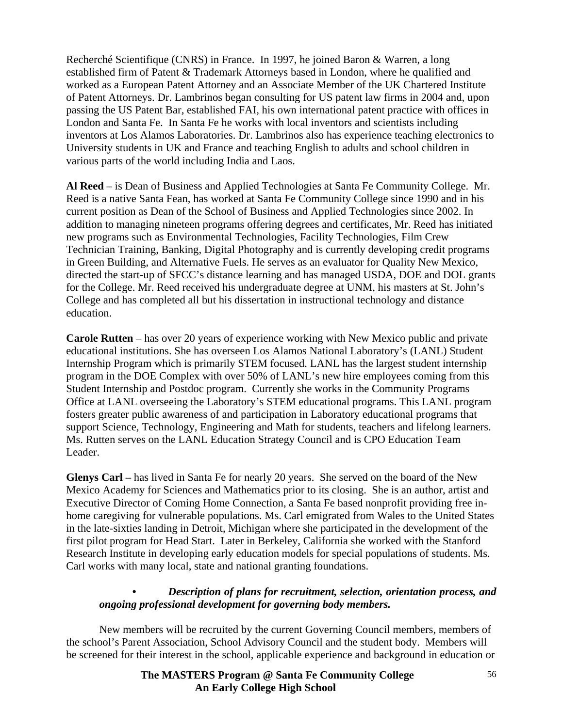Recherché Scientifique (CNRS) in France. In 1997, he joined Baron & Warren, a long established firm of Patent & Trademark Attorneys based in London, where he qualified and worked as a European Patent Attorney and an Associate Member of the UK Chartered Institute of Patent Attorneys. Dr. Lambrinos began consulting for US patent law firms in 2004 and, upon passing the US Patent Bar, established FAI, his own international patent practice with offices in London and Santa Fe. In Santa Fe he works with local inventors and scientists including inventors at Los Alamos Laboratories. Dr. Lambrinos also has experience teaching electronics to University students in UK and France and teaching English to adults and school children in various parts of the world including India and Laos.

**Al Reed** – is Dean of Business and Applied Technologies at Santa Fe Community College. Mr. Reed is a native Santa Fean, has worked at Santa Fe Community College since 1990 and in his current position as Dean of the School of Business and Applied Technologies since 2002. In addition to managing nineteen programs offering degrees and certificates, Mr. Reed has initiated new programs such as Environmental Technologies, Facility Technologies, Film Crew Technician Training, Banking, Digital Photography and is currently developing credit programs in Green Building, and Alternative Fuels. He serves as an evaluator for Quality New Mexico, directed the start-up of SFCC's distance learning and has managed USDA, DOE and DOL grants for the College. Mr. Reed received his undergraduate degree at UNM, his masters at St. John's College and has completed all but his dissertation in instructional technology and distance education.

**Carole Rutten** – has over 20 years of experience working with New Mexico public and private educational institutions. She has overseen Los Alamos National Laboratory's (LANL) Student Internship Program which is primarily STEM focused. LANL has the largest student internship program in the DOE Complex with over 50% of LANL's new hire employees coming from this Student Internship and Postdoc program. Currently she works in the Community Programs Office at LANL overseeing the Laboratory's STEM educational programs. This LANL program fosters greater public awareness of and participation in Laboratory educational programs that support Science, Technology, Engineering and Math for students, teachers and lifelong learners. Ms. Rutten serves on the LANL Education Strategy Council and is CPO Education Team Leader.

**Glenys Carl –** has lived in Santa Fe for nearly 20 years. She served on the board of the New Mexico Academy for Sciences and Mathematics prior to its closing. She is an author, artist and Executive Director of Coming Home Connection, a Santa Fe based nonprofit providing free inhome caregiving for vulnerable populations. Ms. Carl emigrated from Wales to the United States in the late-sixties landing in Detroit, Michigan where she participated in the development of the first pilot program for Head Start. Later in Berkeley, California she worked with the Stanford Research Institute in developing early education models for special populations of students. Ms. Carl works with many local, state and national granting foundations.

#### *• Description of plans for recruitment, selection, orientation process, and ongoing professional development for governing body members.*

 New members will be recruited by the current Governing Council members, members of the school's Parent Association, School Advisory Council and the student body. Members will be screened for their interest in the school, applicable experience and background in education or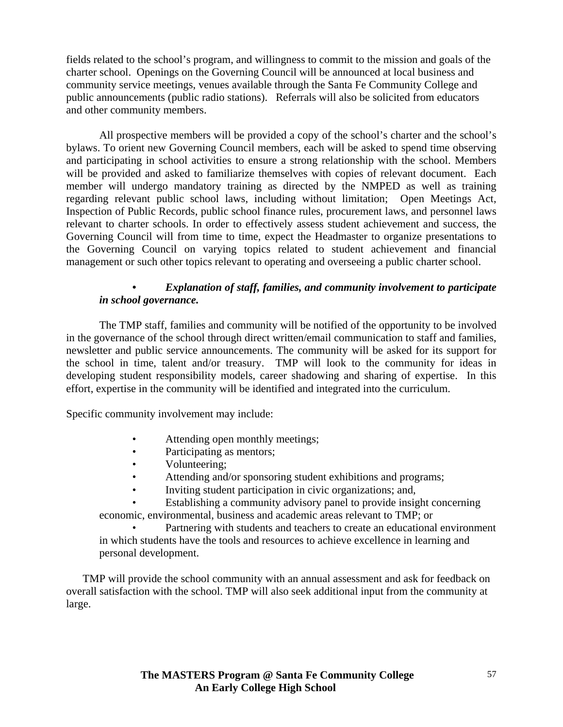fields related to the school's program, and willingness to commit to the mission and goals of the charter school. Openings on the Governing Council will be announced at local business and community service meetings, venues available through the Santa Fe Community College and public announcements (public radio stations). Referrals will also be solicited from educators and other community members.

 All prospective members will be provided a copy of the school's charter and the school's bylaws. To orient new Governing Council members, each will be asked to spend time observing and participating in school activities to ensure a strong relationship with the school. Members will be provided and asked to familiarize themselves with copies of relevant document. Each member will undergo mandatory training as directed by the NMPED as well as training regarding relevant public school laws, including without limitation; Open Meetings Act, Inspection of Public Records, public school finance rules, procurement laws, and personnel laws relevant to charter schools. In order to effectively assess student achievement and success, the Governing Council will from time to time, expect the Headmaster to organize presentations to the Governing Council on varying topics related to student achievement and financial management or such other topics relevant to operating and overseeing a public charter school.

#### *• Explanation of staff, families, and community involvement to participate in school governance.*

The TMP staff, families and community will be notified of the opportunity to be involved in the governance of the school through direct written/email communication to staff and families, newsletter and public service announcements. The community will be asked for its support for the school in time, talent and/or treasury. TMP will look to the community for ideas in developing student responsibility models, career shadowing and sharing of expertise. In this effort, expertise in the community will be identified and integrated into the curriculum.

Specific community involvement may include:

- Attending open monthly meetings;
- Participating as mentors;
- **Volunteering**;
- Attending and/or sponsoring student exhibitions and programs;
- Inviting student participation in civic organizations; and,
- Establishing a community advisory panel to provide insight concerning economic, environmental, business and academic areas relevant to TMP; or

Partnering with students and teachers to create an educational environment in which students have the tools and resources to achieve excellence in learning and personal development.

TMP will provide the school community with an annual assessment and ask for feedback on overall satisfaction with the school. TMP will also seek additional input from the community at large.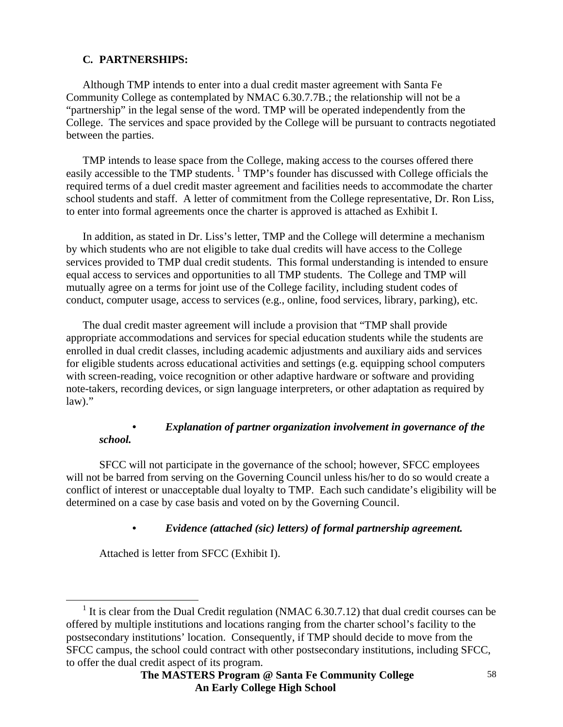### **C***.* **PARTNERSHIPS:**

Although TMP intends to enter into a dual credit master agreement with Santa Fe Community College as contemplated by NMAC 6.30.7.7B.; the relationship will not be a "partnership" in the legal sense of the word. TMP will be operated independently from the College. The services and space provided by the College will be pursuant to contracts negotiated between the parties.

TMP intends to lease space from the College, making access to the courses offered there easily accessible to the TMP students. <sup>1</sup> TMP's founder has discussed with College officials the required terms of a duel credit master agreement and facilities needs to accommodate the charter school students and staff. A letter of commitment from the College representative, Dr. Ron Liss, to enter into formal agreements once the charter is approved is attached as Exhibit I.

In addition, as stated in Dr. Liss's letter, TMP and the College will determine a mechanism by which students who are not eligible to take dual credits will have access to the College services provided to TMP dual credit students. This formal understanding is intended to ensure equal access to services and opportunities to all TMP students. The College and TMP will mutually agree on a terms for joint use of the College facility, including student codes of conduct, computer usage, access to services (e.g., online, food services, library, parking), etc.

The dual credit master agreement will include a provision that "TMP shall provide appropriate accommodations and services for special education students while the students are enrolled in dual credit classes, including academic adjustments and auxiliary aids and services for eligible students across educational activities and settings (e.g. equipping school computers with screen-reading, voice recognition or other adaptive hardware or software and providing note-takers, recording devices, or sign language interpreters, or other adaptation as required by  $law$ )."

#### *• Explanation of partner organization involvement in governance of the school.*

SFCC will not participate in the governance of the school; however, SFCC employees will not be barred from serving on the Governing Council unless his/her to do so would create a conflict of interest or unacceptable dual loyalty to TMP. Each such candidate's eligibility will be determined on a case by case basis and voted on by the Governing Council.

 *• Evidence (attached (sic) letters) of formal partnership agreement.* 

Attached is letter from SFCC (Exhibit I).

 $\overline{\phantom{0}1}$ <sup>1</sup> It is clear from the Dual Credit regulation (NMAC  $6.30.7.12$ ) that dual credit courses can be offered by multiple institutions and locations ranging from the charter school's facility to the postsecondary institutions' location. Consequently, if TMP should decide to move from the SFCC campus, the school could contract with other postsecondary institutions, including SFCC, to offer the dual credit aspect of its program.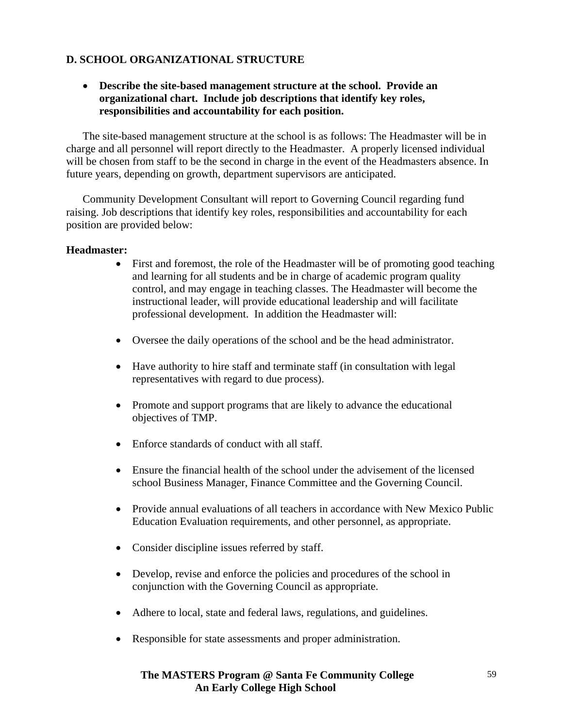### **D. SCHOOL ORGANIZATIONAL STRUCTURE**

#### • **Describe the site-based management structure at the school. Provide an organizational chart. Include job descriptions that identify key roles, responsibilities and accountability for each position.**

The site-based management structure at the school is as follows: The Headmaster will be in charge and all personnel will report directly to the Headmaster. A properly licensed individual will be chosen from staff to be the second in charge in the event of the Headmasters absence. In future years, depending on growth, department supervisors are anticipated.

Community Development Consultant will report to Governing Council regarding fund raising. Job descriptions that identify key roles, responsibilities and accountability for each position are provided below:

#### **Headmaster:**

- First and foremost, the role of the Headmaster will be of promoting good teaching and learning for all students and be in charge of academic program quality control, and may engage in teaching classes. The Headmaster will become the instructional leader, will provide educational leadership and will facilitate professional development. In addition the Headmaster will:
- Oversee the daily operations of the school and be the head administrator.
- Have authority to hire staff and terminate staff (in consultation with legal representatives with regard to due process).
- Promote and support programs that are likely to advance the educational objectives of TMP.
- Enforce standards of conduct with all staff.
- Ensure the financial health of the school under the advisement of the licensed school Business Manager, Finance Committee and the Governing Council.
- Provide annual evaluations of all teachers in accordance with New Mexico Public Education Evaluation requirements, and other personnel, as appropriate.
- Consider discipline issues referred by staff.
- Develop, revise and enforce the policies and procedures of the school in conjunction with the Governing Council as appropriate.
- Adhere to local, state and federal laws, regulations, and guidelines.
- Responsible for state assessments and proper administration.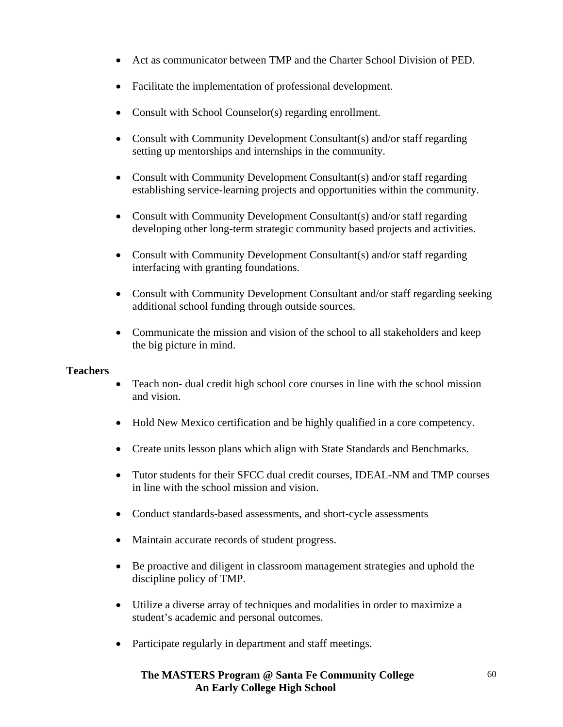- Act as communicator between TMP and the Charter School Division of PED.
- Facilitate the implementation of professional development.
- Consult with School Counselor(s) regarding enrollment.
- Consult with Community Development Consultant(s) and/or staff regarding setting up mentorships and internships in the community.
- Consult with Community Development Consultant(s) and/or staff regarding establishing service-learning projects and opportunities within the community.
- Consult with Community Development Consultant(s) and/or staff regarding developing other long-term strategic community based projects and activities.
- Consult with Community Development Consultant(s) and/or staff regarding interfacing with granting foundations.
- Consult with Community Development Consultant and/or staff regarding seeking additional school funding through outside sources.
- Communicate the mission and vision of the school to all stakeholders and keep the big picture in mind.

### **Teachers**

- Teach non- dual credit high school core courses in line with the school mission and vision.
- Hold New Mexico certification and be highly qualified in a core competency.
- Create units lesson plans which align with State Standards and Benchmarks.
- Tutor students for their SFCC dual credit courses, IDEAL-NM and TMP courses in line with the school mission and vision.
- Conduct standards-based assessments, and short-cycle assessments
- Maintain accurate records of student progress.
- Be proactive and diligent in classroom management strategies and uphold the discipline policy of TMP.
- Utilize a diverse array of techniques and modalities in order to maximize a student's academic and personal outcomes.
- Participate regularly in department and staff meetings.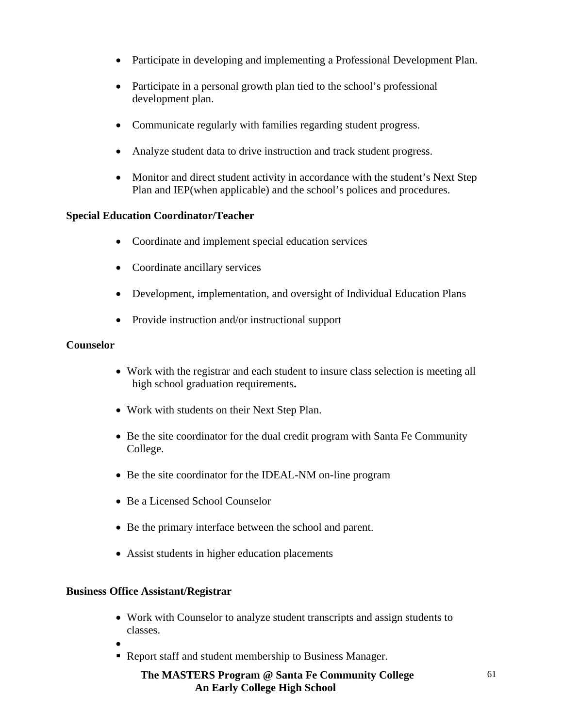- Participate in developing and implementing a Professional Development Plan.
- Participate in a personal growth plan tied to the school's professional development plan.
- Communicate regularly with families regarding student progress.
- Analyze student data to drive instruction and track student progress.
- Monitor and direct student activity in accordance with the student's Next Step Plan and IEP(when applicable) and the school's polices and procedures.

#### **Special Education Coordinator/Teacher**

- Coordinate and implement special education services
- Coordinate ancillary services
- Development, implementation, and oversight of Individual Education Plans
- Provide instruction and/or instructional support

#### **Counselor**

- Work with the registrar and each student to insure class selection is meeting all high school graduation requirements**.**
- Work with students on their Next Step Plan.
- Be the site coordinator for the dual credit program with Santa Fe Community College.
- Be the site coordinator for the IDEAL-NM on-line program
- Be a Licensed School Counselor
- Be the primary interface between the school and parent.
- Assist students in higher education placements

#### **Business Office Assistant/Registrar**

- Work with Counselor to analyze student transcripts and assign students to classes.
- •
- Report staff and student membership to Business Manager.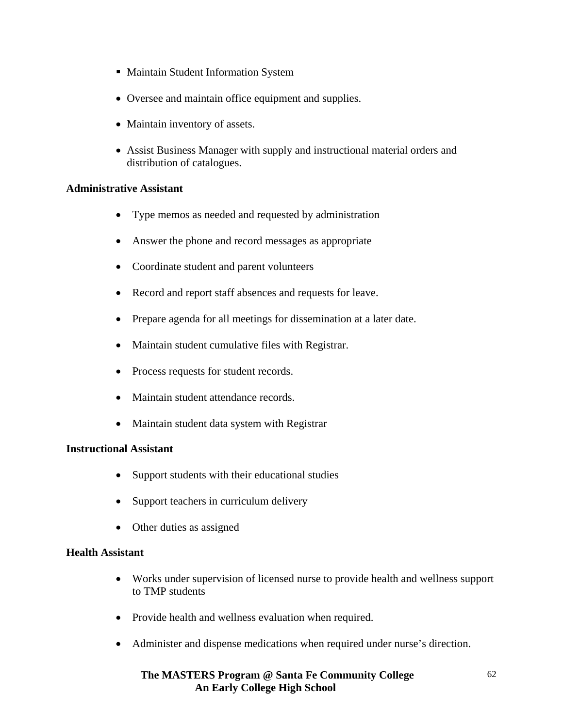- **Maintain Student Information System**
- Oversee and maintain office equipment and supplies.
- Maintain inventory of assets.
- Assist Business Manager with supply and instructional material orders and distribution of catalogues.

#### **Administrative Assistant**

- Type memos as needed and requested by administration
- Answer the phone and record messages as appropriate
- Coordinate student and parent volunteers
- Record and report staff absences and requests for leave.
- Prepare agenda for all meetings for dissemination at a later date.
- Maintain student cumulative files with Registrar.
- Process requests for student records.
- Maintain student attendance records.
- Maintain student data system with Registrar

#### **Instructional Assistant**

- Support students with their educational studies
- Support teachers in curriculum delivery
- Other duties as assigned

#### **Health Assistant**

- Works under supervision of licensed nurse to provide health and wellness support to TMP students
- Provide health and wellness evaluation when required.
- Administer and dispense medications when required under nurse's direction.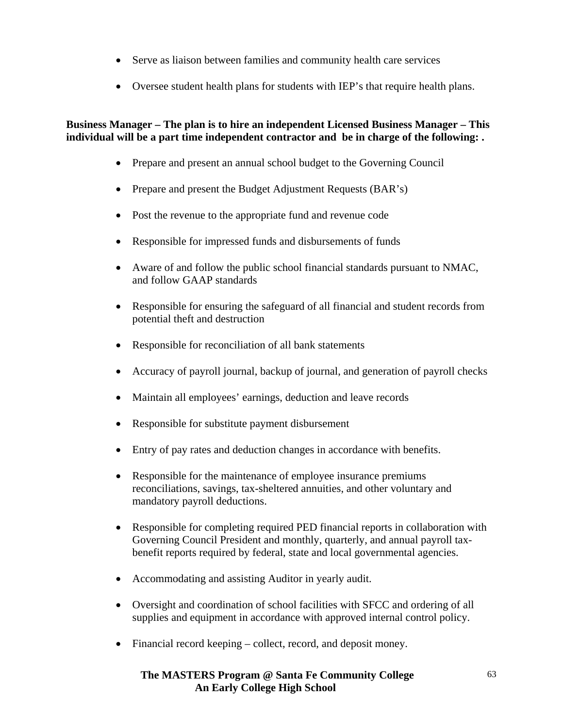- Serve as liaison between families and community health care services
- Oversee student health plans for students with IEP's that require health plans.

### **Business Manager – The plan is to hire an independent Licensed Business Manager – This individual will be a part time independent contractor and be in charge of the following: .**

- Prepare and present an annual school budget to the Governing Council
- Prepare and present the Budget Adjustment Requests (BAR's)
- Post the revenue to the appropriate fund and revenue code
- Responsible for impressed funds and disbursements of funds
- Aware of and follow the public school financial standards pursuant to NMAC, and follow GAAP standards
- Responsible for ensuring the safeguard of all financial and student records from potential theft and destruction
- Responsible for reconciliation of all bank statements
- Accuracy of payroll journal, backup of journal, and generation of payroll checks
- Maintain all employees' earnings, deduction and leave records
- Responsible for substitute payment disbursement
- Entry of pay rates and deduction changes in accordance with benefits.
- Responsible for the maintenance of employee insurance premiums reconciliations, savings, tax-sheltered annuities, and other voluntary and mandatory payroll deductions.
- Responsible for completing required PED financial reports in collaboration with Governing Council President and monthly, quarterly, and annual payroll taxbenefit reports required by federal, state and local governmental agencies.
- Accommodating and assisting Auditor in yearly audit.
- Oversight and coordination of school facilities with SFCC and ordering of all supplies and equipment in accordance with approved internal control policy.
- Financial record keeping collect, record, and deposit money.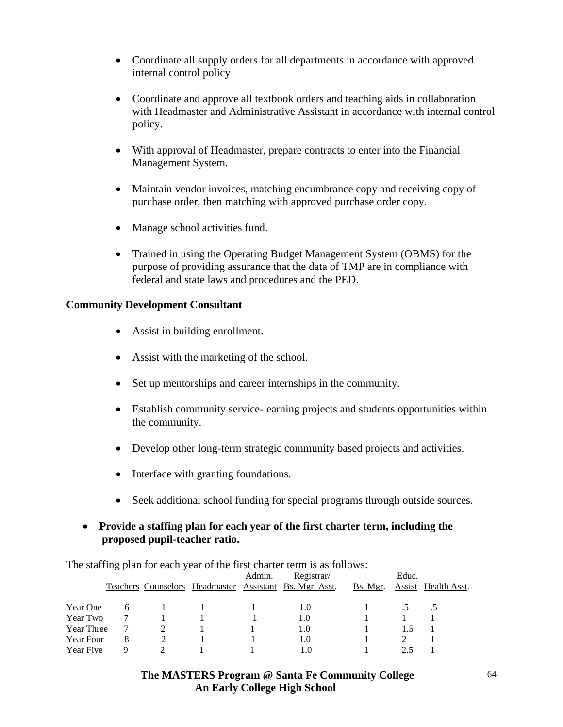- Coordinate all supply orders for all departments in accordance with approved internal control policy
- Coordinate and approve all textbook orders and teaching aids in collaboration with Headmaster and Administrative Assistant in accordance with internal control policy.
- With approval of Headmaster, prepare contracts to enter into the Financial Management System.
- Maintain vendor invoices, matching encumbrance copy and receiving copy of purchase order, then matching with approved purchase order copy.
- Manage school activities fund.
- Trained in using the Operating Budget Management System (OBMS) for the purpose of providing assurance that the data of TMP are in compliance with federal and state laws and procedures and the PED.

#### **Community Development Consultant**

- Assist in building enrollment.
- Assist with the marketing of the school.
- Set up mentorships and career internships in the community.
- Establish community service-learning projects and students opportunities within the community.
- Develop other long-term strategic community based projects and activities.
- Interface with granting foundations.
- Seek additional school funding for special programs through outside sources.

#### • **Provide a staffing plan for each year of the first charter term, including the proposed pupil-teacher ratio.**

The staffing plan for each year of the first charter term is as follows:

|            |   |  | Admin. | Registrar/                                              |          | Educ. |                     |
|------------|---|--|--------|---------------------------------------------------------|----------|-------|---------------------|
|            |   |  |        | Teachers Counselors Headmaster Assistant Bs. Mgr. Asst. | Bs. Mgr. |       | Assist Health Asst. |
| Year One   | 6 |  |        | 1.0                                                     |          |       |                     |
| Year Two   |   |  |        | 1.0                                                     |          |       |                     |
| Year Three |   |  |        | 1.0                                                     |          |       |                     |
| Year Four  | 8 |  |        | 1.0                                                     |          |       |                     |
| Year Five  | Q |  |        | 1.0                                                     |          |       |                     |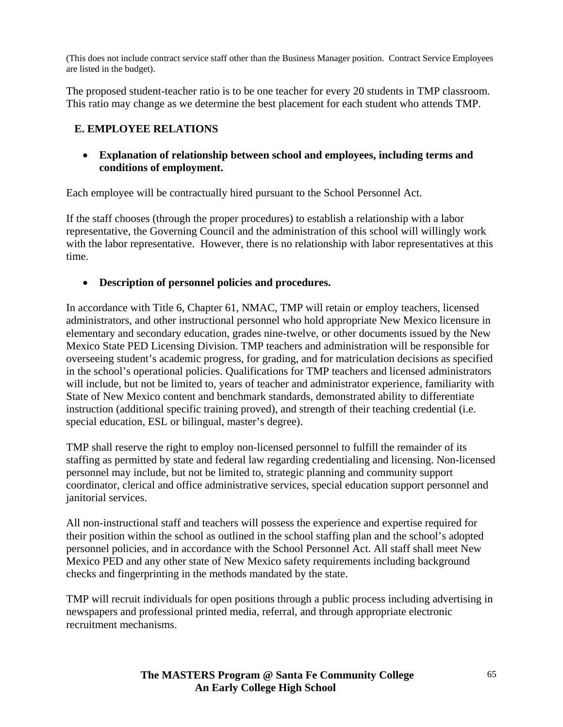(This does not include contract service staff other than the Business Manager position. Contract Service Employees are listed in the budget).

The proposed student-teacher ratio is to be one teacher for every 20 students in TMP classroom. This ratio may change as we determine the best placement for each student who attends TMP.

## **E. EMPLOYEE RELATIONS**

• **Explanation of relationship between school and employees, including terms and conditions of employment.** 

Each employee will be contractually hired pursuant to the School Personnel Act.

If the staff chooses (through the proper procedures) to establish a relationship with a labor representative, the Governing Council and the administration of this school will willingly work with the labor representative. However, there is no relationship with labor representatives at this time.

### • **Description of personnel policies and procedures.**

In accordance with Title 6, Chapter 61, NMAC, TMP will retain or employ teachers, licensed administrators, and other instructional personnel who hold appropriate New Mexico licensure in elementary and secondary education, grades nine-twelve, or other documents issued by the New Mexico State PED Licensing Division. TMP teachers and administration will be responsible for overseeing student's academic progress, for grading, and for matriculation decisions as specified in the school's operational policies. Qualifications for TMP teachers and licensed administrators will include, but not be limited to, years of teacher and administrator experience, familiarity with State of New Mexico content and benchmark standards, demonstrated ability to differentiate instruction (additional specific training proved), and strength of their teaching credential (i.e. special education, ESL or bilingual, master's degree).

TMP shall reserve the right to employ non-licensed personnel to fulfill the remainder of its staffing as permitted by state and federal law regarding credentialing and licensing. Non-licensed personnel may include, but not be limited to, strategic planning and community support coordinator, clerical and office administrative services, special education support personnel and janitorial services.

All non-instructional staff and teachers will possess the experience and expertise required for their position within the school as outlined in the school staffing plan and the school's adopted personnel policies, and in accordance with the School Personnel Act. All staff shall meet New Mexico PED and any other state of New Mexico safety requirements including background checks and fingerprinting in the methods mandated by the state.

TMP will recruit individuals for open positions through a public process including advertising in newspapers and professional printed media, referral, and through appropriate electronic recruitment mechanisms.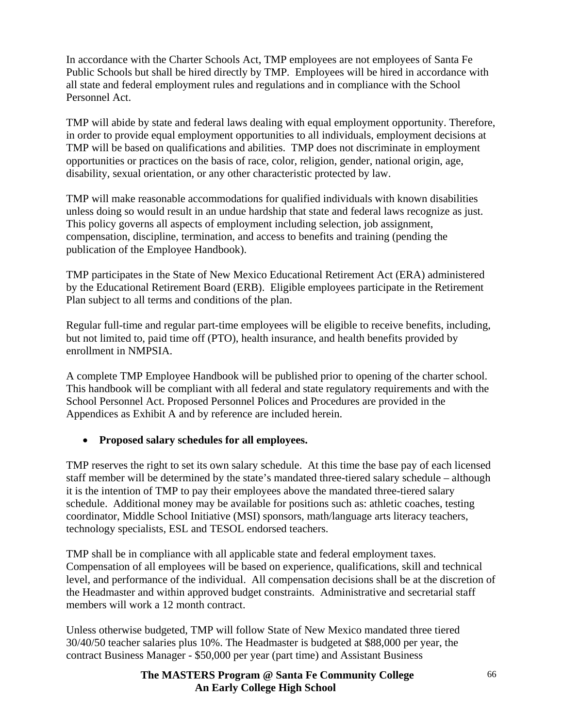In accordance with the Charter Schools Act, TMP employees are not employees of Santa Fe Public Schools but shall be hired directly by TMP. Employees will be hired in accordance with all state and federal employment rules and regulations and in compliance with the School Personnel Act.

TMP will abide by state and federal laws dealing with equal employment opportunity. Therefore, in order to provide equal employment opportunities to all individuals, employment decisions at TMP will be based on qualifications and abilities. TMP does not discriminate in employment opportunities or practices on the basis of race, color, religion, gender, national origin, age, disability, sexual orientation, or any other characteristic protected by law.

TMP will make reasonable accommodations for qualified individuals with known disabilities unless doing so would result in an undue hardship that state and federal laws recognize as just. This policy governs all aspects of employment including selection, job assignment, compensation, discipline, termination, and access to benefits and training (pending the publication of the Employee Handbook).

TMP participates in the State of New Mexico Educational Retirement Act (ERA) administered by the Educational Retirement Board (ERB). Eligible employees participate in the Retirement Plan subject to all terms and conditions of the plan.

Regular full-time and regular part-time employees will be eligible to receive benefits, including, but not limited to, paid time off (PTO), health insurance, and health benefits provided by enrollment in NMPSIA.

A complete TMP Employee Handbook will be published prior to opening of the charter school. This handbook will be compliant with all federal and state regulatory requirements and with the School Personnel Act. Proposed Personnel Polices and Procedures are provided in the Appendices as Exhibit A and by reference are included herein.

### • **Proposed salary schedules for all employees.**

TMP reserves the right to set its own salary schedule. At this time the base pay of each licensed staff member will be determined by the state's mandated three-tiered salary schedule – although it is the intention of TMP to pay their employees above the mandated three-tiered salary schedule. Additional money may be available for positions such as: athletic coaches, testing coordinator, Middle School Initiative (MSI) sponsors, math/language arts literacy teachers, technology specialists, ESL and TESOL endorsed teachers.

TMP shall be in compliance with all applicable state and federal employment taxes. Compensation of all employees will be based on experience, qualifications, skill and technical level, and performance of the individual. All compensation decisions shall be at the discretion of the Headmaster and within approved budget constraints. Administrative and secretarial staff members will work a 12 month contract.

Unless otherwise budgeted, TMP will follow State of New Mexico mandated three tiered 30/40/50 teacher salaries plus 10%. The Headmaster is budgeted at \$88,000 per year, the contract Business Manager - \$50,000 per year (part time) and Assistant Business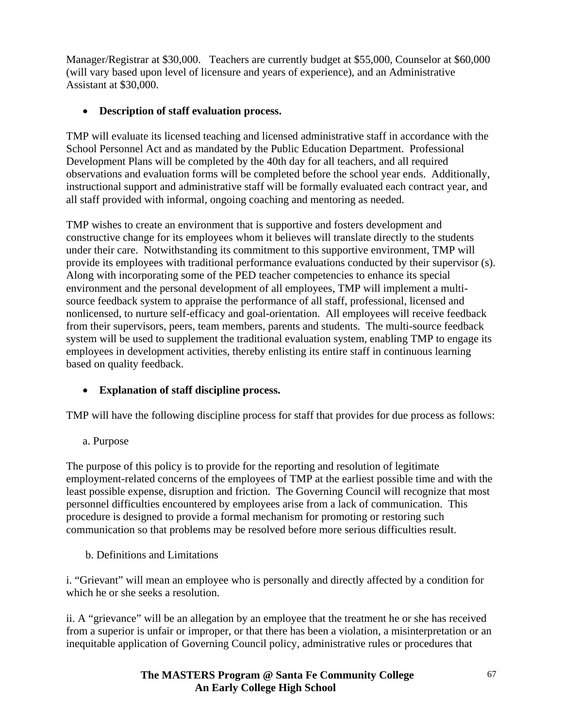Manager/Registrar at \$30,000. Teachers are currently budget at \$55,000, Counselor at \$60,000 (will vary based upon level of licensure and years of experience), and an Administrative Assistant at \$30,000.

## • **Description of staff evaluation process.**

TMP will evaluate its licensed teaching and licensed administrative staff in accordance with the School Personnel Act and as mandated by the Public Education Department. Professional Development Plans will be completed by the 40th day for all teachers, and all required observations and evaluation forms will be completed before the school year ends. Additionally, instructional support and administrative staff will be formally evaluated each contract year, and all staff provided with informal, ongoing coaching and mentoring as needed.

TMP wishes to create an environment that is supportive and fosters development and constructive change for its employees whom it believes will translate directly to the students under their care. Notwithstanding its commitment to this supportive environment, TMP will provide its employees with traditional performance evaluations conducted by their supervisor (s). Along with incorporating some of the PED teacher competencies to enhance its special environment and the personal development of all employees, TMP will implement a multisource feedback system to appraise the performance of all staff, professional, licensed and nonlicensed, to nurture self-efficacy and goal-orientation. All employees will receive feedback from their supervisors, peers, team members, parents and students. The multi-source feedback system will be used to supplement the traditional evaluation system, enabling TMP to engage its employees in development activities, thereby enlisting its entire staff in continuous learning based on quality feedback.

## • **Explanation of staff discipline process.**

TMP will have the following discipline process for staff that provides for due process as follows:

a. Purpose

The purpose of this policy is to provide for the reporting and resolution of legitimate employment-related concerns of the employees of TMP at the earliest possible time and with the least possible expense, disruption and friction. The Governing Council will recognize that most personnel difficulties encountered by employees arise from a lack of communication. This procedure is designed to provide a formal mechanism for promoting or restoring such communication so that problems may be resolved before more serious difficulties result.

b. Definitions and Limitations

i. "Grievant" will mean an employee who is personally and directly affected by a condition for which he or she seeks a resolution.

ii. A "grievance" will be an allegation by an employee that the treatment he or she has received from a superior is unfair or improper, or that there has been a violation, a misinterpretation or an inequitable application of Governing Council policy, administrative rules or procedures that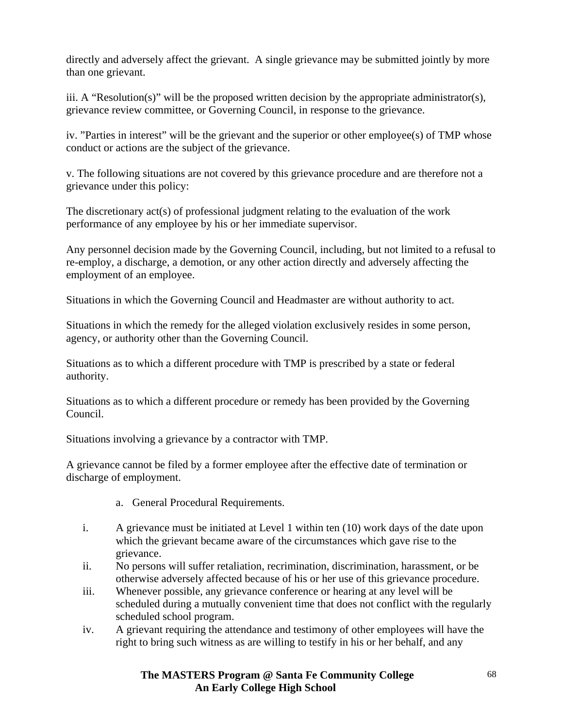directly and adversely affect the grievant. A single grievance may be submitted jointly by more than one grievant.

iii. A "Resolution(s)" will be the proposed written decision by the appropriate administrator(s), grievance review committee, or Governing Council, in response to the grievance.

iv. "Parties in interest" will be the grievant and the superior or other employee(s) of TMP whose conduct or actions are the subject of the grievance.

v. The following situations are not covered by this grievance procedure and are therefore not a grievance under this policy:

The discretionary act(s) of professional judgment relating to the evaluation of the work performance of any employee by his or her immediate supervisor.

Any personnel decision made by the Governing Council, including, but not limited to a refusal to re-employ, a discharge, a demotion, or any other action directly and adversely affecting the employment of an employee.

Situations in which the Governing Council and Headmaster are without authority to act.

Situations in which the remedy for the alleged violation exclusively resides in some person, agency, or authority other than the Governing Council.

Situations as to which a different procedure with TMP is prescribed by a state or federal authority.

Situations as to which a different procedure or remedy has been provided by the Governing Council.

Situations involving a grievance by a contractor with TMP.

A grievance cannot be filed by a former employee after the effective date of termination or discharge of employment.

- a. General Procedural Requirements.
- i. A grievance must be initiated at Level 1 within ten (10) work days of the date upon which the grievant became aware of the circumstances which gave rise to the grievance.
- ii. No persons will suffer retaliation, recrimination, discrimination, harassment, or be otherwise adversely affected because of his or her use of this grievance procedure.
- iii. Whenever possible, any grievance conference or hearing at any level will be scheduled during a mutually convenient time that does not conflict with the regularly scheduled school program.
- iv. A grievant requiring the attendance and testimony of other employees will have the right to bring such witness as are willing to testify in his or her behalf, and any

 **The MASTERS Program @ Santa Fe Community College An Early College High School**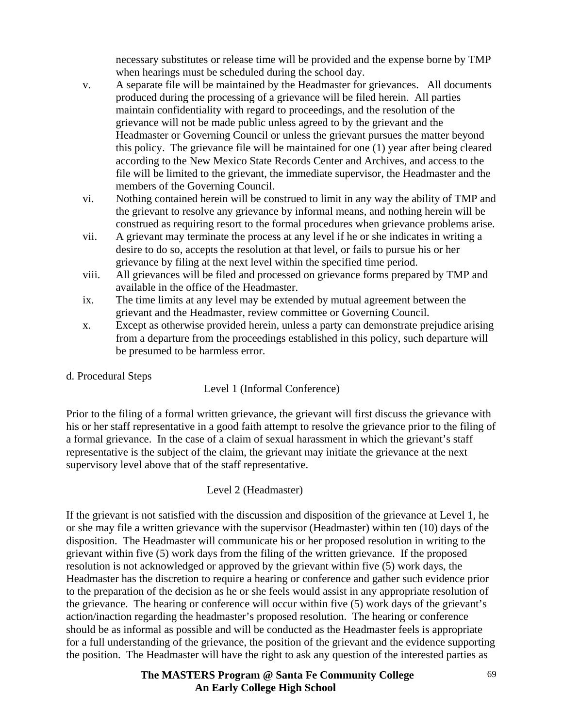necessary substitutes or release time will be provided and the expense borne by TMP when hearings must be scheduled during the school day.

- v. A separate file will be maintained by the Headmaster for grievances. All documents produced during the processing of a grievance will be filed herein. All parties maintain confidentiality with regard to proceedings, and the resolution of the grievance will not be made public unless agreed to by the grievant and the Headmaster or Governing Council or unless the grievant pursues the matter beyond this policy. The grievance file will be maintained for one (1) year after being cleared according to the New Mexico State Records Center and Archives, and access to the file will be limited to the grievant, the immediate supervisor, the Headmaster and the members of the Governing Council.
- vi. Nothing contained herein will be construed to limit in any way the ability of TMP and the grievant to resolve any grievance by informal means, and nothing herein will be construed as requiring resort to the formal procedures when grievance problems arise.
- vii. A grievant may terminate the process at any level if he or she indicates in writing a desire to do so, accepts the resolution at that level, or fails to pursue his or her grievance by filing at the next level within the specified time period.
- viii. All grievances will be filed and processed on grievance forms prepared by TMP and available in the office of the Headmaster.
- ix. The time limits at any level may be extended by mutual agreement between the grievant and the Headmaster, review committee or Governing Council.
- x. Except as otherwise provided herein, unless a party can demonstrate prejudice arising from a departure from the proceedings established in this policy, such departure will be presumed to be harmless error.
- d. Procedural Steps

### Level 1 (Informal Conference)

Prior to the filing of a formal written grievance, the grievant will first discuss the grievance with his or her staff representative in a good faith attempt to resolve the grievance prior to the filing of a formal grievance. In the case of a claim of sexual harassment in which the grievant's staff representative is the subject of the claim, the grievant may initiate the grievance at the next supervisory level above that of the staff representative.

### Level 2 (Headmaster)

If the grievant is not satisfied with the discussion and disposition of the grievance at Level 1, he or she may file a written grievance with the supervisor (Headmaster) within ten (10) days of the disposition. The Headmaster will communicate his or her proposed resolution in writing to the grievant within five (5) work days from the filing of the written grievance. If the proposed resolution is not acknowledged or approved by the grievant within five (5) work days, the Headmaster has the discretion to require a hearing or conference and gather such evidence prior to the preparation of the decision as he or she feels would assist in any appropriate resolution of the grievance. The hearing or conference will occur within five (5) work days of the grievant's action/inaction regarding the headmaster's proposed resolution. The hearing or conference should be as informal as possible and will be conducted as the Headmaster feels is appropriate for a full understanding of the grievance, the position of the grievant and the evidence supporting the position. The Headmaster will have the right to ask any question of the interested parties as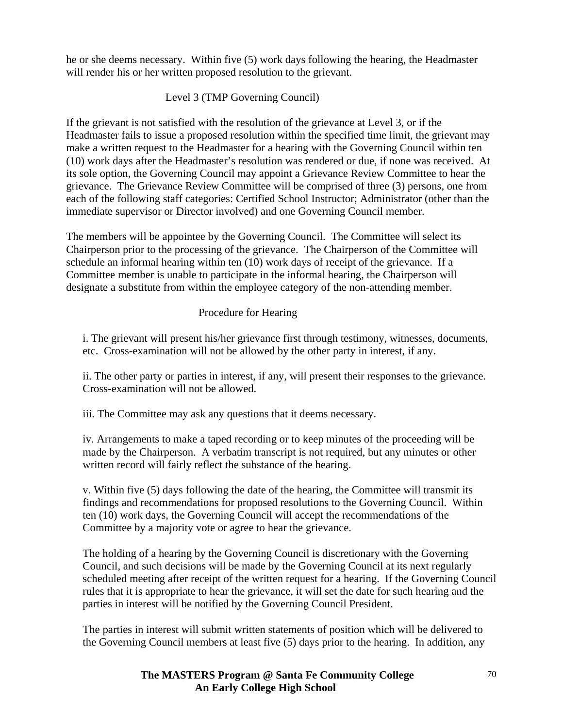he or she deems necessary. Within five (5) work days following the hearing, the Headmaster will render his or her written proposed resolution to the grievant.

### Level 3 (TMP Governing Council)

If the grievant is not satisfied with the resolution of the grievance at Level 3, or if the Headmaster fails to issue a proposed resolution within the specified time limit, the grievant may make a written request to the Headmaster for a hearing with the Governing Council within ten (10) work days after the Headmaster's resolution was rendered or due, if none was received. At its sole option, the Governing Council may appoint a Grievance Review Committee to hear the grievance. The Grievance Review Committee will be comprised of three (3) persons, one from each of the following staff categories: Certified School Instructor; Administrator (other than the immediate supervisor or Director involved) and one Governing Council member.

The members will be appointee by the Governing Council. The Committee will select its Chairperson prior to the processing of the grievance. The Chairperson of the Committee will schedule an informal hearing within ten (10) work days of receipt of the grievance. If a Committee member is unable to participate in the informal hearing, the Chairperson will designate a substitute from within the employee category of the non-attending member.

### Procedure for Hearing

i. The grievant will present his/her grievance first through testimony, witnesses, documents, etc. Cross-examination will not be allowed by the other party in interest, if any.

ii. The other party or parties in interest, if any, will present their responses to the grievance. Cross-examination will not be allowed.

iii. The Committee may ask any questions that it deems necessary.

iv. Arrangements to make a taped recording or to keep minutes of the proceeding will be made by the Chairperson. A verbatim transcript is not required, but any minutes or other written record will fairly reflect the substance of the hearing.

v. Within five (5) days following the date of the hearing, the Committee will transmit its findings and recommendations for proposed resolutions to the Governing Council. Within ten (10) work days, the Governing Council will accept the recommendations of the Committee by a majority vote or agree to hear the grievance.

The holding of a hearing by the Governing Council is discretionary with the Governing Council, and such decisions will be made by the Governing Council at its next regularly scheduled meeting after receipt of the written request for a hearing. If the Governing Council rules that it is appropriate to hear the grievance, it will set the date for such hearing and the parties in interest will be notified by the Governing Council President.

The parties in interest will submit written statements of position which will be delivered to the Governing Council members at least five (5) days prior to the hearing. In addition, any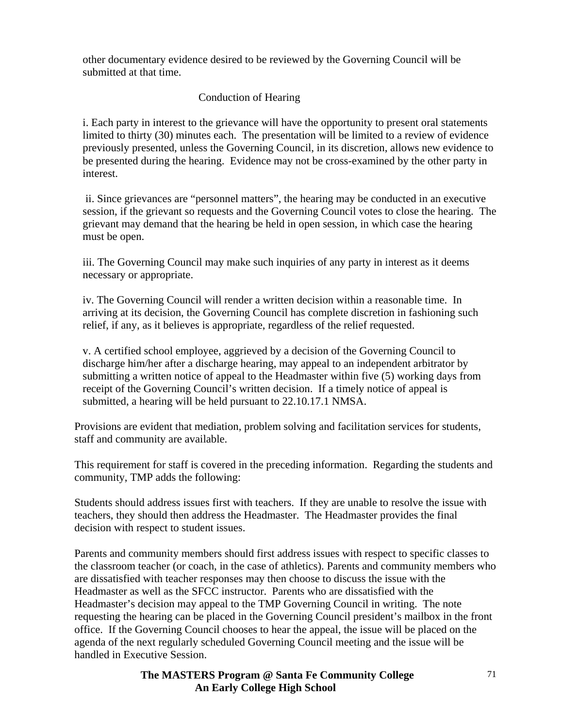other documentary evidence desired to be reviewed by the Governing Council will be submitted at that time.

### Conduction of Hearing

i. Each party in interest to the grievance will have the opportunity to present oral statements limited to thirty (30) minutes each. The presentation will be limited to a review of evidence previously presented, unless the Governing Council, in its discretion, allows new evidence to be presented during the hearing. Evidence may not be cross-examined by the other party in interest.

 ii. Since grievances are "personnel matters", the hearing may be conducted in an executive session, if the grievant so requests and the Governing Council votes to close the hearing. The grievant may demand that the hearing be held in open session, in which case the hearing must be open.

iii. The Governing Council may make such inquiries of any party in interest as it deems necessary or appropriate.

iv. The Governing Council will render a written decision within a reasonable time. In arriving at its decision, the Governing Council has complete discretion in fashioning such relief, if any, as it believes is appropriate, regardless of the relief requested.

v. A certified school employee, aggrieved by a decision of the Governing Council to discharge him/her after a discharge hearing, may appeal to an independent arbitrator by submitting a written notice of appeal to the Headmaster within five (5) working days from receipt of the Governing Council's written decision. If a timely notice of appeal is submitted, a hearing will be held pursuant to 22.10.17.1 NMSA.

Provisions are evident that mediation, problem solving and facilitation services for students, staff and community are available.

This requirement for staff is covered in the preceding information. Regarding the students and community, TMP adds the following:

Students should address issues first with teachers. If they are unable to resolve the issue with teachers, they should then address the Headmaster. The Headmaster provides the final decision with respect to student issues.

Parents and community members should first address issues with respect to specific classes to the classroom teacher (or coach, in the case of athletics). Parents and community members who are dissatisfied with teacher responses may then choose to discuss the issue with the Headmaster as well as the SFCC instructor. Parents who are dissatisfied with the Headmaster's decision may appeal to the TMP Governing Council in writing. The note requesting the hearing can be placed in the Governing Council president's mailbox in the front office. If the Governing Council chooses to hear the appeal, the issue will be placed on the agenda of the next regularly scheduled Governing Council meeting and the issue will be handled in Executive Session.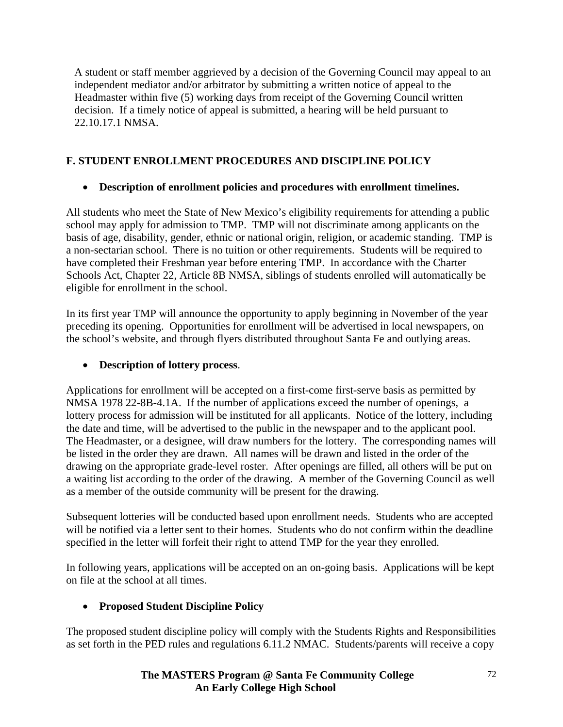A student or staff member aggrieved by a decision of the Governing Council may appeal to an independent mediator and/or arbitrator by submitting a written notice of appeal to the Headmaster within five (5) working days from receipt of the Governing Council written decision. If a timely notice of appeal is submitted, a hearing will be held pursuant to 22.10.17.1 NMSA.

# **F. STUDENT ENROLLMENT PROCEDURES AND DISCIPLINE POLICY**

# • **Description of enrollment policies and procedures with enrollment timelines.**

All students who meet the State of New Mexico's eligibility requirements for attending a public school may apply for admission to TMP. TMP will not discriminate among applicants on the basis of age, disability, gender, ethnic or national origin, religion, or academic standing. TMP is a non-sectarian school. There is no tuition or other requirements. Students will be required to have completed their Freshman year before entering TMP. In accordance with the Charter Schools Act, Chapter 22, Article 8B NMSA, siblings of students enrolled will automatically be eligible for enrollment in the school.

In its first year TMP will announce the opportunity to apply beginning in November of the year preceding its opening. Opportunities for enrollment will be advertised in local newspapers, on the school's website, and through flyers distributed throughout Santa Fe and outlying areas.

# • **Description of lottery process**.

Applications for enrollment will be accepted on a first-come first-serve basis as permitted by NMSA 1978 22-8B-4.1A. If the number of applications exceed the number of openings, a lottery process for admission will be instituted for all applicants. Notice of the lottery, including the date and time, will be advertised to the public in the newspaper and to the applicant pool. The Headmaster, or a designee, will draw numbers for the lottery. The corresponding names will be listed in the order they are drawn. All names will be drawn and listed in the order of the drawing on the appropriate grade-level roster. After openings are filled, all others will be put on a waiting list according to the order of the drawing. A member of the Governing Council as well as a member of the outside community will be present for the drawing.

Subsequent lotteries will be conducted based upon enrollment needs. Students who are accepted will be notified via a letter sent to their homes. Students who do not confirm within the deadline specified in the letter will forfeit their right to attend TMP for the year they enrolled.

In following years, applications will be accepted on an on-going basis. Applications will be kept on file at the school at all times.

# • **Proposed Student Discipline Policy**

The proposed student discipline policy will comply with the Students Rights and Responsibilities as set forth in the PED rules and regulations 6.11.2 NMAC. Students/parents will receive a copy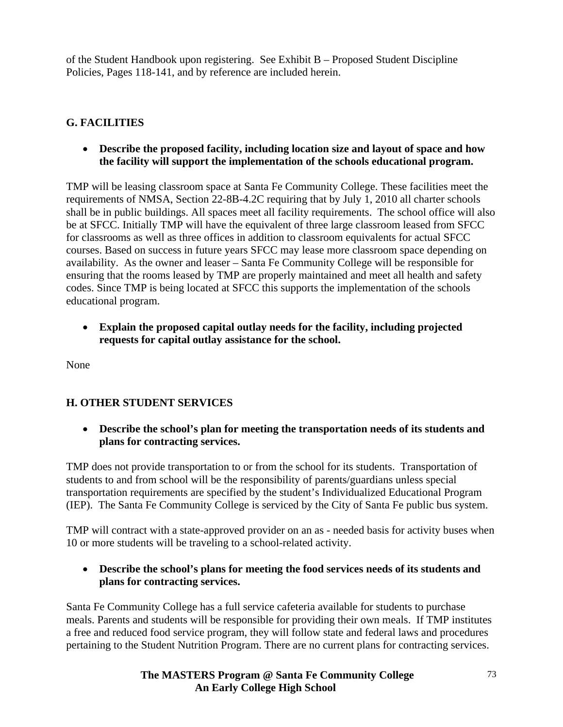of the Student Handbook upon registering. See Exhibit B – Proposed Student Discipline Policies, Pages 118-141, and by reference are included herein.

## **G. FACILITIES**

• **Describe the proposed facility, including location size and layout of space and how the facility will support the implementation of the schools educational program.** 

TMP will be leasing classroom space at Santa Fe Community College. These facilities meet the requirements of NMSA, Section 22-8B-4.2C requiring that by July 1, 2010 all charter schools shall be in public buildings. All spaces meet all facility requirements. The school office will also be at SFCC. Initially TMP will have the equivalent of three large classroom leased from SFCC for classrooms as well as three offices in addition to classroom equivalents for actual SFCC courses. Based on success in future years SFCC may lease more classroom space depending on availability. As the owner and leaser – Santa Fe Community College will be responsible for ensuring that the rooms leased by TMP are properly maintained and meet all health and safety codes. Since TMP is being located at SFCC this supports the implementation of the schools educational program.

• **Explain the proposed capital outlay needs for the facility, including projected requests for capital outlay assistance for the school.** 

None

## **H. OTHER STUDENT SERVICES**

• **Describe the school's plan for meeting the transportation needs of its students and plans for contracting services.** 

TMP does not provide transportation to or from the school for its students. Transportation of students to and from school will be the responsibility of parents/guardians unless special transportation requirements are specified by the student's Individualized Educational Program (IEP). The Santa Fe Community College is serviced by the City of Santa Fe public bus system.

TMP will contract with a state-approved provider on an as - needed basis for activity buses when 10 or more students will be traveling to a school-related activity.

### • **Describe the school's plans for meeting the food services needs of its students and plans for contracting services.**

Santa Fe Community College has a full service cafeteria available for students to purchase meals. Parents and students will be responsible for providing their own meals. If TMP institutes a free and reduced food service program, they will follow state and federal laws and procedures pertaining to the Student Nutrition Program. There are no current plans for contracting services.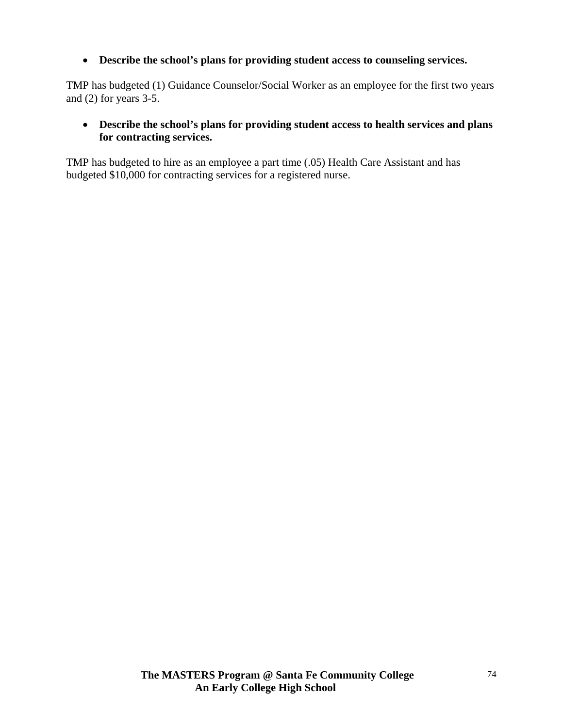• **Describe the school's plans for providing student access to counseling services.** 

TMP has budgeted (1) Guidance Counselor/Social Worker as an employee for the first two years and (2) for years 3-5.

## • **Describe the school's plans for providing student access to health services and plans for contracting services.**

TMP has budgeted to hire as an employee a part time (.05) Health Care Assistant and has budgeted \$10,000 for contracting services for a registered nurse.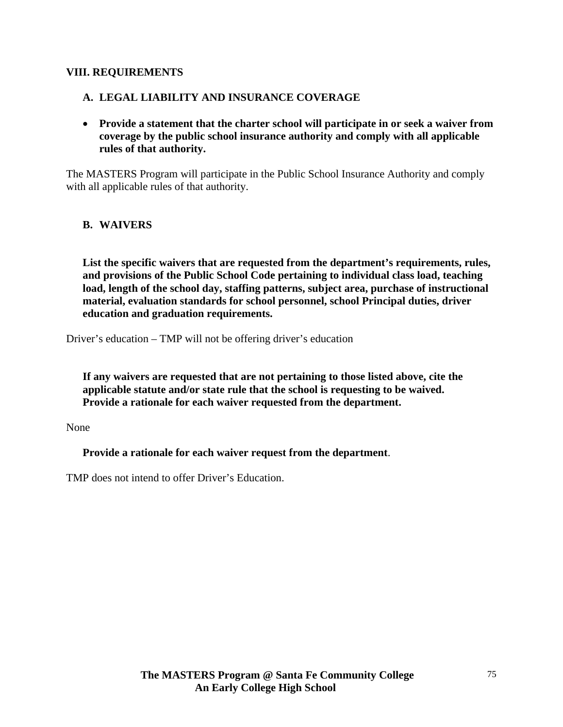#### **VIII. REQUIREMENTS**

### **A. LEGAL LIABILITY AND INSURANCE COVERAGE**

• **Provide a statement that the charter school will participate in or seek a waiver from coverage by the public school insurance authority and comply with all applicable rules of that authority.** 

The MASTERS Program will participate in the Public School Insurance Authority and comply with all applicable rules of that authority.

### **B. WAIVERS**

**List the specific waivers that are requested from the department's requirements, rules, and provisions of the Public School Code pertaining to individual class load, teaching load, length of the school day, staffing patterns, subject area, purchase of instructional material, evaluation standards for school personnel, school Principal duties, driver education and graduation requirements.** 

Driver's education – TMP will not be offering driver's education

**If any waivers are requested that are not pertaining to those listed above, cite the applicable statute and/or state rule that the school is requesting to be waived. Provide a rationale for each waiver requested from the department.** 

None

 **Provide a rationale for each waiver request from the department**.

TMP does not intend to offer Driver's Education.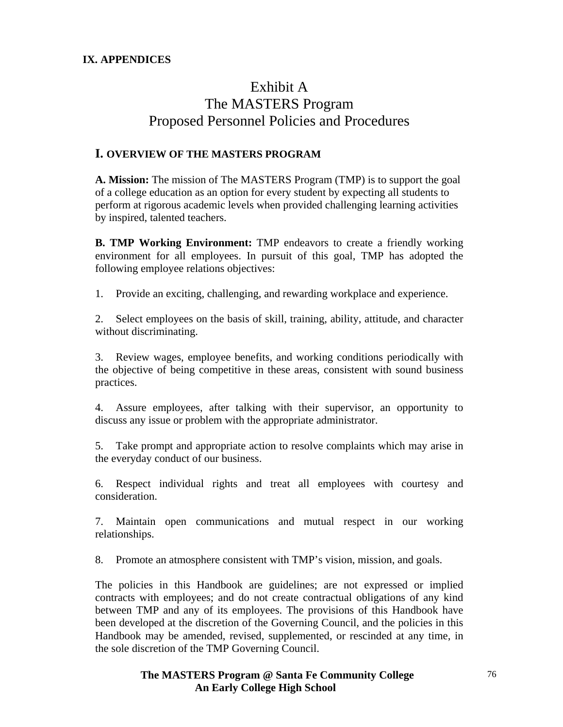### **IX. APPENDICES**

# Exhibit A The MASTERS Program Proposed Personnel Policies and Procedures

## **I. OVERVIEW OF THE MASTERS PROGRAM**

**A. Mission:** The mission of The MASTERS Program (TMP) is to support the goal of a college education as an option for every student by expecting all students to perform at rigorous academic levels when provided challenging learning activities by inspired, talented teachers.

**B. TMP Working Environment:** TMP endeavors to create a friendly working environment for all employees. In pursuit of this goal, TMP has adopted the following employee relations objectives:

1. Provide an exciting, challenging, and rewarding workplace and experience.

2. Select employees on the basis of skill, training, ability, attitude, and character without discriminating.

3. Review wages, employee benefits, and working conditions periodically with the objective of being competitive in these areas, consistent with sound business practices.

4. Assure employees, after talking with their supervisor, an opportunity to discuss any issue or problem with the appropriate administrator.

5. Take prompt and appropriate action to resolve complaints which may arise in the everyday conduct of our business.

6. Respect individual rights and treat all employees with courtesy and consideration.

7. Maintain open communications and mutual respect in our working relationships.

8. Promote an atmosphere consistent with TMP's vision, mission, and goals.

The policies in this Handbook are guidelines; are not expressed or implied contracts with employees; and do not create contractual obligations of any kind between TMP and any of its employees. The provisions of this Handbook have been developed at the discretion of the Governing Council, and the policies in this Handbook may be amended, revised, supplemented, or rescinded at any time, in the sole discretion of the TMP Governing Council.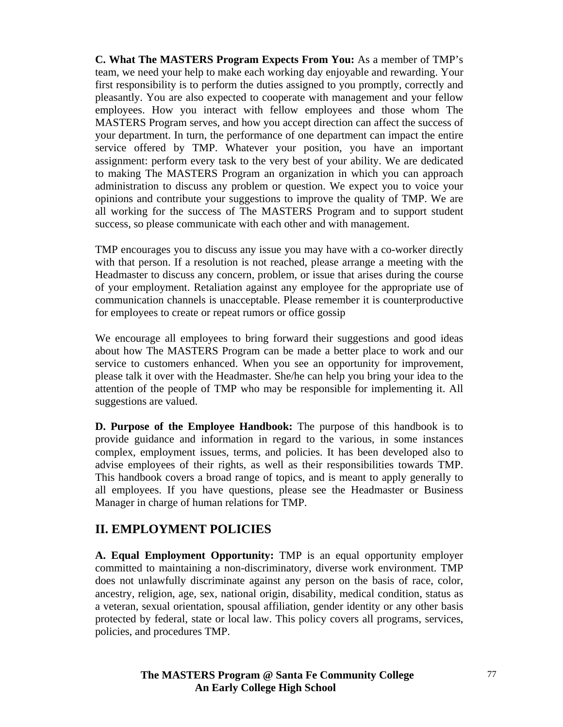**C. What The MASTERS Program Expects From You:** As a member of TMP's team, we need your help to make each working day enjoyable and rewarding. Your first responsibility is to perform the duties assigned to you promptly, correctly and pleasantly. You are also expected to cooperate with management and your fellow employees. How you interact with fellow employees and those whom The MASTERS Program serves, and how you accept direction can affect the success of your department. In turn, the performance of one department can impact the entire service offered by TMP. Whatever your position, you have an important assignment: perform every task to the very best of your ability. We are dedicated to making The MASTERS Program an organization in which you can approach administration to discuss any problem or question. We expect you to voice your opinions and contribute your suggestions to improve the quality of TMP. We are all working for the success of The MASTERS Program and to support student success, so please communicate with each other and with management.

TMP encourages you to discuss any issue you may have with a co-worker directly with that person. If a resolution is not reached, please arrange a meeting with the Headmaster to discuss any concern, problem, or issue that arises during the course of your employment. Retaliation against any employee for the appropriate use of communication channels is unacceptable. Please remember it is counterproductive for employees to create or repeat rumors or office gossip

We encourage all employees to bring forward their suggestions and good ideas about how The MASTERS Program can be made a better place to work and our service to customers enhanced. When you see an opportunity for improvement, please talk it over with the Headmaster. She/he can help you bring your idea to the attention of the people of TMP who may be responsible for implementing it. All suggestions are valued.

**D. Purpose of the Employee Handbook:** The purpose of this handbook is to provide guidance and information in regard to the various, in some instances complex, employment issues, terms, and policies. It has been developed also to advise employees of their rights, as well as their responsibilities towards TMP. This handbook covers a broad range of topics, and is meant to apply generally to all employees. If you have questions, please see the Headmaster or Business Manager in charge of human relations for TMP.

## **II. EMPLOYMENT POLICIES**

**A. Equal Employment Opportunity:** TMP is an equal opportunity employer committed to maintaining a non-discriminatory, diverse work environment. TMP does not unlawfully discriminate against any person on the basis of race, color, ancestry, religion, age, sex, national origin, disability, medical condition, status as a veteran, sexual orientation, spousal affiliation, gender identity or any other basis protected by federal, state or local law. This policy covers all programs, services, policies, and procedures TMP.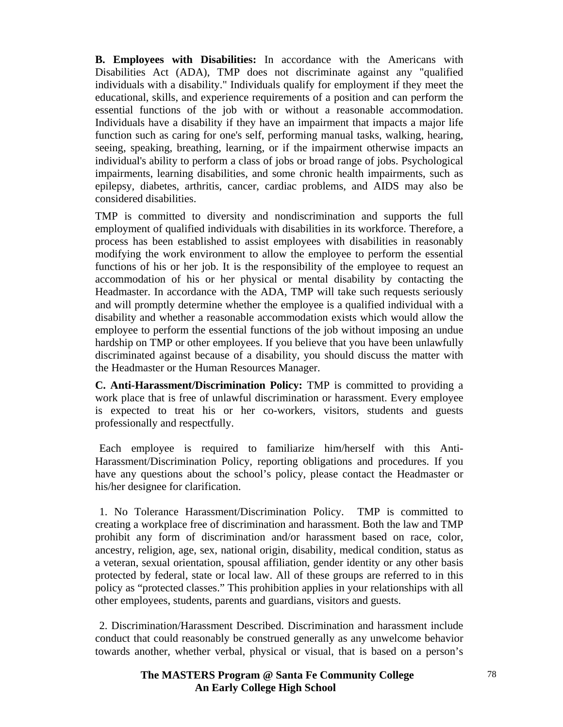**B. Employees with Disabilities:** In accordance with the Americans with Disabilities Act (ADA), TMP does not discriminate against any "qualified individuals with a disability." Individuals qualify for employment if they meet the educational, skills, and experience requirements of a position and can perform the essential functions of the job with or without a reasonable accommodation. Individuals have a disability if they have an impairment that impacts a major life function such as caring for one's self, performing manual tasks, walking, hearing, seeing, speaking, breathing, learning, or if the impairment otherwise impacts an individual's ability to perform a class of jobs or broad range of jobs. Psychological impairments, learning disabilities, and some chronic health impairments, such as epilepsy, diabetes, arthritis, cancer, cardiac problems, and AIDS may also be considered disabilities.

TMP is committed to diversity and nondiscrimination and supports the full employment of qualified individuals with disabilities in its workforce. Therefore, a process has been established to assist employees with disabilities in reasonably modifying the work environment to allow the employee to perform the essential functions of his or her job. It is the responsibility of the employee to request an accommodation of his or her physical or mental disability by contacting the Headmaster. In accordance with the ADA, TMP will take such requests seriously and will promptly determine whether the employee is a qualified individual with a disability and whether a reasonable accommodation exists which would allow the employee to perform the essential functions of the job without imposing an undue hardship on TMP or other employees. If you believe that you have been unlawfully discriminated against because of a disability, you should discuss the matter with the Headmaster or the Human Resources Manager.

**C. Anti-Harassment/Discrimination Policy:** TMP is committed to providing a work place that is free of unlawful discrimination or harassment. Every employee is expected to treat his or her co-workers, visitors, students and guests professionally and respectfully.

 Each employee is required to familiarize him/herself with this Anti-Harassment/Discrimination Policy, reporting obligations and procedures. If you have any questions about the school's policy, please contact the Headmaster or his/her designee for clarification.

 1. No Tolerance Harassment/Discrimination Policy. TMP is committed to creating a workplace free of discrimination and harassment. Both the law and TMP prohibit any form of discrimination and/or harassment based on race, color, ancestry, religion, age, sex, national origin, disability, medical condition, status as a veteran, sexual orientation, spousal affiliation, gender identity or any other basis protected by federal, state or local law. All of these groups are referred to in this policy as "protected classes." This prohibition applies in your relationships with all other employees, students, parents and guardians, visitors and guests.

 2. Discrimination/Harassment Described. Discrimination and harassment include conduct that could reasonably be construed generally as any unwelcome behavior towards another, whether verbal, physical or visual, that is based on a person's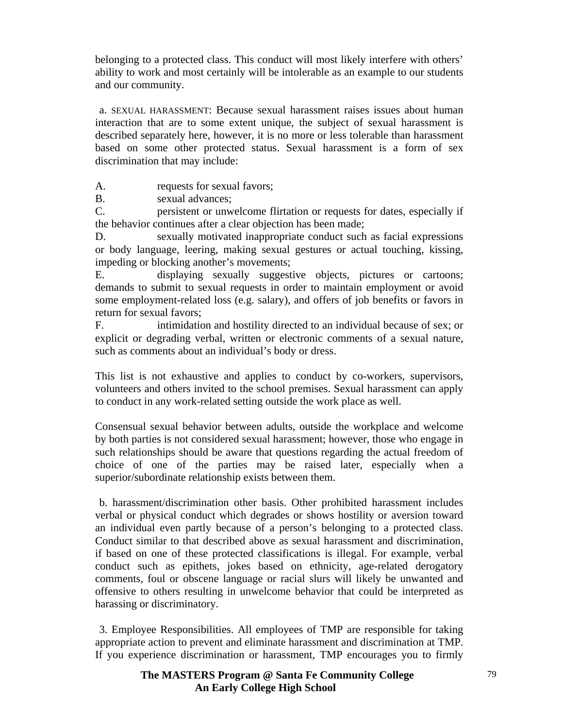belonging to a protected class. This conduct will most likely interfere with others' ability to work and most certainly will be intolerable as an example to our students and our community.

 a. SEXUAL HARASSMENT: Because sexual harassment raises issues about human interaction that are to some extent unique, the subject of sexual harassment is described separately here, however, it is no more or less tolerable than harassment based on some other protected status. Sexual harassment is a form of sex discrimination that may include:

A. requests for sexual favors;

B. sexual advances;

C. persistent or unwelcome flirtation or requests for dates, especially if the behavior continues after a clear objection has been made;

D. sexually motivated inappropriate conduct such as facial expressions or body language, leering, making sexual gestures or actual touching, kissing, impeding or blocking another's movements;

E. displaying sexually suggestive objects, pictures or cartoons; demands to submit to sexual requests in order to maintain employment or avoid some employment-related loss (e.g. salary), and offers of job benefits or favors in return for sexual favors;

F. intimidation and hostility directed to an individual because of sex; or explicit or degrading verbal, written or electronic comments of a sexual nature, such as comments about an individual's body or dress.

This list is not exhaustive and applies to conduct by co-workers, supervisors, volunteers and others invited to the school premises. Sexual harassment can apply to conduct in any work-related setting outside the work place as well.

Consensual sexual behavior between adults, outside the workplace and welcome by both parties is not considered sexual harassment; however, those who engage in such relationships should be aware that questions regarding the actual freedom of choice of one of the parties may be raised later, especially when a superior/subordinate relationship exists between them.

 b. harassment/discrimination other basis. Other prohibited harassment includes verbal or physical conduct which degrades or shows hostility or aversion toward an individual even partly because of a person's belonging to a protected class. Conduct similar to that described above as sexual harassment and discrimination, if based on one of these protected classifications is illegal. For example, verbal conduct such as epithets, jokes based on ethnicity, age-related derogatory comments, foul or obscene language or racial slurs will likely be unwanted and offensive to others resulting in unwelcome behavior that could be interpreted as harassing or discriminatory.

 3. Employee Responsibilities. All employees of TMP are responsible for taking appropriate action to prevent and eliminate harassment and discrimination at TMP. If you experience discrimination or harassment, TMP encourages you to firmly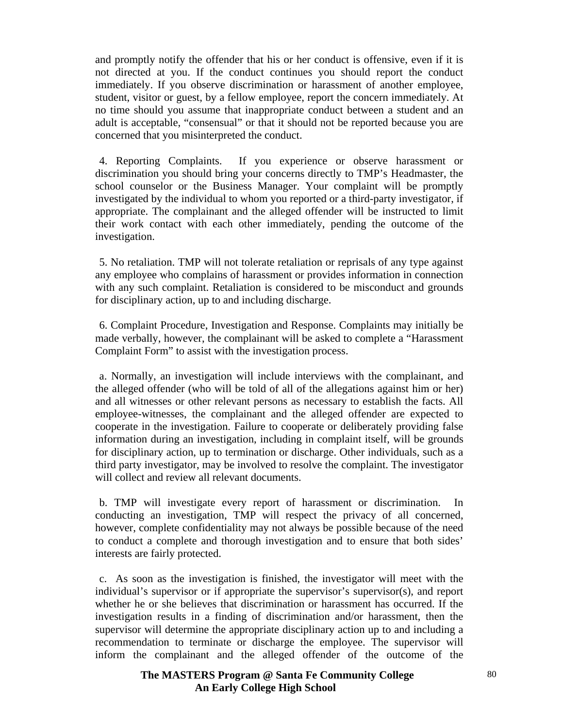and promptly notify the offender that his or her conduct is offensive, even if it is not directed at you. If the conduct continues you should report the conduct immediately. If you observe discrimination or harassment of another employee, student, visitor or guest, by a fellow employee, report the concern immediately. At no time should you assume that inappropriate conduct between a student and an adult is acceptable, "consensual" or that it should not be reported because you are concerned that you misinterpreted the conduct.

 4. Reporting Complaints. If you experience or observe harassment or discrimination you should bring your concerns directly to TMP's Headmaster, the school counselor or the Business Manager. Your complaint will be promptly investigated by the individual to whom you reported or a third-party investigator, if appropriate. The complainant and the alleged offender will be instructed to limit their work contact with each other immediately, pending the outcome of the investigation.

 5. No retaliation. TMP will not tolerate retaliation or reprisals of any type against any employee who complains of harassment or provides information in connection with any such complaint. Retaliation is considered to be misconduct and grounds for disciplinary action, up to and including discharge.

 6. Complaint Procedure, Investigation and Response. Complaints may initially be made verbally, however, the complainant will be asked to complete a "Harassment Complaint Form" to assist with the investigation process.

 a. Normally, an investigation will include interviews with the complainant, and the alleged offender (who will be told of all of the allegations against him or her) and all witnesses or other relevant persons as necessary to establish the facts. All employee-witnesses, the complainant and the alleged offender are expected to cooperate in the investigation. Failure to cooperate or deliberately providing false information during an investigation, including in complaint itself, will be grounds for disciplinary action, up to termination or discharge. Other individuals, such as a third party investigator, may be involved to resolve the complaint. The investigator will collect and review all relevant documents.

 b. TMP will investigate every report of harassment or discrimination. In conducting an investigation, TMP will respect the privacy of all concerned, however, complete confidentiality may not always be possible because of the need to conduct a complete and thorough investigation and to ensure that both sides' interests are fairly protected.

 c. As soon as the investigation is finished, the investigator will meet with the individual's supervisor or if appropriate the supervisor's supervisor(s), and report whether he or she believes that discrimination or harassment has occurred. If the investigation results in a finding of discrimination and/or harassment, then the supervisor will determine the appropriate disciplinary action up to and including a recommendation to terminate or discharge the employee. The supervisor will inform the complainant and the alleged offender of the outcome of the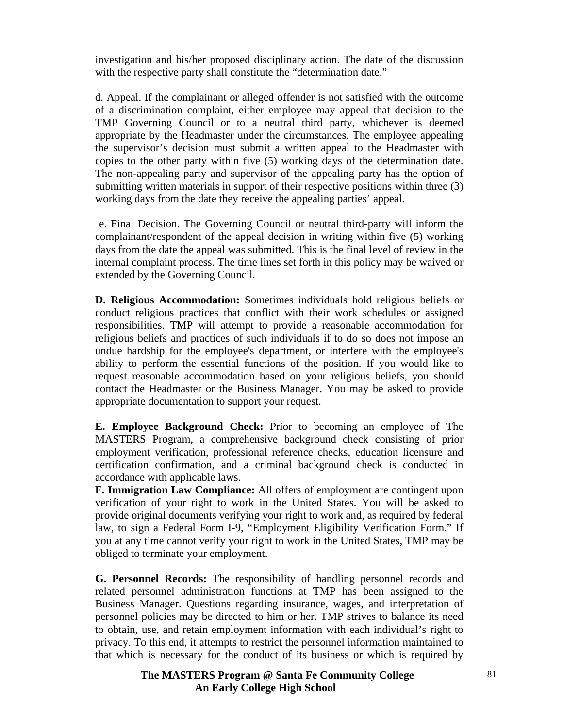investigation and his/her proposed disciplinary action. The date of the discussion with the respective party shall constitute the "determination date."

d. Appeal. If the complainant or alleged offender is not satisfied with the outcome of a discrimination complaint, either employee may appeal that decision to the TMP Governing Council or to a neutral third party, whichever is deemed appropriate by the Headmaster under the circumstances. The employee appealing the supervisor's decision must submit a written appeal to the Headmaster with copies to the other party within five (5) working days of the determination date. The non-appealing party and supervisor of the appealing party has the option of submitting written materials in support of their respective positions within three (3) working days from the date they receive the appealing parties' appeal.

 e. Final Decision. The Governing Council or neutral third-party will inform the complainant/respondent of the appeal decision in writing within five (5) working days from the date the appeal was submitted. This is the final level of review in the internal complaint process. The time lines set forth in this policy may be waived or extended by the Governing Council.

**D. Religious Accommodation:** Sometimes individuals hold religious beliefs or conduct religious practices that conflict with their work schedules or assigned responsibilities. TMP will attempt to provide a reasonable accommodation for religious beliefs and practices of such individuals if to do so does not impose an undue hardship for the employee's department, or interfere with the employee's ability to perform the essential functions of the position. If you would like to request reasonable accommodation based on your religious beliefs, you should contact the Headmaster or the Business Manager. You may be asked to provide appropriate documentation to support your request.

**E. Employee Background Check:** Prior to becoming an employee of The MASTERS Program, a comprehensive background check consisting of prior employment verification, professional reference checks, education licensure and certification confirmation, and a criminal background check is conducted in accordance with applicable laws.

**F. Immigration Law Compliance:** All offers of employment are contingent upon verification of your right to work in the United States. You will be asked to provide original documents verifying your right to work and, as required by federal law, to sign a Federal Form I-9, "Employment Eligibility Verification Form." If you at any time cannot verify your right to work in the United States, TMP may be obliged to terminate your employment.

**G. Personnel Records:** The responsibility of handling personnel records and related personnel administration functions at TMP has been assigned to the Business Manager. Questions regarding insurance, wages, and interpretation of personnel policies may be directed to him or her. TMP strives to balance its need to obtain, use, and retain employment information with each individual's right to privacy. To this end, it attempts to restrict the personnel information maintained to that which is necessary for the conduct of its business or which is required by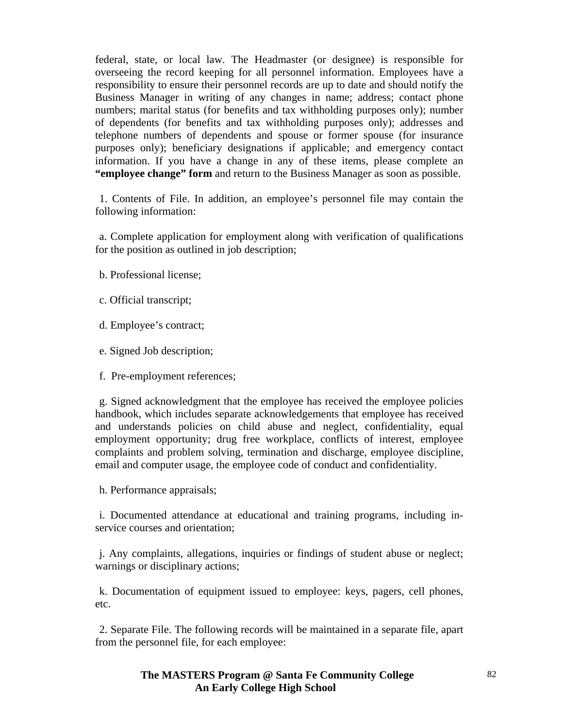federal, state, or local law. The Headmaster (or designee) is responsible for overseeing the record keeping for all personnel information. Employees have a responsibility to ensure their personnel records are up to date and should notify the Business Manager in writing of any changes in name; address; contact phone numbers; marital status (for benefits and tax withholding purposes only); number of dependents (for benefits and tax withholding purposes only); addresses and telephone numbers of dependents and spouse or former spouse (for insurance purposes only); beneficiary designations if applicable; and emergency contact information. If you have a change in any of these items, please complete an **"employee change" form** and return to the Business Manager as soon as possible.

 1. Contents of File. In addition, an employee's personnel file may contain the following information:

 a. Complete application for employment along with verification of qualifications for the position as outlined in job description;

b. Professional license;

- c. Official transcript;
- d. Employee's contract;
- e. Signed Job description;
- f. Pre-employment references;

 g. Signed acknowledgment that the employee has received the employee policies handbook, which includes separate acknowledgements that employee has received and understands policies on child abuse and neglect, confidentiality, equal employment opportunity; drug free workplace, conflicts of interest, employee complaints and problem solving, termination and discharge, employee discipline, email and computer usage, the employee code of conduct and confidentiality.

h. Performance appraisals;

 i. Documented attendance at educational and training programs, including inservice courses and orientation;

 j. Any complaints, allegations, inquiries or findings of student abuse or neglect; warnings or disciplinary actions;

 k. Documentation of equipment issued to employee: keys, pagers, cell phones, etc.

 2. Separate File. The following records will be maintained in a separate file, apart from the personnel file, for each employee: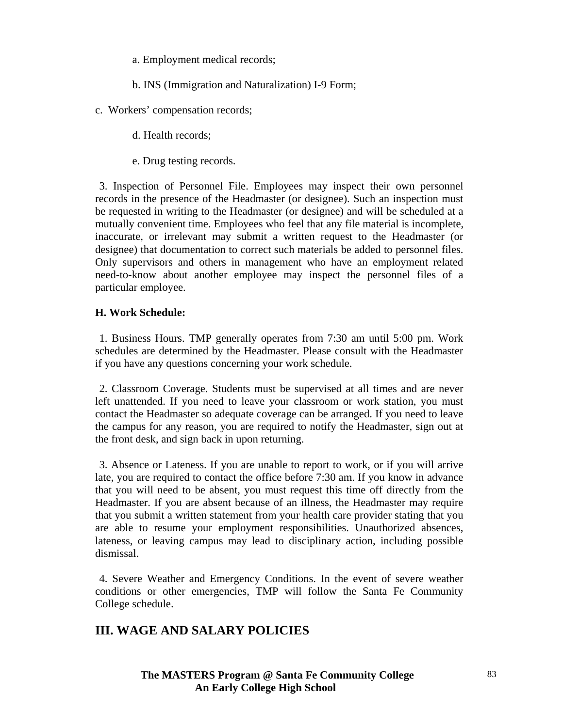a. Employment medical records;

b. INS (Immigration and Naturalization) I-9 Form;

c. Workers' compensation records;

d. Health records;

e. Drug testing records.

3. Inspection of Personnel File. Employees may inspect their own personnel records in the presence of the Headmaster (or designee). Such an inspection must be requested in writing to the Headmaster (or designee) and will be scheduled at a mutually convenient time. Employees who feel that any file material is incomplete, inaccurate, or irrelevant may submit a written request to the Headmaster (or designee) that documentation to correct such materials be added to personnel files. Only supervisors and others in management who have an employment related need-to-know about another employee may inspect the personnel files of a particular employee.

## **H. Work Schedule:**

1. Business Hours. TMP generally operates from 7:30 am until 5:00 pm. Work schedules are determined by the Headmaster. Please consult with the Headmaster if you have any questions concerning your work schedule.

 2. Classroom Coverage. Students must be supervised at all times and are never left unattended. If you need to leave your classroom or work station, you must contact the Headmaster so adequate coverage can be arranged. If you need to leave the campus for any reason, you are required to notify the Headmaster, sign out at the front desk, and sign back in upon returning.

 3. Absence or Lateness. If you are unable to report to work, or if you will arrive late, you are required to contact the office before 7:30 am. If you know in advance that you will need to be absent, you must request this time off directly from the Headmaster. If you are absent because of an illness, the Headmaster may require that you submit a written statement from your health care provider stating that you are able to resume your employment responsibilities. Unauthorized absences, lateness, or leaving campus may lead to disciplinary action, including possible dismissal.

 4. Severe Weather and Emergency Conditions. In the event of severe weather conditions or other emergencies, TMP will follow the Santa Fe Community College schedule.

# **III. WAGE AND SALARY POLICIES**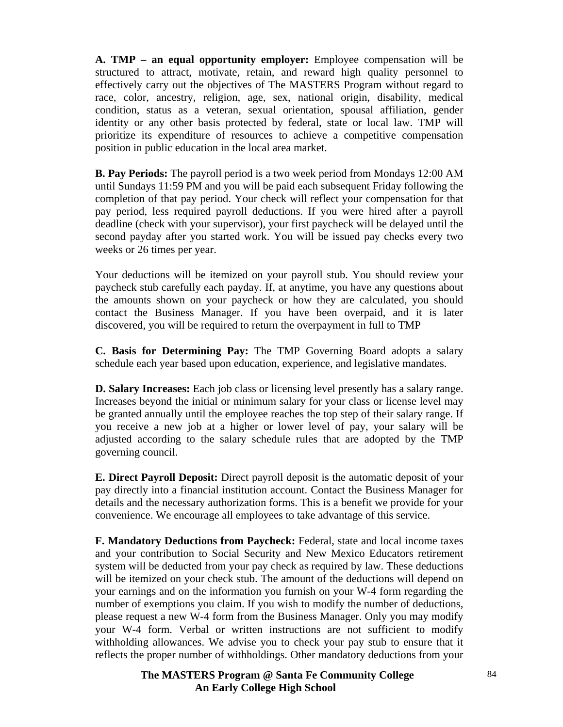**A. TMP – an equal opportunity employer:** Employee compensation will be structured to attract, motivate, retain, and reward high quality personnel to effectively carry out the objectives of The MASTERS Program without regard to race, color, ancestry, religion, age, sex, national origin, disability, medical condition, status as a veteran, sexual orientation, spousal affiliation, gender identity or any other basis protected by federal, state or local law. TMP will prioritize its expenditure of resources to achieve a competitive compensation position in public education in the local area market.

**B. Pay Periods:** The payroll period is a two week period from Mondays 12:00 AM until Sundays 11:59 PM and you will be paid each subsequent Friday following the completion of that pay period. Your check will reflect your compensation for that pay period, less required payroll deductions. If you were hired after a payroll deadline (check with your supervisor), your first paycheck will be delayed until the second payday after you started work. You will be issued pay checks every two weeks or 26 times per year.

Your deductions will be itemized on your payroll stub. You should review your paycheck stub carefully each payday. If, at anytime, you have any questions about the amounts shown on your paycheck or how they are calculated, you should contact the Business Manager. If you have been overpaid, and it is later discovered, you will be required to return the overpayment in full to TMP

**C. Basis for Determining Pay:** The TMP Governing Board adopts a salary schedule each year based upon education, experience, and legislative mandates.

**D. Salary Increases:** Each job class or licensing level presently has a salary range. Increases beyond the initial or minimum salary for your class or license level may be granted annually until the employee reaches the top step of their salary range. If you receive a new job at a higher or lower level of pay, your salary will be adjusted according to the salary schedule rules that are adopted by the TMP governing council.

**E. Direct Payroll Deposit:** Direct payroll deposit is the automatic deposit of your pay directly into a financial institution account. Contact the Business Manager for details and the necessary authorization forms. This is a benefit we provide for your convenience. We encourage all employees to take advantage of this service.

**F. Mandatory Deductions from Paycheck:** Federal, state and local income taxes and your contribution to Social Security and New Mexico Educators retirement system will be deducted from your pay check as required by law. These deductions will be itemized on your check stub. The amount of the deductions will depend on your earnings and on the information you furnish on your W-4 form regarding the number of exemptions you claim. If you wish to modify the number of deductions, please request a new W-4 form from the Business Manager. Only you may modify your W-4 form. Verbal or written instructions are not sufficient to modify withholding allowances. We advise you to check your pay stub to ensure that it reflects the proper number of withholdings. Other mandatory deductions from your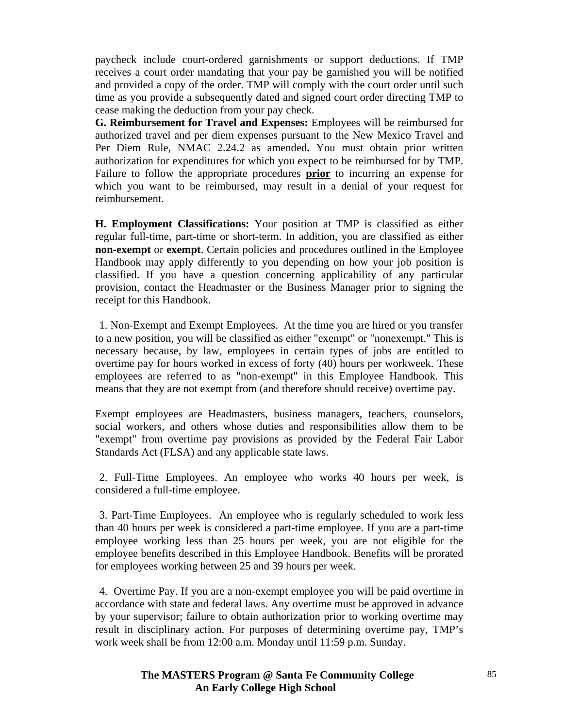paycheck include court-ordered garnishments or support deductions. If TMP receives a court order mandating that your pay be garnished you will be notified and provided a copy of the order. TMP will comply with the court order until such time as you provide a subsequently dated and signed court order directing TMP to cease making the deduction from your pay check.

**G. Reimbursement for Travel and Expenses:** Employees will be reimbursed for authorized travel and per diem expenses pursuant to the New Mexico Travel and Per Diem Rule, NMAC 2.24.2 as amended**.** You must obtain prior written authorization for expenditures for which you expect to be reimbursed for by TMP. Failure to follow the appropriate procedures **prior** to incurring an expense for which you want to be reimbursed, may result in a denial of your request for reimbursement.

**H. Employment Classifications:** Your position at TMP is classified as either regular full-time, part-time or short-term. In addition, you are classified as either **non-exempt** or **exempt**. Certain policies and procedures outlined in the Employee Handbook may apply differently to you depending on how your job position is classified. If you have a question concerning applicability of any particular provision, contact the Headmaster or the Business Manager prior to signing the receipt for this Handbook.

 1. Non-Exempt and Exempt Employees. At the time you are hired or you transfer to a new position, you will be classified as either "exempt" or "nonexempt." This is necessary because, by law, employees in certain types of jobs are entitled to overtime pay for hours worked in excess of forty (40) hours per workweek. These employees are referred to as "non-exempt" in this Employee Handbook. This means that they are not exempt from (and therefore should receive) overtime pay.

Exempt employees are Headmasters, business managers, teachers, counselors, social workers, and others whose duties and responsibilities allow them to be "exempt" from overtime pay provisions as provided by the Federal Fair Labor Standards Act (FLSA) and any applicable state laws.

 2. Full-Time Employees. An employee who works 40 hours per week, is considered a full-time employee.

 3. Part-Time Employees. An employee who is regularly scheduled to work less than 40 hours per week is considered a part-time employee. If you are a part-time employee working less than 25 hours per week, you are not eligible for the employee benefits described in this Employee Handbook. Benefits will be prorated for employees working between 25 and 39 hours per week.

 4. Overtime Pay. If you are a non-exempt employee you will be paid overtime in accordance with state and federal laws. Any overtime must be approved in advance by your supervisor; failure to obtain authorization prior to working overtime may result in disciplinary action. For purposes of determining overtime pay, TMP's work week shall be from 12:00 a.m. Monday until 11:59 p.m. Sunday.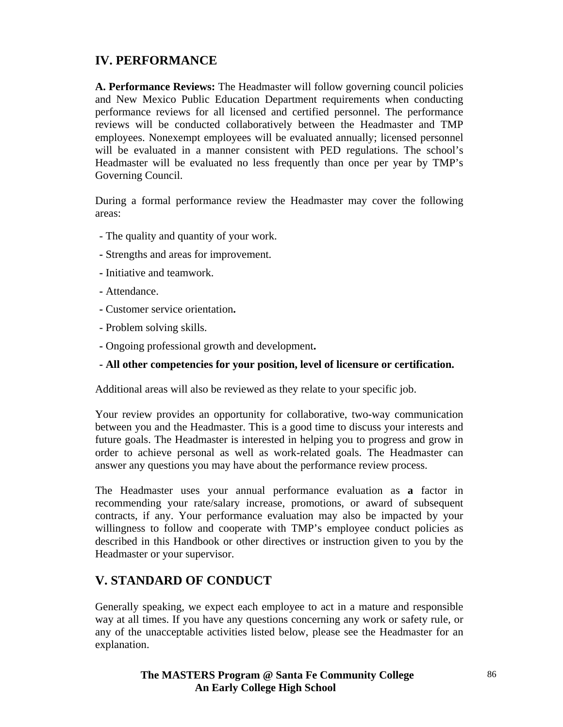# **IV. PERFORMANCE**

**A. Performance Reviews:** The Headmaster will follow governing council policies and New Mexico Public Education Department requirements when conducting performance reviews for all licensed and certified personnel. The performance reviews will be conducted collaboratively between the Headmaster and TMP employees. Nonexempt employees will be evaluated annually; licensed personnel will be evaluated in a manner consistent with PED regulations. The school's Headmaster will be evaluated no less frequently than once per year by TMP's Governing Council.

During a formal performance review the Headmaster may cover the following areas:

- The quality and quantity of your work.
- Strengths and areas for improvement.
- Initiative and teamwork.
- Attendance.
- Customer service orientation**.**
- Problem solving skills.
- Ongoing professional growth and development**.**
- **All other competencies for your position, level of licensure or certification.**

Additional areas will also be reviewed as they relate to your specific job.

Your review provides an opportunity for collaborative, two-way communication between you and the Headmaster. This is a good time to discuss your interests and future goals. The Headmaster is interested in helping you to progress and grow in order to achieve personal as well as work-related goals. The Headmaster can answer any questions you may have about the performance review process.

The Headmaster uses your annual performance evaluation as **a** factor in recommending your rate/salary increase, promotions, or award of subsequent contracts, if any. Your performance evaluation may also be impacted by your willingness to follow and cooperate with TMP's employee conduct policies as described in this Handbook or other directives or instruction given to you by the Headmaster or your supervisor.

## **V. STANDARD OF CONDUCT**

Generally speaking, we expect each employee to act in a mature and responsible way at all times. If you have any questions concerning any work or safety rule, or any of the unacceptable activities listed below, please see the Headmaster for an explanation.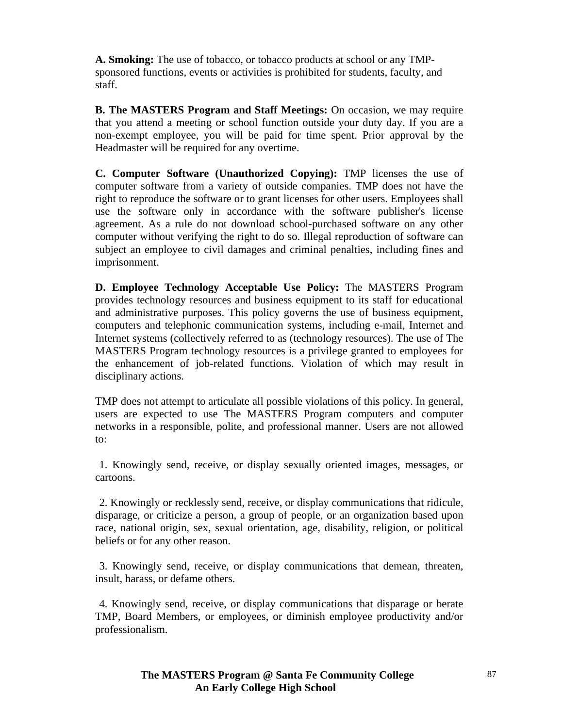**A. Smoking:** The use of tobacco, or tobacco products at school or any TMPsponsored functions, events or activities is prohibited for students, faculty, and staff.

**B. The MASTERS Program and Staff Meetings:** On occasion, we may require that you attend a meeting or school function outside your duty day. If you are a non-exempt employee, you will be paid for time spent. Prior approval by the Headmaster will be required for any overtime.

**C. Computer Software (Unauthorized Copying):** TMP licenses the use of computer software from a variety of outside companies. TMP does not have the right to reproduce the software or to grant licenses for other users. Employees shall use the software only in accordance with the software publisher's license agreement. As a rule do not download school-purchased software on any other computer without verifying the right to do so. Illegal reproduction of software can subject an employee to civil damages and criminal penalties, including fines and imprisonment.

**D. Employee Technology Acceptable Use Policy:** The MASTERS Program provides technology resources and business equipment to its staff for educational and administrative purposes. This policy governs the use of business equipment, computers and telephonic communication systems, including e-mail, Internet and Internet systems (collectively referred to as (technology resources). The use of The MASTERS Program technology resources is a privilege granted to employees for the enhancement of job-related functions. Violation of which may result in disciplinary actions.

TMP does not attempt to articulate all possible violations of this policy. In general, users are expected to use The MASTERS Program computers and computer networks in a responsible, polite, and professional manner. Users are not allowed to:

 1. Knowingly send, receive, or display sexually oriented images, messages, or cartoons.

 2. Knowingly or recklessly send, receive, or display communications that ridicule, disparage, or criticize a person, a group of people, or an organization based upon race, national origin, sex, sexual orientation, age, disability, religion, or political beliefs or for any other reason.

 3. Knowingly send, receive, or display communications that demean, threaten, insult, harass, or defame others.

 4. Knowingly send, receive, or display communications that disparage or berate TMP, Board Members, or employees, or diminish employee productivity and/or professionalism.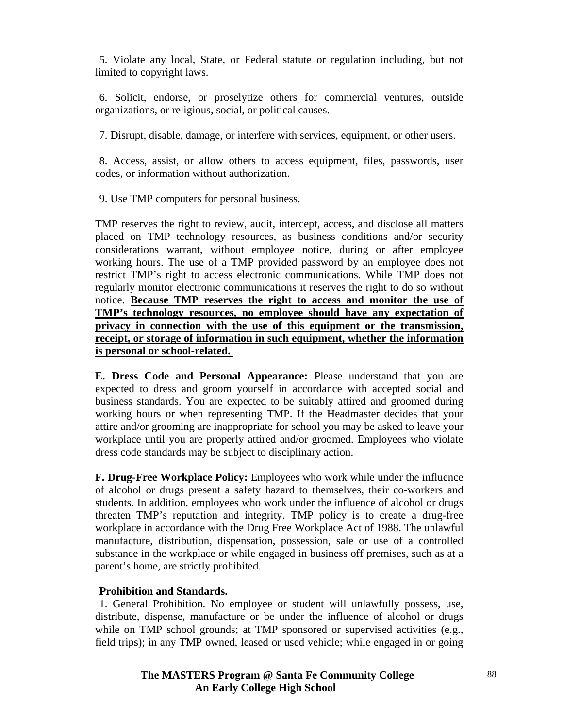5. Violate any local, State, or Federal statute or regulation including, but not limited to copyright laws.

 6. Solicit, endorse, or proselytize others for commercial ventures, outside organizations, or religious, social, or political causes.

7. Disrupt, disable, damage, or interfere with services, equipment, or other users.

 8. Access, assist, or allow others to access equipment, files, passwords, user codes, or information without authorization.

9. Use TMP computers for personal business.

TMP reserves the right to review, audit, intercept, access, and disclose all matters placed on TMP technology resources, as business conditions and/or security considerations warrant, without employee notice, during or after employee working hours. The use of a TMP provided password by an employee does not restrict TMP's right to access electronic communications. While TMP does not regularly monitor electronic communications it reserves the right to do so without notice. **Because TMP reserves the right to access and monitor the use of TMP's technology resources, no employee should have any expectation of privacy in connection with the use of this equipment or the transmission, receipt, or storage of information in such equipment, whether the information is personal or school-related.** 

**E. Dress Code and Personal Appearance:** Please understand that you are expected to dress and groom yourself in accordance with accepted social and business standards. You are expected to be suitably attired and groomed during working hours or when representing TMP. If the Headmaster decides that your attire and/or grooming are inappropriate for school you may be asked to leave your workplace until you are properly attired and/or groomed. Employees who violate dress code standards may be subject to disciplinary action.

**F. Drug-Free Workplace Policy:** Employees who work while under the influence of alcohol or drugs present a safety hazard to themselves, their co-workers and students. In addition, employees who work under the influence of alcohol or drugs threaten TMP's reputation and integrity. TMP policy is to create a drug-free workplace in accordance with the Drug Free Workplace Act of 1988. The unlawful manufacture, distribution, dispensation, possession, sale or use of a controlled substance in the workplace or while engaged in business off premises, such as at a parent's home, are strictly prohibited.

#### **Prohibition and Standards.**

1. General Prohibition. No employee or student will unlawfully possess, use, distribute, dispense, manufacture or be under the influence of alcohol or drugs while on TMP school grounds; at TMP sponsored or supervised activities (e.g., field trips); in any TMP owned, leased or used vehicle; while engaged in or going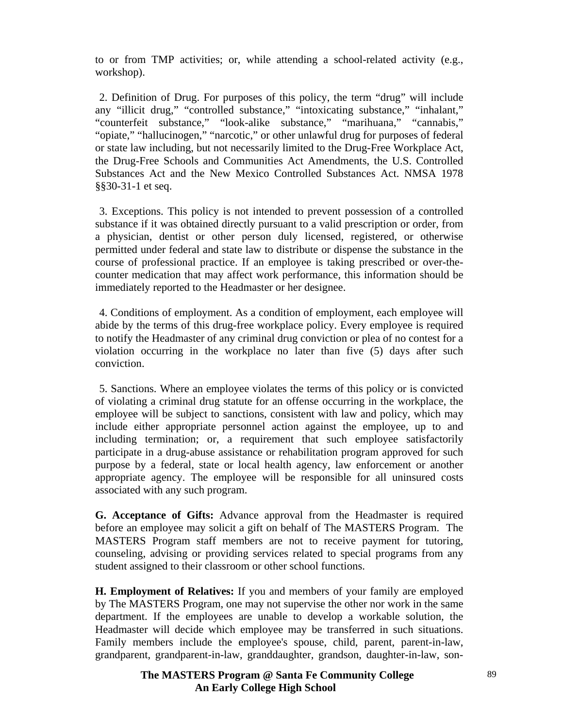to or from TMP activities; or, while attending a school-related activity (e.g., workshop).

 2. Definition of Drug. For purposes of this policy, the term "drug" will include any "illicit drug," "controlled substance," "intoxicating substance," "inhalant," "counterfeit substance," "look-alike substance," "marihuana," "cannabis," "opiate," "hallucinogen," "narcotic," or other unlawful drug for purposes of federal or state law including, but not necessarily limited to the Drug-Free Workplace Act, the Drug-Free Schools and Communities Act Amendments, the U.S. Controlled Substances Act and the New Mexico Controlled Substances Act. NMSA 1978 §§30-31-1 et seq.

 3. Exceptions. This policy is not intended to prevent possession of a controlled substance if it was obtained directly pursuant to a valid prescription or order, from a physician, dentist or other person duly licensed, registered, or otherwise permitted under federal and state law to distribute or dispense the substance in the course of professional practice. If an employee is taking prescribed or over-thecounter medication that may affect work performance, this information should be immediately reported to the Headmaster or her designee.

 4. Conditions of employment. As a condition of employment, each employee will abide by the terms of this drug-free workplace policy. Every employee is required to notify the Headmaster of any criminal drug conviction or plea of no contest for a violation occurring in the workplace no later than five (5) days after such conviction.

 5. Sanctions. Where an employee violates the terms of this policy or is convicted of violating a criminal drug statute for an offense occurring in the workplace, the employee will be subject to sanctions, consistent with law and policy, which may include either appropriate personnel action against the employee, up to and including termination; or, a requirement that such employee satisfactorily participate in a drug-abuse assistance or rehabilitation program approved for such purpose by a federal, state or local health agency, law enforcement or another appropriate agency. The employee will be responsible for all uninsured costs associated with any such program.

**G. Acceptance of Gifts:** Advance approval from the Headmaster is required before an employee may solicit a gift on behalf of The MASTERS Program. The MASTERS Program staff members are not to receive payment for tutoring, counseling, advising or providing services related to special programs from any student assigned to their classroom or other school functions.

**H. Employment of Relatives:** If you and members of your family are employed by The MASTERS Program, one may not supervise the other nor work in the same department. If the employees are unable to develop a workable solution, the Headmaster will decide which employee may be transferred in such situations. Family members include the employee's spouse, child, parent, parent-in-law, grandparent, grandparent-in-law, granddaughter, grandson, daughter-in-law, son-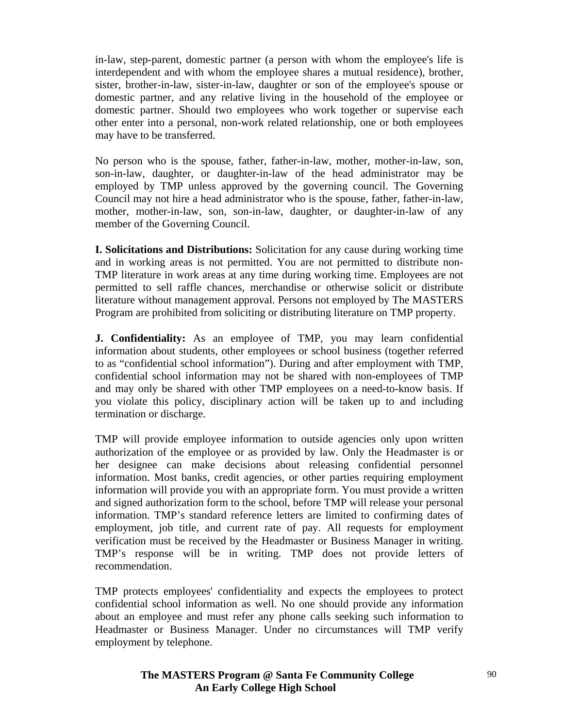in-law, step-parent, domestic partner (a person with whom the employee's life is interdependent and with whom the employee shares a mutual residence), brother, sister, brother-in-law, sister-in-law, daughter or son of the employee's spouse or domestic partner, and any relative living in the household of the employee or domestic partner. Should two employees who work together or supervise each other enter into a personal, non-work related relationship, one or both employees may have to be transferred.

No person who is the spouse, father, father-in-law, mother, mother-in-law, son, son-in-law, daughter, or daughter-in-law of the head administrator may be employed by TMP unless approved by the governing council. The Governing Council may not hire a head administrator who is the spouse, father, father-in-law, mother, mother-in-law, son, son-in-law, daughter, or daughter-in-law of any member of the Governing Council.

**I. Solicitations and Distributions:** Solicitation for any cause during working time and in working areas is not permitted. You are not permitted to distribute non-TMP literature in work areas at any time during working time. Employees are not permitted to sell raffle chances, merchandise or otherwise solicit or distribute literature without management approval. Persons not employed by The MASTERS Program are prohibited from soliciting or distributing literature on TMP property.

**J. Confidentiality:** As an employee of TMP, you may learn confidential information about students, other employees or school business (together referred to as "confidential school information"). During and after employment with TMP, confidential school information may not be shared with non-employees of TMP and may only be shared with other TMP employees on a need-to-know basis. If you violate this policy, disciplinary action will be taken up to and including termination or discharge.

TMP will provide employee information to outside agencies only upon written authorization of the employee or as provided by law. Only the Headmaster is or her designee can make decisions about releasing confidential personnel information. Most banks, credit agencies, or other parties requiring employment information will provide you with an appropriate form. You must provide a written and signed authorization form to the school, before TMP will release your personal information. TMP's standard reference letters are limited to confirming dates of employment, job title, and current rate of pay. All requests for employment verification must be received by the Headmaster or Business Manager in writing. TMP's response will be in writing. TMP does not provide letters of recommendation.

TMP protects employees' confidentiality and expects the employees to protect confidential school information as well. No one should provide any information about an employee and must refer any phone calls seeking such information to Headmaster or Business Manager. Under no circumstances will TMP verify employment by telephone.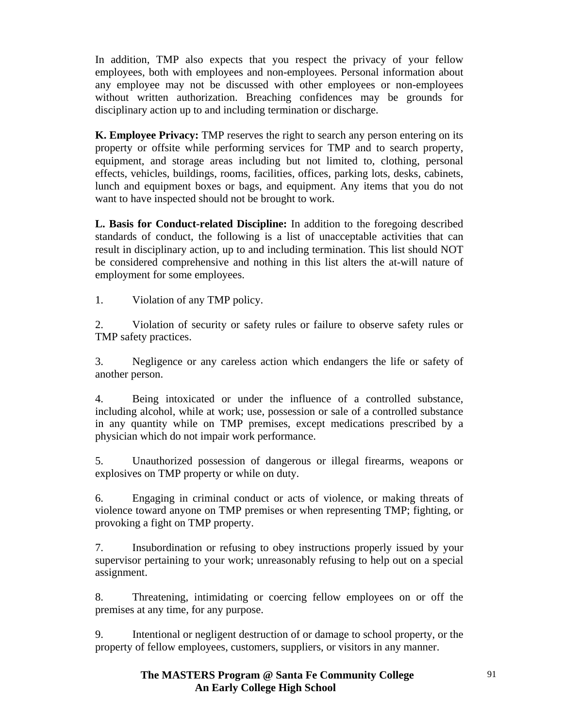In addition, TMP also expects that you respect the privacy of your fellow employees, both with employees and non-employees. Personal information about any employee may not be discussed with other employees or non-employees without written authorization. Breaching confidences may be grounds for disciplinary action up to and including termination or discharge.

**K. Employee Privacy:** TMP reserves the right to search any person entering on its property or offsite while performing services for TMP and to search property, equipment, and storage areas including but not limited to, clothing, personal effects, vehicles, buildings, rooms, facilities, offices, parking lots, desks, cabinets, lunch and equipment boxes or bags, and equipment. Any items that you do not want to have inspected should not be brought to work.

**L. Basis for Conduct-related Discipline:** In addition to the foregoing described standards of conduct, the following is a list of unacceptable activities that can result in disciplinary action, up to and including termination. This list should NOT be considered comprehensive and nothing in this list alters the at-will nature of employment for some employees.

1. Violation of any TMP policy.

2. Violation of security or safety rules or failure to observe safety rules or TMP safety practices.

3. Negligence or any careless action which endangers the life or safety of another person.

4. Being intoxicated or under the influence of a controlled substance, including alcohol, while at work; use, possession or sale of a controlled substance in any quantity while on TMP premises, except medications prescribed by a physician which do not impair work performance.

5. Unauthorized possession of dangerous or illegal firearms, weapons or explosives on TMP property or while on duty.

6. Engaging in criminal conduct or acts of violence, or making threats of violence toward anyone on TMP premises or when representing TMP; fighting, or provoking a fight on TMP property.

7. Insubordination or refusing to obey instructions properly issued by your supervisor pertaining to your work; unreasonably refusing to help out on a special assignment.

8. Threatening, intimidating or coercing fellow employees on or off the premises at any time, for any purpose.

9. Intentional or negligent destruction of or damage to school property, or the property of fellow employees, customers, suppliers, or visitors in any manner.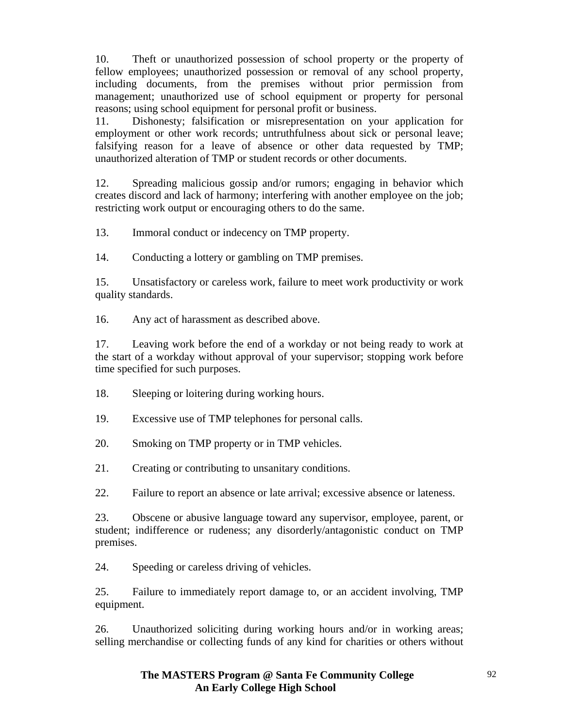10. Theft or unauthorized possession of school property or the property of fellow employees; unauthorized possession or removal of any school property, including documents, from the premises without prior permission from management; unauthorized use of school equipment or property for personal reasons; using school equipment for personal profit or business.

11. Dishonesty; falsification or misrepresentation on your application for employment or other work records; untruthfulness about sick or personal leave; falsifying reason for a leave of absence or other data requested by TMP; unauthorized alteration of TMP or student records or other documents.

12. Spreading malicious gossip and/or rumors; engaging in behavior which creates discord and lack of harmony; interfering with another employee on the job; restricting work output or encouraging others to do the same.

13. Immoral conduct or indecency on TMP property.

14. Conducting a lottery or gambling on TMP premises.

15. Unsatisfactory or careless work, failure to meet work productivity or work quality standards.

16. Any act of harassment as described above.

17. Leaving work before the end of a workday or not being ready to work at the start of a workday without approval of your supervisor; stopping work before time specified for such purposes.

18. Sleeping or loitering during working hours.

19. Excessive use of TMP telephones for personal calls.

20. Smoking on TMP property or in TMP vehicles.

21. Creating or contributing to unsanitary conditions.

22. Failure to report an absence or late arrival; excessive absence or lateness.

23. Obscene or abusive language toward any supervisor, employee, parent, or student; indifference or rudeness; any disorderly/antagonistic conduct on TMP premises.

24. Speeding or careless driving of vehicles.

25. Failure to immediately report damage to, or an accident involving, TMP equipment.

26. Unauthorized soliciting during working hours and/or in working areas; selling merchandise or collecting funds of any kind for charities or others without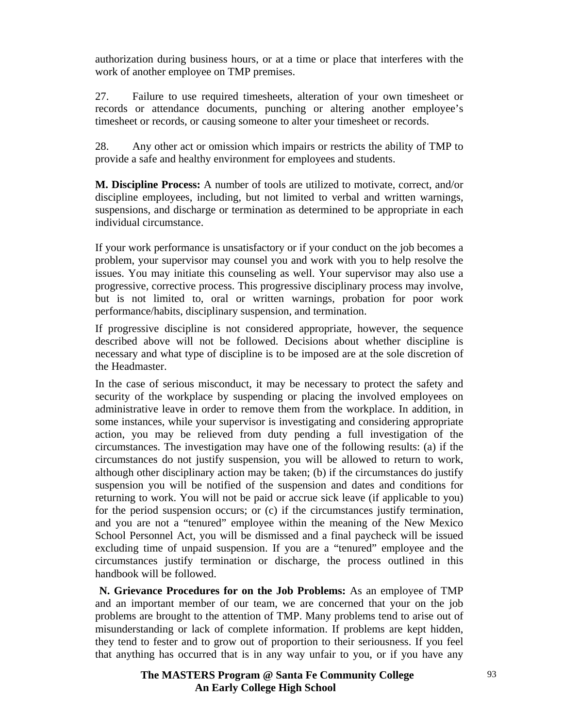authorization during business hours, or at a time or place that interferes with the work of another employee on TMP premises.

27. Failure to use required timesheets, alteration of your own timesheet or records or attendance documents, punching or altering another employee's timesheet or records, or causing someone to alter your timesheet or records.

28. Any other act or omission which impairs or restricts the ability of TMP to provide a safe and healthy environment for employees and students.

**M. Discipline Process:** A number of tools are utilized to motivate, correct, and/or discipline employees, including, but not limited to verbal and written warnings, suspensions, and discharge or termination as determined to be appropriate in each individual circumstance.

If your work performance is unsatisfactory or if your conduct on the job becomes a problem, your supervisor may counsel you and work with you to help resolve the issues. You may initiate this counseling as well. Your supervisor may also use a progressive, corrective process. This progressive disciplinary process may involve, but is not limited to, oral or written warnings, probation for poor work performance/habits, disciplinary suspension, and termination.

If progressive discipline is not considered appropriate, however, the sequence described above will not be followed. Decisions about whether discipline is necessary and what type of discipline is to be imposed are at the sole discretion of the Headmaster.

In the case of serious misconduct, it may be necessary to protect the safety and security of the workplace by suspending or placing the involved employees on administrative leave in order to remove them from the workplace. In addition, in some instances, while your supervisor is investigating and considering appropriate action, you may be relieved from duty pending a full investigation of the circumstances. The investigation may have one of the following results: (a) if the circumstances do not justify suspension, you will be allowed to return to work, although other disciplinary action may be taken; (b) if the circumstances do justify suspension you will be notified of the suspension and dates and conditions for returning to work. You will not be paid or accrue sick leave (if applicable to you) for the period suspension occurs; or (c) if the circumstances justify termination, and you are not a "tenured" employee within the meaning of the New Mexico School Personnel Act, you will be dismissed and a final paycheck will be issued excluding time of unpaid suspension. If you are a "tenured" employee and the circumstances justify termination or discharge, the process outlined in this handbook will be followed.

 **N. Grievance Procedures for on the Job Problems:** As an employee of TMP and an important member of our team, we are concerned that your on the job problems are brought to the attention of TMP. Many problems tend to arise out of misunderstanding or lack of complete information. If problems are kept hidden, they tend to fester and to grow out of proportion to their seriousness. If you feel that anything has occurred that is in any way unfair to you, or if you have any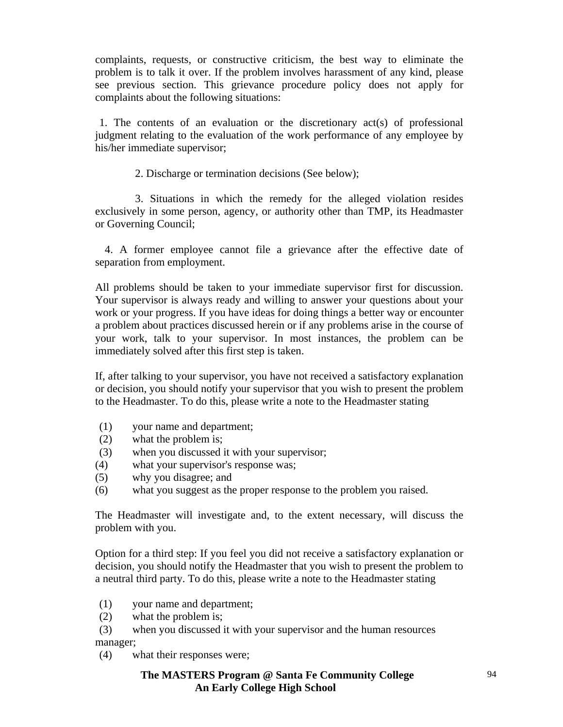complaints, requests, or constructive criticism, the best way to eliminate the problem is to talk it over. If the problem involves harassment of any kind, please see previous section. This grievance procedure policy does not apply for complaints about the following situations:

1. The contents of an evaluation or the discretionary act(s) of professional judgment relating to the evaluation of the work performance of any employee by his/her immediate supervisor;

2. Discharge or termination decisions (See below);

 3. Situations in which the remedy for the alleged violation resides exclusively in some person, agency, or authority other than TMP, its Headmaster or Governing Council;

 4. A former employee cannot file a grievance after the effective date of separation from employment.

All problems should be taken to your immediate supervisor first for discussion. Your supervisor is always ready and willing to answer your questions about your work or your progress. If you have ideas for doing things a better way or encounter a problem about practices discussed herein or if any problems arise in the course of your work, talk to your supervisor. In most instances, the problem can be immediately solved after this first step is taken.

If, after talking to your supervisor, you have not received a satisfactory explanation or decision, you should notify your supervisor that you wish to present the problem to the Headmaster. To do this, please write a note to the Headmaster stating

- (1) your name and department;
- (2) what the problem is;
- (3) when you discussed it with your supervisor;
- (4) what your supervisor's response was;
- (5) why you disagree; and
- (6) what you suggest as the proper response to the problem you raised.

The Headmaster will investigate and, to the extent necessary, will discuss the problem with you.

Option for a third step: If you feel you did not receive a satisfactory explanation or decision, you should notify the Headmaster that you wish to present the problem to a neutral third party. To do this, please write a note to the Headmaster stating

- (1) your name and department;
- (2) what the problem is;

 (3) when you discussed it with your supervisor and the human resources manager;

(4) what their responses were;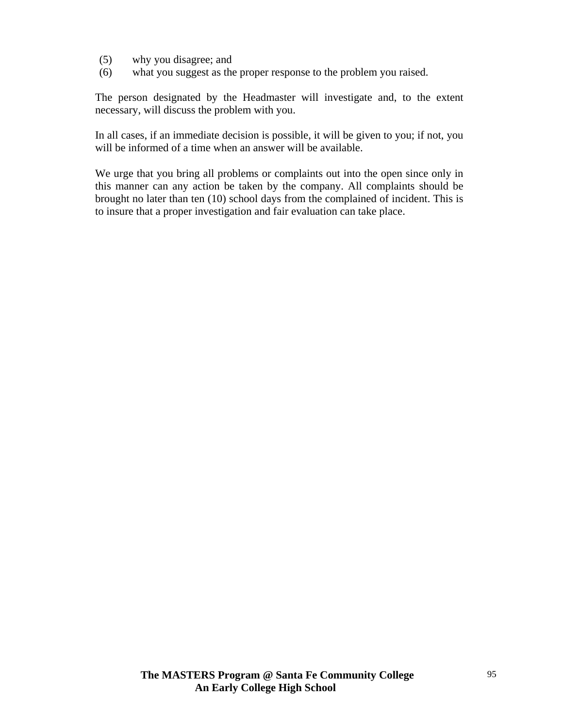- (5) why you disagree; and
- (6) what you suggest as the proper response to the problem you raised.

The person designated by the Headmaster will investigate and, to the extent necessary, will discuss the problem with you.

In all cases, if an immediate decision is possible, it will be given to you; if not, you will be informed of a time when an answer will be available.

We urge that you bring all problems or complaints out into the open since only in this manner can any action be taken by the company. All complaints should be brought no later than ten (10) school days from the complained of incident. This is to insure that a proper investigation and fair evaluation can take place.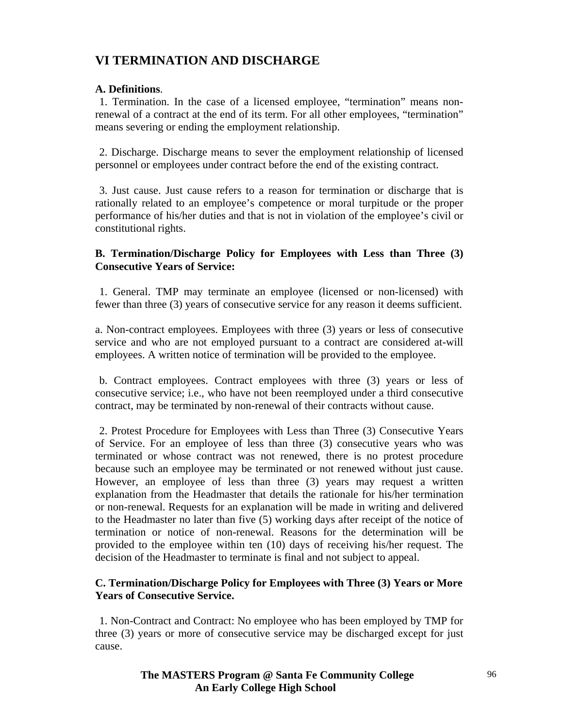# **VI TERMINATION AND DISCHARGE**

## **A. Definitions**.

 1. Termination. In the case of a licensed employee, "termination" means nonrenewal of a contract at the end of its term. For all other employees, "termination" means severing or ending the employment relationship.

 2. Discharge. Discharge means to sever the employment relationship of licensed personnel or employees under contract before the end of the existing contract.

 3. Just cause. Just cause refers to a reason for termination or discharge that is rationally related to an employee's competence or moral turpitude or the proper performance of his/her duties and that is not in violation of the employee's civil or constitutional rights.

## **B. Termination/Discharge Policy for Employees with Less than Three (3) Consecutive Years of Service:**

 1. General. TMP may terminate an employee (licensed or non-licensed) with fewer than three (3) years of consecutive service for any reason it deems sufficient.

a. Non-contract employees. Employees with three (3) years or less of consecutive service and who are not employed pursuant to a contract are considered at-will employees. A written notice of termination will be provided to the employee.

 b. Contract employees. Contract employees with three (3) years or less of consecutive service; i.e., who have not been reemployed under a third consecutive contract, may be terminated by non-renewal of their contracts without cause.

2. Protest Procedure for Employees with Less than Three (3) Consecutive Years of Service. For an employee of less than three (3) consecutive years who was terminated or whose contract was not renewed, there is no protest procedure because such an employee may be terminated or not renewed without just cause. However, an employee of less than three (3) years may request a written explanation from the Headmaster that details the rationale for his/her termination or non-renewal. Requests for an explanation will be made in writing and delivered to the Headmaster no later than five (5) working days after receipt of the notice of termination or notice of non-renewal. Reasons for the determination will be provided to the employee within ten (10) days of receiving his/her request. The decision of the Headmaster to terminate is final and not subject to appeal.

## **C. Termination/Discharge Policy for Employees with Three (3) Years or More Years of Consecutive Service.**

1. Non-Contract and Contract: No employee who has been employed by TMP for three (3) years or more of consecutive service may be discharged except for just cause.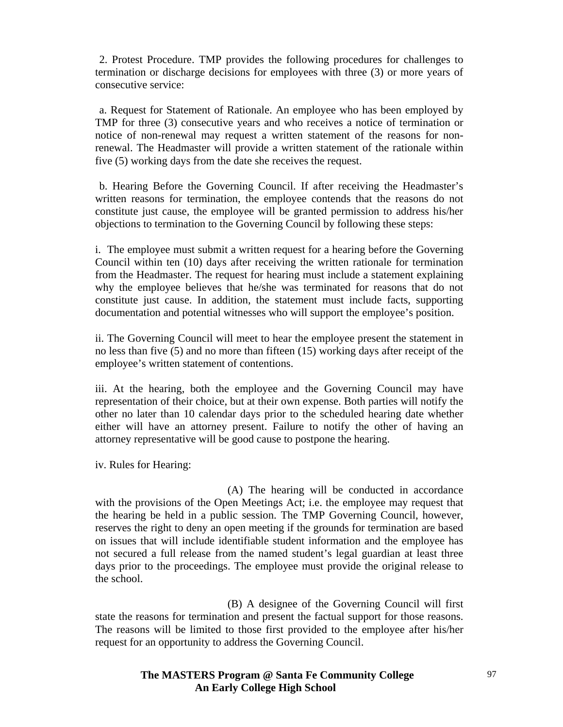2. Protest Procedure. TMP provides the following procedures for challenges to termination or discharge decisions for employees with three (3) or more years of consecutive service:

a. Request for Statement of Rationale. An employee who has been employed by TMP for three (3) consecutive years and who receives a notice of termination or notice of non-renewal may request a written statement of the reasons for nonrenewal. The Headmaster will provide a written statement of the rationale within five (5) working days from the date she receives the request.

 b. Hearing Before the Governing Council. If after receiving the Headmaster's written reasons for termination, the employee contends that the reasons do not constitute just cause, the employee will be granted permission to address his/her objections to termination to the Governing Council by following these steps:

i. The employee must submit a written request for a hearing before the Governing Council within ten (10) days after receiving the written rationale for termination from the Headmaster. The request for hearing must include a statement explaining why the employee believes that he/she was terminated for reasons that do not constitute just cause. In addition, the statement must include facts, supporting documentation and potential witnesses who will support the employee's position.

ii. The Governing Council will meet to hear the employee present the statement in no less than five (5) and no more than fifteen (15) working days after receipt of the employee's written statement of contentions.

iii. At the hearing, both the employee and the Governing Council may have representation of their choice, but at their own expense. Both parties will notify the other no later than 10 calendar days prior to the scheduled hearing date whether either will have an attorney present. Failure to notify the other of having an attorney representative will be good cause to postpone the hearing.

iv. Rules for Hearing:

 (A) The hearing will be conducted in accordance with the provisions of the Open Meetings Act; i.e. the employee may request that the hearing be held in a public session. The TMP Governing Council, however, reserves the right to deny an open meeting if the grounds for termination are based on issues that will include identifiable student information and the employee has not secured a full release from the named student's legal guardian at least three days prior to the proceedings. The employee must provide the original release to the school.

 (B) A designee of the Governing Council will first state the reasons for termination and present the factual support for those reasons. The reasons will be limited to those first provided to the employee after his/her request for an opportunity to address the Governing Council.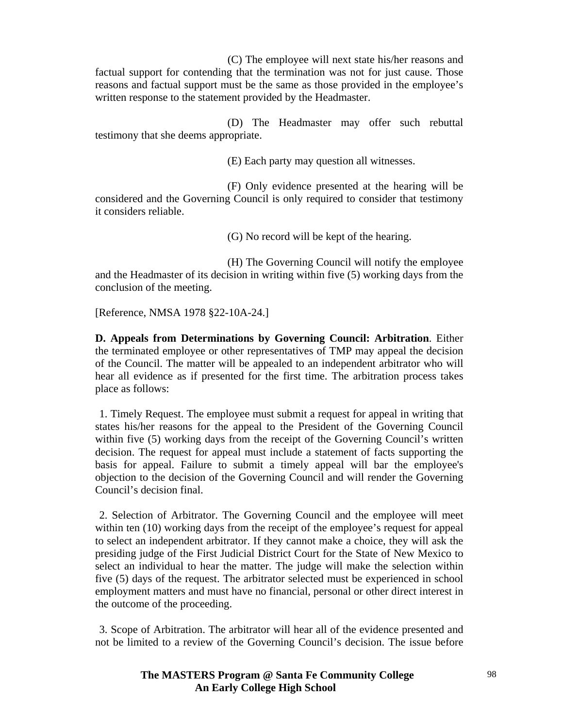(C) The employee will next state his/her reasons and factual support for contending that the termination was not for just cause. Those reasons and factual support must be the same as those provided in the employee's written response to the statement provided by the Headmaster.

 (D) The Headmaster may offer such rebuttal testimony that she deems appropriate.

(E) Each party may question all witnesses.

 (F) Only evidence presented at the hearing will be considered and the Governing Council is only required to consider that testimony it considers reliable.

(G) No record will be kept of the hearing.

 (H) The Governing Council will notify the employee and the Headmaster of its decision in writing within five (5) working days from the conclusion of the meeting.

[Reference, NMSA 1978 §22-10A-24.]

**D. Appeals from Determinations by Governing Council: Arbitration**. Either the terminated employee or other representatives of TMP may appeal the decision of the Council. The matter will be appealed to an independent arbitrator who will hear all evidence as if presented for the first time. The arbitration process takes place as follows:

 1. Timely Request. The employee must submit a request for appeal in writing that states his/her reasons for the appeal to the President of the Governing Council within five (5) working days from the receipt of the Governing Council's written decision. The request for appeal must include a statement of facts supporting the basis for appeal. Failure to submit a timely appeal will bar the employee's objection to the decision of the Governing Council and will render the Governing Council's decision final.

 2. Selection of Arbitrator. The Governing Council and the employee will meet within ten (10) working days from the receipt of the employee's request for appeal to select an independent arbitrator. If they cannot make a choice, they will ask the presiding judge of the First Judicial District Court for the State of New Mexico to select an individual to hear the matter. The judge will make the selection within five (5) days of the request. The arbitrator selected must be experienced in school employment matters and must have no financial, personal or other direct interest in the outcome of the proceeding.

 3. Scope of Arbitration. The arbitrator will hear all of the evidence presented and not be limited to a review of the Governing Council's decision. The issue before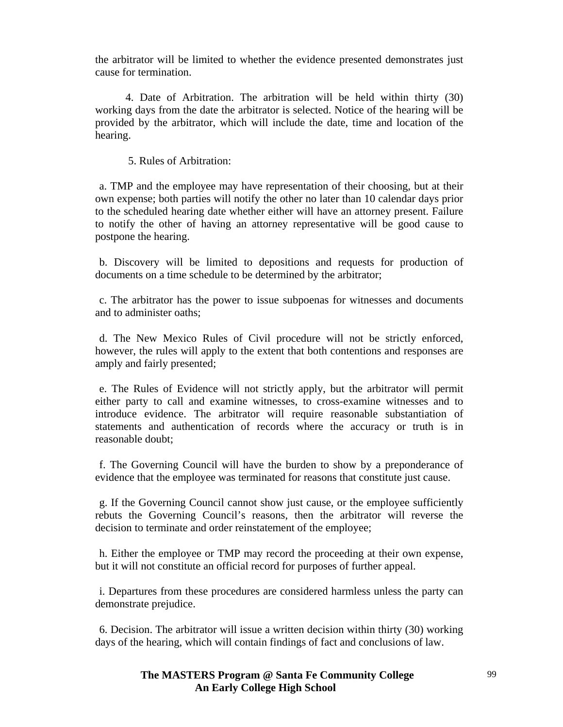the arbitrator will be limited to whether the evidence presented demonstrates just cause for termination.

 4. Date of Arbitration. The arbitration will be held within thirty (30) working days from the date the arbitrator is selected. Notice of the hearing will be provided by the arbitrator, which will include the date, time and location of the hearing.

5. Rules of Arbitration:

 a. TMP and the employee may have representation of their choosing, but at their own expense; both parties will notify the other no later than 10 calendar days prior to the scheduled hearing date whether either will have an attorney present. Failure to notify the other of having an attorney representative will be good cause to postpone the hearing.

 b. Discovery will be limited to depositions and requests for production of documents on a time schedule to be determined by the arbitrator;

 c. The arbitrator has the power to issue subpoenas for witnesses and documents and to administer oaths;

 d. The New Mexico Rules of Civil procedure will not be strictly enforced, however, the rules will apply to the extent that both contentions and responses are amply and fairly presented;

 e. The Rules of Evidence will not strictly apply, but the arbitrator will permit either party to call and examine witnesses, to cross-examine witnesses and to introduce evidence. The arbitrator will require reasonable substantiation of statements and authentication of records where the accuracy or truth is in reasonable doubt;

 f. The Governing Council will have the burden to show by a preponderance of evidence that the employee was terminated for reasons that constitute just cause.

 g. If the Governing Council cannot show just cause, or the employee sufficiently rebuts the Governing Council's reasons, then the arbitrator will reverse the decision to terminate and order reinstatement of the employee;

 h. Either the employee or TMP may record the proceeding at their own expense, but it will not constitute an official record for purposes of further appeal.

 i. Departures from these procedures are considered harmless unless the party can demonstrate prejudice.

 6. Decision. The arbitrator will issue a written decision within thirty (30) working days of the hearing, which will contain findings of fact and conclusions of law.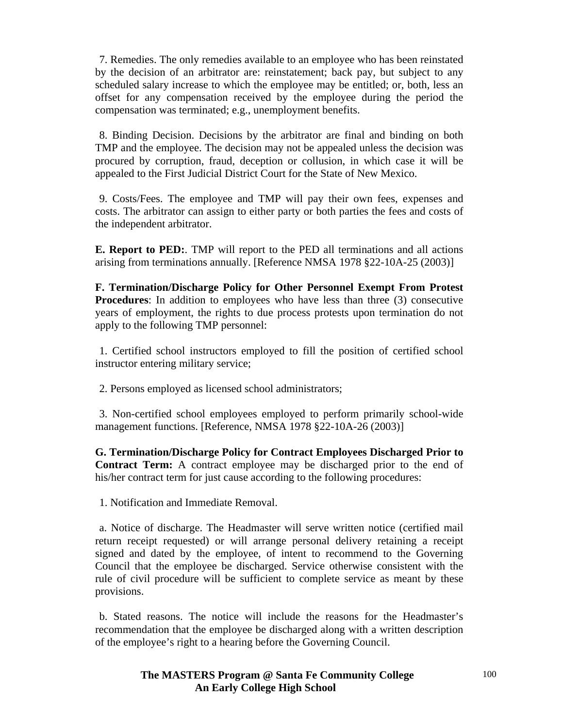7. Remedies. The only remedies available to an employee who has been reinstated by the decision of an arbitrator are: reinstatement; back pay, but subject to any scheduled salary increase to which the employee may be entitled; or, both, less an offset for any compensation received by the employee during the period the compensation was terminated; e.g., unemployment benefits.

 8. Binding Decision. Decisions by the arbitrator are final and binding on both TMP and the employee. The decision may not be appealed unless the decision was procured by corruption, fraud, deception or collusion, in which case it will be appealed to the First Judicial District Court for the State of New Mexico.

 9. Costs/Fees. The employee and TMP will pay their own fees, expenses and costs. The arbitrator can assign to either party or both parties the fees and costs of the independent arbitrator.

**E. Report to PED:**. TMP will report to the PED all terminations and all actions arising from terminations annually. [Reference NMSA 1978 §22-10A-25 (2003)]

**F. Termination/Discharge Policy for Other Personnel Exempt From Protest Procedures**: In addition to employees who have less than three (3) consecutive years of employment, the rights to due process protests upon termination do not apply to the following TMP personnel:

 1. Certified school instructors employed to fill the position of certified school instructor entering military service;

2. Persons employed as licensed school administrators;

 3. Non-certified school employees employed to perform primarily school-wide management functions. [Reference, NMSA 1978 §22-10A-26 (2003)]

**G. Termination/Discharge Policy for Contract Employees Discharged Prior to Contract Term:** A contract employee may be discharged prior to the end of his/her contract term for just cause according to the following procedures:

1. Notification and Immediate Removal.

 a. Notice of discharge. The Headmaster will serve written notice (certified mail return receipt requested) or will arrange personal delivery retaining a receipt signed and dated by the employee, of intent to recommend to the Governing Council that the employee be discharged. Service otherwise consistent with the rule of civil procedure will be sufficient to complete service as meant by these provisions.

 b. Stated reasons. The notice will include the reasons for the Headmaster's recommendation that the employee be discharged along with a written description of the employee's right to a hearing before the Governing Council.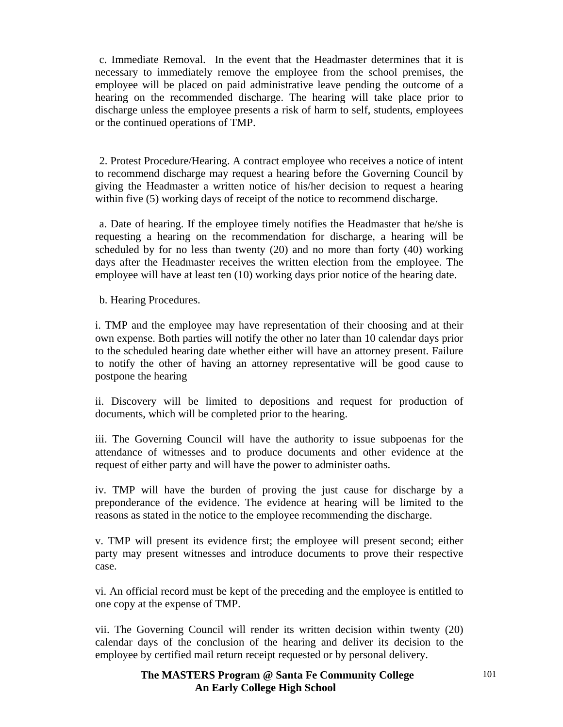c. Immediate Removal. In the event that the Headmaster determines that it is necessary to immediately remove the employee from the school premises, the employee will be placed on paid administrative leave pending the outcome of a hearing on the recommended discharge. The hearing will take place prior to discharge unless the employee presents a risk of harm to self, students, employees or the continued operations of TMP.

 2. Protest Procedure/Hearing. A contract employee who receives a notice of intent to recommend discharge may request a hearing before the Governing Council by giving the Headmaster a written notice of his/her decision to request a hearing within five (5) working days of receipt of the notice to recommend discharge.

 a. Date of hearing. If the employee timely notifies the Headmaster that he/she is requesting a hearing on the recommendation for discharge, a hearing will be scheduled by for no less than twenty (20) and no more than forty (40) working days after the Headmaster receives the written election from the employee. The employee will have at least ten (10) working days prior notice of the hearing date.

b. Hearing Procedures.

i. TMP and the employee may have representation of their choosing and at their own expense. Both parties will notify the other no later than 10 calendar days prior to the scheduled hearing date whether either will have an attorney present. Failure to notify the other of having an attorney representative will be good cause to postpone the hearing

ii. Discovery will be limited to depositions and request for production of documents, which will be completed prior to the hearing.

iii. The Governing Council will have the authority to issue subpoenas for the attendance of witnesses and to produce documents and other evidence at the request of either party and will have the power to administer oaths.

iv. TMP will have the burden of proving the just cause for discharge by a preponderance of the evidence. The evidence at hearing will be limited to the reasons as stated in the notice to the employee recommending the discharge.

v. TMP will present its evidence first; the employee will present second; either party may present witnesses and introduce documents to prove their respective case.

vi. An official record must be kept of the preceding and the employee is entitled to one copy at the expense of TMP.

vii. The Governing Council will render its written decision within twenty (20) calendar days of the conclusion of the hearing and deliver its decision to the employee by certified mail return receipt requested or by personal delivery.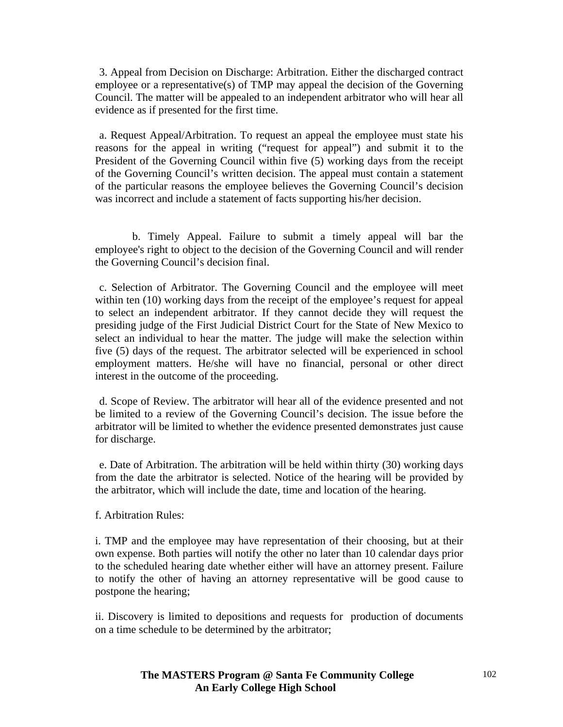3. Appeal from Decision on Discharge: Arbitration. Either the discharged contract employee or a representative(s) of TMP may appeal the decision of the Governing Council. The matter will be appealed to an independent arbitrator who will hear all evidence as if presented for the first time.

 a. Request Appeal/Arbitration. To request an appeal the employee must state his reasons for the appeal in writing ("request for appeal") and submit it to the President of the Governing Council within five (5) working days from the receipt of the Governing Council's written decision. The appeal must contain a statement of the particular reasons the employee believes the Governing Council's decision was incorrect and include a statement of facts supporting his/her decision.

 b. Timely Appeal. Failure to submit a timely appeal will bar the employee's right to object to the decision of the Governing Council and will render the Governing Council's decision final.

 c. Selection of Arbitrator. The Governing Council and the employee will meet within ten (10) working days from the receipt of the employee's request for appeal to select an independent arbitrator. If they cannot decide they will request the presiding judge of the First Judicial District Court for the State of New Mexico to select an individual to hear the matter. The judge will make the selection within five (5) days of the request. The arbitrator selected will be experienced in school employment matters. He/she will have no financial, personal or other direct interest in the outcome of the proceeding.

 d. Scope of Review. The arbitrator will hear all of the evidence presented and not be limited to a review of the Governing Council's decision. The issue before the arbitrator will be limited to whether the evidence presented demonstrates just cause for discharge.

 e. Date of Arbitration. The arbitration will be held within thirty (30) working days from the date the arbitrator is selected. Notice of the hearing will be provided by the arbitrator, which will include the date, time and location of the hearing.

f. Arbitration Rules:

i. TMP and the employee may have representation of their choosing, but at their own expense. Both parties will notify the other no later than 10 calendar days prior to the scheduled hearing date whether either will have an attorney present. Failure to notify the other of having an attorney representative will be good cause to postpone the hearing;

ii. Discovery is limited to depositions and requests for production of documents on a time schedule to be determined by the arbitrator;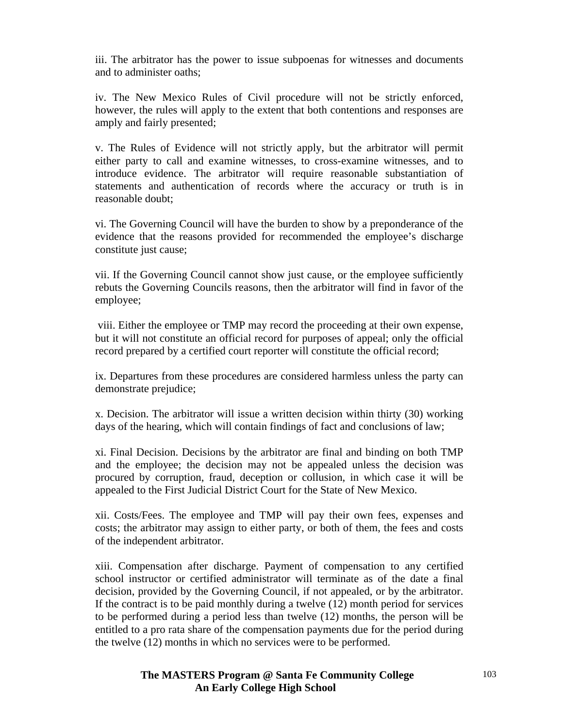iii. The arbitrator has the power to issue subpoenas for witnesses and documents and to administer oaths;

iv. The New Mexico Rules of Civil procedure will not be strictly enforced, however, the rules will apply to the extent that both contentions and responses are amply and fairly presented;

v. The Rules of Evidence will not strictly apply, but the arbitrator will permit either party to call and examine witnesses, to cross-examine witnesses, and to introduce evidence. The arbitrator will require reasonable substantiation of statements and authentication of records where the accuracy or truth is in reasonable doubt;

vi. The Governing Council will have the burden to show by a preponderance of the evidence that the reasons provided for recommended the employee's discharge constitute just cause;

vii. If the Governing Council cannot show just cause, or the employee sufficiently rebuts the Governing Councils reasons, then the arbitrator will find in favor of the employee;

 viii. Either the employee or TMP may record the proceeding at their own expense, but it will not constitute an official record for purposes of appeal; only the official record prepared by a certified court reporter will constitute the official record;

ix. Departures from these procedures are considered harmless unless the party can demonstrate prejudice;

x. Decision. The arbitrator will issue a written decision within thirty (30) working days of the hearing, which will contain findings of fact and conclusions of law;

xi. Final Decision. Decisions by the arbitrator are final and binding on both TMP and the employee; the decision may not be appealed unless the decision was procured by corruption, fraud, deception or collusion, in which case it will be appealed to the First Judicial District Court for the State of New Mexico.

xii. Costs/Fees. The employee and TMP will pay their own fees, expenses and costs; the arbitrator may assign to either party, or both of them, the fees and costs of the independent arbitrator.

xiii. Compensation after discharge. Payment of compensation to any certified school instructor or certified administrator will terminate as of the date a final decision, provided by the Governing Council, if not appealed, or by the arbitrator. If the contract is to be paid monthly during a twelve (12) month period for services to be performed during a period less than twelve (12) months, the person will be entitled to a pro rata share of the compensation payments due for the period during the twelve (12) months in which no services were to be performed.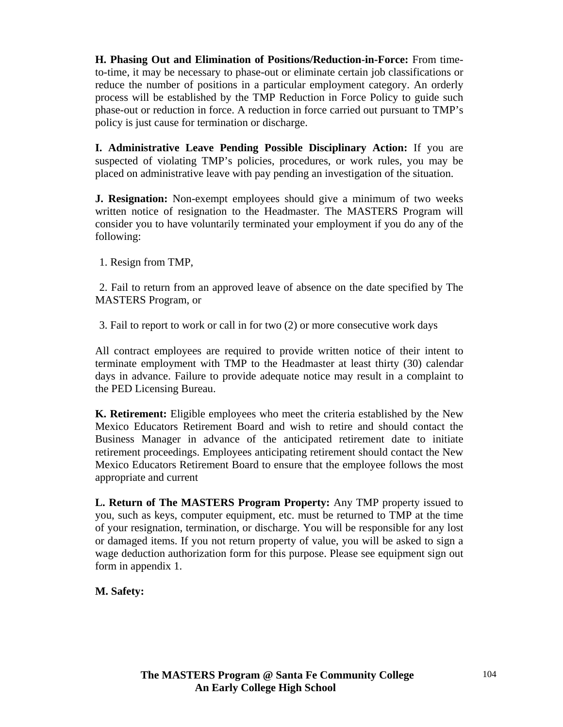**H. Phasing Out and Elimination of Positions/Reduction-in-Force:** From timeto-time, it may be necessary to phase-out or eliminate certain job classifications or reduce the number of positions in a particular employment category. An orderly process will be established by the TMP Reduction in Force Policy to guide such phase-out or reduction in force. A reduction in force carried out pursuant to TMP's policy is just cause for termination or discharge.

**I. Administrative Leave Pending Possible Disciplinary Action:** If you are suspected of violating TMP's policies, procedures, or work rules, you may be placed on administrative leave with pay pending an investigation of the situation.

**J. Resignation:** Non-exempt employees should give a minimum of two weeks written notice of resignation to the Headmaster. The MASTERS Program will consider you to have voluntarily terminated your employment if you do any of the following:

1. Resign from TMP,

 2. Fail to return from an approved leave of absence on the date specified by The MASTERS Program, or

3. Fail to report to work or call in for two (2) or more consecutive work days

All contract employees are required to provide written notice of their intent to terminate employment with TMP to the Headmaster at least thirty (30) calendar days in advance. Failure to provide adequate notice may result in a complaint to the PED Licensing Bureau.

**K. Retirement:** Eligible employees who meet the criteria established by the New Mexico Educators Retirement Board and wish to retire and should contact the Business Manager in advance of the anticipated retirement date to initiate retirement proceedings. Employees anticipating retirement should contact the New Mexico Educators Retirement Board to ensure that the employee follows the most appropriate and current

**L. Return of The MASTERS Program Property:** Any TMP property issued to you, such as keys, computer equipment, etc. must be returned to TMP at the time of your resignation, termination, or discharge. You will be responsible for any lost or damaged items. If you not return property of value, you will be asked to sign a wage deduction authorization form for this purpose. Please see equipment sign out form in appendix 1.

**M. Safety:**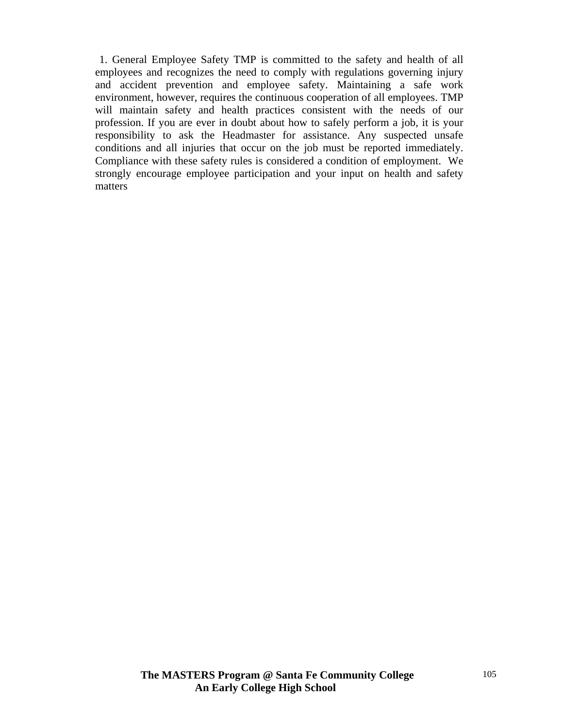1. General Employee Safety TMP is committed to the safety and health of all employees and recognizes the need to comply with regulations governing injury and accident prevention and employee safety. Maintaining a safe work environment, however, requires the continuous cooperation of all employees. TMP will maintain safety and health practices consistent with the needs of our profession. If you are ever in doubt about how to safely perform a job, it is your responsibility to ask the Headmaster for assistance. Any suspected unsafe conditions and all injuries that occur on the job must be reported immediately. Compliance with these safety rules is considered a condition of employment. We strongly encourage employee participation and your input on health and safety matters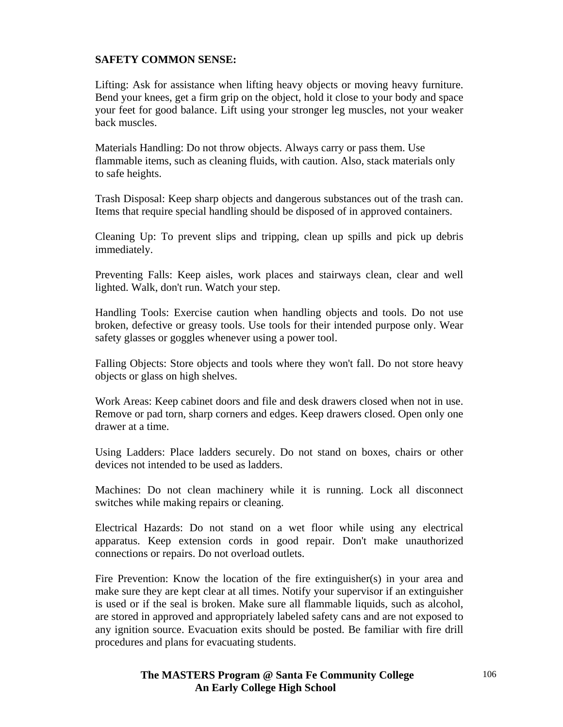#### **SAFETY COMMON SENSE:**

Lifting: Ask for assistance when lifting heavy objects or moving heavy furniture. Bend your knees, get a firm grip on the object, hold it close to your body and space your feet for good balance. Lift using your stronger leg muscles, not your weaker back muscles.

Materials Handling: Do not throw objects. Always carry or pass them. Use flammable items, such as cleaning fluids, with caution. Also, stack materials only to safe heights.

Trash Disposal: Keep sharp objects and dangerous substances out of the trash can. Items that require special handling should be disposed of in approved containers.

Cleaning Up: To prevent slips and tripping, clean up spills and pick up debris immediately.

Preventing Falls: Keep aisles, work places and stairways clean, clear and well lighted. Walk, don't run. Watch your step.

Handling Tools: Exercise caution when handling objects and tools. Do not use broken, defective or greasy tools. Use tools for their intended purpose only. Wear safety glasses or goggles whenever using a power tool.

Falling Objects: Store objects and tools where they won't fall. Do not store heavy objects or glass on high shelves.

Work Areas: Keep cabinet doors and file and desk drawers closed when not in use. Remove or pad torn, sharp corners and edges. Keep drawers closed. Open only one drawer at a time.

Using Ladders: Place ladders securely. Do not stand on boxes, chairs or other devices not intended to be used as ladders.

Machines: Do not clean machinery while it is running. Lock all disconnect switches while making repairs or cleaning.

Electrical Hazards: Do not stand on a wet floor while using any electrical apparatus. Keep extension cords in good repair. Don't make unauthorized connections or repairs. Do not overload outlets.

Fire Prevention: Know the location of the fire extinguisher(s) in your area and make sure they are kept clear at all times. Notify your supervisor if an extinguisher is used or if the seal is broken. Make sure all flammable liquids, such as alcohol, are stored in approved and appropriately labeled safety cans and are not exposed to any ignition source. Evacuation exits should be posted. Be familiar with fire drill procedures and plans for evacuating students.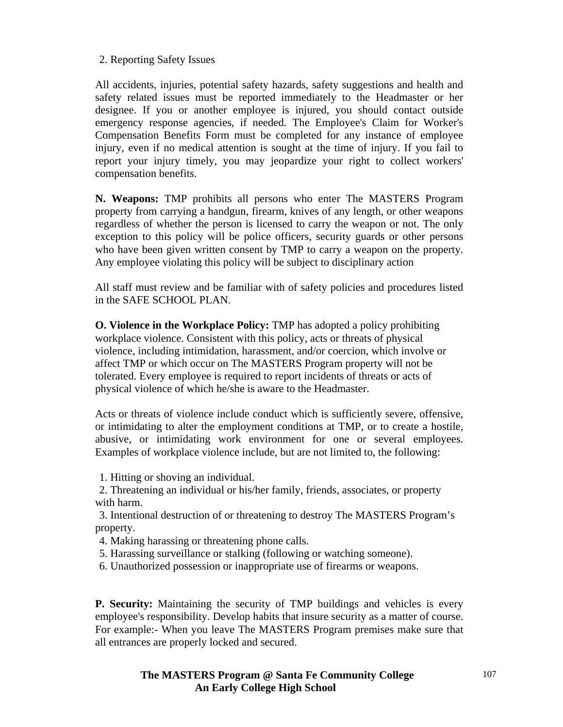### 2. Reporting Safety Issues

All accidents, injuries, potential safety hazards, safety suggestions and health and safety related issues must be reported immediately to the Headmaster or her designee. If you or another employee is injured, you should contact outside emergency response agencies, if needed. The Employee's Claim for Worker's Compensation Benefits Form must be completed for any instance of employee injury, even if no medical attention is sought at the time of injury. If you fail to report your injury timely, you may jeopardize your right to collect workers' compensation benefits.

**N. Weapons:** TMP prohibits all persons who enter The MASTERS Program property from carrying a handgun, firearm, knives of any length, or other weapons regardless of whether the person is licensed to carry the weapon or not. The only exception to this policy will be police officers, security guards or other persons who have been given written consent by TMP to carry a weapon on the property. Any employee violating this policy will be subject to disciplinary action

All staff must review and be familiar with of safety policies and procedures listed in the SAFE SCHOOL PLAN.

**O. Violence in the Workplace Policy:** TMP has adopted a policy prohibiting workplace violence. Consistent with this policy, acts or threats of physical violence, including intimidation, harassment, and/or coercion, which involve or affect TMP or which occur on The MASTERS Program property will not be tolerated. Every employee is required to report incidents of threats or acts of physical violence of which he/she is aware to the Headmaster.

Acts or threats of violence include conduct which is sufficiently severe, offensive, or intimidating to alter the employment conditions at TMP, or to create a hostile, abusive, or intimidating work environment for one or several employees. Examples of workplace violence include, but are not limited to, the following:

1. Hitting or shoving an individual.

 2. Threatening an individual or his/her family, friends, associates, or property with harm.

 3. Intentional destruction of or threatening to destroy The MASTERS Program's property.

- 4. Making harassing or threatening phone calls.
- 5. Harassing surveillance or stalking (following or watching someone).
- 6. Unauthorized possession or inappropriate use of firearms or weapons.

**P. Security:** Maintaining the security of TMP buildings and vehicles is every employee's responsibility. Develop habits that insure security as a matter of course. For example:- When you leave The MASTERS Program premises make sure that all entrances are properly locked and secured.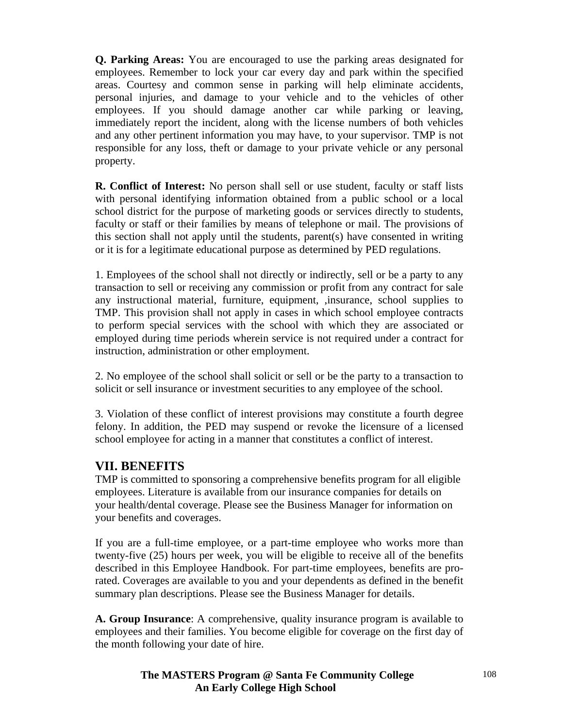**Q. Parking Areas:** You are encouraged to use the parking areas designated for employees. Remember to lock your car every day and park within the specified areas. Courtesy and common sense in parking will help eliminate accidents, personal injuries, and damage to your vehicle and to the vehicles of other employees. If you should damage another car while parking or leaving, immediately report the incident, along with the license numbers of both vehicles and any other pertinent information you may have, to your supervisor. TMP is not responsible for any loss, theft or damage to your private vehicle or any personal property.

**R. Conflict of Interest:** No person shall sell or use student, faculty or staff lists with personal identifying information obtained from a public school or a local school district for the purpose of marketing goods or services directly to students, faculty or staff or their families by means of telephone or mail. The provisions of this section shall not apply until the students, parent(s) have consented in writing or it is for a legitimate educational purpose as determined by PED regulations.

1. Employees of the school shall not directly or indirectly, sell or be a party to any transaction to sell or receiving any commission or profit from any contract for sale any instructional material, furniture, equipment, ,insurance, school supplies to TMP. This provision shall not apply in cases in which school employee contracts to perform special services with the school with which they are associated or employed during time periods wherein service is not required under a contract for instruction, administration or other employment.

2. No employee of the school shall solicit or sell or be the party to a transaction to solicit or sell insurance or investment securities to any employee of the school.

3. Violation of these conflict of interest provisions may constitute a fourth degree felony. In addition, the PED may suspend or revoke the licensure of a licensed school employee for acting in a manner that constitutes a conflict of interest.

## **VII. BENEFITS**

TMP is committed to sponsoring a comprehensive benefits program for all eligible employees. Literature is available from our insurance companies for details on your health/dental coverage. Please see the Business Manager for information on your benefits and coverages.

If you are a full-time employee, or a part-time employee who works more than twenty-five (25) hours per week, you will be eligible to receive all of the benefits described in this Employee Handbook. For part-time employees, benefits are prorated. Coverages are available to you and your dependents as defined in the benefit summary plan descriptions. Please see the Business Manager for details.

**A. Group Insurance**: A comprehensive, quality insurance program is available to employees and their families. You become eligible for coverage on the first day of the month following your date of hire.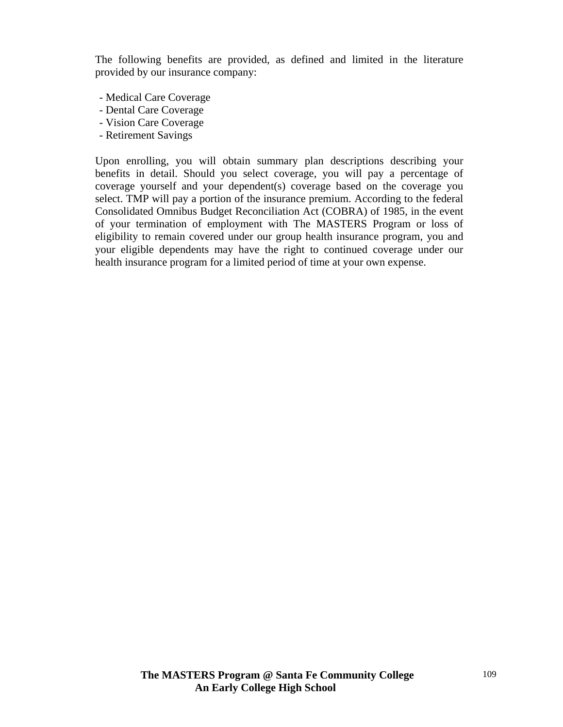The following benefits are provided, as defined and limited in the literature provided by our insurance company:

- Medical Care Coverage
- Dental Care Coverage
- Vision Care Coverage
- Retirement Savings

Upon enrolling, you will obtain summary plan descriptions describing your benefits in detail. Should you select coverage, you will pay a percentage of coverage yourself and your dependent(s) coverage based on the coverage you select. TMP will pay a portion of the insurance premium. According to the federal Consolidated Omnibus Budget Reconciliation Act (COBRA) of 1985, in the event of your termination of employment with The MASTERS Program or loss of eligibility to remain covered under our group health insurance program, you and your eligible dependents may have the right to continued coverage under our health insurance program for a limited period of time at your own expense.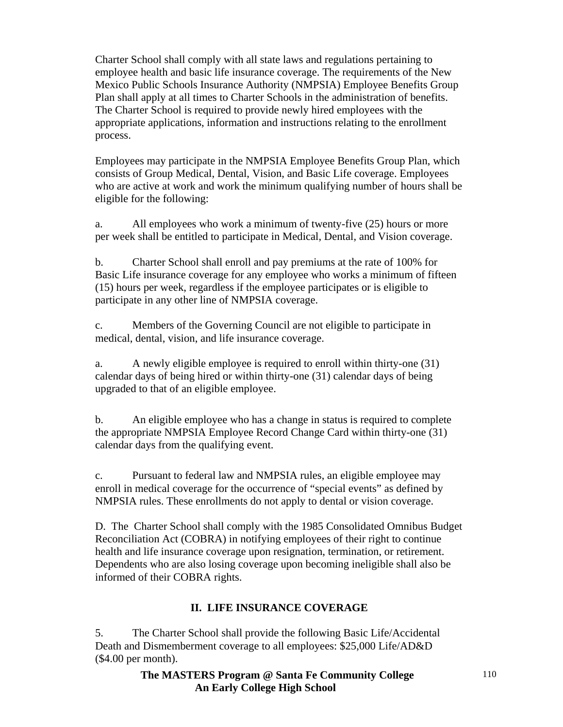Charter School shall comply with all state laws and regulations pertaining to employee health and basic life insurance coverage. The requirements of the New Mexico Public Schools Insurance Authority (NMPSIA) Employee Benefits Group Plan shall apply at all times to Charter Schools in the administration of benefits. The Charter School is required to provide newly hired employees with the appropriate applications, information and instructions relating to the enrollment process.

Employees may participate in the NMPSIA Employee Benefits Group Plan, which consists of Group Medical, Dental, Vision, and Basic Life coverage. Employees who are active at work and work the minimum qualifying number of hours shall be eligible for the following:

a. All employees who work a minimum of twenty-five (25) hours or more per week shall be entitled to participate in Medical, Dental, and Vision coverage.

b. Charter School shall enroll and pay premiums at the rate of 100% for Basic Life insurance coverage for any employee who works a minimum of fifteen (15) hours per week, regardless if the employee participates or is eligible to participate in any other line of NMPSIA coverage.

c. Members of the Governing Council are not eligible to participate in medical, dental, vision, and life insurance coverage.

a. A newly eligible employee is required to enroll within thirty-one (31) calendar days of being hired or within thirty-one (31) calendar days of being upgraded to that of an eligible employee.

b. An eligible employee who has a change in status is required to complete the appropriate NMPSIA Employee Record Change Card within thirty-one (31) calendar days from the qualifying event.

c. Pursuant to federal law and NMPSIA rules, an eligible employee may enroll in medical coverage for the occurrence of "special events" as defined by NMPSIA rules. These enrollments do not apply to dental or vision coverage.

D. The Charter School shall comply with the 1985 Consolidated Omnibus Budget Reconciliation Act (COBRA) in notifying employees of their right to continue health and life insurance coverage upon resignation, termination, or retirement. Dependents who are also losing coverage upon becoming ineligible shall also be informed of their COBRA rights.

# **II. LIFE INSURANCE COVERAGE**

5. The Charter School shall provide the following Basic Life/Accidental Death and Dismemberment coverage to all employees: \$25,000 Life/AD&D (\$4.00 per month).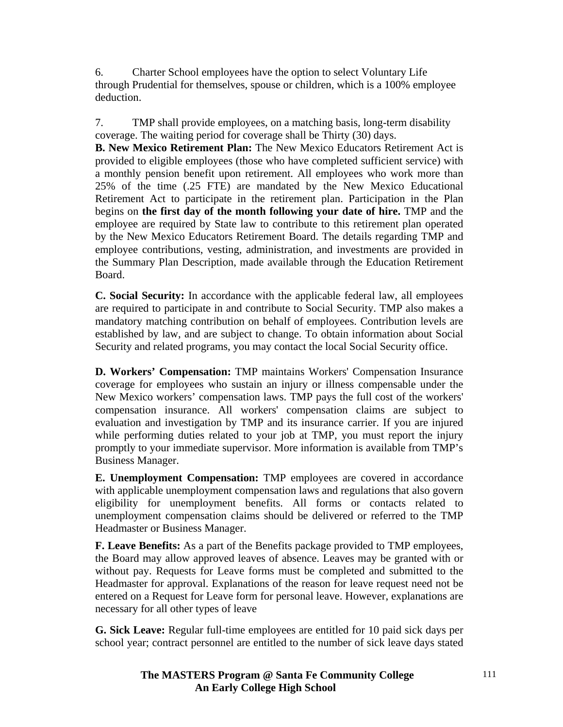6. Charter School employees have the option to select Voluntary Life through Prudential for themselves, spouse or children, which is a 100% employee deduction.

7. TMP shall provide employees, on a matching basis, long-term disability coverage. The waiting period for coverage shall be Thirty (30) days.

**B. New Mexico Retirement Plan:** The New Mexico Educators Retirement Act is provided to eligible employees (those who have completed sufficient service) with a monthly pension benefit upon retirement. All employees who work more than 25% of the time (.25 FTE) are mandated by the New Mexico Educational Retirement Act to participate in the retirement plan. Participation in the Plan begins on **the first day of the month following your date of hire.** TMP and the employee are required by State law to contribute to this retirement plan operated by the New Mexico Educators Retirement Board. The details regarding TMP and employee contributions, vesting, administration, and investments are provided in the Summary Plan Description, made available through the Education Retirement Board.

**C. Social Security:** In accordance with the applicable federal law, all employees are required to participate in and contribute to Social Security. TMP also makes a mandatory matching contribution on behalf of employees. Contribution levels are established by law, and are subject to change. To obtain information about Social Security and related programs, you may contact the local Social Security office.

**D. Workers' Compensation:** TMP maintains Workers' Compensation Insurance coverage for employees who sustain an injury or illness compensable under the New Mexico workers' compensation laws. TMP pays the full cost of the workers' compensation insurance. All workers' compensation claims are subject to evaluation and investigation by TMP and its insurance carrier. If you are injured while performing duties related to your job at TMP, you must report the injury promptly to your immediate supervisor. More information is available from TMP's Business Manager.

**E. Unemployment Compensation:** TMP employees are covered in accordance with applicable unemployment compensation laws and regulations that also govern eligibility for unemployment benefits. All forms or contacts related to unemployment compensation claims should be delivered or referred to the TMP Headmaster or Business Manager.

**F. Leave Benefits:** As a part of the Benefits package provided to TMP employees, the Board may allow approved leaves of absence. Leaves may be granted with or without pay. Requests for Leave forms must be completed and submitted to the Headmaster for approval. Explanations of the reason for leave request need not be entered on a Request for Leave form for personal leave. However, explanations are necessary for all other types of leave

**G. Sick Leave:** Regular full-time employees are entitled for 10 paid sick days per school year; contract personnel are entitled to the number of sick leave days stated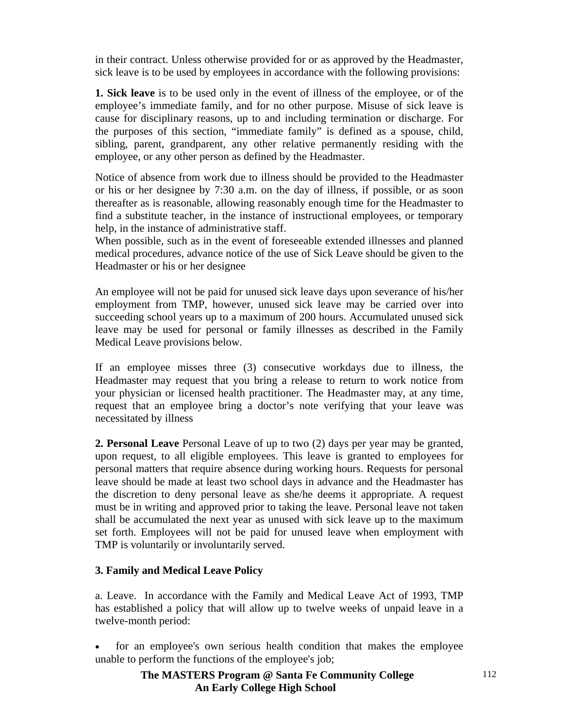in their contract. Unless otherwise provided for or as approved by the Headmaster, sick leave is to be used by employees in accordance with the following provisions:

**1. Sick leave** is to be used only in the event of illness of the employee, or of the employee's immediate family, and for no other purpose. Misuse of sick leave is cause for disciplinary reasons, up to and including termination or discharge. For the purposes of this section, "immediate family" is defined as a spouse, child, sibling, parent, grandparent, any other relative permanently residing with the employee, or any other person as defined by the Headmaster.

Notice of absence from work due to illness should be provided to the Headmaster or his or her designee by 7:30 a.m. on the day of illness, if possible, or as soon thereafter as is reasonable, allowing reasonably enough time for the Headmaster to find a substitute teacher, in the instance of instructional employees, or temporary help, in the instance of administrative staff.

When possible, such as in the event of foreseeable extended illnesses and planned medical procedures, advance notice of the use of Sick Leave should be given to the Headmaster or his or her designee

An employee will not be paid for unused sick leave days upon severance of his/her employment from TMP, however, unused sick leave may be carried over into succeeding school years up to a maximum of 200 hours. Accumulated unused sick leave may be used for personal or family illnesses as described in the Family Medical Leave provisions below.

If an employee misses three (3) consecutive workdays due to illness, the Headmaster may request that you bring a release to return to work notice from your physician or licensed health practitioner. The Headmaster may, at any time, request that an employee bring a doctor's note verifying that your leave was necessitated by illness

**2. Personal Leave** Personal Leave of up to two (2) days per year may be granted, upon request, to all eligible employees. This leave is granted to employees for personal matters that require absence during working hours. Requests for personal leave should be made at least two school days in advance and the Headmaster has the discretion to deny personal leave as she/he deems it appropriate. A request must be in writing and approved prior to taking the leave. Personal leave not taken shall be accumulated the next year as unused with sick leave up to the maximum set forth. Employees will not be paid for unused leave when employment with TMP is voluntarily or involuntarily served.

# **3. Family and Medical Leave Policy**

a. Leave. In accordance with the Family and Medical Leave Act of 1993, TMP has established a policy that will allow up to twelve weeks of unpaid leave in a twelve-month period:

• for an employee's own serious health condition that makes the employee unable to perform the functions of the employee's job;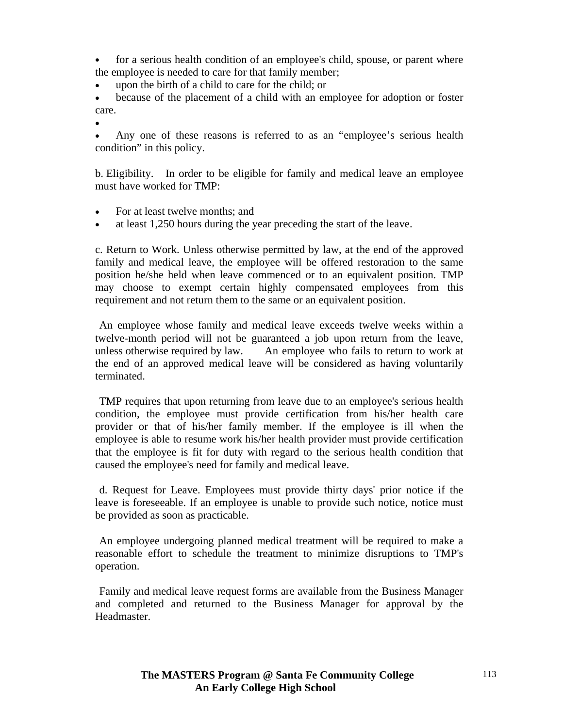for a serious health condition of an employee's child, spouse, or parent where the employee is needed to care for that family member;

upon the birth of a child to care for the child; or

because of the placement of a child with an employee for adoption or foster care.

•

Any one of these reasons is referred to as an "employee's serious health condition" in this policy.

b. Eligibility. In order to be eligible for family and medical leave an employee must have worked for TMP:

- For at least twelve months; and
- at least 1,250 hours during the year preceding the start of the leave.

c. Return to Work. Unless otherwise permitted by law, at the end of the approved family and medical leave, the employee will be offered restoration to the same position he/she held when leave commenced or to an equivalent position. TMP may choose to exempt certain highly compensated employees from this requirement and not return them to the same or an equivalent position.

 An employee whose family and medical leave exceeds twelve weeks within a twelve-month period will not be guaranteed a job upon return from the leave, unless otherwise required by law. An employee who fails to return to work at the end of an approved medical leave will be considered as having voluntarily terminated.

 TMP requires that upon returning from leave due to an employee's serious health condition, the employee must provide certification from his/her health care provider or that of his/her family member. If the employee is ill when the employee is able to resume work his/her health provider must provide certification that the employee is fit for duty with regard to the serious health condition that caused the employee's need for family and medical leave.

 d. Request for Leave. Employees must provide thirty days' prior notice if the leave is foreseeable. If an employee is unable to provide such notice, notice must be provided as soon as practicable.

 An employee undergoing planned medical treatment will be required to make a reasonable effort to schedule the treatment to minimize disruptions to TMP's operation.

 Family and medical leave request forms are available from the Business Manager and completed and returned to the Business Manager for approval by the Headmaster.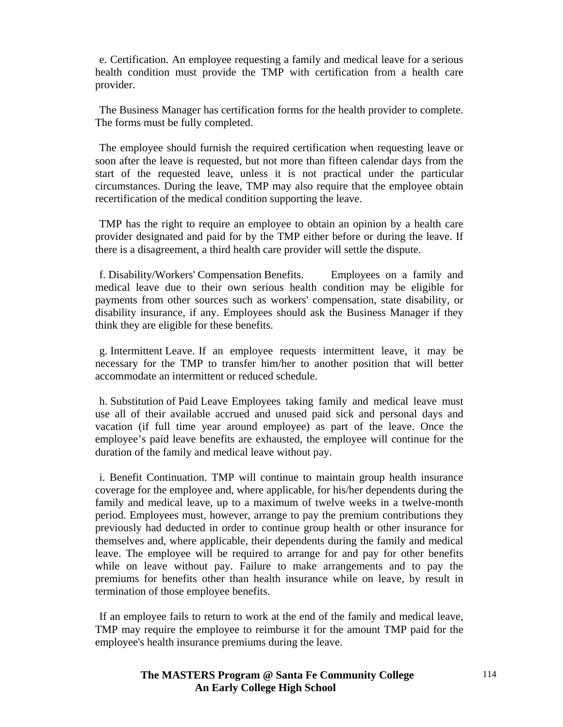e. Certification. An employee requesting a family and medical leave for a serious health condition must provide the TMP with certification from a health care provider.

 The Business Manager has certification forms for the health provider to complete. The forms must be fully completed.

 The employee should furnish the required certification when requesting leave or soon after the leave is requested, but not more than fifteen calendar days from the start of the requested leave, unless it is not practical under the particular circumstances. During the leave, TMP may also require that the employee obtain recertification of the medical condition supporting the leave.

 TMP has the right to require an employee to obtain an opinion by a health care provider designated and paid for by the TMP either before or during the leave. If there is a disagreement, a third health care provider will settle the dispute.

 f. Disability/Workers' Compensation Benefits. Employees on a family and medical leave due to their own serious health condition may be eligible for payments from other sources such as workers' compensation, state disability, or disability insurance, if any. Employees should ask the Business Manager if they think they are eligible for these benefits.

 g. Intermittent Leave. If an employee requests intermittent leave, it may be necessary for the TMP to transfer him/her to another position that will better accommodate an intermittent or reduced schedule.

 h. Substitution of Paid Leave Employees taking family and medical leave must use all of their available accrued and unused paid sick and personal days and vacation (if full time year around employee) as part of the leave. Once the employee's paid leave benefits are exhausted, the employee will continue for the duration of the family and medical leave without pay.

 i. Benefit Continuation. TMP will continue to maintain group health insurance coverage for the employee and, where applicable, for his/her dependents during the family and medical leave, up to a maximum of twelve weeks in a twelve-month period. Employees must, however, arrange to pay the premium contributions they previously had deducted in order to continue group health or other insurance for themselves and, where applicable, their dependents during the family and medical leave. The employee will be required to arrange for and pay for other benefits while on leave without pay. Failure to make arrangements and to pay the premiums for benefits other than health insurance while on leave, by result in termination of those employee benefits.

 If an employee fails to return to work at the end of the family and medical leave, TMP may require the employee to reimburse it for the amount TMP paid for the employee's health insurance premiums during the leave.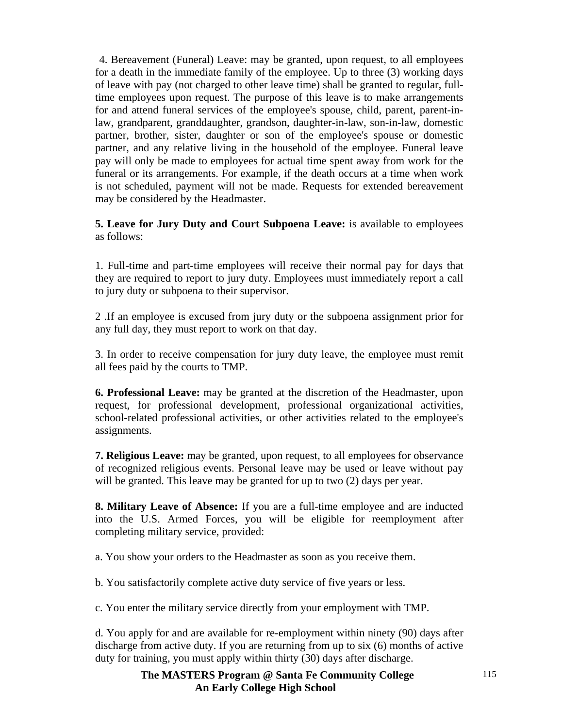4. Bereavement (Funeral) Leave: may be granted, upon request, to all employees for a death in the immediate family of the employee. Up to three (3) working days of leave with pay (not charged to other leave time) shall be granted to regular, fulltime employees upon request. The purpose of this leave is to make arrangements for and attend funeral services of the employee's spouse, child, parent, parent-inlaw, grandparent, granddaughter, grandson, daughter-in-law, son-in-law, domestic partner, brother, sister, daughter or son of the employee's spouse or domestic partner, and any relative living in the household of the employee. Funeral leave pay will only be made to employees for actual time spent away from work for the funeral or its arrangements. For example, if the death occurs at a time when work is not scheduled, payment will not be made. Requests for extended bereavement may be considered by the Headmaster.

**5. Leave for Jury Duty and Court Subpoena Leave:** is available to employees as follows:

1. Full-time and part-time employees will receive their normal pay for days that they are required to report to jury duty. Employees must immediately report a call to jury duty or subpoena to their supervisor.

2 .If an employee is excused from jury duty or the subpoena assignment prior for any full day, they must report to work on that day.

3. In order to receive compensation for jury duty leave, the employee must remit all fees paid by the courts to TMP.

**6. Professional Leave:** may be granted at the discretion of the Headmaster, upon request, for professional development, professional organizational activities, school-related professional activities, or other activities related to the employee's assignments.

**7. Religious Leave:** may be granted, upon request, to all employees for observance of recognized religious events. Personal leave may be used or leave without pay will be granted. This leave may be granted for up to two  $(2)$  days per year.

**8. Military Leave of Absence:** If you are a full-time employee and are inducted into the U.S. Armed Forces, you will be eligible for reemployment after completing military service, provided:

a. You show your orders to the Headmaster as soon as you receive them.

b. You satisfactorily complete active duty service of five years or less.

c. You enter the military service directly from your employment with TMP.

d. You apply for and are available for re-employment within ninety (90) days after discharge from active duty. If you are returning from up to six (6) months of active duty for training, you must apply within thirty (30) days after discharge.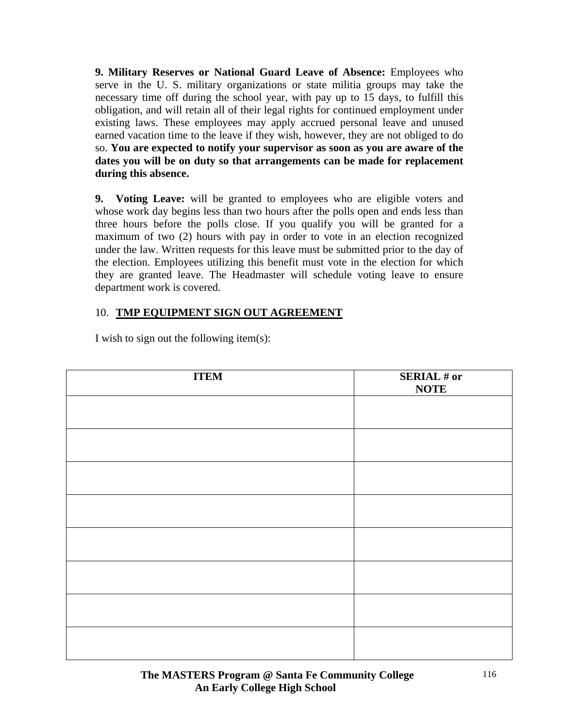**9. Military Reserves or National Guard Leave of Absence:** Employees who serve in the U. S. military organizations or state militia groups may take the necessary time off during the school year, with pay up to 15 days, to fulfill this obligation, and will retain all of their legal rights for continued employment under existing laws. These employees may apply accrued personal leave and unused earned vacation time to the leave if they wish, however, they are not obliged to do so. **You are expected to notify your supervisor as soon as you are aware of the dates you will be on duty so that arrangements can be made for replacement during this absence.** 

**9. Voting Leave:** will be granted to employees who are eligible voters and whose work day begins less than two hours after the polls open and ends less than three hours before the polls close. If you qualify you will be granted for a maximum of two (2) hours with pay in order to vote in an election recognized under the law. Written requests for this leave must be submitted prior to the day of the election. Employees utilizing this benefit must vote in the election for which they are granted leave. The Headmaster will schedule voting leave to ensure department work is covered.

# 10. **TMP EQUIPMENT SIGN OUT AGREEMENT**

| <b>ITEM</b> | <b>SERIAL # or</b><br><b>NOTE</b> |
|-------------|-----------------------------------|
|             |                                   |
|             |                                   |
|             |                                   |
|             |                                   |
|             |                                   |
|             |                                   |
|             |                                   |
|             |                                   |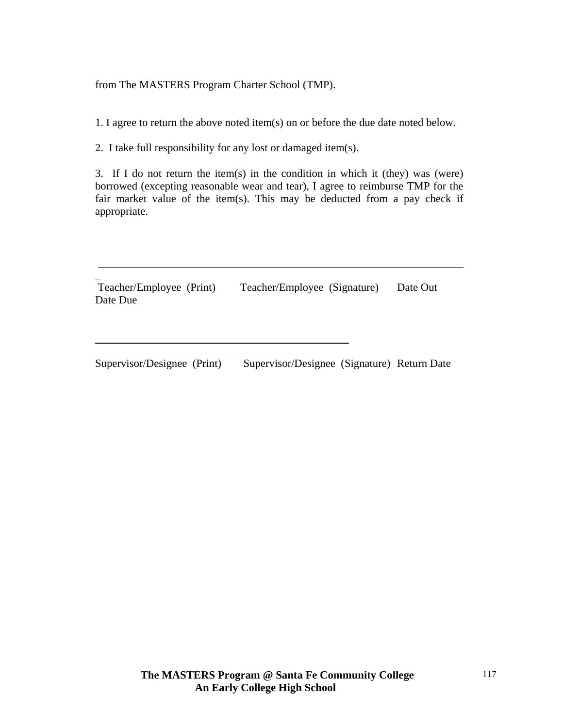from The MASTERS Program Charter School (TMP).

1. I agree to return the above noted item(s) on or before the due date noted below.

2. I take full responsibility for any lost or damaged item(s).

l l

3. If I do not return the item(s) in the condition in which it (they) was (were) borrowed (excepting reasonable wear and tear), I agree to reimburse TMP for the fair market value of the item(s). This may be deducted from a pay check if appropriate.

l Teacher/Employee (Print) Teacher/Employee (Signature) Date Out Date Due

Supervisor/Designee (Print) Supervisor/Designee (Signature) Return Date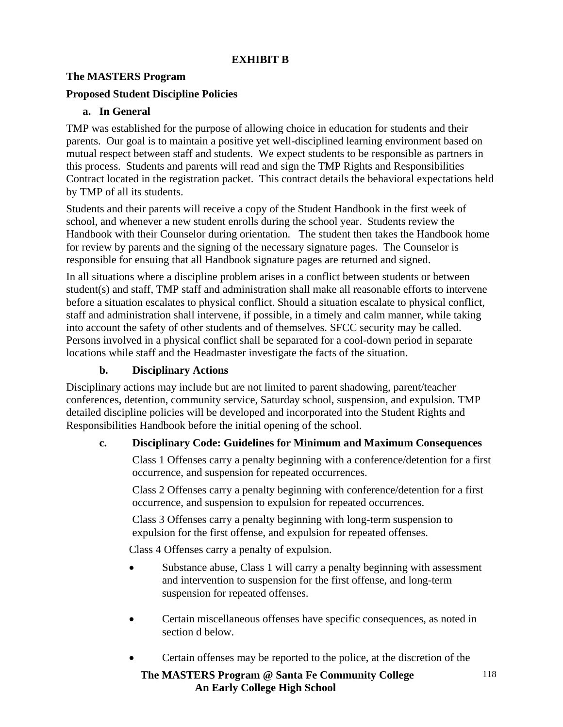# **EXHIBIT B**

# **The MASTERS Program**

# **Proposed Student Discipline Policies**

# **a. In General**

TMP was established for the purpose of allowing choice in education for students and their parents. Our goal is to maintain a positive yet well-disciplined learning environment based on mutual respect between staff and students. We expect students to be responsible as partners in this process. Students and parents will read and sign the TMP Rights and Responsibilities Contract located in the registration packet. This contract details the behavioral expectations held by TMP of all its students.

Students and their parents will receive a copy of the Student Handbook in the first week of school, and whenever a new student enrolls during the school year. Students review the Handbook with their Counselor during orientation. The student then takes the Handbook home for review by parents and the signing of the necessary signature pages. The Counselor is responsible for ensuing that all Handbook signature pages are returned and signed.

In all situations where a discipline problem arises in a conflict between students or between student(s) and staff, TMP staff and administration shall make all reasonable efforts to intervene before a situation escalates to physical conflict. Should a situation escalate to physical conflict, staff and administration shall intervene, if possible, in a timely and calm manner, while taking into account the safety of other students and of themselves. SFCC security may be called. Persons involved in a physical conflict shall be separated for a cool-down period in separate locations while staff and the Headmaster investigate the facts of the situation.

# **b. Disciplinary Actions**

Disciplinary actions may include but are not limited to parent shadowing, parent/teacher conferences, detention, community service, Saturday school, suspension, and expulsion. TMP detailed discipline policies will be developed and incorporated into the Student Rights and Responsibilities Handbook before the initial opening of the school.

# **c. Disciplinary Code: Guidelines for Minimum and Maximum Consequences**

Class 1 Offenses carry a penalty beginning with a conference/detention for a first occurrence, and suspension for repeated occurrences.

Class 2 Offenses carry a penalty beginning with conference/detention for a first occurrence, and suspension to expulsion for repeated occurrences.

Class 3 Offenses carry a penalty beginning with long-term suspension to expulsion for the first offense, and expulsion for repeated offenses.

Class 4 Offenses carry a penalty of expulsion.

- Substance abuse, Class 1 will carry a penalty beginning with assessment and intervention to suspension for the first offense, and long-term suspension for repeated offenses.
- Certain miscellaneous offenses have specific consequences, as noted in section d below.
- Certain offenses may be reported to the police, at the discretion of the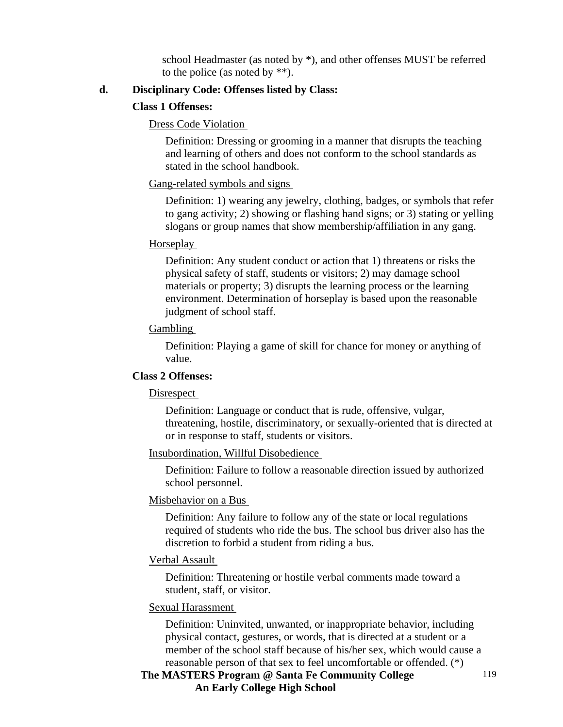school Headmaster (as noted by \*), and other offenses MUST be referred to the police (as noted by \*\*).

#### **d. Disciplinary Code: Offenses listed by Class:**

#### **Class 1 Offenses:**

#### Dress Code Violation

Definition: Dressing or grooming in a manner that disrupts the teaching and learning of others and does not conform to the school standards as stated in the school handbook.

#### Gang-related symbols and signs

Definition: 1) wearing any jewelry, clothing, badges, or symbols that refer to gang activity; 2) showing or flashing hand signs; or 3) stating or yelling slogans or group names that show membership/affiliation in any gang.

#### Horseplay

Definition: Any student conduct or action that 1) threatens or risks the physical safety of staff, students or visitors; 2) may damage school materials or property; 3) disrupts the learning process or the learning environment. Determination of horseplay is based upon the reasonable judgment of school staff.

#### Gambling

Definition: Playing a game of skill for chance for money or anything of value.

#### **Class 2 Offenses:**

#### Disrespect

Definition: Language or conduct that is rude, offensive, vulgar, threatening, hostile, discriminatory, or sexually-oriented that is directed at or in response to staff, students or visitors.

#### Insubordination, Willful Disobedience

Definition: Failure to follow a reasonable direction issued by authorized school personnel.

#### Misbehavior on a Bus

Definition: Any failure to follow any of the state or local regulations required of students who ride the bus. The school bus driver also has the discretion to forbid a student from riding a bus.

#### Verbal Assault

Definition: Threatening or hostile verbal comments made toward a student, staff, or visitor.

#### Sexual Harassment

Definition: Uninvited, unwanted, or inappropriate behavior, including physical contact, gestures, or words, that is directed at a student or a member of the school staff because of his/her sex, which would cause a reasonable person of that sex to feel uncomfortable or offended. (\*)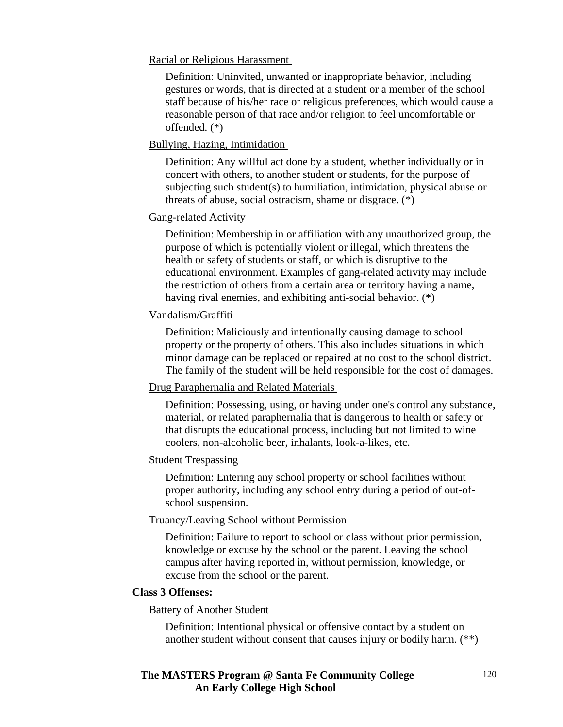Racial or Religious Harassment

Definition: Uninvited, unwanted or inappropriate behavior, including gestures or words, that is directed at a student or a member of the school staff because of his/her race or religious preferences, which would cause a reasonable person of that race and/or religion to feel uncomfortable or offended. (\*)

#### Bullying, Hazing, Intimidation

Definition: Any willful act done by a student, whether individually or in concert with others, to another student or students, for the purpose of subjecting such student(s) to humiliation, intimidation, physical abuse or threats of abuse, social ostracism, shame or disgrace. (\*)

### Gang-related Activity

Definition: Membership in or affiliation with any unauthorized group, the purpose of which is potentially violent or illegal, which threatens the health or safety of students or staff, or which is disruptive to the educational environment. Examples of gang-related activity may include the restriction of others from a certain area or territory having a name, having rival enemies, and exhibiting anti-social behavior. (\*)

### Vandalism/Graffiti

Definition: Maliciously and intentionally causing damage to school property or the property of others. This also includes situations in which minor damage can be replaced or repaired at no cost to the school district. The family of the student will be held responsible for the cost of damages.

# Drug Paraphernalia and Related Materials

Definition: Possessing, using, or having under one's control any substance, material, or related paraphernalia that is dangerous to health or safety or that disrupts the educational process, including but not limited to wine coolers, non-alcoholic beer, inhalants, look-a-likes, etc.

#### Student Trespassing

Definition: Entering any school property or school facilities without proper authority, including any school entry during a period of out-ofschool suspension.

#### Truancy/Leaving School without Permission

Definition: Failure to report to school or class without prior permission, knowledge or excuse by the school or the parent. Leaving the school campus after having reported in, without permission, knowledge, or excuse from the school or the parent.

#### **Class 3 Offenses:**

#### Battery of Another Student

Definition: Intentional physical or offensive contact by a student on another student without consent that causes injury or bodily harm. (\*\*)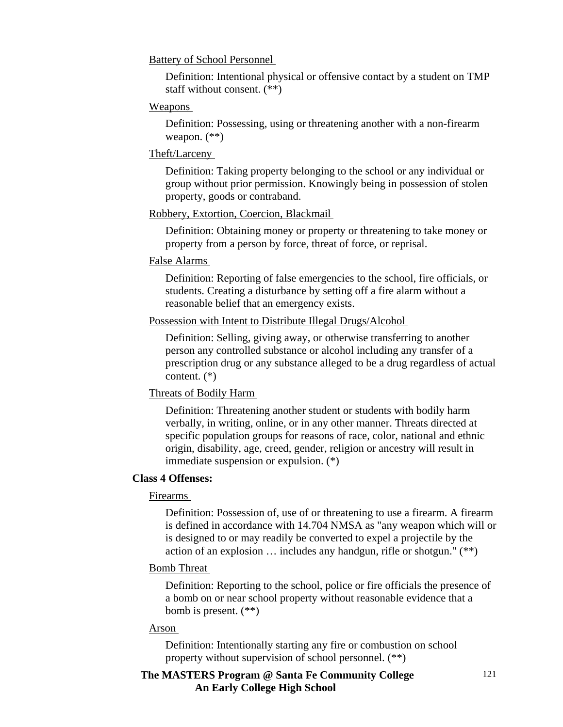#### Battery of School Personnel

Definition: Intentional physical or offensive contact by a student on TMP staff without consent. (\*\*)

#### Weapons

Definition: Possessing, using or threatening another with a non-firearm weapon. (\*\*)

#### Theft/Larceny

Definition: Taking property belonging to the school or any individual or group without prior permission. Knowingly being in possession of stolen property, goods or contraband.

#### Robbery, Extortion, Coercion, Blackmail

Definition: Obtaining money or property or threatening to take money or property from a person by force, threat of force, or reprisal.

#### False Alarms

Definition: Reporting of false emergencies to the school, fire officials, or students. Creating a disturbance by setting off a fire alarm without a reasonable belief that an emergency exists.

#### Possession with Intent to Distribute Illegal Drugs/Alcohol

Definition: Selling, giving away, or otherwise transferring to another person any controlled substance or alcohol including any transfer of a prescription drug or any substance alleged to be a drug regardless of actual content. (\*)

#### Threats of Bodily Harm

Definition: Threatening another student or students with bodily harm verbally, in writing, online, or in any other manner. Threats directed at specific population groups for reasons of race, color, national and ethnic origin, disability, age, creed, gender, religion or ancestry will result in immediate suspension or expulsion. (\*)

#### **Class 4 Offenses:**

#### Firearms

Definition: Possession of, use of or threatening to use a firearm. A firearm is defined in accordance with 14.704 NMSA as "any weapon which will or is designed to or may readily be converted to expel a projectile by the action of an explosion … includes any handgun, rifle or shotgun." (\*\*)

#### Bomb Threat

Definition: Reporting to the school, police or fire officials the presence of a bomb on or near school property without reasonable evidence that a bomb is present. (\*\*)

#### Arson

Definition: Intentionally starting any fire or combustion on school property without supervision of school personnel. (\*\*)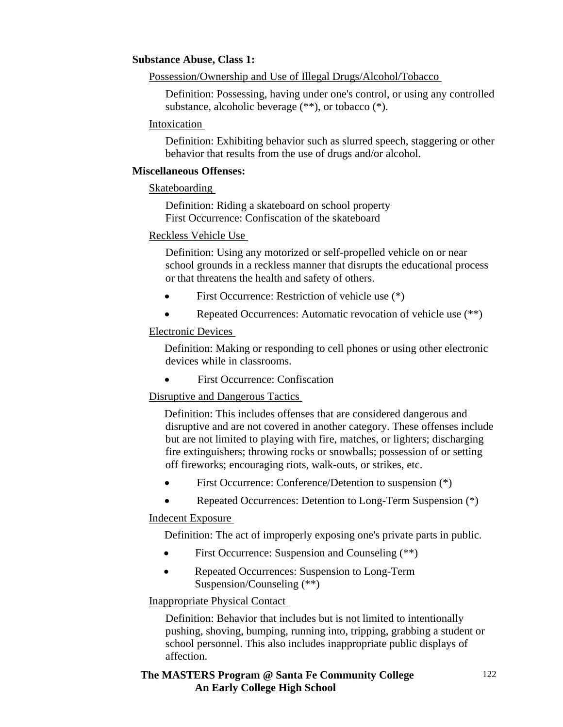#### **Substance Abuse, Class 1:**

Possession/Ownership and Use of Illegal Drugs/Alcohol/Tobacco

Definition: Possessing, having under one's control, or using any controlled substance, alcoholic beverage (\*\*), or tobacco (\*).

#### Intoxication

Definition: Exhibiting behavior such as slurred speech, staggering or other behavior that results from the use of drugs and/or alcohol.

#### **Miscellaneous Offenses:**

Skateboarding

Definition: Riding a skateboard on school property First Occurrence: Confiscation of the skateboard

### Reckless Vehicle Use

Definition: Using any motorized or self-propelled vehicle on or near school grounds in a reckless manner that disrupts the educational process or that threatens the health and safety of others.

- First Occurrence: Restriction of vehicle use  $(*)$
- Repeated Occurrences: Automatic revocation of vehicle use (\*\*)

### Electronic Devices

Definition: Making or responding to cell phones or using other electronic devices while in classrooms.

• First Occurrence: Confiscation

# Disruptive and Dangerous Tactics

Definition: This includes offenses that are considered dangerous and disruptive and are not covered in another category. These offenses include but are not limited to playing with fire, matches, or lighters; discharging fire extinguishers; throwing rocks or snowballs; possession of or setting off fireworks; encouraging riots, walk-outs, or strikes, etc.

- First Occurrence: Conference/Detention to suspension  $(*)$
- Repeated Occurrences: Detention to Long-Term Suspension (\*)

#### Indecent Exposure

Definition: The act of improperly exposing one's private parts in public.

- First Occurrence: Suspension and Counseling  $(**)$
- Repeated Occurrences: Suspension to Long-Term Suspension/Counseling (\*\*)

# Inappropriate Physical Contact

Definition: Behavior that includes but is not limited to intentionally pushing, shoving, bumping, running into, tripping, grabbing a student or school personnel. This also includes inappropriate public displays of affection.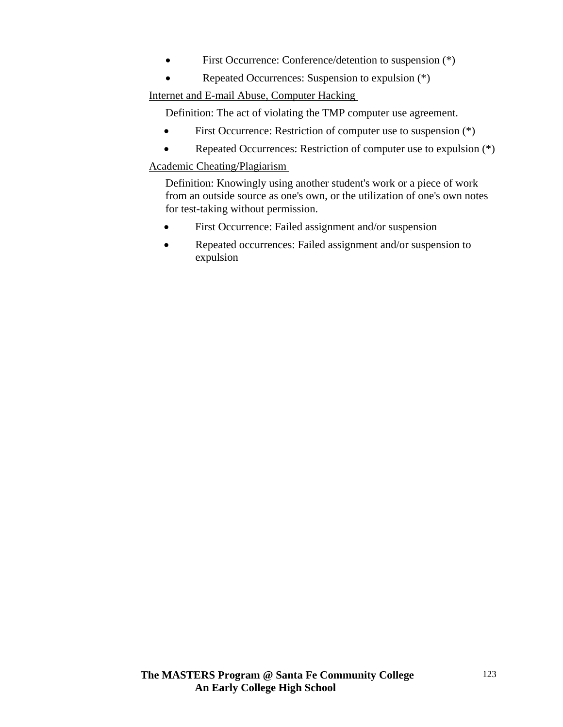- First Occurrence: Conference/detention to suspension  $(*)$
- Repeated Occurrences: Suspension to expulsion (\*)

Internet and E-mail Abuse, Computer Hacking

Definition: The act of violating the TMP computer use agreement.

- First Occurrence: Restriction of computer use to suspension  $(*)$
- Repeated Occurrences: Restriction of computer use to expulsion (\*)

Academic Cheating/Plagiarism

Definition: Knowingly using another student's work or a piece of work from an outside source as one's own, or the utilization of one's own notes for test-taking without permission.

- First Occurrence: Failed assignment and/or suspension
- Repeated occurrences: Failed assignment and/or suspension to expulsion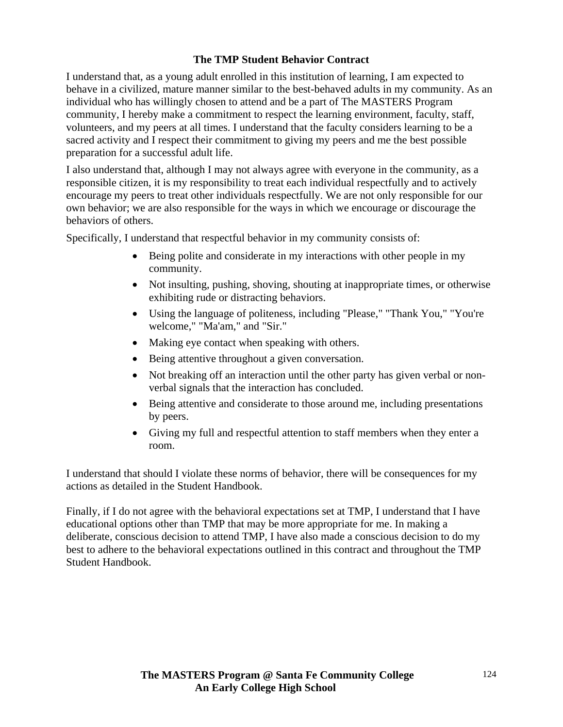# **The TMP Student Behavior Contract**

I understand that, as a young adult enrolled in this institution of learning, I am expected to behave in a civilized, mature manner similar to the best-behaved adults in my community. As an individual who has willingly chosen to attend and be a part of The MASTERS Program community, I hereby make a commitment to respect the learning environment, faculty, staff, volunteers, and my peers at all times. I understand that the faculty considers learning to be a sacred activity and I respect their commitment to giving my peers and me the best possible preparation for a successful adult life.

I also understand that, although I may not always agree with everyone in the community, as a responsible citizen, it is my responsibility to treat each individual respectfully and to actively encourage my peers to treat other individuals respectfully. We are not only responsible for our own behavior; we are also responsible for the ways in which we encourage or discourage the behaviors of others.

Specifically, I understand that respectful behavior in my community consists of:

- Being polite and considerate in my interactions with other people in my community.
- Not insulting, pushing, shoving, shouting at inappropriate times, or otherwise exhibiting rude or distracting behaviors.
- Using the language of politeness, including "Please," "Thank You," "You're welcome," "Ma'am," and "Sir."
- Making eye contact when speaking with others.
- Being attentive throughout a given conversation.
- Not breaking off an interaction until the other party has given verbal or nonverbal signals that the interaction has concluded.
- Being attentive and considerate to those around me, including presentations by peers.
- Giving my full and respectful attention to staff members when they enter a room.

I understand that should I violate these norms of behavior, there will be consequences for my actions as detailed in the Student Handbook.

Finally, if I do not agree with the behavioral expectations set at TMP, I understand that I have educational options other than TMP that may be more appropriate for me. In making a deliberate, conscious decision to attend TMP, I have also made a conscious decision to do my best to adhere to the behavioral expectations outlined in this contract and throughout the TMP Student Handbook.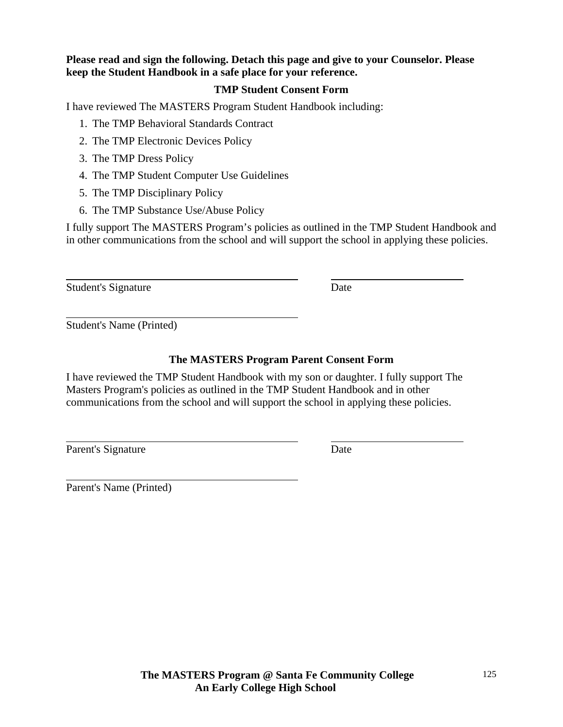### **Please read and sign the following. Detach this page and give to your Counselor. Please keep the Student Handbook in a safe place for your reference.**

#### **TMP Student Consent Form**

I have reviewed The MASTERS Program Student Handbook including:

- 1. The TMP Behavioral Standards Contract
- 2. The TMP Electronic Devices Policy
- 3. The TMP Dress Policy
- 4. The TMP Student Computer Use Guidelines
- 5. The TMP Disciplinary Policy
- 6. The TMP Substance Use/Abuse Policy

I fully support The MASTERS Program's policies as outlined in the TMP Student Handbook and in other communications from the school and will support the school in applying these policies.

Student's Signature Date

 $\overline{a}$ 

 $\overline{a}$ 

l

Student's Name (Printed)

# **The MASTERS Program Parent Consent Form**

I have reviewed the TMP Student Handbook with my son or daughter. I fully support The Masters Program's policies as outlined in the TMP Student Handbook and in other communications from the school and will support the school in applying these policies.

Parent's Signature Date

 $\overline{a}$ Parent's Name (Printed)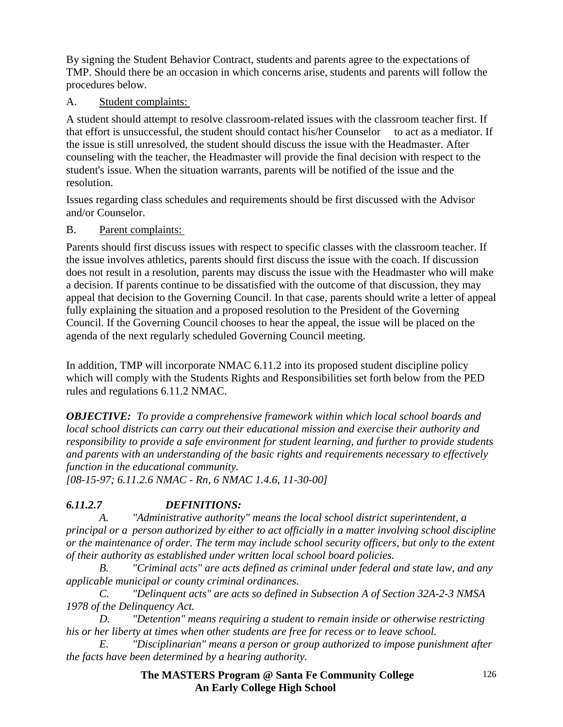By signing the Student Behavior Contract, students and parents agree to the expectations of TMP. Should there be an occasion in which concerns arise, students and parents will follow the procedures below.

# A. Student complaints:

A student should attempt to resolve classroom-related issues with the classroom teacher first. If that effort is unsuccessful, the student should contact his/her Counselor to act as a mediator. If the issue is still unresolved, the student should discuss the issue with the Headmaster. After counseling with the teacher, the Headmaster will provide the final decision with respect to the student's issue. When the situation warrants, parents will be notified of the issue and the resolution.

Issues regarding class schedules and requirements should be first discussed with the Advisor and/or Counselor.

# B. Parent complaints:

Parents should first discuss issues with respect to specific classes with the classroom teacher. If the issue involves athletics, parents should first discuss the issue with the coach. If discussion does not result in a resolution, parents may discuss the issue with the Headmaster who will make a decision. If parents continue to be dissatisfied with the outcome of that discussion, they may appeal that decision to the Governing Council. In that case, parents should write a letter of appeal fully explaining the situation and a proposed resolution to the President of the Governing Council. If the Governing Council chooses to hear the appeal, the issue will be placed on the agenda of the next regularly scheduled Governing Council meeting.

In addition, TMP will incorporate NMAC 6.11.2 into its proposed student discipline policy which will comply with the Students Rights and Responsibilities set forth below from the PED rules and regulations 6.11.2 NMAC.

*OBJECTIVE: To provide a comprehensive framework within which local school boards and local school districts can carry out their educational mission and exercise their authority and responsibility to provide a safe environment for student learning, and further to provide students and parents with an understanding of the basic rights and requirements necessary to effectively function in the educational community.* 

*[08-15-97; 6.11.2.6 NMAC - Rn, 6 NMAC 1.4.6, 11-30-00]* 

# *6.11.2.7 DEFINITIONS:*

 *A. "Administrative authority" means the local school district superintendent, a principal or a person authorized by either to act officially in a matter involving school discipline or the maintenance of order. The term may include school security officers, but only to the extent of their authority as established under written local school board policies.* 

 *B. "Criminal acts" are acts defined as criminal under federal and state law, and any applicable municipal or county criminal ordinances.* 

 *C. "Delinquent acts" are acts so defined in Subsection A of Section 32A-2-3 NMSA 1978 of the Delinquency Act.* 

 *D. "Detention" means requiring a student to remain inside or otherwise restricting his or her liberty at times when other students are free for recess or to leave school.* 

 *E. "Disciplinarian" means a person or group authorized to impose punishment after the facts have been determined by a hearing authority.*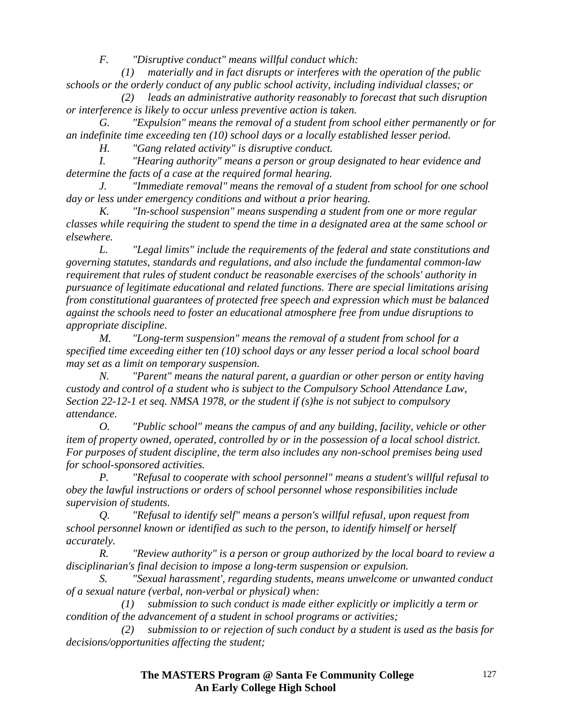*F. "Disruptive conduct" means willful conduct which:* 

 *(1) materially and in fact disrupts or interferes with the operation of the public schools or the orderly conduct of any public school activity, including individual classes; or* 

 *(2) leads an administrative authority reasonably to forecast that such disruption or interference is likely to occur unless preventive action is taken.* 

 *G. "Expulsion" means the removal of a student from school either permanently or for an indefinite time exceeding ten (10) school days or a locally established lesser period. H. "Gang related activity" is disruptive conduct.* 

 *I. "Hearing authority" means a person or group designated to hear evidence and determine the facts of a case at the required formal hearing.* 

 *J. "Immediate removal" means the removal of a student from school for one school day or less under emergency conditions and without a prior hearing.* 

 *K. "In-school suspension" means suspending a student from one or more regular classes while requiring the student to spend the time in a designated area at the same school or elsewhere.* 

 *L. "Legal limits" include the requirements of the federal and state constitutions and governing statutes, standards and regulations, and also include the fundamental common-law requirement that rules of student conduct be reasonable exercises of the schools' authority in pursuance of legitimate educational and related functions. There are special limitations arising from constitutional guarantees of protected free speech and expression which must be balanced against the schools need to foster an educational atmosphere free from undue disruptions to appropriate discipline.* 

 *M. "Long-term suspension" means the removal of a student from school for a specified time exceeding either ten (10) school days or any lesser period a local school board may set as a limit on temporary suspension.* 

 *N. "Parent" means the natural parent, a guardian or other person or entity having custody and control of a student who is subject to the Compulsory School Attendance Law, Section 22-12-1 et seq. NMSA 1978, or the student if (s)he is not subject to compulsory attendance.* 

 *O. "Public school" means the campus of and any building, facility, vehicle or other item of property owned, operated, controlled by or in the possession of a local school district. For purposes of student discipline, the term also includes any non-school premises being used for school-sponsored activities.* 

 *P. "Refusal to cooperate with school personnel" means a student's willful refusal to obey the lawful instructions or orders of school personnel whose responsibilities include supervision of students.* 

 *Q. "Refusal to identify self" means a person's willful refusal, upon request from school personnel known or identified as such to the person, to identify himself or herself accurately.* 

 *R. "Review authority" is a person or group authorized by the local board to review a disciplinarian's final decision to impose a long-term suspension or expulsion.* 

 *S. "Sexual harassment', regarding students, means unwelcome or unwanted conduct of a sexual nature (verbal, non-verbal or physical) when:* 

 *(1) submission to such conduct is made either explicitly or implicitly a term or condition of the advancement of a student in school programs or activities;* 

 *(2) submission to or rejection of such conduct by a student is used as the basis for decisions/opportunities affecting the student;*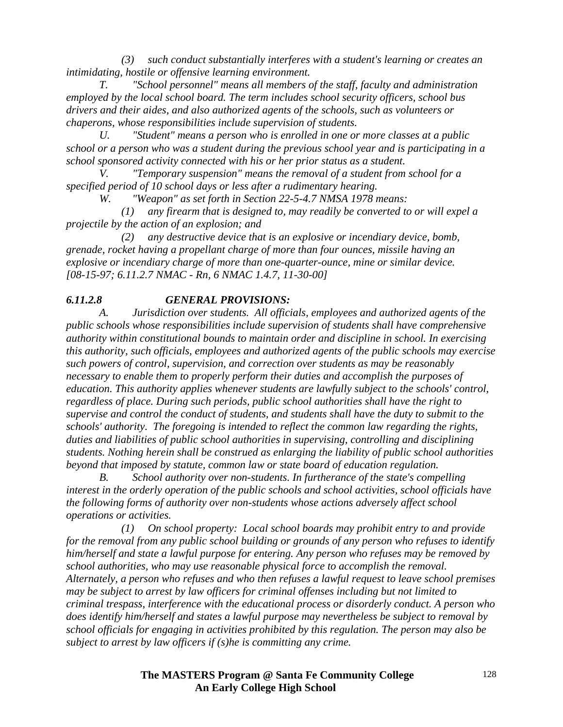*(3) such conduct substantially interferes with a student's learning or creates an intimidating, hostile or offensive learning environment.* 

 *T. "School personnel" means all members of the staff, faculty and administration employed by the local school board. The term includes school security officers, school bus drivers and their aides, and also authorized agents of the schools, such as volunteers or chaperons, whose responsibilities include supervision of students.* 

 *U. "Student" means a person who is enrolled in one or more classes at a public school or a person who was a student during the previous school year and is participating in a school sponsored activity connected with his or her prior status as a student.* 

 *V. "Temporary suspension" means the removal of a student from school for a specified period of 10 school days or less after a rudimentary hearing.* 

 *W. "Weapon" as set forth in Section 22-5-4.7 NMSA 1978 means:* 

 *(1) any firearm that is designed to, may readily be converted to or will expel a projectile by the action of an explosion; and* 

 *(2) any destructive device that is an explosive or incendiary device, bomb, grenade, rocket having a propellant charge of more than four ounces, missile having an explosive or incendiary charge of more than one-quarter-ounce, mine or similar device. [08-15-97; 6.11.2.7 NMAC - Rn, 6 NMAC 1.4.7, 11-30-00]* 

# *6.11.2.8 GENERAL PROVISIONS:*

 *A. Jurisdiction over students. All officials, employees and authorized agents of the public schools whose responsibilities include supervision of students shall have comprehensive authority within constitutional bounds to maintain order and discipline in school. In exercising this authority, such officials, employees and authorized agents of the public schools may exercise such powers of control, supervision, and correction over students as may be reasonably necessary to enable them to properly perform their duties and accomplish the purposes of education. This authority applies whenever students are lawfully subject to the schools' control, regardless of place. During such periods, public school authorities shall have the right to supervise and control the conduct of students, and students shall have the duty to submit to the schools' authority. The foregoing is intended to reflect the common law regarding the rights, duties and liabilities of public school authorities in supervising, controlling and disciplining students. Nothing herein shall be construed as enlarging the liability of public school authorities beyond that imposed by statute, common law or state board of education regulation.* 

*School authority over non-students. In furtherance of the state's compelling interest in the orderly operation of the public schools and school activities, school officials have the following forms of authority over non-students whose actions adversely affect school operations or activities.* 

 *(1) On school property: Local school boards may prohibit entry to and provide for the removal from any public school building or grounds of any person who refuses to identify him/herself and state a lawful purpose for entering. Any person who refuses may be removed by school authorities, who may use reasonable physical force to accomplish the removal. Alternately, a person who refuses and who then refuses a lawful request to leave school premises may be subject to arrest by law officers for criminal offenses including but not limited to criminal trespass, interference with the educational process or disorderly conduct. A person who does identify him/herself and states a lawful purpose may nevertheless be subject to removal by school officials for engaging in activities prohibited by this regulation. The person may also be subject to arrest by law officers if (s)he is committing any crime.*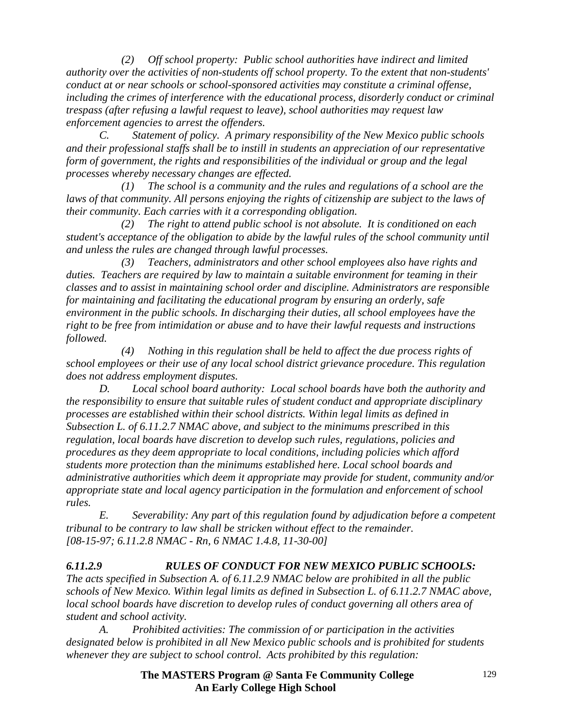*(2) Off school property: Public school authorities have indirect and limited authority over the activities of non-students off school property. To the extent that non-students' conduct at or near schools or school-sponsored activities may constitute a criminal offense, including the crimes of interference with the educational process, disorderly conduct or criminal trespass (after refusing a lawful request to leave), school authorities may request law enforcement agencies to arrest the offenders.* 

 *C. Statement of policy. A primary responsibility of the New Mexico public schools and their professional staffs shall be to instill in students an appreciation of our representative form of government, the rights and responsibilities of the individual or group and the legal processes whereby necessary changes are effected.* 

 *(1) The school is a community and the rules and regulations of a school are the*  laws of that community. All persons enjoying the rights of citizenship are subject to the laws of *their community. Each carries with it a corresponding obligation.* 

 *(2) The right to attend public school is not absolute. It is conditioned on each student's acceptance of the obligation to abide by the lawful rules of the school community until and unless the rules are changed through lawful processes.* 

 *(3) Teachers, administrators and other school employees also have rights and duties. Teachers are required by law to maintain a suitable environment for teaming in their classes and to assist in maintaining school order and discipline. Administrators are responsible for maintaining and facilitating the educational program by ensuring an orderly, safe environment in the public schools. In discharging their duties, all school employees have the right to be free from intimidation or abuse and to have their lawful requests and instructions followed.* 

 *(4) Nothing in this regulation shall be held to affect the due process rights of school employees or their use of any local school district grievance procedure. This regulation does not address employment disputes.* 

 *D. Local school board authority: Local school boards have both the authority and the responsibility to ensure that suitable rules of student conduct and appropriate disciplinary processes are established within their school districts. Within legal limits as defined in Subsection L. of 6.11.2.7 NMAC above, and subject to the minimums prescribed in this regulation, local boards have discretion to develop such rules, regulations, policies and procedures as they deem appropriate to local conditions, including policies which afford students more protection than the minimums established here. Local school boards and administrative authorities which deem it appropriate may provide for student, community and/or appropriate state and local agency participation in the formulation and enforcement of school rules.* 

 *E. Severability: Any part of this regulation found by adjudication before a competent tribunal to be contrary to law shall be stricken without effect to the remainder. [08-15-97; 6.11.2.8 NMAC - Rn, 6 NMAC 1.4.8, 11-30-00]* 

# *6.11.2.9 RULES OF CONDUCT FOR NEW MEXICO PUBLIC SCHOOLS:*

*The acts specified in Subsection A. of 6.11.2.9 NMAC below are prohibited in all the public schools of New Mexico. Within legal limits as defined in Subsection L. of 6.11.2.7 NMAC above, local school boards have discretion to develop rules of conduct governing all others area of student and school activity.* 

 *A. Prohibited activities: The commission of or participation in the activities designated below is prohibited in all New Mexico public schools and is prohibited for students whenever they are subject to school control. Acts prohibited by this regulation:*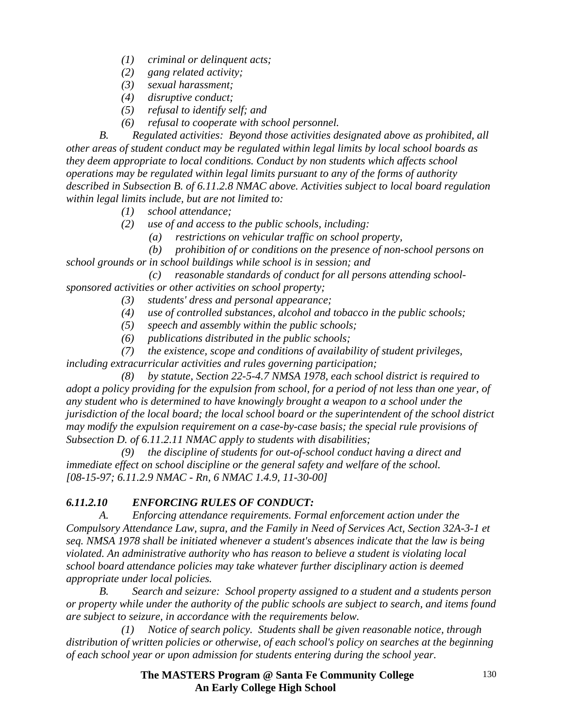- *(1) criminal or delinquent acts;*
- *(2) gang related activity;*
- *(3) sexual harassment;*
- *(4) disruptive conduct;*
- *(5) refusal to identify self; and*
- *(6) refusal to cooperate with school personnel.*

 *B. Regulated activities: Beyond those activities designated above as prohibited, all other areas of student conduct may be regulated within legal limits by local school boards as they deem appropriate to local conditions. Conduct by non students which affects school operations may be regulated within legal limits pursuant to any of the forms of authority described in Subsection B. of 6.11.2.8 NMAC above. Activities subject to local board regulation within legal limits include, but are not limited to:* 

- *(1) school attendance;*
- *(2) use of and access to the public schools, including:* 
	- *(a) restrictions on vehicular traffic on school property,*

 *(b) prohibition of or conditions on the presence of non-school persons on school grounds or in school buildings while school is in session; and* 

 *(c) reasonable standards of conduct for all persons attending schoolsponsored activities or other activities on school property;* 

- *(3) students' dress and personal appearance;*
- *(4) use of controlled substances, alcohol and tobacco in the public schools;*
- *(5) speech and assembly within the public schools;*
- *(6) publications distributed in the public schools;*

 *(7) the existence, scope and conditions of availability of student privileges, including extracurricular activities and rules governing participation;* 

 *(8) by statute, Section 22-5-4.7 NMSA 1978, each school district is required to adopt a policy providing for the expulsion from school, for a period of not less than one year, of any student who is determined to have knowingly brought a weapon to a school under the jurisdiction of the local board; the local school board or the superintendent of the school district may modify the expulsion requirement on a case-by-case basis; the special rule provisions of Subsection D. of 6.11.2.11 NMAC apply to students with disabilities;* 

 *(9) the discipline of students for out-of-school conduct having a direct and immediate effect on school discipline or the general safety and welfare of the school. [08-15-97; 6.11.2.9 NMAC - Rn, 6 NMAC 1.4.9, 11-30-00]* 

# *6.11.2.10 ENFORCING RULES OF CONDUCT:*

 *A. Enforcing attendance requirements. Formal enforcement action under the Compulsory Attendance Law, supra, and the Family in Need of Services Act, Section 32A-3-1 et seq. NMSA 1978 shall be initiated whenever a student's absences indicate that the law is being violated. An administrative authority who has reason to believe a student is violating local school board attendance policies may take whatever further disciplinary action is deemed appropriate under local policies.* 

 *B. Search and seizure: School property assigned to a student and a students person or property while under the authority of the public schools are subject to search, and items found are subject to seizure, in accordance with the requirements below.* 

 *(1) Notice of search policy. Students shall be given reasonable notice, through distribution of written policies or otherwise, of each school's policy on searches at the beginning of each school year or upon admission for students entering during the school year.*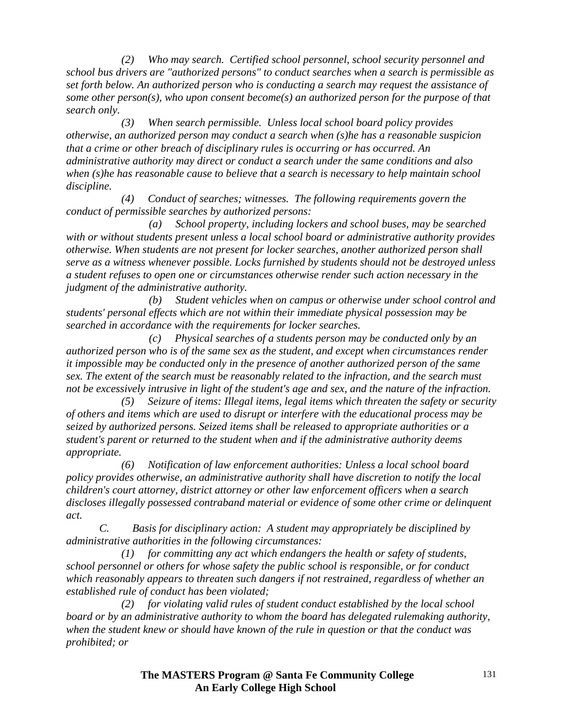*(2) Who may search. Certified school personnel, school security personnel and school bus drivers are "authorized persons" to conduct searches when a search is permissible as set forth below. An authorized person who is conducting a search may request the assistance of some other person(s), who upon consent become(s) an authorized person for the purpose of that search only.* 

 *(3) When search permissible. Unless local school board policy provides otherwise, an authorized person may conduct a search when (s)he has a reasonable suspicion that a crime or other breach of disciplinary rules is occurring or has occurred. An administrative authority may direct or conduct a search under the same conditions and also when (s)he has reasonable cause to believe that a search is necessary to help maintain school discipline.* 

 *(4) Conduct of searches; witnesses. The following requirements govern the conduct of permissible searches by authorized persons:* 

 *(a) School property, including lockers and school buses, may be searched with or without students present unless a local school board or administrative authority provides otherwise. When students are not present for locker searches, another authorized person shall serve as a witness whenever possible. Locks furnished by students should not be destroyed unless a student refuses to open one or circumstances otherwise render such action necessary in the judgment of the administrative authority.* 

 *(b) Student vehicles when on campus or otherwise under school control and students' personal effects which are not within their immediate physical possession may be searched in accordance with the requirements for locker searches.* 

 *(c) Physical searches of a students person may be conducted only by an authorized person who is of the same sex as the student, and except when circumstances render it impossible may be conducted only in the presence of another authorized person of the same sex. The extent of the search must be reasonably related to the infraction, and the search must not be excessively intrusive in light of the student's age and sex, and the nature of the infraction.* 

 *(5) Seizure of items: Illegal items, legal items which threaten the safety or security of others and items which are used to disrupt or interfere with the educational process may be seized by authorized persons. Seized items shall be released to appropriate authorities or a student's parent or returned to the student when and if the administrative authority deems appropriate.* 

 *(6) Notification of law enforcement authorities: Unless a local school board policy provides otherwise, an administrative authority shall have discretion to notify the local children's court attorney, district attorney or other law enforcement officers when a search discloses illegally possessed contraband material or evidence of some other crime or delinquent act.* 

 *C. Basis for disciplinary action: A student may appropriately be disciplined by administrative authorities in the following circumstances:* 

 *(1) for committing any act which endangers the health or safety of students, school personnel or others for whose safety the public school is responsible, or for conduct which reasonably appears to threaten such dangers if not restrained, regardless of whether an established rule of conduct has been violated;* 

 *(2) for violating valid rules of student conduct established by the local school board or by an administrative authority to whom the board has delegated rulemaking authority, when the student knew or should have known of the rule in question or that the conduct was prohibited; or*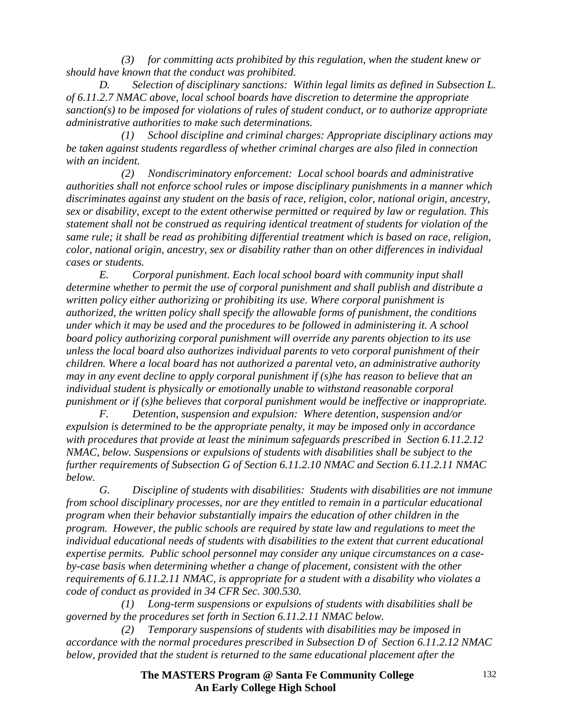*(3) for committing acts prohibited by this regulation, when the student knew or should have known that the conduct was prohibited.* 

 *D. Selection of disciplinary sanctions: Within legal limits as defined in Subsection L. of 6.11.2.7 NMAC above, local school boards have discretion to determine the appropriate sanction(s) to be imposed for violations of rules of student conduct, or to authorize appropriate administrative authorities to make such determinations.* 

 *(1) School discipline and criminal charges: Appropriate disciplinary actions may be taken against students regardless of whether criminal charges are also filed in connection with an incident.* 

 *(2) Nondiscriminatory enforcement: Local school boards and administrative authorities shall not enforce school rules or impose disciplinary punishments in a manner which discriminates against any student on the basis of race, religion, color, national origin, ancestry, sex or disability, except to the extent otherwise permitted or required by law or regulation. This statement shall not be construed as requiring identical treatment of students for violation of the same rule; it shall be read as prohibiting differential treatment which is based on race, religion, color, national origin, ancestry, sex or disability rather than on other differences in individual cases or students.* 

 *E. Corporal punishment. Each local school board with community input shall determine whether to permit the use of corporal punishment and shall publish and distribute a written policy either authorizing or prohibiting its use. Where corporal punishment is authorized, the written policy shall specify the allowable forms of punishment, the conditions under which it may be used and the procedures to be followed in administering it. A school board policy authorizing corporal punishment will override any parents objection to its use unless the local board also authorizes individual parents to veto corporal punishment of their children. Where a local board has not authorized a parental veto, an administrative authority may in any event decline to apply corporal punishment if (s)he has reason to believe that an individual student is physically or emotionally unable to withstand reasonable corporal punishment or if (s)he believes that corporal punishment would be ineffective or inappropriate.* 

 *F. Detention, suspension and expulsion: Where detention, suspension and/or expulsion is determined to be the appropriate penalty, it may be imposed only in accordance with procedures that provide at least the minimum safeguards prescribed in Section 6.11.2.12 NMAC, below. Suspensions or expulsions of students with disabilities shall be subject to the further requirements of Subsection G of Section 6.11.2.10 NMAC and Section 6.11.2.11 NMAC below.* 

 *G. Discipline of students with disabilities: Students with disabilities are not immune from school disciplinary processes, nor are they entitled to remain in a particular educational program when their behavior substantially impairs the education of other children in the program. However, the public schools are required by state law and regulations to meet the individual educational needs of students with disabilities to the extent that current educational expertise permits. Public school personnel may consider any unique circumstances on a caseby-case basis when determining whether a change of placement, consistent with the other requirements of 6.11.2.11 NMAC, is appropriate for a student with a disability who violates a code of conduct as provided in 34 CFR Sec. 300.530.* 

 *(1) Long-term suspensions or expulsions of students with disabilities shall be governed by the procedures set forth in Section 6.11.2.11 NMAC below.* 

 *(2) Temporary suspensions of students with disabilities may be imposed in accordance with the normal procedures prescribed in Subsection D of Section 6.11.2.12 NMAC below, provided that the student is returned to the same educational placement after the*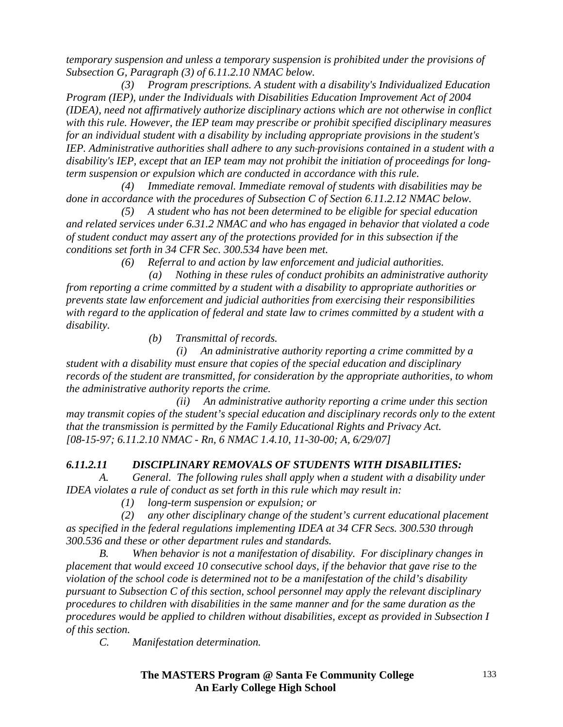*temporary suspension and unless a temporary suspension is prohibited under the provisions of Subsection G, Paragraph (3) of 6.11.2.10 NMAC below.* 

 *(3) Program prescriptions. A student with a disability's Individualized Education Program (IEP), under the Individuals with Disabilities Education Improvement Act of 2004 (IDEA), need not affirmatively authorize disciplinary actions which are not otherwise in conflict with this rule. However, the IEP team may prescribe or prohibit specified disciplinary measures for an individual student with a disability by including appropriate provisions in the student's IEP. Administrative authorities shall adhere to any such provisions contained in a student with a disability's IEP, except that an IEP team may not prohibit the initiation of proceedings for longterm suspension or expulsion which are conducted in accordance with this rule.* 

 *(4) Immediate removal. Immediate removal of students with disabilities may be done in accordance with the procedures of Subsection C of Section 6.11.2.12 NMAC below.* 

 *(5) A student who has not been determined to be eligible for special education and related services under 6.31.2 NMAC and who has engaged in behavior that violated a code of student conduct may assert any of the protections provided for in this subsection if the conditions set forth in 34 CFR Sec. 300.534 have been met.* 

 *(6) Referral to and action by law enforcement and judicial authorities.* 

 *(a) Nothing in these rules of conduct prohibits an administrative authority from reporting a crime committed by a student with a disability to appropriate authorities or prevents state law enforcement and judicial authorities from exercising their responsibilities with regard to the application of federal and state law to crimes committed by a student with a disability.* 

 *(b) Transmittal of records.* 

 *(i) An administrative authority reporting a crime committed by a student with a disability must ensure that copies of the special education and disciplinary records of the student are transmitted, for consideration by the appropriate authorities, to whom the administrative authority reports the crime.* 

 *(ii) An administrative authority reporting a crime under this section may transmit copies of the student's special education and disciplinary records only to the extent that the transmission is permitted by the Family Educational Rights and Privacy Act. [08-15-97; 6.11.2.10 NMAC - Rn, 6 NMAC 1.4.10, 11-30-00; A, 6/29/07]* 

# *6.11.2.11 DISCIPLINARY REMOVALS OF STUDENTS WITH DISABILITIES:*

 *A. General. The following rules shall apply when a student with a disability under IDEA violates a rule of conduct as set forth in this rule which may result in:* 

 *(1) long-term suspension or expulsion; or* 

 *(2) any other disciplinary change of the student's current educational placement as specified in the federal regulations implementing IDEA at 34 CFR Secs. 300.530 through 300.536 and these or other department rules and standards.* 

 *B. When behavior is not a manifestation of disability. For disciplinary changes in placement that would exceed 10 consecutive school days, if the behavior that gave rise to the violation of the school code is determined not to be a manifestation of the child's disability pursuant to Subsection C of this section, school personnel may apply the relevant disciplinary procedures to children with disabilities in the same manner and for the same duration as the procedures would be applied to children without disabilities, except as provided in Subsection I of this section.* 

 *C. Manifestation determination.*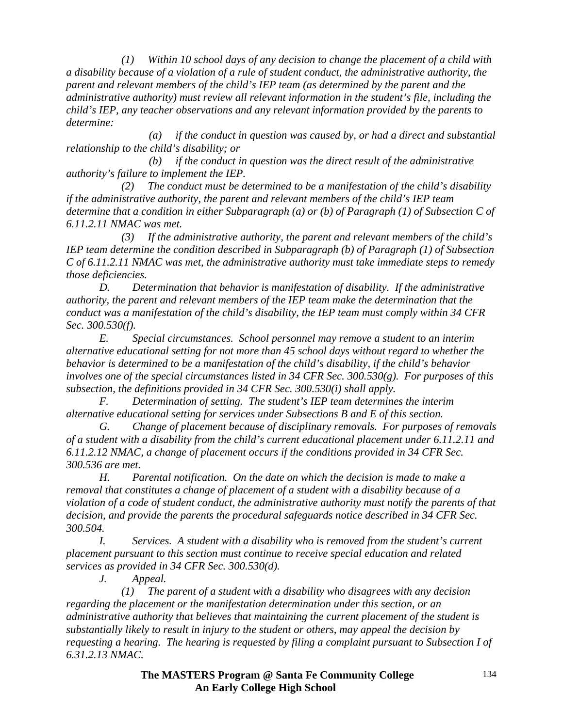*(1) Within 10 school days of any decision to change the placement of a child with a disability because of a violation of a rule of student conduct, the administrative authority, the parent and relevant members of the child's IEP team (as determined by the parent and the administrative authority) must review all relevant information in the student's file, including the child's IEP, any teacher observations and any relevant information provided by the parents to determine:* 

 *(a) if the conduct in question was caused by, or had a direct and substantial relationship to the child's disability; or* 

 *(b) if the conduct in question was the direct result of the administrative authority's failure to implement the IEP.* 

 *(2) The conduct must be determined to be a manifestation of the child's disability if the administrative authority, the parent and relevant members of the child's IEP team determine that a condition in either Subparagraph (a) or (b) of Paragraph (1) of Subsection C of 6.11.2.11 NMAC was met.* 

 *(3) If the administrative authority, the parent and relevant members of the child's IEP team determine the condition described in Subparagraph (b) of Paragraph (1) of Subsection C of 6.11.2.11 NMAC was met, the administrative authority must take immediate steps to remedy those deficiencies.* 

 *D. Determination that behavior is manifestation of disability. If the administrative authority, the parent and relevant members of the IEP team make the determination that the conduct was a manifestation of the child's disability, the IEP team must comply within 34 CFR Sec. 300.530(f).* 

 *E. Special circumstances. School personnel may remove a student to an interim alternative educational setting for not more than 45 school days without regard to whether the behavior is determined to be a manifestation of the child's disability, if the child's behavior involves one of the special circumstances listed in 34 CFR Sec. 300.530(g). For purposes of this subsection, the definitions provided in 34 CFR Sec. 300.530(i) shall apply.* 

 *F. Determination of setting. The student's IEP team determines the interim alternative educational setting for services under Subsections B and E of this section.* 

 *G. Change of placement because of disciplinary removals. For purposes of removals of a student with a disability from the child's current educational placement under 6.11.2.11 and 6.11.2.12 NMAC, a change of placement occurs if the conditions provided in 34 CFR Sec. 300.536 are met.* 

 *H. Parental notification. On the date on which the decision is made to make a removal that constitutes a change of placement of a student with a disability because of a violation of a code of student conduct, the administrative authority must notify the parents of that decision, and provide the parents the procedural safeguards notice described in 34 CFR Sec. 300.504.* 

 *I. Services. A student with a disability who is removed from the student's current placement pursuant to this section must continue to receive special education and related services as provided in 34 CFR Sec. 300.530(d).* 

 *J. Appeal.* 

 *(1) The parent of a student with a disability who disagrees with any decision regarding the placement or the manifestation determination under this section, or an administrative authority that believes that maintaining the current placement of the student is substantially likely to result in injury to the student or others, may appeal the decision by requesting a hearing. The hearing is requested by filing a complaint pursuant to Subsection I of 6.31.2.13 NMAC.*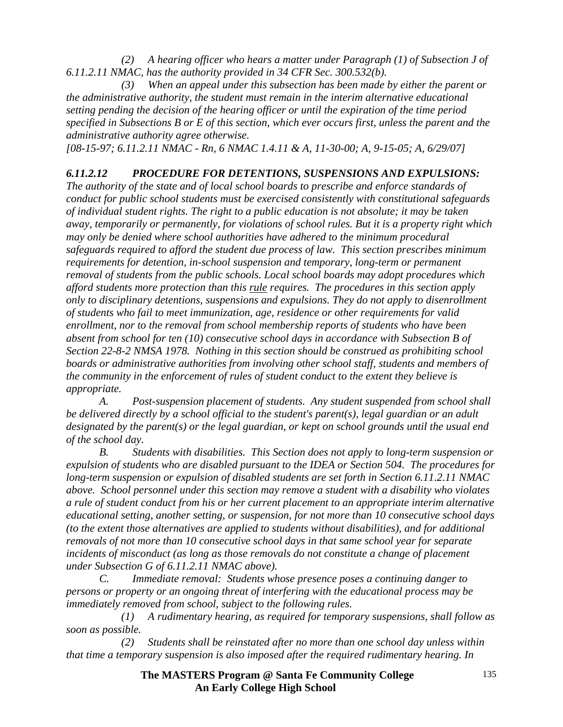*(2) A hearing officer who hears a matter under Paragraph (1) of Subsection J of 6.11.2.11 NMAC, has the authority provided in 34 CFR Sec. 300.532(b).* 

 *(3) When an appeal under this subsection has been made by either the parent or the administrative authority, the student must remain in the interim alternative educational setting pending the decision of the hearing officer or until the expiration of the time period specified in Subsections B or E of this section, which ever occurs first, unless the parent and the administrative authority agree otherwise.* 

*[08-15-97; 6.11.2.11 NMAC - Rn, 6 NMAC 1.4.11 & A, 11-30-00; A, 9-15-05; A, 6/29/07]* 

# *6.11.2.12 PROCEDURE FOR DETENTIONS, SUSPENSIONS AND EXPULSIONS:*

*The authority of the state and of local school boards to prescribe and enforce standards of conduct for public school students must be exercised consistently with constitutional safeguards of individual student rights. The right to a public education is not absolute; it may be taken away, temporarily or permanently, for violations of school rules. But it is a property right which may only be denied where school authorities have adhered to the minimum procedural safeguards required to afford the student due process of law. This section prescribes minimum requirements for detention, in-school suspension and temporary, long-term or permanent removal of students from the public schools. Local school boards may adopt procedures which afford students more protection than this rule requires. The procedures in this section apply only to disciplinary detentions, suspensions and expulsions. They do not apply to disenrollment of students who fail to meet immunization, age, residence or other requirements for valid enrollment, nor to the removal from school membership reports of students who have been absent from school for ten (10) consecutive school days in accordance with Subsection B of Section 22-8-2 NMSA 1978. Nothing in this section should be construed as prohibiting school boards or administrative authorities from involving other school staff, students and members of the community in the enforcement of rules of student conduct to the extent they believe is appropriate.* 

 *A. Post-suspension placement of students. Any student suspended from school shall be delivered directly by a school official to the student's parent(s), legal guardian or an adult designated by the parent(s) or the legal guardian, or kept on school grounds until the usual end of the school day.* 

 *B. Students with disabilities. This Section does not apply to long-term suspension or expulsion of students who are disabled pursuant to the IDEA or Section 504. The procedures for long-term suspension or expulsion of disabled students are set forth in Section 6.11.2.11 NMAC above. School personnel under this section may remove a student with a disability who violates a rule of student conduct from his or her current placement to an appropriate interim alternative educational setting, another setting, or suspension, for not more than 10 consecutive school days (to the extent those alternatives are applied to students without disabilities), and for additional removals of not more than 10 consecutive school days in that same school year for separate*  incidents of misconduct (as long as those removals do not constitute a change of placement *under Subsection G of 6.11.2.11 NMAC above).* 

 *C. Immediate removal: Students whose presence poses a continuing danger to persons or property or an ongoing threat of interfering with the educational process may be immediately removed from school, subject to the following rules.* 

 *(1) A rudimentary hearing, as required for temporary suspensions, shall follow as soon as possible.* 

 *(2) Students shall be reinstated after no more than one school day unless within that time a temporary suspension is also imposed after the required rudimentary hearing. In*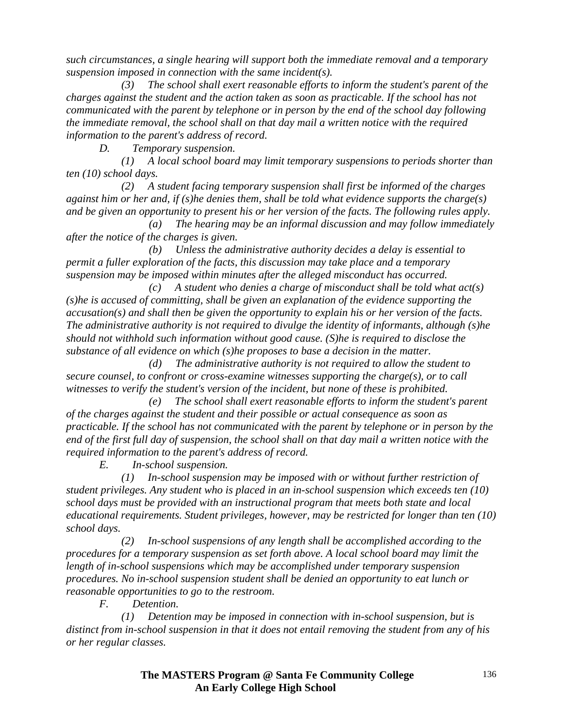*such circumstances, a single hearing will support both the immediate removal and a temporary suspension imposed in connection with the same incident(s).* 

 *(3) The school shall exert reasonable efforts to inform the student's parent of the charges against the student and the action taken as soon as practicable. If the school has not communicated with the parent by telephone or in person by the end of the school day following the immediate removal, the school shall on that day mail a written notice with the required information to the parent's address of record.* 

 *D. Temporary suspension.* 

 *(1) A local school board may limit temporary suspensions to periods shorter than ten (10) school days.* 

 *(2) A student facing temporary suspension shall first be informed of the charges against him or her and, if (s)he denies them, shall be told what evidence supports the charge(s) and be given an opportunity to present his or her version of the facts. The following rules apply.* 

 *(a) The hearing may be an informal discussion and may follow immediately after the notice of the charges is given.* 

 *(b) Unless the administrative authority decides a delay is essential to permit a fuller exploration of the facts, this discussion may take place and a temporary suspension may be imposed within minutes after the alleged misconduct has occurred.* 

 *(c) A student who denies a charge of misconduct shall be told what act(s) (s)he is accused of committing, shall be given an explanation of the evidence supporting the accusation(s) and shall then be given the opportunity to explain his or her version of the facts. The administrative authority is not required to divulge the identity of informants, although (s)he should not withhold such information without good cause. (S)he is required to disclose the substance of all evidence on which (s)he proposes to base a decision in the matter.* 

 *(d) The administrative authority is not required to allow the student to secure counsel, to confront or cross-examine witnesses supporting the charge(s), or to call witnesses to verify the student's version of the incident, but none of these is prohibited.* 

 *(e) The school shall exert reasonable efforts to inform the student's parent of the charges against the student and their possible or actual consequence as soon as practicable. If the school has not communicated with the parent by telephone or in person by the end of the first full day of suspension, the school shall on that day mail a written notice with the required information to the parent's address of record.* 

 *E. In-school suspension.* 

 *(1) In-school suspension may be imposed with or without further restriction of student privileges. Any student who is placed in an in-school suspension which exceeds ten (10) school days must be provided with an instructional program that meets both state and local educational requirements. Student privileges, however, may be restricted for longer than ten (10) school days.* 

 *(2) In-school suspensions of any length shall be accomplished according to the procedures for a temporary suspension as set forth above. A local school board may limit the length of in-school suspensions which may be accomplished under temporary suspension procedures. No in-school suspension student shall be denied an opportunity to eat lunch or reasonable opportunities to go to the restroom.* 

 *F. Detention.* 

 *(1) Detention may be imposed in connection with in-school suspension, but is distinct from in-school suspension in that it does not entail removing the student from any of his or her regular classes.* 

> **The MASTERS Program @ Santa Fe Community College An Early College High School**

136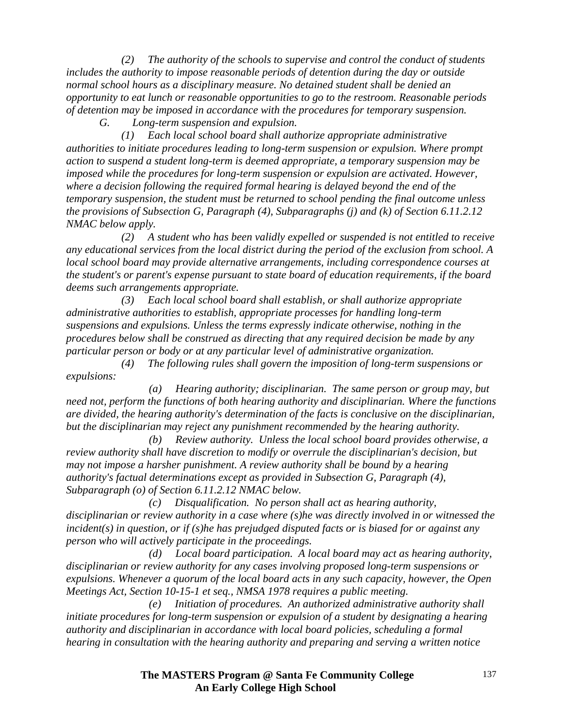*(2) The authority of the schools to supervise and control the conduct of students includes the authority to impose reasonable periods of detention during the day or outside normal school hours as a disciplinary measure. No detained student shall be denied an opportunity to eat lunch or reasonable opportunities to go to the restroom. Reasonable periods of detention may be imposed in accordance with the procedures for temporary suspension.* 

 *G. Long-term suspension and expulsion.* 

 *(1) Each local school board shall authorize appropriate administrative authorities to initiate procedures leading to long-term suspension or expulsion. Where prompt action to suspend a student long-term is deemed appropriate, a temporary suspension may be imposed while the procedures for long-term suspension or expulsion are activated. However, where a decision following the required formal hearing is delayed beyond the end of the temporary suspension, the student must be returned to school pending the final outcome unless the provisions of Subsection G, Paragraph (4), Subparagraphs (j) and (k) of Section 6.11.2.12 NMAC below apply.* 

 *(2) A student who has been validly expelled or suspended is not entitled to receive any educational services from the local district during the period of the exclusion from school. A local school board may provide alternative arrangements, including correspondence courses at the student's or parent's expense pursuant to state board of education requirements, if the board deems such arrangements appropriate.* 

 *(3) Each local school board shall establish, or shall authorize appropriate administrative authorities to establish, appropriate processes for handling long-term suspensions and expulsions. Unless the terms expressly indicate otherwise, nothing in the procedures below shall be construed as directing that any required decision be made by any particular person or body or at any particular level of administrative organization.* 

 *(4) The following rules shall govern the imposition of long-term suspensions or expulsions:* 

 *(a) Hearing authority; disciplinarian. The same person or group may, but need not, perform the functions of both hearing authority and disciplinarian. Where the functions are divided, the hearing authority's determination of the facts is conclusive on the disciplinarian, but the disciplinarian may reject any punishment recommended by the hearing authority.* 

 *(b) Review authority. Unless the local school board provides otherwise, a review authority shall have discretion to modify or overrule the disciplinarian's decision, but may not impose a harsher punishment. A review authority shall be bound by a hearing authority's factual determinations except as provided in Subsection G, Paragraph (4), Subparagraph (o) of Section 6.11.2.12 NMAC below.* 

 *(c) Disqualification. No person shall act as hearing authority, disciplinarian or review authority in a case where (s)he was directly involved in or witnessed the incident(s) in question, or if (s)he has prejudged disputed facts or is biased for or against any person who will actively participate in the proceedings.* 

 *(d) Local board participation. A local board may act as hearing authority, disciplinarian or review authority for any cases involving proposed long-term suspensions or expulsions. Whenever a quorum of the local board acts in any such capacity, however, the Open Meetings Act, Section 10-15-1 et seq., NMSA 1978 requires a public meeting.* 

 *(e) Initiation of procedures. An authorized administrative authority shall initiate procedures for long-term suspension or expulsion of a student by designating a hearing authority and disciplinarian in accordance with local board policies, scheduling a formal hearing in consultation with the hearing authority and preparing and serving a written notice*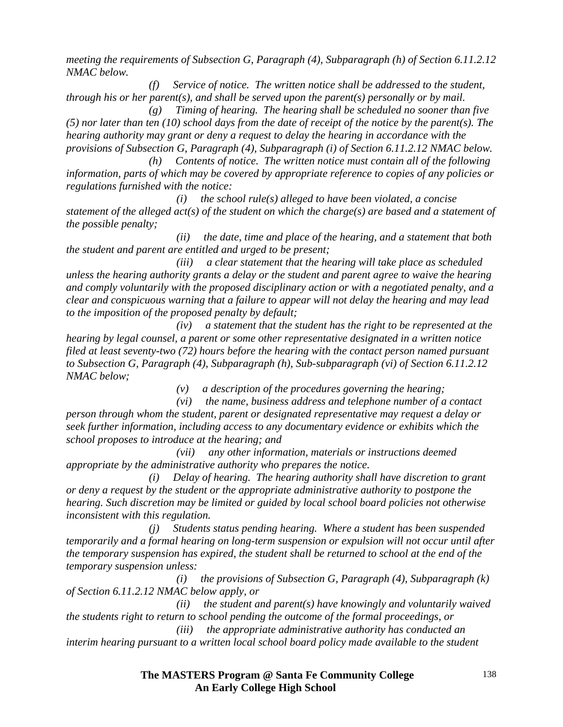*meeting the requirements of Subsection G, Paragraph (4), Subparagraph (h) of Section 6.11.2.12 NMAC below.* 

 *(f) Service of notice. The written notice shall be addressed to the student, through his or her parent(s), and shall be served upon the parent(s) personally or by mail.* 

 *(g) Timing of hearing. The hearing shall be scheduled no sooner than five (5) nor later than ten (10) school days from the date of receipt of the notice by the parent(s). The hearing authority may grant or deny a request to delay the hearing in accordance with the provisions of Subsection G, Paragraph (4), Subparagraph (i) of Section 6.11.2.12 NMAC below.* 

 *(h) Contents of notice. The written notice must contain all of the following information, parts of which may be covered by appropriate reference to copies of any policies or regulations furnished with the notice:* 

 *(i) the school rule(s) alleged to have been violated, a concise statement of the alleged act(s) of the student on which the charge(s) are based and a statement of the possible penalty;* 

 *(ii) the date, time and place of the hearing, and a statement that both the student and parent are entitled and urged to be present;* 

 *(iii) a clear statement that the hearing will take place as scheduled unless the hearing authority grants a delay or the student and parent agree to waive the hearing and comply voluntarily with the proposed disciplinary action or with a negotiated penalty, and a clear and conspicuous warning that a failure to appear will not delay the hearing and may lead to the imposition of the proposed penalty by default;* 

 *(iv) a statement that the student has the right to be represented at the hearing by legal counsel, a parent or some other representative designated in a written notice filed at least seventy-two (72) hours before the hearing with the contact person named pursuant to Subsection G, Paragraph (4), Subparagraph (h), Sub-subparagraph (vi) of Section 6.11.2.12 NMAC below;* 

 *(v) a description of the procedures governing the hearing;* 

 *(vi) the name, business address and telephone number of a contact person through whom the student, parent or designated representative may request a delay or seek further information, including access to any documentary evidence or exhibits which the school proposes to introduce at the hearing; and* 

 *(vii) any other information, materials or instructions deemed appropriate by the administrative authority who prepares the notice.* 

 *(i) Delay of hearing. The hearing authority shall have discretion to grant or deny a request by the student or the appropriate administrative authority to postpone the hearing. Such discretion may be limited or guided by local school board policies not otherwise inconsistent with this regulation.* 

 *(j) Students status pending hearing. Where a student has been suspended temporarily and a formal hearing on long-term suspension or expulsion will not occur until after the temporary suspension has expired, the student shall be returned to school at the end of the temporary suspension unless:* 

 *(i) the provisions of Subsection G, Paragraph (4), Subparagraph (k) of Section 6.11.2.12 NMAC below apply, or* 

 *(ii) the student and parent(s) have knowingly and voluntarily waived the students right to return to school pending the outcome of the formal proceedings, or* 

 *(iii) the appropriate administrative authority has conducted an interim hearing pursuant to a written local school board policy made available to the student*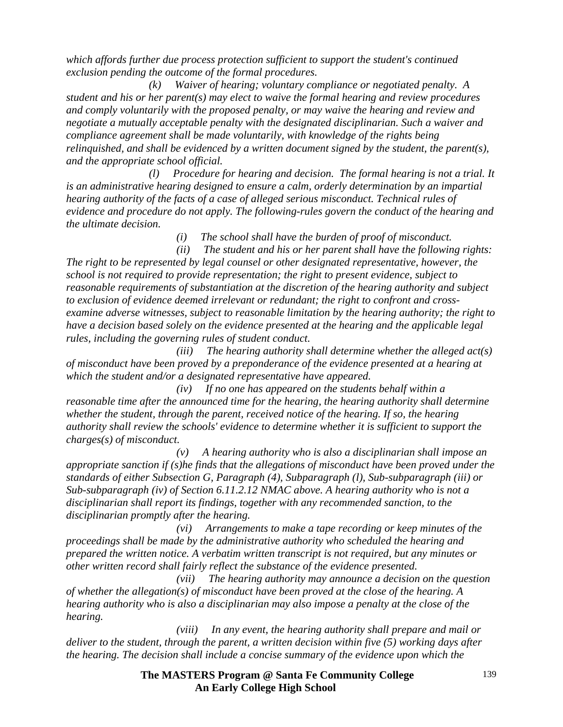*which affords further due process protection sufficient to support the student's continued exclusion pending the outcome of the formal procedures.* 

 *(k) Waiver of hearing; voluntary compliance or negotiated penalty. A student and his or her parent(s) may elect to waive the formal hearing and review procedures and comply voluntarily with the proposed penalty, or may waive the hearing and review and negotiate a mutually acceptable penalty with the designated disciplinarian. Such a waiver and compliance agreement shall be made voluntarily, with knowledge of the rights being relinquished, and shall be evidenced by a written document signed by the student, the parent(s), and the appropriate school official.* 

 *(l) Procedure for hearing and decision. The formal hearing is not a trial. It is an administrative hearing designed to ensure a calm, orderly determination by an impartial hearing authority of the facts of a case of alleged serious misconduct. Technical rules of evidence and procedure do not apply. The following-rules govern the conduct of the hearing and the ultimate decision.* 

 *(i) The school shall have the burden of proof of misconduct.* 

 *(ii) The student and his or her parent shall have the following rights: The right to be represented by legal counsel or other designated representative, however, the school is not required to provide representation; the right to present evidence, subject to reasonable requirements of substantiation at the discretion of the hearing authority and subject to exclusion of evidence deemed irrelevant or redundant; the right to confront and crossexamine adverse witnesses, subject to reasonable limitation by the hearing authority; the right to have a decision based solely on the evidence presented at the hearing and the applicable legal rules, including the governing rules of student conduct.* 

 *(iii) The hearing authority shall determine whether the alleged act(s) of misconduct have been proved by a preponderance of the evidence presented at a hearing at which the student and/or a designated representative have appeared.* 

 *(iv) If no one has appeared on the students behalf within a reasonable time after the announced time for the hearing, the hearing authority shall determine whether the student, through the parent, received notice of the hearing. If so, the hearing authority shall review the schools' evidence to determine whether it is sufficient to support the charges(s) of misconduct.* 

 *(v) A hearing authority who is also a disciplinarian shall impose an appropriate sanction if (s)he finds that the allegations of misconduct have been proved under the standards of either Subsection G, Paragraph (4), Subparagraph (l), Sub-subparagraph (iii) or Sub-subparagraph (iv) of Section 6.11.2.12 NMAC above. A hearing authority who is not a disciplinarian shall report its findings, together with any recommended sanction, to the disciplinarian promptly after the hearing.* 

 *(vi) Arrangements to make a tape recording or keep minutes of the proceedings shall be made by the administrative authority who scheduled the hearing and prepared the written notice. A verbatim written transcript is not required, but any minutes or other written record shall fairly reflect the substance of the evidence presented.* 

 *(vii) The hearing authority may announce a decision on the question of whether the allegation(s) of misconduct have been proved at the close of the hearing. A hearing authority who is also a disciplinarian may also impose a penalty at the close of the hearing.* 

 *(viii) In any event, the hearing authority shall prepare and mail or deliver to the student, through the parent, a written decision within five (5) working days after the hearing. The decision shall include a concise summary of the evidence upon which the*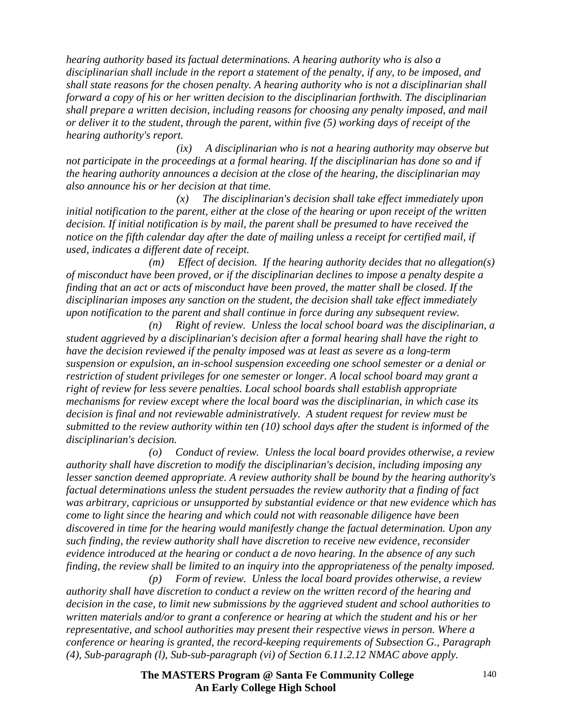*hearing authority based its factual determinations. A hearing authority who is also a disciplinarian shall include in the report a statement of the penalty, if any, to be imposed, and shall state reasons for the chosen penalty. A hearing authority who is not a disciplinarian shall forward a copy of his or her written decision to the disciplinarian forthwith. The disciplinarian shall prepare a written decision, including reasons for choosing any penalty imposed, and mail or deliver it to the student, through the parent, within five (5) working days of receipt of the hearing authority's report.* 

 *(ix) A disciplinarian who is not a hearing authority may observe but not participate in the proceedings at a formal hearing. If the disciplinarian has done so and if the hearing authority announces a decision at the close of the hearing, the disciplinarian may also announce his or her decision at that time.* 

 *(x) The disciplinarian's decision shall take effect immediately upon initial notification to the parent, either at the close of the hearing or upon receipt of the written decision. If initial notification is by mail, the parent shall be presumed to have received the notice on the fifth calendar day after the date of mailing unless a receipt for certified mail, if used, indicates a different date of receipt.* 

 *(m) Effect of decision. If the hearing authority decides that no allegation(s) of misconduct have been proved, or if the disciplinarian declines to impose a penalty despite a finding that an act or acts of misconduct have been proved, the matter shall be closed. If the disciplinarian imposes any sanction on the student, the decision shall take effect immediately upon notification to the parent and shall continue in force during any subsequent review.* 

 *(n) Right of review. Unless the local school board was the disciplinarian, a student aggrieved by a disciplinarian's decision after a formal hearing shall have the right to have the decision reviewed if the penalty imposed was at least as severe as a long-term suspension or expulsion, an in-school suspension exceeding one school semester or a denial or restriction of student privileges for one semester or longer. A local school board may grant a right of review for less severe penalties. Local school boards shall establish appropriate mechanisms for review except where the local board was the disciplinarian, in which case its decision is final and not reviewable administratively. A student request for review must be submitted to the review authority within ten (10) school days after the student is informed of the disciplinarian's decision.* 

 *(o) Conduct of review. Unless the local board provides otherwise, a review authority shall have discretion to modify the disciplinarian's decision, including imposing any lesser sanction deemed appropriate. A review authority shall be bound by the hearing authority's factual determinations unless the student persuades the review authority that a finding of fact was arbitrary, capricious or unsupported by substantial evidence or that new evidence which has come to light since the hearing and which could not with reasonable diligence have been discovered in time for the hearing would manifestly change the factual determination. Upon any such finding, the review authority shall have discretion to receive new evidence, reconsider evidence introduced at the hearing or conduct a de novo hearing. In the absence of any such finding, the review shall be limited to an inquiry into the appropriateness of the penalty imposed.* 

 *(p) Form of review. Unless the local board provides otherwise, a review authority shall have discretion to conduct a review on the written record of the hearing and decision in the case, to limit new submissions by the aggrieved student and school authorities to written materials and/or to grant a conference or hearing at which the student and his or her representative, and school authorities may present their respective views in person. Where a conference or hearing is granted, the record-keeping requirements of Subsection G., Paragraph (4), Sub-paragraph (l), Sub-sub-paragraph (vi) of Section 6.11.2.12 NMAC above apply.*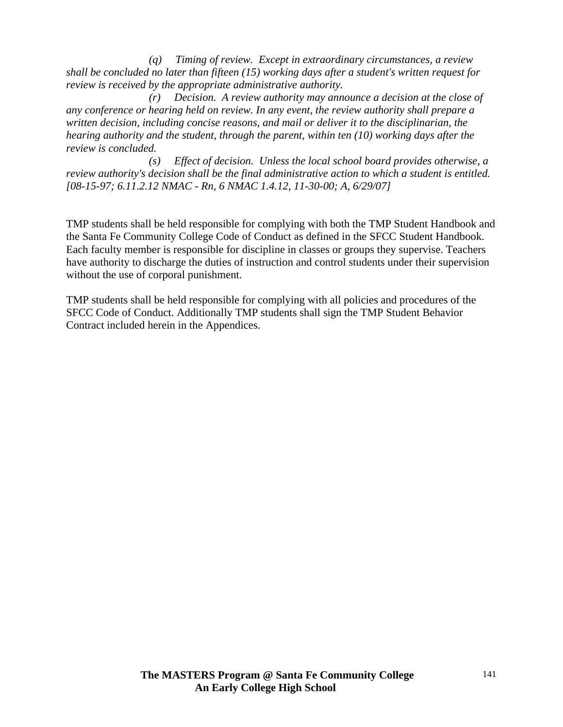*(q) Timing of review. Except in extraordinary circumstances, a review shall be concluded no later than fifteen (15) working days after a student's written request for review is received by the appropriate administrative authority.* 

 *(r) Decision. A review authority may announce a decision at the close of any conference or hearing held on review. In any event, the review authority shall prepare a written decision, including concise reasons, and mail or deliver it to the disciplinarian, the hearing authority and the student, through the parent, within ten (10) working days after the review is concluded.* 

 *(s) Effect of decision. Unless the local school board provides otherwise, a review authority's decision shall be the final administrative action to which a student is entitled. [08-15-97; 6.11.2.12 NMAC - Rn, 6 NMAC 1.4.12, 11-30-00; A, 6/29/07]* 

TMP students shall be held responsible for complying with both the TMP Student Handbook and the Santa Fe Community College Code of Conduct as defined in the SFCC Student Handbook. Each faculty member is responsible for discipline in classes or groups they supervise. Teachers have authority to discharge the duties of instruction and control students under their supervision without the use of corporal punishment.

TMP students shall be held responsible for complying with all policies and procedures of the SFCC Code of Conduct. Additionally TMP students shall sign the TMP Student Behavior Contract included herein in the Appendices.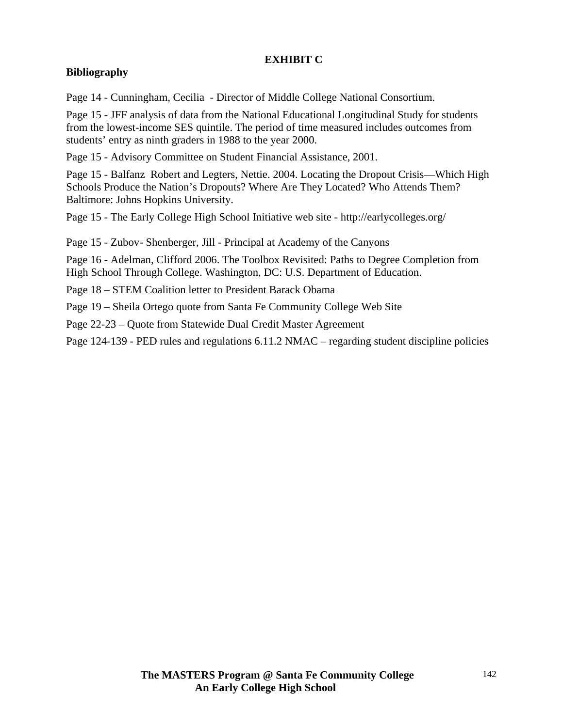### **EXHIBIT C**

# **Bibliography**

Page 14 - Cunningham, Cecilia - Director of Middle College National Consortium.

Page 15 - JFF analysis of data from the National Educational Longitudinal Study for students from the lowest-income SES quintile. The period of time measured includes outcomes from students' entry as ninth graders in 1988 to the year 2000.

Page 15 - Advisory Committee on Student Financial Assistance, 2001.

Page 15 - Balfanz Robert and Legters, Nettie. 2004. Locating the Dropout Crisis—Which High Schools Produce the Nation's Dropouts? Where Are They Located? Who Attends Them? Baltimore: Johns Hopkins University.

Page 15 - The Early College High School Initiative web site - http://earlycolleges.org/

Page 15 - Zubov- Shenberger, Jill - Principal at Academy of the Canyons

Page 16 - Adelman, Clifford 2006. The Toolbox Revisited: Paths to Degree Completion from High School Through College. Washington, DC: U.S. Department of Education.

Page 18 – STEM Coalition letter to President Barack Obama

Page 19 – Sheila Ortego quote from Santa Fe Community College Web Site

Page 22-23 – Quote from Statewide Dual Credit Master Agreement

Page 124-139 - PED rules and regulations 6.11.2 NMAC – regarding student discipline policies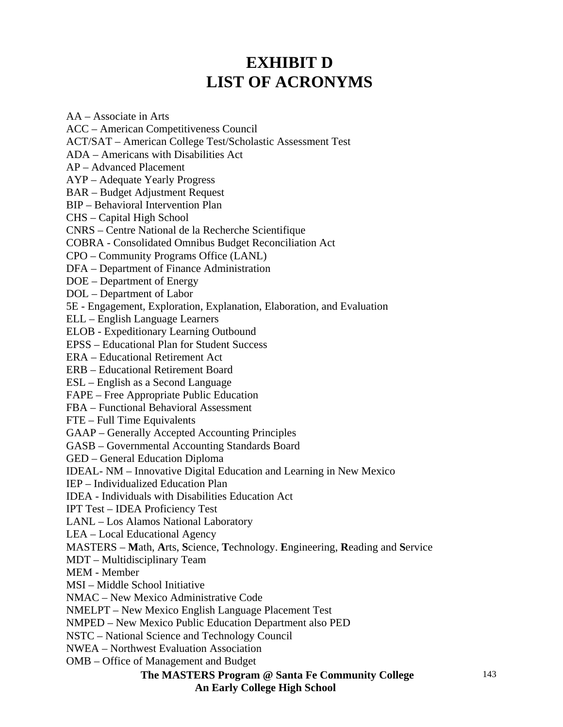# **EXHIBIT D LIST OF ACRONYMS**

AA – Associate in Arts ACC – American Competitiveness Council ACT/SAT – American College Test/Scholastic Assessment Test ADA – Americans with Disabilities Act AP – Advanced Placement AYP – Adequate Yearly Progress BAR – Budget Adjustment Request BIP – Behavioral Intervention Plan CHS – Capital High School CNRS – Centre National de la Recherche Scientifique COBRA - Consolidated Omnibus Budget Reconciliation Act CPO – Community Programs Office (LANL) DFA – Department of Finance Administration DOE – Department of Energy DOL – Department of Labor 5E - Engagement, Exploration, Explanation, Elaboration, and Evaluation ELL – English Language Learners ELOB - Expeditionary Learning Outbound EPSS – Educational Plan for Student Success ERA – Educational Retirement Act ERB – Educational Retirement Board ESL – English as a Second Language FAPE – Free Appropriate Public Education FBA – Functional Behavioral Assessment FTE – Full Time Equivalents GAAP – Generally Accepted Accounting Principles GASB – Governmental Accounting Standards Board GED – General Education Diploma IDEAL- NM – Innovative Digital Education and Learning in New Mexico IEP – Individualized Education Plan IDEA - Individuals with Disabilities Education Act IPT Test – IDEA Proficiency Test LANL – Los Alamos National Laboratory LEA – Local Educational Agency MASTERS – **M**ath, **A**rts, **S**cience, **T**echnology. **E**ngineering, **R**eading and **S**ervice MDT – Multidisciplinary Team MEM - Member MSI – Middle School Initiative NMAC – New Mexico Administrative Code NMELPT – New Mexico English Language Placement Test NMPED – New Mexico Public Education Department also PED NSTC – National Science and Technology Council NWEA – Northwest Evaluation Association OMB – Office of Management and Budget

# **The MASTERS Program @ Santa Fe Community College**

**An Early College High School**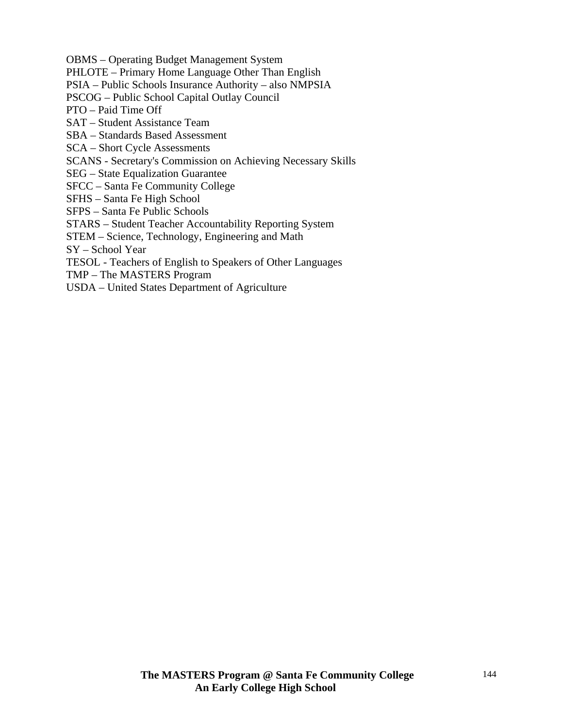OBMS – Operating Budget Management System

PHLOTE – Primary Home Language Other Than English

PSIA – Public Schools Insurance Authority – also NMPSIA

PSCOG – Public School Capital Outlay Council

PTO – Paid Time Off

SAT – Student Assistance Team

SBA – Standards Based Assessment

SCA – Short Cycle Assessments

SCANS - Secretary's Commission on Achieving Necessary Skills

SEG – State Equalization Guarantee

SFCC – Santa Fe Community College

SFHS – Santa Fe High School

SFPS – Santa Fe Public Schools

STARS – Student Teacher Accountability Reporting System

STEM – Science, Technology, Engineering and Math

SY – School Year

TESOL - Teachers of English to Speakers of Other Languages

TMP – The MASTERS Program

USDA – United States Department of Agriculture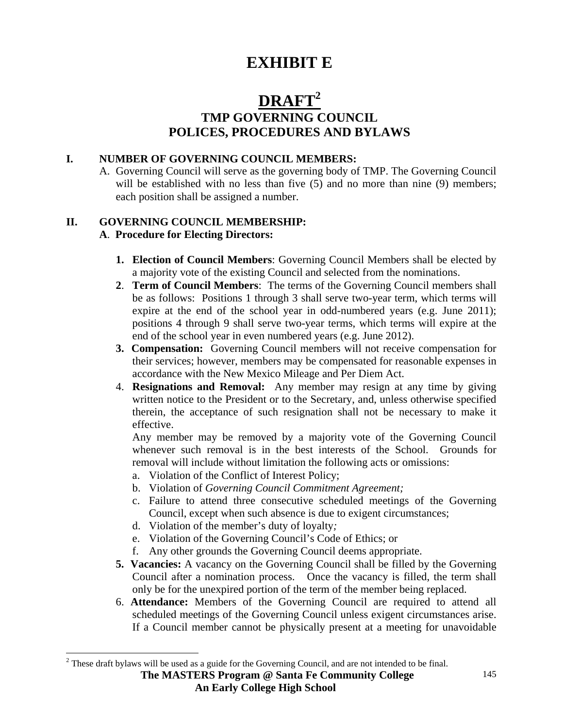# **EXHIBIT E**

## **DRAFT2 TMP GOVERNING COUNCIL POLICES, PROCEDURES AND BYLAWS**

#### **I. NUMBER OF GOVERNING COUNCIL MEMBERS:**

 A. Governing Council will serve as the governing body of TMP. The Governing Council will be established with no less than five (5) and no more than nine (9) members; each position shall be assigned a number.

#### **II. GOVERNING COUNCIL MEMBERSHIP: A**. **Procedure for Electing Directors:**

- **1. Election of Council Members**: Governing Council Members shall be elected by a majority vote of the existing Council and selected from the nominations.
- **2**. **Term of Council Members**: The terms of the Governing Council members shall be as follows: Positions 1 through 3 shall serve two-year term, which terms will expire at the end of the school year in odd-numbered years (e.g. June 2011); positions 4 through 9 shall serve two-year terms, which terms will expire at the end of the school year in even numbered years (e.g. June 2012).
- **3. Compensation:** Governing Council members will not receive compensation for their services; however, members may be compensated for reasonable expenses in accordance with the New Mexico Mileage and Per Diem Act.
- 4. **Resignations and Removal:** Any member may resign at any time by giving written notice to the President or to the Secretary, and, unless otherwise specified therein, the acceptance of such resignation shall not be necessary to make it effective.

Any member may be removed by a majority vote of the Governing Council whenever such removal is in the best interests of the School. Grounds for removal will include without limitation the following acts or omissions:

- a. Violation of the Conflict of Interest Policy;
- b. Violation of *Governing Council Commitment Agreement;*
- c. Failure to attend three consecutive scheduled meetings of the Governing Council, except when such absence is due to exigent circumstances;
- d. Violation of the member's duty of loyalty*;*
- e. Violation of the Governing Council's Code of Ethics; or
- f. Any other grounds the Governing Council deems appropriate.
- **5. Vacancies:** A vacancy on the Governing Council shall be filled by the Governing Council after a nomination process. Once the vacancy is filled, the term shall only be for the unexpired portion of the term of the member being replaced.
- 6. **Attendance:** Members of the Governing Council are required to attend all scheduled meetings of the Governing Council unless exigent circumstances arise. If a Council member cannot be physically present at a meeting for unavoidable

<sup>&</sup>lt;sup>2</sup> These draft bylaws will be used as a guide for the Governing Council, and are not intended to be final.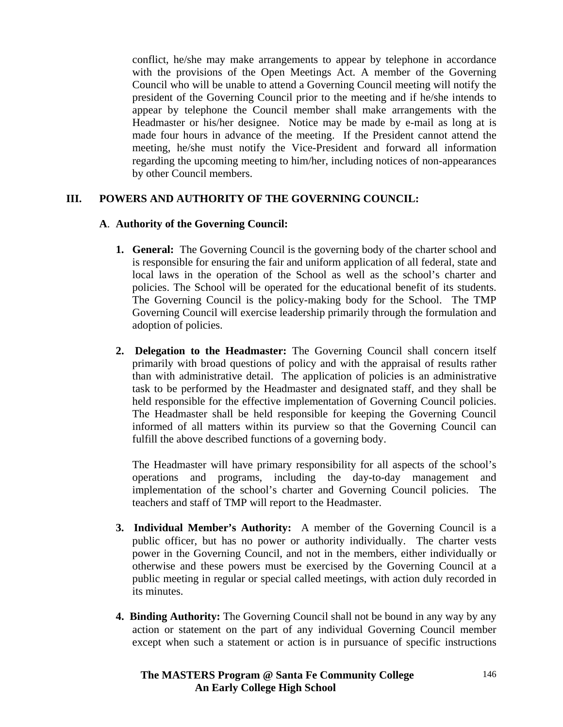conflict, he/she may make arrangements to appear by telephone in accordance with the provisions of the Open Meetings Act. A member of the Governing Council who will be unable to attend a Governing Council meeting will notify the president of the Governing Council prior to the meeting and if he/she intends to appear by telephone the Council member shall make arrangements with the Headmaster or his/her designee. Notice may be made by e-mail as long at is made four hours in advance of the meeting. If the President cannot attend the meeting, he/she must notify the Vice-President and forward all information regarding the upcoming meeting to him/her, including notices of non-appearances by other Council members.

## **III. POWERS AND AUTHORITY OF THE GOVERNING COUNCIL:**

## **A**. **Authority of the Governing Council:**

- **1. General:** The Governing Council is the governing body of the charter school and is responsible for ensuring the fair and uniform application of all federal, state and local laws in the operation of the School as well as the school's charter and policies. The School will be operated for the educational benefit of its students. The Governing Council is the policy-making body for the School. The TMP Governing Council will exercise leadership primarily through the formulation and adoption of policies.
- **2. Delegation to the Headmaster:** The Governing Council shall concern itself primarily with broad questions of policy and with the appraisal of results rather than with administrative detail. The application of policies is an administrative task to be performed by the Headmaster and designated staff, and they shall be held responsible for the effective implementation of Governing Council policies. The Headmaster shall be held responsible for keeping the Governing Council informed of all matters within its purview so that the Governing Council can fulfill the above described functions of a governing body.

 The Headmaster will have primary responsibility for all aspects of the school's operations and programs, including the day-to-day management and implementation of the school's charter and Governing Council policies. The teachers and staff of TMP will report to the Headmaster.

- **3. Individual Member's Authority:** A member of the Governing Council is a public officer, but has no power or authority individually. The charter vests power in the Governing Council, and not in the members, either individually or otherwise and these powers must be exercised by the Governing Council at a public meeting in regular or special called meetings, with action duly recorded in its minutes.
- **4. Binding Authority:** The Governing Council shall not be bound in any way by any action or statement on the part of any individual Governing Council member except when such a statement or action is in pursuance of specific instructions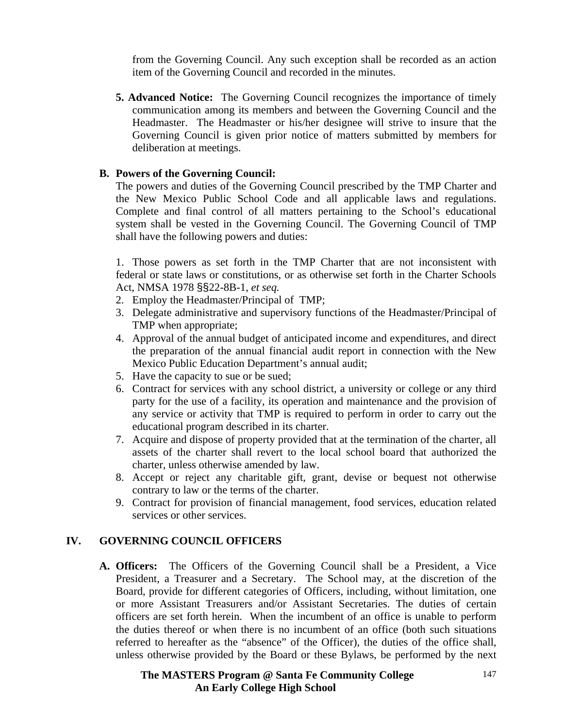from the Governing Council. Any such exception shall be recorded as an action item of the Governing Council and recorded in the minutes.

**5. Advanced Notice:** The Governing Council recognizes the importance of timely communication among its members and between the Governing Council and the Headmaster. The Headmaster or his/her designee will strive to insure that the Governing Council is given prior notice of matters submitted by members for deliberation at meetings.

#### **B. Powers of the Governing Council:**

 The powers and duties of the Governing Council prescribed by the TMP Charter and the New Mexico Public School Code and all applicable laws and regulations. Complete and final control of all matters pertaining to the School's educational system shall be vested in the Governing Council. The Governing Council of TMP shall have the following powers and duties:

1. Those powers as set forth in the TMP Charter that are not inconsistent with federal or state laws or constitutions, or as otherwise set forth in the Charter Schools Act, NMSA 1978 §§22-8B-1, *et seq.*

- 2. Employ the Headmaster/Principal of TMP;
- 3. Delegate administrative and supervisory functions of the Headmaster/Principal of TMP when appropriate;
- 4. Approval of the annual budget of anticipated income and expenditures, and direct the preparation of the annual financial audit report in connection with the New Mexico Public Education Department's annual audit;
- 5. Have the capacity to sue or be sued;
- 6. Contract for services with any school district, a university or college or any third party for the use of a facility, its operation and maintenance and the provision of any service or activity that TMP is required to perform in order to carry out the educational program described in its charter.
- 7. Acquire and dispose of property provided that at the termination of the charter, all assets of the charter shall revert to the local school board that authorized the charter, unless otherwise amended by law.
- 8. Accept or reject any charitable gift, grant, devise or bequest not otherwise contrary to law or the terms of the charter.
- 9. Contract for provision of financial management, food services, education related services or other services.

## **IV. GOVERNING COUNCIL OFFICERS**

 **A. Officers:** The Officers of the Governing Council shall be a President, a Vice President, a Treasurer and a Secretary. The School may, at the discretion of the Board, provide for different categories of Officers, including, without limitation, one or more Assistant Treasurers and/or Assistant Secretaries. The duties of certain officers are set forth herein. When the incumbent of an office is unable to perform the duties thereof or when there is no incumbent of an office (both such situations referred to hereafter as the "absence" of the Officer), the duties of the office shall, unless otherwise provided by the Board or these Bylaws, be performed by the next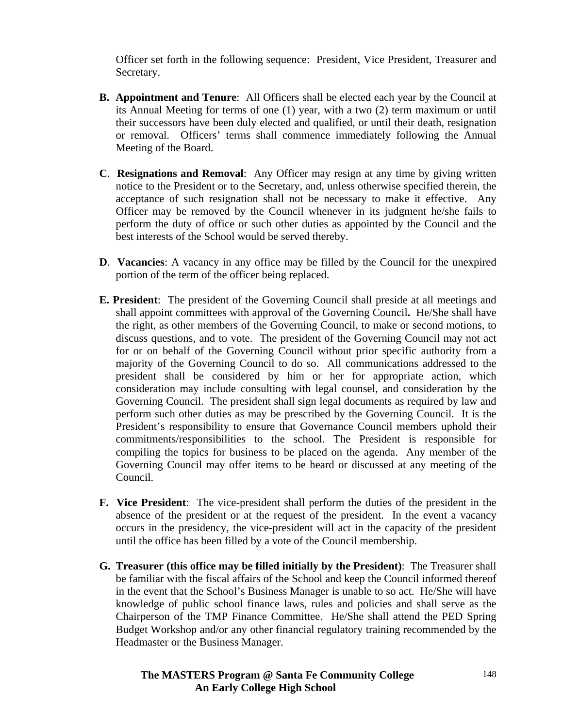Officer set forth in the following sequence: President, Vice President, Treasurer and Secretary.

- **B. Appointment and Tenure**: All Officers shall be elected each year by the Council at its Annual Meeting for terms of one (1) year, with a two (2) term maximum or until their successors have been duly elected and qualified, or until their death, resignation or removal. Officers' terms shall commence immediately following the Annual Meeting of the Board.
- **C**. **Resignations and Removal**: Any Officer may resign at any time by giving written notice to the President or to the Secretary, and, unless otherwise specified therein, the acceptance of such resignation shall not be necessary to make it effective. Any Officer may be removed by the Council whenever in its judgment he/she fails to perform the duty of office or such other duties as appointed by the Council and the best interests of the School would be served thereby.
- **D**. **Vacancies**: A vacancy in any office may be filled by the Council for the unexpired portion of the term of the officer being replaced.
- **E. President**: The president of the Governing Council shall preside at all meetings and shall appoint committees with approval of the Governing Council**.** He/She shall have the right, as other members of the Governing Council, to make or second motions, to discuss questions, and to vote. The president of the Governing Council may not act for or on behalf of the Governing Council without prior specific authority from a majority of the Governing Council to do so. All communications addressed to the president shall be considered by him or her for appropriate action, which consideration may include consulting with legal counsel, and consideration by the Governing Council. The president shall sign legal documents as required by law and perform such other duties as may be prescribed by the Governing Council. It is the President's responsibility to ensure that Governance Council members uphold their commitments/responsibilities to the school. The President is responsible for compiling the topics for business to be placed on the agenda. Any member of the Governing Council may offer items to be heard or discussed at any meeting of the Council.
- **F. Vice President**: The vice-president shall perform the duties of the president in the absence of the president or at the request of the president. In the event a vacancy occurs in the presidency, the vice-president will act in the capacity of the president until the office has been filled by a vote of the Council membership.
- **G. Treasurer (this office may be filled initially by the President)**: The Treasurer shall be familiar with the fiscal affairs of the School and keep the Council informed thereof in the event that the School's Business Manager is unable to so act. He/She will have knowledge of public school finance laws, rules and policies and shall serve as the Chairperson of the TMP Finance Committee. He/She shall attend the PED Spring Budget Workshop and/or any other financial regulatory training recommended by the Headmaster or the Business Manager.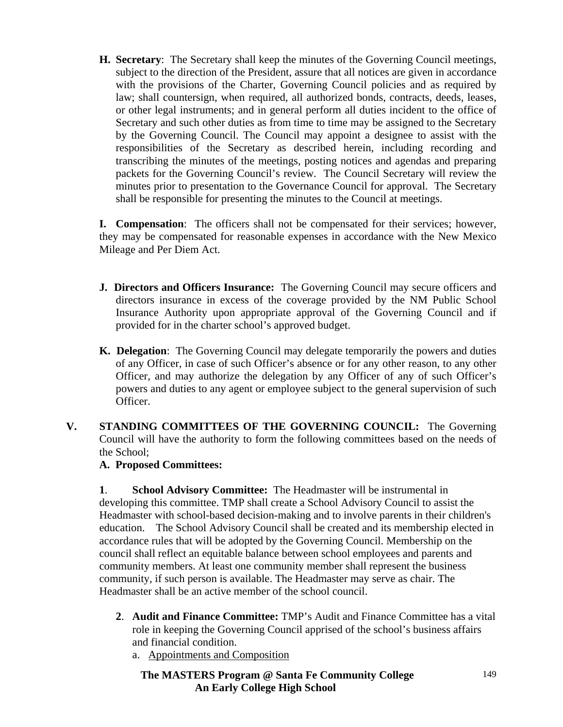**H. Secretary**: The Secretary shall keep the minutes of the Governing Council meetings, subject to the direction of the President, assure that all notices are given in accordance with the provisions of the Charter, Governing Council policies and as required by law; shall countersign, when required, all authorized bonds, contracts, deeds, leases, or other legal instruments; and in general perform all duties incident to the office of Secretary and such other duties as from time to time may be assigned to the Secretary by the Governing Council. The Council may appoint a designee to assist with the responsibilities of the Secretary as described herein, including recording and transcribing the minutes of the meetings, posting notices and agendas and preparing packets for the Governing Council's review. The Council Secretary will review the minutes prior to presentation to the Governance Council for approval. The Secretary shall be responsible for presenting the minutes to the Council at meetings.

**I. Compensation**: The officers shall not be compensated for their services; however, they may be compensated for reasonable expenses in accordance with the New Mexico Mileage and Per Diem Act.

- **J. Directors and Officers Insurance:** The Governing Council may secure officers and directors insurance in excess of the coverage provided by the NM Public School Insurance Authority upon appropriate approval of the Governing Council and if provided for in the charter school's approved budget.
- **K. Delegation**: The Governing Council may delegate temporarily the powers and duties of any Officer, in case of such Officer's absence or for any other reason, to any other Officer, and may authorize the delegation by any Officer of any of such Officer's powers and duties to any agent or employee subject to the general supervision of such Officer.
- **V. STANDING COMMITTEES OF THE GOVERNING COUNCIL:** The Governing Council will have the authority to form the following committees based on the needs of the School;

## **A. Proposed Committees:**

**1**. **School Advisory Committee:** The Headmaster will be instrumental in developing this committee. TMP shall create a School Advisory Council to assist the Headmaster with school-based decision-making and to involve parents in their children's education. The School Advisory Council shall be created and its membership elected in accordance rules that will be adopted by the Governing Council. Membership on the council shall reflect an equitable balance between school employees and parents and community members. At least one community member shall represent the business community, if such person is available. The Headmaster may serve as chair. The Headmaster shall be an active member of the school council.

- **2**. **Audit and Finance Committee:** TMP's Audit and Finance Committee has a vital role in keeping the Governing Council apprised of the school's business affairs and financial condition.
	- a. Appointments and Composition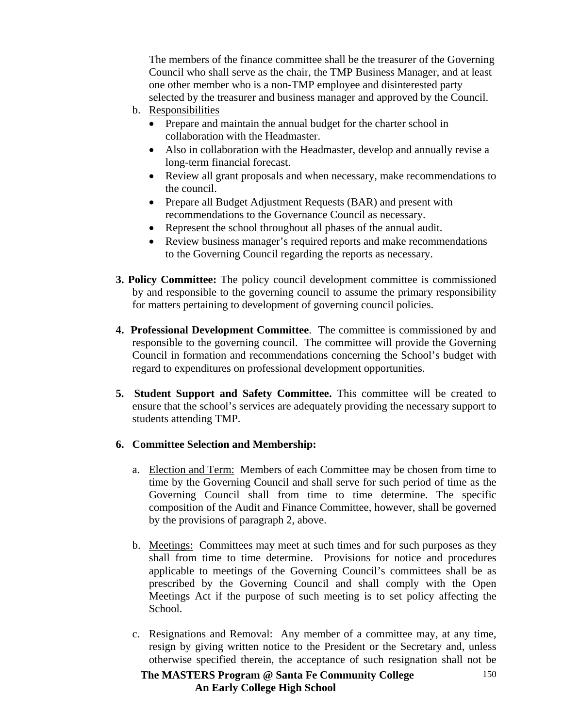The members of the finance committee shall be the treasurer of the Governing Council who shall serve as the chair, the TMP Business Manager, and at least one other member who is a non-TMP employee and disinterested party selected by the treasurer and business manager and approved by the Council.

- b. Responsibilities
	- Prepare and maintain the annual budget for the charter school in collaboration with the Headmaster.
	- Also in collaboration with the Headmaster, develop and annually revise a long-term financial forecast.
	- Review all grant proposals and when necessary, make recommendations to the council.
	- Prepare all Budget Adjustment Requests (BAR) and present with recommendations to the Governance Council as necessary.
	- Represent the school throughout all phases of the annual audit.
	- Review business manager's required reports and make recommendations to the Governing Council regarding the reports as necessary.
- **3. Policy Committee:** The policy council development committee is commissioned by and responsible to the governing council to assume the primary responsibility for matters pertaining to development of governing council policies.
- **4. Professional Development Committee**. The committee is commissioned by and responsible to the governing council. The committee will provide the Governing Council in formation and recommendations concerning the School's budget with regard to expenditures on professional development opportunities.
- **5. Student Support and Safety Committee.** This committee will be created to ensure that the school's services are adequately providing the necessary support to students attending TMP.

## **6. Committee Selection and Membership:**

- a. Election and Term: Members of each Committee may be chosen from time to time by the Governing Council and shall serve for such period of time as the Governing Council shall from time to time determine. The specific composition of the Audit and Finance Committee, however, shall be governed by the provisions of paragraph 2, above.
- b. Meetings:Committees may meet at such times and for such purposes as they shall from time to time determine. Provisions for notice and procedures applicable to meetings of the Governing Council's committees shall be as prescribed by the Governing Council and shall comply with the Open Meetings Act if the purpose of such meeting is to set policy affecting the School.
- c. Resignations and Removal: Any member of a committee may, at any time, resign by giving written notice to the President or the Secretary and, unless otherwise specified therein, the acceptance of such resignation shall not be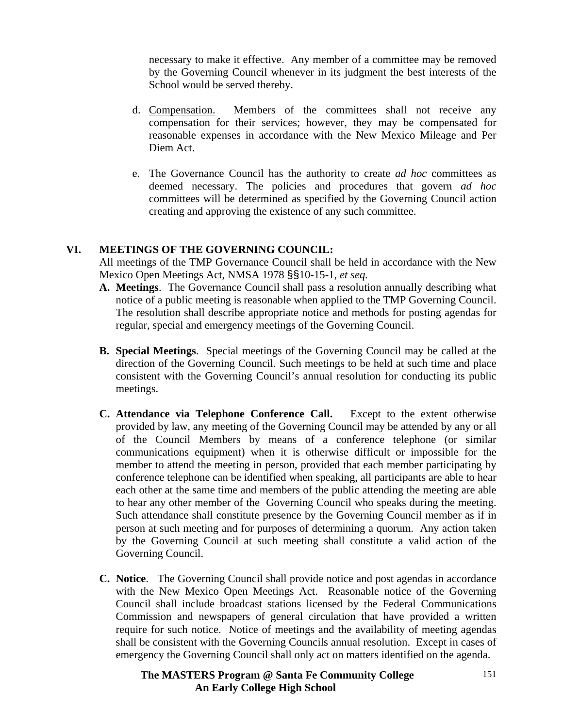necessary to make it effective. Any member of a committee may be removed by the Governing Council whenever in its judgment the best interests of the School would be served thereby.

- d. Compensation. Members of the committees shall not receive any compensation for their services; however, they may be compensated for reasonable expenses in accordance with the New Mexico Mileage and Per Diem Act.
- e. The Governance Council has the authority to create *ad hoc* committees as deemed necessary. The policies and procedures that govern *ad hoc* committees will be determined as specified by the Governing Council action creating and approving the existence of any such committee.

#### **VI. MEETINGS OF THE GOVERNING COUNCIL:**

All meetings of the TMP Governance Council shall be held in accordance with the New Mexico Open Meetings Act, NMSA 1978 §§10-15-1, *et seq.*

- **A. Meetings**. The Governance Council shall pass a resolution annually describing what notice of a public meeting is reasonable when applied to the TMP Governing Council. The resolution shall describe appropriate notice and methods for posting agendas for regular, special and emergency meetings of the Governing Council.
- **B. Special Meetings**. Special meetings of the Governing Council may be called at the direction of the Governing Council. Such meetings to be held at such time and place consistent with the Governing Council's annual resolution for conducting its public meetings.
- **C. Attendance via Telephone Conference Call.** Except to the extent otherwise provided by law, any meeting of the Governing Council may be attended by any or all of the Council Members by means of a conference telephone (or similar communications equipment) when it is otherwise difficult or impossible for the member to attend the meeting in person, provided that each member participating by conference telephone can be identified when speaking, all participants are able to hear each other at the same time and members of the public attending the meeting are able to hear any other member of the Governing Council who speaks during the meeting. Such attendance shall constitute presence by the Governing Council member as if in person at such meeting and for purposes of determining a quorum. Any action taken by the Governing Council at such meeting shall constitute a valid action of the Governing Council.
- **C. Notice**. The Governing Council shall provide notice and post agendas in accordance with the New Mexico Open Meetings Act. Reasonable notice of the Governing Council shall include broadcast stations licensed by the Federal Communications Commission and newspapers of general circulation that have provided a written require for such notice. Notice of meetings and the availability of meeting agendas shall be consistent with the Governing Councils annual resolution. Except in cases of emergency the Governing Council shall only act on matters identified on the agenda.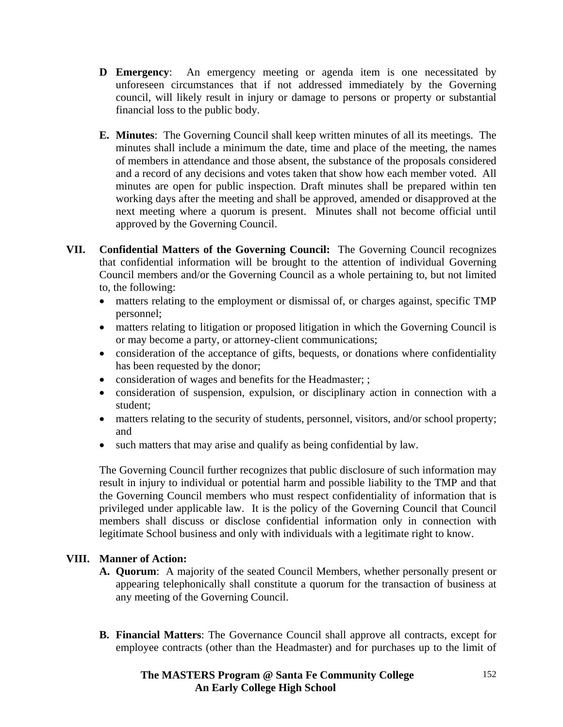- **D Emergency**: An emergency meeting or agenda item is one necessitated by unforeseen circumstances that if not addressed immediately by the Governing council, will likely result in injury or damage to persons or property or substantial financial loss to the public body.
- **E. Minutes**: The Governing Council shall keep written minutes of all its meetings. The minutes shall include a minimum the date, time and place of the meeting, the names of members in attendance and those absent, the substance of the proposals considered and a record of any decisions and votes taken that show how each member voted. All minutes are open for public inspection. Draft minutes shall be prepared within ten working days after the meeting and shall be approved, amended or disapproved at the next meeting where a quorum is present. Minutes shall not become official until approved by the Governing Council.
- **VII. Confidential Matters of the Governing Council:** The Governing Council recognizes that confidential information will be brought to the attention of individual Governing Council members and/or the Governing Council as a whole pertaining to, but not limited to, the following:
	- matters relating to the employment or dismissal of, or charges against, specific TMP personnel;
	- matters relating to litigation or proposed litigation in which the Governing Council is or may become a party, or attorney-client communications;
	- consideration of the acceptance of gifts, bequests, or donations where confidentiality has been requested by the donor;
	- consideration of wages and benefits for the Headmaster; ;
	- consideration of suspension, expulsion, or disciplinary action in connection with a student;
	- matters relating to the security of students, personnel, visitors, and/or school property; and
	- such matters that may arise and qualify as being confidential by law.

The Governing Council further recognizes that public disclosure of such information may result in injury to individual or potential harm and possible liability to the TMP and that the Governing Council members who must respect confidentiality of information that is privileged under applicable law. It is the policy of the Governing Council that Council members shall discuss or disclose confidential information only in connection with legitimate School business and only with individuals with a legitimate right to know.

## **VIII. Manner of Action:**

- **A. Quorum**: A majority of the seated Council Members, whether personally present or appearing telephonically shall constitute a quorum for the transaction of business at any meeting of the Governing Council.
- **B. Financial Matters**: The Governance Council shall approve all contracts, except for employee contracts (other than the Headmaster) and for purchases up to the limit of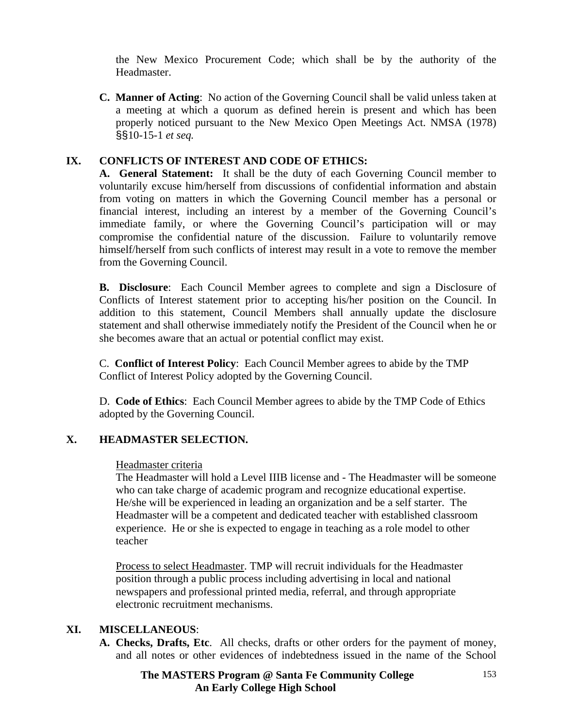the New Mexico Procurement Code; which shall be by the authority of the Headmaster.

 **C. Manner of Acting**: No action of the Governing Council shall be valid unless taken at a meeting at which a quorum as defined herein is present and which has been properly noticed pursuant to the New Mexico Open Meetings Act. NMSA (1978) §§10-15-1 *et seq.* 

## **IX. CONFLICTS OF INTEREST AND CODE OF ETHICS:**

**A. General Statement:** It shall be the duty of each Governing Council member to voluntarily excuse him/herself from discussions of confidential information and abstain from voting on matters in which the Governing Council member has a personal or financial interest, including an interest by a member of the Governing Council's immediate family, or where the Governing Council's participation will or may compromise the confidential nature of the discussion. Failure to voluntarily remove himself/herself from such conflicts of interest may result in a vote to remove the member from the Governing Council.

**B. Disclosure**: Each Council Member agrees to complete and sign a Disclosure of Conflicts of Interest statement prior to accepting his/her position on the Council. In addition to this statement, Council Members shall annually update the disclosure statement and shall otherwise immediately notify the President of the Council when he or she becomes aware that an actual or potential conflict may exist.

 C. **Conflict of Interest Policy**: Each Council Member agrees to abide by the TMP Conflict of Interest Policy adopted by the Governing Council.

 D. **Code of Ethics**: Each Council Member agrees to abide by the TMP Code of Ethics adopted by the Governing Council.

#### **X. HEADMASTER SELECTION.**

#### Headmaster criteria

The Headmaster will hold a Level IIIB license and - The Headmaster will be someone who can take charge of academic program and recognize educational expertise. He/she will be experienced in leading an organization and be a self starter. The Headmaster will be a competent and dedicated teacher with established classroom experience. He or she is expected to engage in teaching as a role model to other teacher

Process to select Headmaster. TMP will recruit individuals for the Headmaster position through a public process including advertising in local and national newspapers and professional printed media, referral, and through appropriate electronic recruitment mechanisms.

#### **XI. MISCELLANEOUS**:

**A. Checks, Drafts, Etc**. All checks, drafts or other orders for the payment of money, and all notes or other evidences of indebtedness issued in the name of the School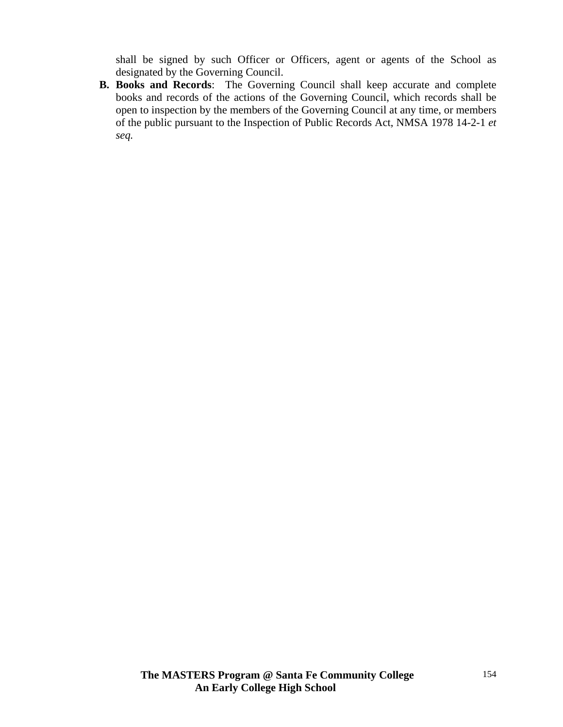shall be signed by such Officer or Officers, agent or agents of the School as designated by the Governing Council.

**B. Books and Records**: The Governing Council shall keep accurate and complete books and records of the actions of the Governing Council, which records shall be open to inspection by the members of the Governing Council at any time, or members of the public pursuant to the Inspection of Public Records Act, NMSA 1978 14-2-1 *et seq.*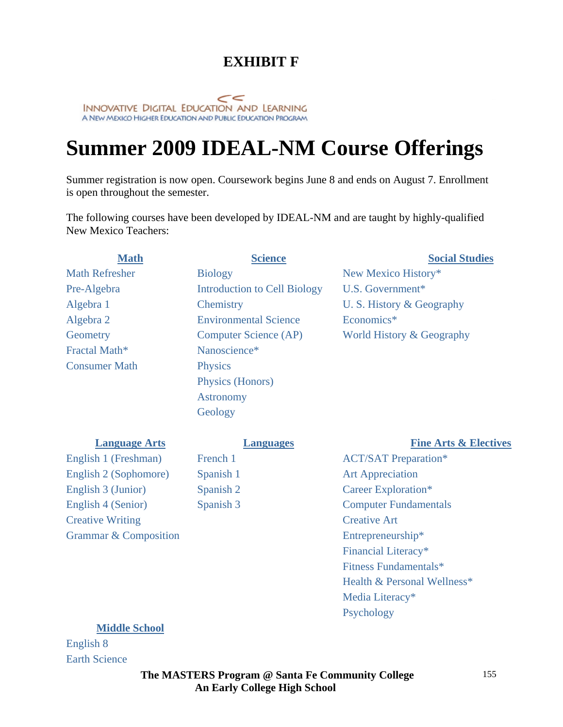# *EXHIBIT F*

INNOVATIVE DIGITAL EDUCATION AND LEARNING<br>A NEW MEXICO HIGHER EDUCATION AND PUBLIC EDUCATION PROGRAM

# **Summer 2009 IDEAL-NM Course Offerings**

Summer registration is now open. Coursework begins June 8 and ends on August 7. Enrollment is open throughout the semester.

The following courses have been developed by IDEAL-NM and are taught by highly-qualified New Mexico Teachers:

| <b>Math</b>               | <b>Science</b>                      | <b>Social Studies</b>     |
|---------------------------|-------------------------------------|---------------------------|
| <b>Math Refresher</b>     | <b>Biology</b>                      | New Mexico History*       |
| Pre-Algebra               | <b>Introduction to Cell Biology</b> | U.S. Government $*$       |
| Algebra 1                 | Chemistry                           | U. S. History & Geography |
| Algebra 2                 | <b>Environmental Science</b>        | Economics*                |
| Geometry                  | <b>Computer Science (AP)</b>        | World History & Geography |
| Fractal Math <sup>*</sup> | Nanoscience*                        |                           |
| <b>Consumer Math</b>      | <b>Physics</b>                      |                           |
|                           | Physics (Honors)                    |                           |
|                           | <b>Astronomy</b>                    |                           |
|                           | Geology                             |                           |
|                           |                                     |                           |

| <b>Language Arts</b>             | <b>Languages</b> | <b>Fine Arts &amp; Electives</b> |
|----------------------------------|------------------|----------------------------------|
| English 1 (Freshman)             | French 1         | <b>ACT/SAT Preparation*</b>      |
| English 2 (Sophomore)            | Spanish 1        | <b>Art Appreciation</b>          |
| English 3 (Junior)               | Spanish 2        | Career Exploration*              |
| English 4 (Senior)               | Spanish 3        | <b>Computer Fundamentals</b>     |
| <b>Creative Writing</b>          |                  | <b>Creative Art</b>              |
| <b>Grammar &amp; Composition</b> |                  | Entrepreneurship*                |
|                                  |                  | Financial Literacy*              |
|                                  |                  | Fitness Fundamentals*            |
|                                  |                  | Health & Personal Wellness*      |
|                                  |                  | Media Literacy*                  |

Psychology

#### **Middle School**

English 8 Earth Science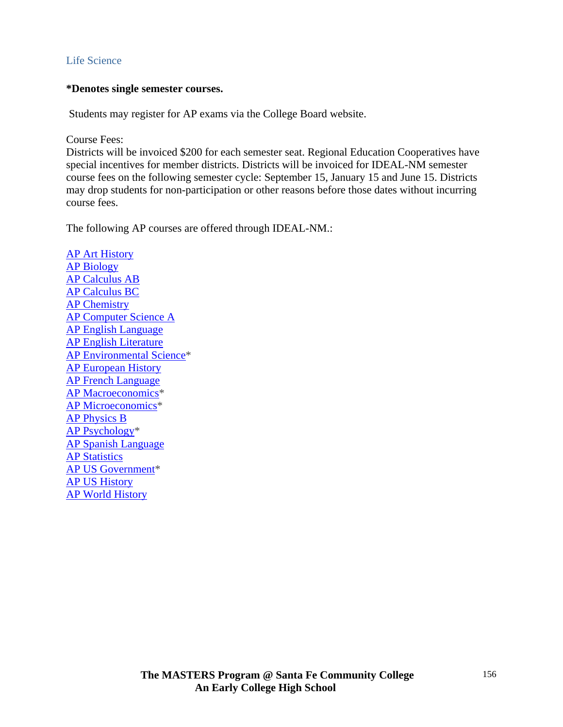#### Life Science

#### **\*Denotes single semester courses.**

Students may register for AP exams via the College Board website.

Course Fees:

Districts will be invoiced \$200 for each semester seat. Regional Education Cooperatives have special incentives for member districts. Districts will be invoiced for IDEAL-NM semester course fees on the following semester cycle: September 15, January 15 and June 15. Districts may drop students for non-participation or other reasons before those dates without incurring course fees.

The following AP courses are offered through IDEAL-NM.:

AP Art History AP Biology AP Calculus AB AP Calculus BC AP Chemistry AP Computer Science A AP English Language AP English Literature AP Environmental Science\* AP European History AP French Language AP Macroeconomics\* AP Microeconomics\* AP Physics B AP Psychology\* AP Spanish Language **AP Statistics** AP US Government\* AP US History AP World History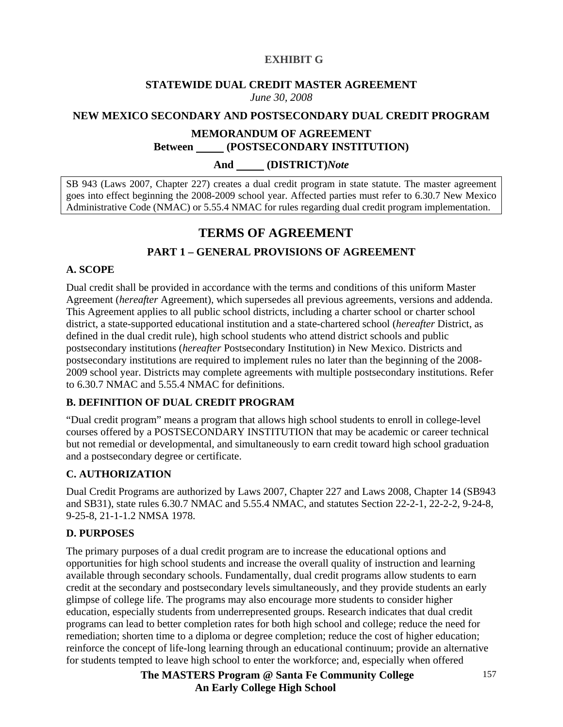#### **EXHIBIT G**

#### **STATEWIDE DUAL CREDIT MASTER AGREEMENT**  *June 30, 2008*

#### **NEW MEXICO SECONDARY AND POSTSECONDARY DUAL CREDIT PROGRAM**

#### **MEMORANDUM OF AGREEMENT Between (POSTSECONDARY INSTITUTION)**

#### **And (DISTRICT)***Note*

SB 943 (Laws 2007, Chapter 227) creates a dual credit program in state statute. The master agreement goes into effect beginning the 2008-2009 school year. Affected parties must refer to 6.30.7 New Mexico Administrative Code (NMAC) or 5.55.4 NMAC for rules regarding dual credit program implementation.

## **TERMS OF AGREEMENT**

## **PART 1 – GENERAL PROVISIONS OF AGREEMENT**

#### **A. SCOPE**

Dual credit shall be provided in accordance with the terms and conditions of this uniform Master Agreement (*hereafter* Agreement), which supersedes all previous agreements, versions and addenda. This Agreement applies to all public school districts, including a charter school or charter school district, a state-supported educational institution and a state-chartered school (*hereafter* District, as defined in the dual credit rule), high school students who attend district schools and public postsecondary institutions (*hereafter* Postsecondary Institution) in New Mexico. Districts and postsecondary institutions are required to implement rules no later than the beginning of the 2008- 2009 school year. Districts may complete agreements with multiple postsecondary institutions. Refer to 6.30.7 NMAC and 5.55.4 NMAC for definitions.

#### **B. DEFINITION OF DUAL CREDIT PROGRAM**

"Dual credit program" means a program that allows high school students to enroll in college-level courses offered by a POSTSECONDARY INSTITUTION that may be academic or career technical but not remedial or developmental, and simultaneously to earn credit toward high school graduation and a postsecondary degree or certificate.

#### **C. AUTHORIZATION**

Dual Credit Programs are authorized by Laws 2007, Chapter 227 and Laws 2008, Chapter 14 (SB943 and SB31), state rules 6.30.7 NMAC and 5.55.4 NMAC, and statutes Section 22-2-1, 22-2-2, 9-24-8, 9-25-8, 21-1-1.2 NMSA 1978.

#### **D. PURPOSES**

The primary purposes of a dual credit program are to increase the educational options and opportunities for high school students and increase the overall quality of instruction and learning available through secondary schools. Fundamentally, dual credit programs allow students to earn credit at the secondary and postsecondary levels simultaneously, and they provide students an early glimpse of college life. The programs may also encourage more students to consider higher education, especially students from underrepresented groups. Research indicates that dual credit programs can lead to better completion rates for both high school and college; reduce the need for remediation; shorten time to a diploma or degree completion; reduce the cost of higher education; reinforce the concept of life-long learning through an educational continuum; provide an alternative for students tempted to leave high school to enter the workforce; and, especially when offered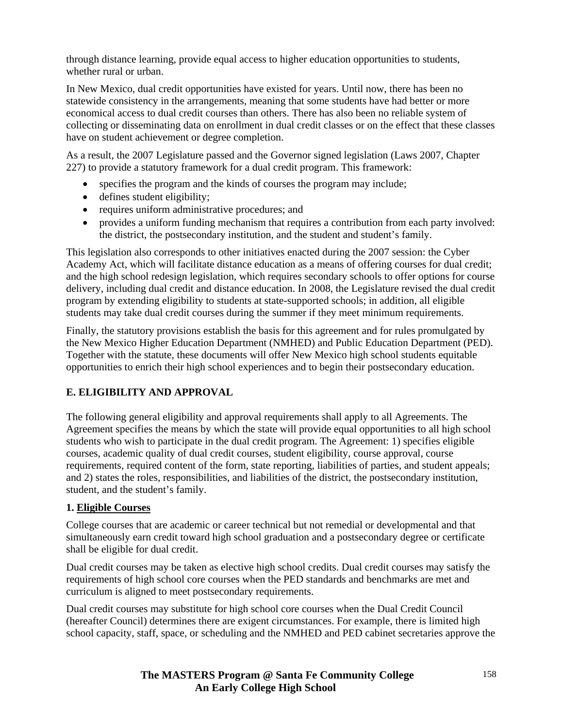through distance learning, provide equal access to higher education opportunities to students, whether rural or urban.

In New Mexico, dual credit opportunities have existed for years. Until now, there has been no statewide consistency in the arrangements, meaning that some students have had better or more economical access to dual credit courses than others. There has also been no reliable system of collecting or disseminating data on enrollment in dual credit classes or on the effect that these classes have on student achievement or degree completion.

As a result, the 2007 Legislature passed and the Governor signed legislation (Laws 2007, Chapter 227) to provide a statutory framework for a dual credit program. This framework:

- specifies the program and the kinds of courses the program may include;
- defines student eligibility;
- requires uniform administrative procedures; and
- provides a uniform funding mechanism that requires a contribution from each party involved: the district, the postsecondary institution, and the student and student's family.

This legislation also corresponds to other initiatives enacted during the 2007 session: the Cyber Academy Act, which will facilitate distance education as a means of offering courses for dual credit; and the high school redesign legislation, which requires secondary schools to offer options for course delivery, including dual credit and distance education. In 2008, the Legislature revised the dual credit program by extending eligibility to students at state-supported schools; in addition, all eligible students may take dual credit courses during the summer if they meet minimum requirements.

Finally, the statutory provisions establish the basis for this agreement and for rules promulgated by the New Mexico Higher Education Department (NMHED) and Public Education Department (PED). Together with the statute, these documents will offer New Mexico high school students equitable opportunities to enrich their high school experiences and to begin their postsecondary education.

## **E. ELIGIBILITY AND APPROVAL**

The following general eligibility and approval requirements shall apply to all Agreements. The Agreement specifies the means by which the state will provide equal opportunities to all high school students who wish to participate in the dual credit program. The Agreement: 1) specifies eligible courses, academic quality of dual credit courses, student eligibility, course approval, course requirements, required content of the form, state reporting, liabilities of parties, and student appeals; and 2) states the roles, responsibilities, and liabilities of the district, the postsecondary institution, student, and the student's family.

#### **1. Eligible Courses**

College courses that are academic or career technical but not remedial or developmental and that simultaneously earn credit toward high school graduation and a postsecondary degree or certificate shall be eligible for dual credit.

Dual credit courses may be taken as elective high school credits. Dual credit courses may satisfy the requirements of high school core courses when the PED standards and benchmarks are met and curriculum is aligned to meet postsecondary requirements.

Dual credit courses may substitute for high school core courses when the Dual Credit Council (hereafter Council) determines there are exigent circumstances. For example, there is limited high school capacity, staff, space, or scheduling and the NMHED and PED cabinet secretaries approve the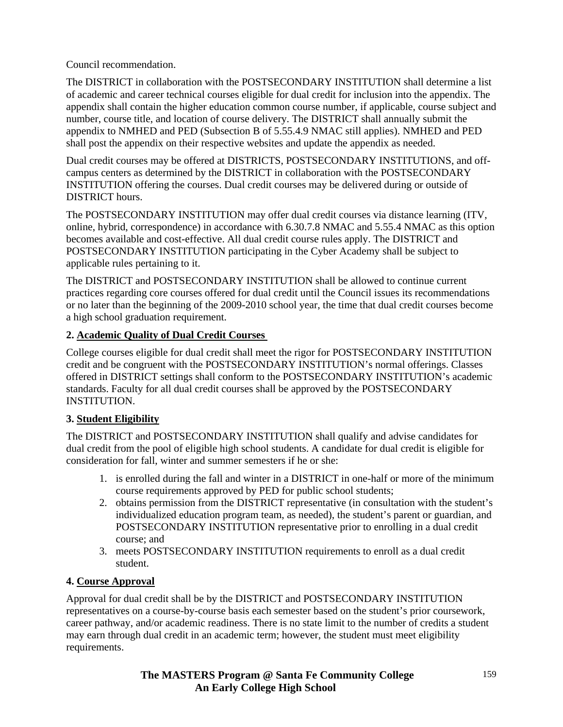Council recommendation.

The DISTRICT in collaboration with the POSTSECONDARY INSTITUTION shall determine a list of academic and career technical courses eligible for dual credit for inclusion into the appendix. The appendix shall contain the higher education common course number, if applicable, course subject and number, course title, and location of course delivery. The DISTRICT shall annually submit the appendix to NMHED and PED (Subsection B of 5.55.4.9 NMAC still applies). NMHED and PED shall post the appendix on their respective websites and update the appendix as needed.

Dual credit courses may be offered at DISTRICTS, POSTSECONDARY INSTITUTIONS, and offcampus centers as determined by the DISTRICT in collaboration with the POSTSECONDARY INSTITUTION offering the courses. Dual credit courses may be delivered during or outside of DISTRICT hours.

The POSTSECONDARY INSTITUTION may offer dual credit courses via distance learning (ITV, online, hybrid, correspondence) in accordance with 6.30.7.8 NMAC and 5.55.4 NMAC as this option becomes available and cost-effective. All dual credit course rules apply. The DISTRICT and POSTSECONDARY INSTITUTION participating in the Cyber Academy shall be subject to applicable rules pertaining to it.

The DISTRICT and POSTSECONDARY INSTITUTION shall be allowed to continue current practices regarding core courses offered for dual credit until the Council issues its recommendations or no later than the beginning of the 2009-2010 school year, the time that dual credit courses become a high school graduation requirement.

## **2. Academic Quality of Dual Credit Courses**

College courses eligible for dual credit shall meet the rigor for POSTSECONDARY INSTITUTION credit and be congruent with the POSTSECONDARY INSTITUTION's normal offerings. Classes offered in DISTRICT settings shall conform to the POSTSECONDARY INSTITUTION's academic standards. Faculty for all dual credit courses shall be approved by the POSTSECONDARY INSTITUTION.

## **3. Student Eligibility**

The DISTRICT and POSTSECONDARY INSTITUTION shall qualify and advise candidates for dual credit from the pool of eligible high school students. A candidate for dual credit is eligible for consideration for fall, winter and summer semesters if he or she:

- 1. is enrolled during the fall and winter in a DISTRICT in one-half or more of the minimum course requirements approved by PED for public school students;
- 2. obtains permission from the DISTRICT representative (in consultation with the student's individualized education program team, as needed), the student's parent or guardian, and POSTSECONDARY INSTITUTION representative prior to enrolling in a dual credit course; and
- 3. meets POSTSECONDARY INSTITUTION requirements to enroll as a dual credit student.

## **4. Course Approval**

Approval for dual credit shall be by the DISTRICT and POSTSECONDARY INSTITUTION representatives on a course-by-course basis each semester based on the student's prior coursework, career pathway, and/or academic readiness. There is no state limit to the number of credits a student may earn through dual credit in an academic term; however, the student must meet eligibility requirements.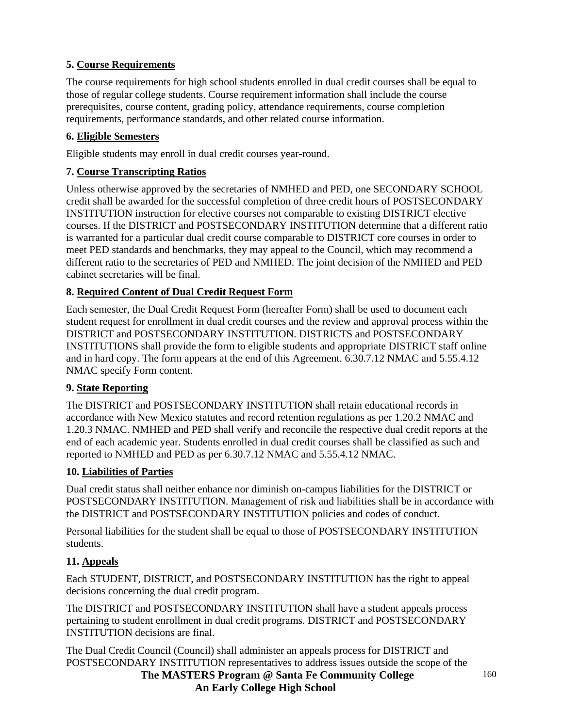## **5. Course Requirements**

The course requirements for high school students enrolled in dual credit courses shall be equal to those of regular college students. Course requirement information shall include the course prerequisites, course content, grading policy, attendance requirements, course completion requirements, performance standards, and other related course information.

## **6. Eligible Semesters**

Eligible students may enroll in dual credit courses year-round.

## **7. Course Transcripting Ratios**

Unless otherwise approved by the secretaries of NMHED and PED, one SECONDARY SCHOOL credit shall be awarded for the successful completion of three credit hours of POSTSECONDARY INSTITUTION instruction for elective courses not comparable to existing DISTRICT elective courses. If the DISTRICT and POSTSECONDARY INSTITUTION determine that a different ratio is warranted for a particular dual credit course comparable to DISTRICT core courses in order to meet PED standards and benchmarks, they may appeal to the Council, which may recommend a different ratio to the secretaries of PED and NMHED. The joint decision of the NMHED and PED cabinet secretaries will be final.

## **8. Required Content of Dual Credit Request Form**

Each semester, the Dual Credit Request Form (hereafter Form) shall be used to document each student request for enrollment in dual credit courses and the review and approval process within the DISTRICT and POSTSECONDARY INSTITUTION. DISTRICTS and POSTSECONDARY INSTITUTIONS shall provide the form to eligible students and appropriate DISTRICT staff online and in hard copy. The form appears at the end of this Agreement. 6.30.7.12 NMAC and 5.55.4.12 NMAC specify Form content.

## **9. State Reporting**

The DISTRICT and POSTSECONDARY INSTITUTION shall retain educational records in accordance with New Mexico statutes and record retention regulations as per 1.20.2 NMAC and 1.20.3 NMAC. NMHED and PED shall verify and reconcile the respective dual credit reports at the end of each academic year. Students enrolled in dual credit courses shall be classified as such and reported to NMHED and PED as per 6.30.7.12 NMAC and 5.55.4.12 NMAC.

## **10. Liabilities of Parties**

Dual credit status shall neither enhance nor diminish on-campus liabilities for the DISTRICT or POSTSECONDARY INSTITUTION. Management of risk and liabilities shall be in accordance with the DISTRICT and POSTSECONDARY INSTITUTION policies and codes of conduct.

Personal liabilities for the student shall be equal to those of POSTSECONDARY INSTITUTION students.

## **11. Appeals**

Each STUDENT, DISTRICT, and POSTSECONDARY INSTITUTION has the right to appeal decisions concerning the dual credit program.

The DISTRICT and POSTSECONDARY INSTITUTION shall have a student appeals process pertaining to student enrollment in dual credit programs. DISTRICT and POSTSECONDARY INSTITUTION decisions are final.

 **The MASTERS Program @ Santa Fe Community College**  The Dual Credit Council (Council) shall administer an appeals process for DISTRICT and POSTSECONDARY INSTITUTION representatives to address issues outside the scope of the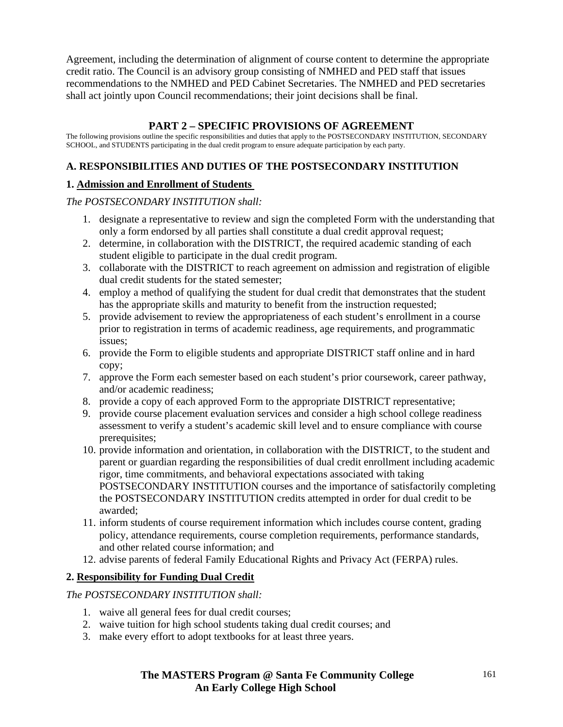Agreement, including the determination of alignment of course content to determine the appropriate credit ratio. The Council is an advisory group consisting of NMHED and PED staff that issues recommendations to the NMHED and PED Cabinet Secretaries. The NMHED and PED secretaries shall act jointly upon Council recommendations; their joint decisions shall be final.

## **PART 2 – SPECIFIC PROVISIONS OF AGREEMENT**

The following provisions outline the specific responsibilities and duties that apply to the POSTSECONDARY INSTITUTION, SECONDARY SCHOOL, and STUDENTS participating in the dual credit program to ensure adequate participation by each party.

## **A. RESPONSIBILITIES AND DUTIES OF THE POSTSECONDARY INSTITUTION**

## **1. Admission and Enrollment of Students**

*The POSTSECONDARY INSTITUTION shall:* 

- 1. designate a representative to review and sign the completed Form with the understanding that only a form endorsed by all parties shall constitute a dual credit approval request;
- 2. determine, in collaboration with the DISTRICT, the required academic standing of each student eligible to participate in the dual credit program.
- 3. collaborate with the DISTRICT to reach agreement on admission and registration of eligible dual credit students for the stated semester;
- 4. employ a method of qualifying the student for dual credit that demonstrates that the student has the appropriate skills and maturity to benefit from the instruction requested;
- 5. provide advisement to review the appropriateness of each student's enrollment in a course prior to registration in terms of academic readiness, age requirements, and programmatic issues;
- 6. provide the Form to eligible students and appropriate DISTRICT staff online and in hard copy;
- 7. approve the Form each semester based on each student's prior coursework, career pathway, and/or academic readiness;
- 8. provide a copy of each approved Form to the appropriate DISTRICT representative;
- 9. provide course placement evaluation services and consider a high school college readiness assessment to verify a student's academic skill level and to ensure compliance with course prerequisites;
- 10. provide information and orientation, in collaboration with the DISTRICT, to the student and parent or guardian regarding the responsibilities of dual credit enrollment including academic rigor, time commitments, and behavioral expectations associated with taking POSTSECONDARY INSTITUTION courses and the importance of satisfactorily completing the POSTSECONDARY INSTITUTION credits attempted in order for dual credit to be awarded;
- 11. inform students of course requirement information which includes course content, grading policy, attendance requirements, course completion requirements, performance standards, and other related course information; and
- 12. advise parents of federal Family Educational Rights and Privacy Act (FERPA) rules.

## **2. Responsibility for Funding Dual Credit**

*The POSTSECONDARY INSTITUTION shall:* 

- 1. waive all general fees for dual credit courses;
- 2. waive tuition for high school students taking dual credit courses; and
- 3. make every effort to adopt textbooks for at least three years.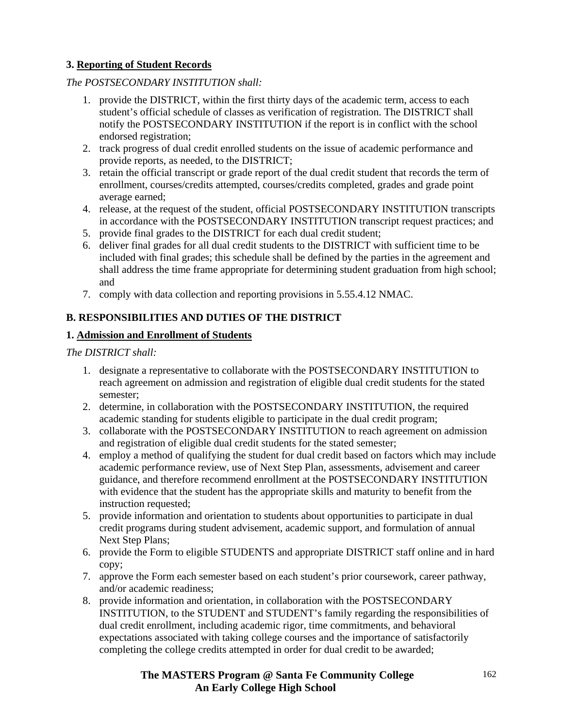## **3. Reporting of Student Records**

#### *The POSTSECONDARY INSTITUTION shall:*

- 1. provide the DISTRICT, within the first thirty days of the academic term, access to each student's official schedule of classes as verification of registration. The DISTRICT shall notify the POSTSECONDARY INSTITUTION if the report is in conflict with the school endorsed registration;
- 2. track progress of dual credit enrolled students on the issue of academic performance and provide reports, as needed, to the DISTRICT;
- 3. retain the official transcript or grade report of the dual credit student that records the term of enrollment, courses/credits attempted, courses/credits completed, grades and grade point average earned;
- 4. release, at the request of the student, official POSTSECONDARY INSTITUTION transcripts in accordance with the POSTSECONDARY INSTITUTION transcript request practices; and
- 5. provide final grades to the DISTRICT for each dual credit student;
- 6. deliver final grades for all dual credit students to the DISTRICT with sufficient time to be included with final grades; this schedule shall be defined by the parties in the agreement and shall address the time frame appropriate for determining student graduation from high school; and
- 7. comply with data collection and reporting provisions in 5.55.4.12 NMAC.

## **B. RESPONSIBILITIES AND DUTIES OF THE DISTRICT**

#### **1. Admission and Enrollment of Students**

*The DISTRICT shall:* 

- 1. designate a representative to collaborate with the POSTSECONDARY INSTITUTION to reach agreement on admission and registration of eligible dual credit students for the stated semester;
- 2. determine, in collaboration with the POSTSECONDARY INSTITUTION, the required academic standing for students eligible to participate in the dual credit program;
- 3. collaborate with the POSTSECONDARY INSTITUTION to reach agreement on admission and registration of eligible dual credit students for the stated semester;
- 4. employ a method of qualifying the student for dual credit based on factors which may include academic performance review, use of Next Step Plan, assessments, advisement and career guidance, and therefore recommend enrollment at the POSTSECONDARY INSTITUTION with evidence that the student has the appropriate skills and maturity to benefit from the instruction requested;
- 5. provide information and orientation to students about opportunities to participate in dual credit programs during student advisement, academic support, and formulation of annual Next Step Plans;
- 6. provide the Form to eligible STUDENTS and appropriate DISTRICT staff online and in hard copy;
- 7. approve the Form each semester based on each student's prior coursework, career pathway, and/or academic readiness;
- 8. provide information and orientation, in collaboration with the POSTSECONDARY INSTITUTION, to the STUDENT and STUDENT's family regarding the responsibilities of dual credit enrollment, including academic rigor, time commitments, and behavioral expectations associated with taking college courses and the importance of satisfactorily completing the college credits attempted in order for dual credit to be awarded;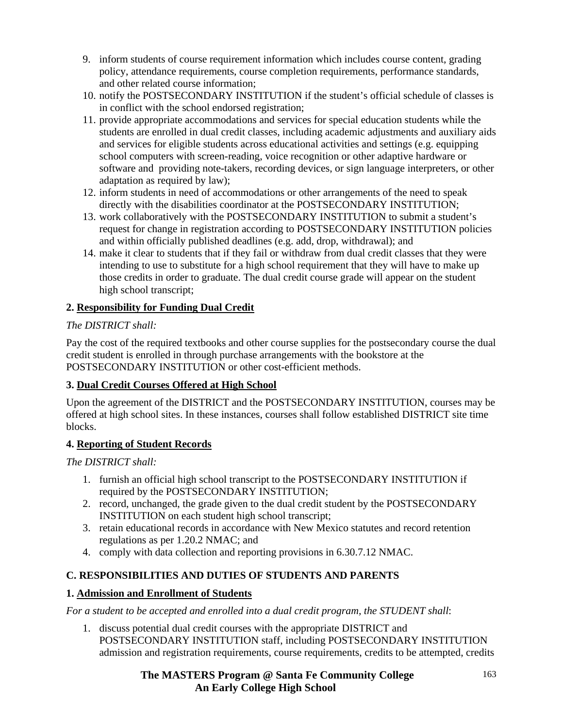- 9. inform students of course requirement information which includes course content, grading policy, attendance requirements, course completion requirements, performance standards, and other related course information;
- 10. notify the POSTSECONDARY INSTITUTION if the student's official schedule of classes is in conflict with the school endorsed registration;
- 11. provide appropriate accommodations and services for special education students while the students are enrolled in dual credit classes, including academic adjustments and auxiliary aids and services for eligible students across educational activities and settings (e.g. equipping school computers with screen-reading, voice recognition or other adaptive hardware or software and providing note-takers, recording devices, or sign language interpreters, or other adaptation as required by law);
- 12. inform students in need of accommodations or other arrangements of the need to speak directly with the disabilities coordinator at the POSTSECONDARY INSTITUTION;
- 13. work collaboratively with the POSTSECONDARY INSTITUTION to submit a student's request for change in registration according to POSTSECONDARY INSTITUTION policies and within officially published deadlines (e.g. add, drop, withdrawal); and
- 14. make it clear to students that if they fail or withdraw from dual credit classes that they were intending to use to substitute for a high school requirement that they will have to make up those credits in order to graduate. The dual credit course grade will appear on the student high school transcript;

## **2. Responsibility for Funding Dual Credit**

#### *The DISTRICT shall:*

Pay the cost of the required textbooks and other course supplies for the postsecondary course the dual credit student is enrolled in through purchase arrangements with the bookstore at the POSTSECONDARY INSTITUTION or other cost-efficient methods.

## **3. Dual Credit Courses Offered at High School**

Upon the agreement of the DISTRICT and the POSTSECONDARY INSTITUTION, courses may be offered at high school sites. In these instances, courses shall follow established DISTRICT site time blocks.

## **4. Reporting of Student Records**

*The DISTRICT shall:* 

- 1. furnish an official high school transcript to the POSTSECONDARY INSTITUTION if required by the POSTSECONDARY INSTITUTION;
- 2. record, unchanged, the grade given to the dual credit student by the POSTSECONDARY INSTITUTION on each student high school transcript;
- 3. retain educational records in accordance with New Mexico statutes and record retention regulations as per 1.20.2 NMAC; and
- 4. comply with data collection and reporting provisions in 6.30.7.12 NMAC.

## **C. RESPONSIBILITIES AND DUTIES OF STUDENTS AND PARENTS**

## **1. Admission and Enrollment of Students**

*For a student to be accepted and enrolled into a dual credit program, the STUDENT shall*:

1. discuss potential dual credit courses with the appropriate DISTRICT and POSTSECONDARY INSTITUTION staff, including POSTSECONDARY INSTITUTION admission and registration requirements, course requirements, credits to be attempted, credits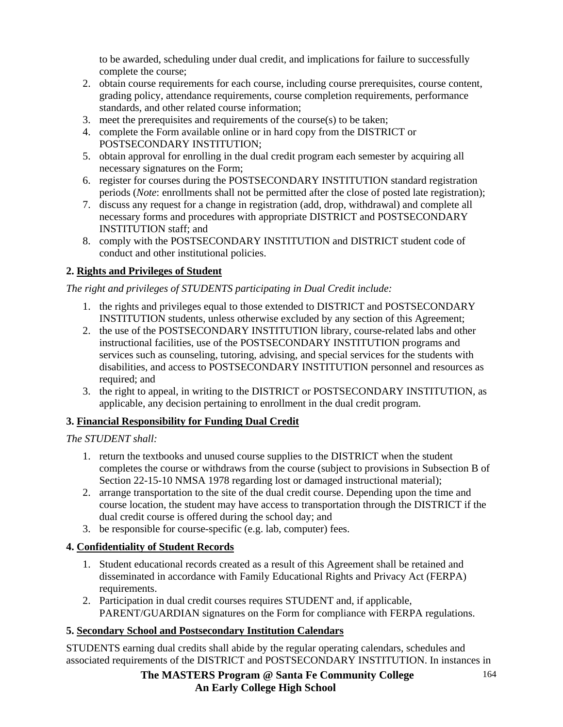to be awarded, scheduling under dual credit, and implications for failure to successfully complete the course;

- 2. obtain course requirements for each course, including course prerequisites, course content, grading policy, attendance requirements, course completion requirements, performance standards, and other related course information;
- 3. meet the prerequisites and requirements of the course(s) to be taken;
- 4. complete the Form available online or in hard copy from the DISTRICT or POSTSECONDARY INSTITUTION;
- 5. obtain approval for enrolling in the dual credit program each semester by acquiring all necessary signatures on the Form;
- 6. register for courses during the POSTSECONDARY INSTITUTION standard registration periods (*Note*: enrollments shall not be permitted after the close of posted late registration);
- 7. discuss any request for a change in registration (add, drop, withdrawal) and complete all necessary forms and procedures with appropriate DISTRICT and POSTSECONDARY INSTITUTION staff; and
- 8. comply with the POSTSECONDARY INSTITUTION and DISTRICT student code of conduct and other institutional policies.

## **2. Rights and Privileges of Student**

*The right and privileges of STUDENTS participating in Dual Credit include:* 

- 1. the rights and privileges equal to those extended to DISTRICT and POSTSECONDARY INSTITUTION students, unless otherwise excluded by any section of this Agreement;
- 2. the use of the POSTSECONDARY INSTITUTION library, course-related labs and other instructional facilities, use of the POSTSECONDARY INSTITUTION programs and services such as counseling, tutoring, advising, and special services for the students with disabilities, and access to POSTSECONDARY INSTITUTION personnel and resources as required; and
- 3. the right to appeal, in writing to the DISTRICT or POSTSECONDARY INSTITUTION, as applicable, any decision pertaining to enrollment in the dual credit program.

## **3. Financial Responsibility for Funding Dual Credit**

## *The STUDENT shall:*

- 1. return the textbooks and unused course supplies to the DISTRICT when the student completes the course or withdraws from the course (subject to provisions in Subsection B of Section 22-15-10 NMSA 1978 regarding lost or damaged instructional material);
- 2. arrange transportation to the site of the dual credit course. Depending upon the time and course location, the student may have access to transportation through the DISTRICT if the dual credit course is offered during the school day; and
- 3. be responsible for course-specific (e.g. lab, computer) fees.

## **4. Confidentiality of Student Records**

- 1. Student educational records created as a result of this Agreement shall be retained and disseminated in accordance with Family Educational Rights and Privacy Act (FERPA) requirements.
- 2. Participation in dual credit courses requires STUDENT and, if applicable, PARENT/GUARDIAN signatures on the Form for compliance with FERPA regulations.

## **5. Secondary School and Postsecondary Institution Calendars**

STUDENTS earning dual credits shall abide by the regular operating calendars, schedules and associated requirements of the DISTRICT and POSTSECONDARY INSTITUTION. In instances in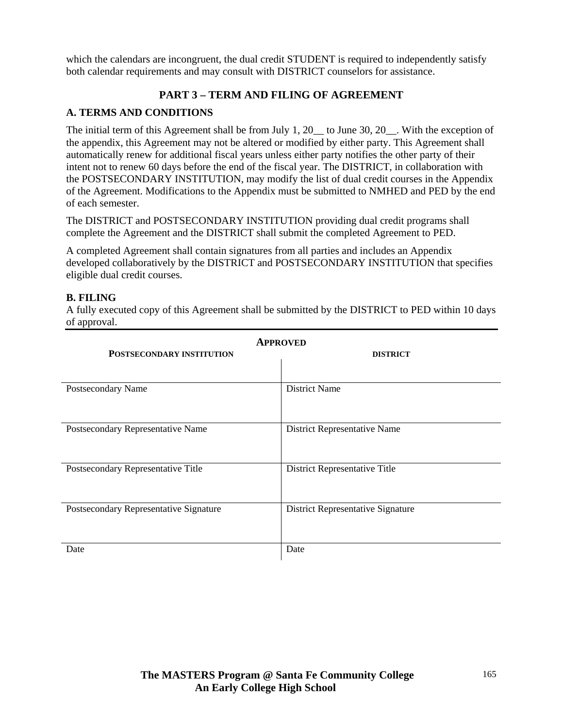which the calendars are incongruent, the dual credit STUDENT is required to independently satisfy both calendar requirements and may consult with DISTRICT counselors for assistance.

## **PART 3 – TERM AND FILING OF AGREEMENT**

## **A. TERMS AND CONDITIONS**

The initial term of this Agreement shall be from July 1, 20\_\_ to June 30, 20\_\_. With the exception of the appendix, this Agreement may not be altered or modified by either party. This Agreement shall automatically renew for additional fiscal years unless either party notifies the other party of their intent not to renew 60 days before the end of the fiscal year. The DISTRICT, in collaboration with the POSTSECONDARY INSTITUTION, may modify the list of dual credit courses in the Appendix of the Agreement. Modifications to the Appendix must be submitted to NMHED and PED by the end of each semester.

The DISTRICT and POSTSECONDARY INSTITUTION providing dual credit programs shall complete the Agreement and the DISTRICT shall submit the completed Agreement to PED.

A completed Agreement shall contain signatures from all parties and includes an Appendix developed collaboratively by the DISTRICT and POSTSECONDARY INSTITUTION that specifies eligible dual credit courses.

#### **B. FILING**

A fully executed copy of this Agreement shall be submitted by the DISTRICT to PED within 10 days of approval.

| <b>APPROVED</b>                        |                                          |  |
|----------------------------------------|------------------------------------------|--|
| <b>POSTSECONDARY INSTITUTION</b>       | <b>DISTRICT</b>                          |  |
|                                        |                                          |  |
| Postsecondary Name                     | <b>District Name</b>                     |  |
| Postsecondary Representative Name      | District Representative Name             |  |
| Postsecondary Representative Title     | District Representative Title            |  |
| Postsecondary Representative Signature | <b>District Representative Signature</b> |  |
| Date                                   | Date                                     |  |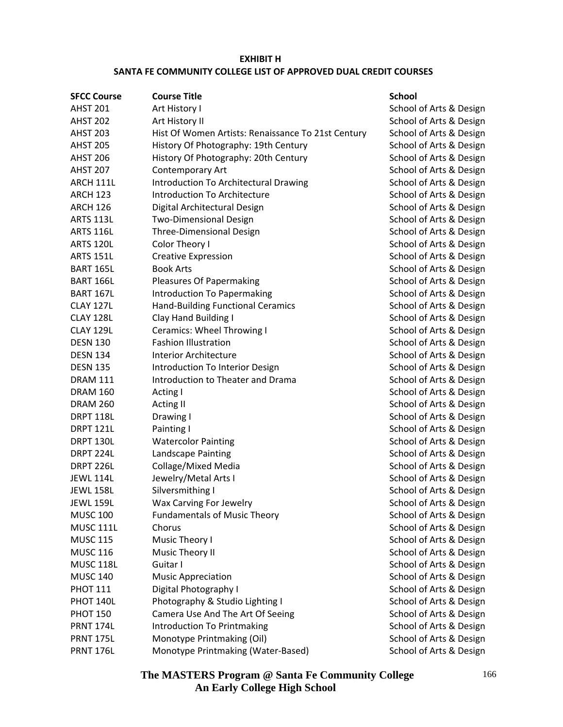#### **EXHIBIT H SANTA FE COMMUNITY COLLEGE LIST OF APPROVED DUAL CREDIT COURSES**

| <b>SFCC Course</b> | <b>Course Title</b>                                | <b>School</b> |
|--------------------|----------------------------------------------------|---------------|
| <b>AHST 201</b>    | Art History I                                      | School        |
| <b>AHST 202</b>    | Art History II                                     | School        |
| <b>AHST 203</b>    | Hist Of Women Artists: Renaissance To 21st Century | School        |
| <b>AHST 205</b>    | History Of Photography: 19th Century               | School        |
| <b>AHST 206</b>    | History Of Photography: 20th Century               | School        |
| <b>AHST 207</b>    | Contemporary Art                                   | School        |
| ARCH 111L          | Introduction To Architectural Drawing              | School        |
| <b>ARCH 123</b>    | <b>Introduction To Architecture</b>                | School        |
| <b>ARCH 126</b>    | Digital Architectural Design                       | School        |
| <b>ARTS 113L</b>   | <b>Two-Dimensional Design</b>                      | School        |
| <b>ARTS 116L</b>   | <b>Three-Dimensional Design</b>                    | School        |
| <b>ARTS 120L</b>   | Color Theory I                                     | School        |
| <b>ARTS 151L</b>   | <b>Creative Expression</b>                         | School        |
| <b>BART 165L</b>   | <b>Book Arts</b>                                   | School        |
| <b>BART 166L</b>   | Pleasures Of Papermaking                           | School        |
| <b>BART 167L</b>   | Introduction To Papermaking                        | School        |
| <b>CLAY 127L</b>   | <b>Hand-Building Functional Ceramics</b>           | School        |
| CLAY 128L          | Clay Hand Building I                               | School        |
| <b>CLAY 129L</b>   | Ceramics: Wheel Throwing I                         | School        |
| <b>DESN 130</b>    | <b>Fashion Illustration</b>                        | School        |
| <b>DESN 134</b>    | <b>Interior Architecture</b>                       | School        |
| <b>DESN 135</b>    | Introduction To Interior Design                    | School        |
| <b>DRAM 111</b>    | Introduction to Theater and Drama                  | School        |
| <b>DRAM 160</b>    | Acting I                                           | School        |
| <b>DRAM 260</b>    | <b>Acting II</b>                                   | School        |
| <b>DRPT 118L</b>   | Drawing I                                          | School        |
| <b>DRPT 121L</b>   | Painting I                                         | School        |
| <b>DRPT 130L</b>   | <b>Watercolor Painting</b>                         | School        |
| DRPT 224L          | Landscape Painting                                 | School        |
| <b>DRPT 226L</b>   | Collage/Mixed Media                                | School        |
| <b>JEWL 114L</b>   | Jewelry/Metal Arts I                               | School        |
| <b>JEWL 158L</b>   | Silversmithing I                                   | School        |
| <b>JEWL 159L</b>   | Wax Carving For Jewelry                            | School        |
| <b>MUSC 100</b>    | <b>Fundamentals of Music Theory</b>                | School        |
| <b>MUSC 111L</b>   | Chorus                                             | School        |
| <b>MUSC 115</b>    | Music Theory I                                     | School        |
| <b>MUSC 116</b>    | Music Theory II                                    | School        |
| <b>MUSC 118L</b>   | Guitar I                                           | School        |
| <b>MUSC 140</b>    | <b>Music Appreciation</b>                          | School        |
| <b>PHOT 111</b>    | Digital Photography I                              | School        |
| PHOT 140L          | Photography & Studio Lighting I                    | School        |
| <b>PHOT 150</b>    | Camera Use And The Art Of Seeing                   | School        |
| <b>PRNT 174L</b>   | Introduction To Printmaking                        | School        |
| <b>PRNT 175L</b>   | Monotype Printmaking (Oil)                         | School        |
| <b>PRNT 176L</b>   | Monotype Printmaking (Water-Based)                 | School        |

chool of Arts & Design chool of Arts & Design chool of Arts & Design chool of Arts & Design chool of Arts & Design chool of Arts & Design chool of Arts & Design chool of Arts & Design chool of Arts & Design chool of Arts & Design chool of Arts & Design chool of Arts & Design chool of Arts & Design chool of Arts & Design chool of Arts & Design chool of Arts & Design chool of Arts & Design chool of Arts & Design chool of Arts & Design chool of Arts & Design chool of Arts & Design chool of Arts & Design chool of Arts & Design chool of Arts & Design chool of Arts & Design chool of Arts & Design chool of Arts & Design chool of Arts & Design chool of Arts & Design chool of Arts & Design chool of Arts & Design chool of Arts & Design chool of Arts & Design chool of Arts & Design chool of Arts & Design chool of Arts & Design chool of Arts & Design chool of Arts & Design chool of Arts & Design chool of Arts & Design chool of Arts & Design chool of Arts & Design chool of Arts & Design chool of Arts & Design chool of Arts & Design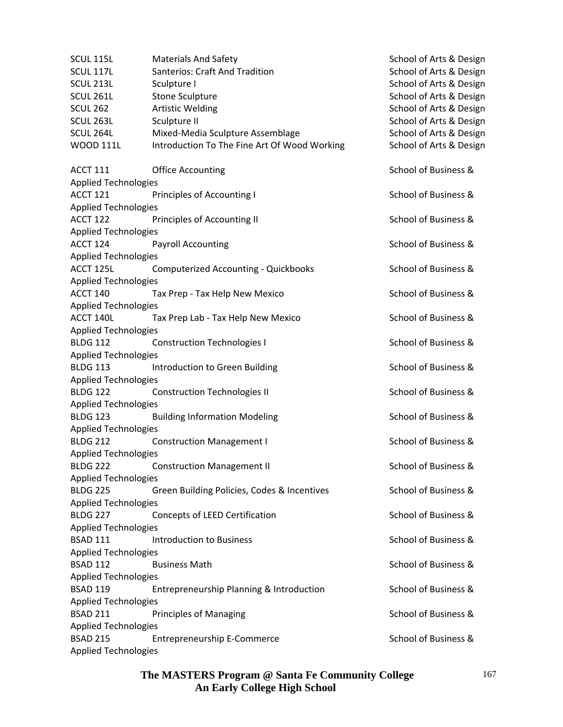| <b>SCUL 115L</b>            | <b>Materials And Safety</b>                  | School of Arts & Design |
|-----------------------------|----------------------------------------------|-------------------------|
| SCUL 117L                   | <b>Santerios: Craft And Tradition</b>        | School of Arts & Design |
| SCUL <sub>213L</sub>        | Sculpture I                                  | School of Arts & Design |
| <b>SCUL 261L</b>            | <b>Stone Sculpture</b>                       | School of Arts & Design |
| <b>SCUL 262</b>             | <b>Artistic Welding</b>                      | School of Arts & Design |
| SCUL <sub>263L</sub>        | Sculpture II                                 | School of Arts & Design |
| SCUL 264L                   | Mixed-Media Sculpture Assemblage             | School of Arts & Design |
| <b>WOOD 111L</b>            | Introduction To The Fine Art Of Wood Working | School of Arts & Design |
| <b>ACCT 111</b>             | <b>Office Accounting</b>                     | School of Business &    |
| <b>Applied Technologies</b> |                                              |                         |
| <b>ACCT 121</b>             | Principles of Accounting I                   | School of Business &    |
| <b>Applied Technologies</b> |                                              |                         |
| <b>ACCT 122</b>             | Principles of Accounting II                  | School of Business &    |
| <b>Applied Technologies</b> |                                              |                         |
| <b>ACCT 124</b>             | <b>Payroll Accounting</b>                    | School of Business &    |
| <b>Applied Technologies</b> |                                              |                         |
| ACCT 125L                   | <b>Computerized Accounting - Quickbooks</b>  | School of Business &    |
| <b>Applied Technologies</b> |                                              |                         |
| <b>ACCT 140</b>             | Tax Prep - Tax Help New Mexico               | School of Business &    |
| <b>Applied Technologies</b> |                                              |                         |
| ACCT 140L                   | Tax Prep Lab - Tax Help New Mexico           | School of Business &    |
| Applied Technologies        |                                              |                         |
| <b>BLDG 112</b>             | <b>Construction Technologies I</b>           | School of Business &    |
| <b>Applied Technologies</b> |                                              |                         |
| <b>BLDG 113</b>             | Introduction to Green Building               | School of Business &    |
| <b>Applied Technologies</b> |                                              |                         |
| <b>BLDG 122</b>             | <b>Construction Technologies II</b>          | School of Business &    |
| <b>Applied Technologies</b> |                                              |                         |
| <b>BLDG 123</b>             | <b>Building Information Modeling</b>         | School of Business &    |
| <b>Applied Technologies</b> |                                              |                         |
| <b>BLDG 212</b>             | <b>Construction Management I</b>             | School of Business &    |
| <b>Applied Technologies</b> |                                              |                         |
| <b>BLDG 222</b>             | <b>Construction Management II</b>            | School of Business &    |
| <b>Applied Technologies</b> |                                              |                         |
| <b>BLDG 225</b>             | Green Building Policies, Codes & Incentives  | School of Business &    |
| <b>Applied Technologies</b> |                                              |                         |
| <b>BLDG 227</b>             | Concepts of LEED Certification               | School of Business &    |
| <b>Applied Technologies</b> |                                              |                         |
| <b>BSAD 111</b>             | <b>Introduction to Business</b>              | School of Business &    |
| <b>Applied Technologies</b> |                                              |                         |
| <b>BSAD 112</b>             | <b>Business Math</b>                         | School of Business &    |
| <b>Applied Technologies</b> |                                              |                         |
| <b>BSAD 119</b>             | Entrepreneurship Planning & Introduction     | School of Business &    |
| <b>Applied Technologies</b> |                                              |                         |
| <b>BSAD 211</b>             | <b>Principles of Managing</b>                | School of Business &    |
| <b>Applied Technologies</b> |                                              |                         |
| <b>BSAD 215</b>             | <b>Entrepreneurship E-Commerce</b>           | School of Business &    |
| <b>Applied Technologies</b> |                                              |                         |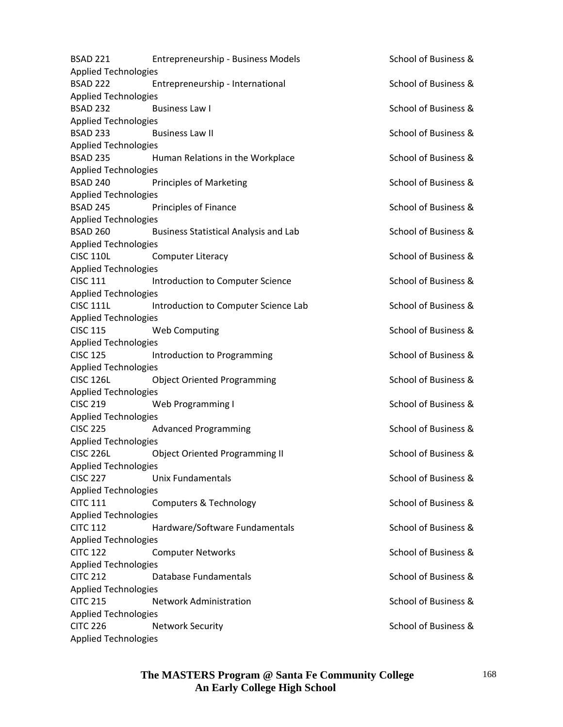| <b>BSAD 221</b>             | Entrepreneurship - Business Models           | School of Business & |
|-----------------------------|----------------------------------------------|----------------------|
| <b>Applied Technologies</b> |                                              |                      |
| <b>BSAD 222</b>             | Entrepreneurship - International             | School of Business & |
| <b>Applied Technologies</b> |                                              |                      |
| <b>BSAD 232</b>             | <b>Business Law I</b>                        | School of Business & |
| <b>Applied Technologies</b> |                                              |                      |
| <b>BSAD 233</b>             | <b>Business Law II</b>                       | School of Business & |
| <b>Applied Technologies</b> |                                              |                      |
| <b>BSAD 235</b>             | Human Relations in the Workplace             | School of Business & |
| <b>Applied Technologies</b> |                                              |                      |
| <b>BSAD 240</b>             | <b>Principles of Marketing</b>               | School of Business & |
| <b>Applied Technologies</b> |                                              |                      |
| <b>BSAD 245</b>             | Principles of Finance                        | School of Business & |
| <b>Applied Technologies</b> |                                              |                      |
| <b>BSAD 260</b>             | <b>Business Statistical Analysis and Lab</b> | School of Business & |
| <b>Applied Technologies</b> |                                              |                      |
| <b>CISC 110L</b>            | <b>Computer Literacy</b>                     | School of Business & |
| <b>Applied Technologies</b> |                                              |                      |
| <b>CISC 111</b>             | Introduction to Computer Science             | School of Business & |
| <b>Applied Technologies</b> |                                              |                      |
| <b>CISC 111L</b>            | Introduction to Computer Science Lab         | School of Business & |
| <b>Applied Technologies</b> |                                              |                      |
| <b>CISC 115</b>             | <b>Web Computing</b>                         | School of Business & |
| <b>Applied Technologies</b> |                                              |                      |
| <b>CISC 125</b>             | Introduction to Programming                  | School of Business & |
| <b>Applied Technologies</b> |                                              |                      |
| <b>CISC 126L</b>            | <b>Object Oriented Programming</b>           | School of Business & |
| <b>Applied Technologies</b> |                                              |                      |
| <b>CISC 219</b>             | Web Programming I                            | School of Business & |
| <b>Applied Technologies</b> |                                              |                      |
| <b>CISC 225</b>             | <b>Advanced Programming</b>                  | School of Business & |
| <b>Applied Technologies</b> |                                              |                      |
| <b>CISC 226L</b>            | <b>Object Oriented Programming II</b>        | School of Business & |
| <b>Applied Technologies</b> |                                              |                      |
| <b>CISC 227</b>             | <b>Unix Fundamentals</b>                     | School of Business & |
| <b>Applied Technologies</b> |                                              |                      |
| <b>CITC 111</b>             | Computers & Technology                       | School of Business & |
| <b>Applied Technologies</b> |                                              |                      |
| <b>CITC 112</b>             | Hardware/Software Fundamentals               | School of Business & |
| <b>Applied Technologies</b> |                                              |                      |
| <b>CITC 122</b>             | <b>Computer Networks</b>                     | School of Business & |
| <b>Applied Technologies</b> |                                              |                      |
| <b>CITC 212</b>             | Database Fundamentals                        | School of Business & |
| <b>Applied Technologies</b> |                                              |                      |
| <b>CITC 215</b>             | <b>Network Administration</b>                | School of Business & |
| <b>Applied Technologies</b> |                                              |                      |
| <b>CITC 226</b>             | <b>Network Security</b>                      | School of Business & |
| <b>Applied Technologies</b> |                                              |                      |
|                             |                                              |                      |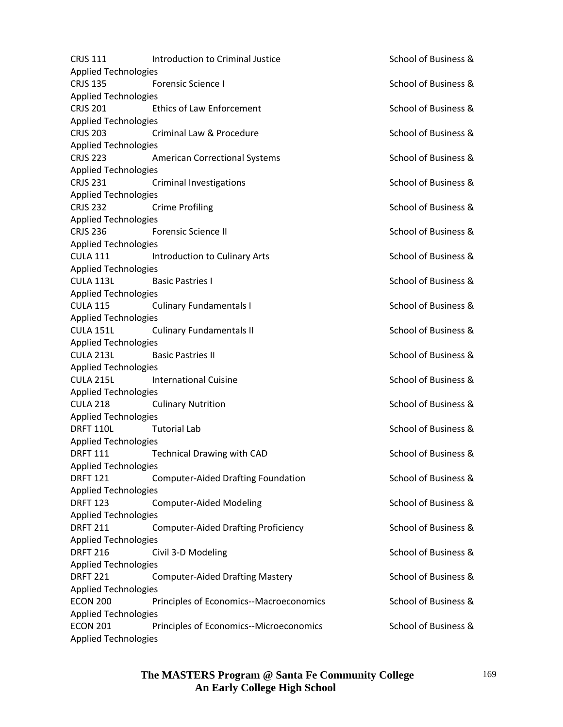| <b>CRJS 111</b>             | Introduction to Criminal Justice           | School of Business & |
|-----------------------------|--------------------------------------------|----------------------|
| <b>Applied Technologies</b> |                                            |                      |
| <b>CRJS 135</b>             | <b>Forensic Science I</b>                  | School of Business & |
| <b>Applied Technologies</b> |                                            |                      |
| <b>CRJS 201</b>             | <b>Ethics of Law Enforcement</b>           | School of Business & |
| <b>Applied Technologies</b> |                                            |                      |
| <b>CRJS 203</b>             | Criminal Law & Procedure                   | School of Business & |
| <b>Applied Technologies</b> |                                            |                      |
| <b>CRJS 223</b>             | <b>American Correctional Systems</b>       | School of Business & |
| <b>Applied Technologies</b> |                                            |                      |
| <b>CRJS 231</b>             | <b>Criminal Investigations</b>             | School of Business & |
| <b>Applied Technologies</b> |                                            |                      |
| <b>CRJS 232</b>             | <b>Crime Profiling</b>                     | School of Business & |
| <b>Applied Technologies</b> |                                            |                      |
| <b>CRJS 236</b>             | <b>Forensic Science II</b>                 | School of Business & |
| <b>Applied Technologies</b> |                                            |                      |
| <b>CULA 111</b>             | Introduction to Culinary Arts              | School of Business & |
| <b>Applied Technologies</b> |                                            |                      |
| <b>CULA 113L</b>            | <b>Basic Pastries I</b>                    | School of Business & |
| <b>Applied Technologies</b> |                                            |                      |
| <b>CULA 115</b>             | <b>Culinary Fundamentals I</b>             | School of Business & |
| <b>Applied Technologies</b> |                                            |                      |
| <b>CULA 151L</b>            | <b>Culinary Fundamentals II</b>            | School of Business & |
| <b>Applied Technologies</b> |                                            |                      |
| <b>CULA 213L</b>            | <b>Basic Pastries II</b>                   | School of Business & |
| <b>Applied Technologies</b> |                                            |                      |
| <b>CULA 215L</b>            | <b>International Cuisine</b>               | School of Business & |
| <b>Applied Technologies</b> |                                            |                      |
| <b>CULA 218</b>             | <b>Culinary Nutrition</b>                  | School of Business & |
| <b>Applied Technologies</b> |                                            |                      |
| <b>DRFT 110L</b>            | <b>Tutorial Lab</b>                        | School of Business & |
| <b>Applied Technologies</b> |                                            |                      |
| <b>DRFT 111</b>             | <b>Technical Drawing with CAD</b>          | School of Business & |
| <b>Applied Technologies</b> |                                            |                      |
| <b>DRFT 121</b>             | <b>Computer-Aided Drafting Foundation</b>  | School of Business & |
| <b>Applied Technologies</b> |                                            |                      |
| <b>DRFT 123</b>             | <b>Computer-Aided Modeling</b>             | School of Business & |
| <b>Applied Technologies</b> |                                            |                      |
| <b>DRFT 211</b>             | <b>Computer-Aided Drafting Proficiency</b> | School of Business & |
| <b>Applied Technologies</b> |                                            |                      |
| <b>DRFT 216</b>             | Civil 3-D Modeling                         | School of Business & |
| <b>Applied Technologies</b> |                                            |                      |
| <b>DRFT 221</b>             | <b>Computer-Aided Drafting Mastery</b>     | School of Business & |
| <b>Applied Technologies</b> |                                            |                      |
| <b>ECON 200</b>             | Principles of Economics--Macroeconomics    | School of Business & |
| <b>Applied Technologies</b> |                                            |                      |
| <b>ECON 201</b>             | Principles of Economics--Microeconomics    | School of Business & |
| <b>Applied Technologies</b> |                                            |                      |
|                             |                                            |                      |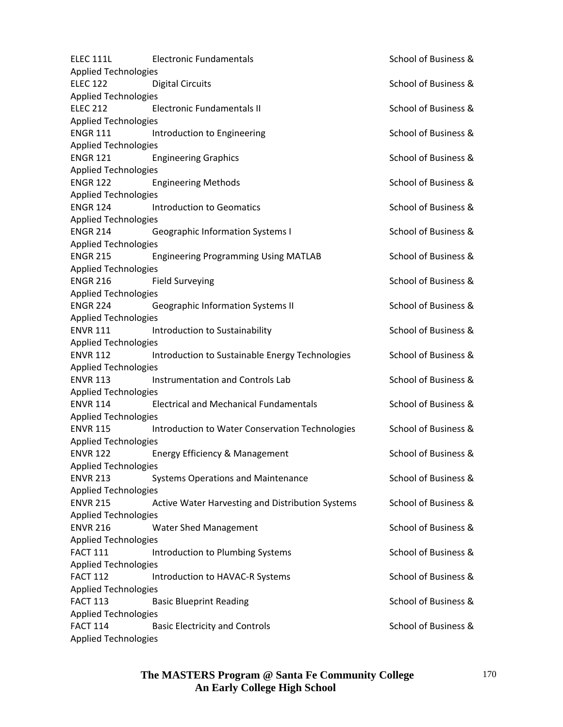| <b>ELEC 111L</b>                               | <b>Electronic Fundamentals</b>                   | School of Business & |
|------------------------------------------------|--------------------------------------------------|----------------------|
| <b>Applied Technologies</b>                    |                                                  |                      |
| <b>ELEC 122</b>                                | <b>Digital Circuits</b>                          | School of Business & |
| <b>Applied Technologies</b>                    |                                                  |                      |
| <b>ELEC 212</b>                                | <b>Electronic Fundamentals II</b>                | School of Business & |
| <b>Applied Technologies</b>                    |                                                  |                      |
| <b>ENGR 111</b>                                | Introduction to Engineering                      | School of Business & |
| <b>Applied Technologies</b>                    |                                                  |                      |
| <b>ENGR 121</b>                                | <b>Engineering Graphics</b>                      | School of Business & |
| <b>Applied Technologies</b>                    |                                                  |                      |
| <b>ENGR 122</b>                                | <b>Engineering Methods</b>                       | School of Business & |
| <b>Applied Technologies</b>                    |                                                  |                      |
| <b>ENGR 124</b>                                | <b>Introduction to Geomatics</b>                 | School of Business & |
| <b>Applied Technologies</b>                    |                                                  |                      |
| <b>ENGR 214</b>                                | <b>Geographic Information Systems I</b>          | School of Business & |
| <b>Applied Technologies</b>                    |                                                  |                      |
| <b>ENGR 215</b>                                | <b>Engineering Programming Using MATLAB</b>      | School of Business & |
| <b>Applied Technologies</b>                    |                                                  |                      |
| <b>ENGR 216</b>                                | <b>Field Surveying</b>                           | School of Business & |
| <b>Applied Technologies</b>                    |                                                  |                      |
|                                                |                                                  | School of Business & |
| <b>ENGR 224</b>                                | Geographic Information Systems II                |                      |
| <b>Applied Technologies</b>                    |                                                  |                      |
| <b>ENVR 111</b>                                | Introduction to Sustainability                   | School of Business & |
| <b>Applied Technologies</b>                    |                                                  |                      |
| <b>ENVR 112</b>                                | Introduction to Sustainable Energy Technologies  | School of Business & |
| <b>Applied Technologies</b>                    |                                                  |                      |
| <b>ENVR 113</b>                                | <b>Instrumentation and Controls Lab</b>          | School of Business & |
| <b>Applied Technologies</b>                    |                                                  |                      |
| <b>ENVR 114</b>                                | <b>Electrical and Mechanical Fundamentals</b>    | School of Business & |
| <b>Applied Technologies</b>                    |                                                  |                      |
| <b>ENVR 115</b>                                | Introduction to Water Conservation Technologies  | School of Business & |
| <b>Applied Technologies</b>                    |                                                  |                      |
| <b>ENVR 122</b>                                | Energy Efficiency & Management                   | School of Business & |
| <b>Applied Technologies</b>                    |                                                  |                      |
| <b>ENVR 213</b>                                | <b>Systems Operations and Maintenance</b>        | School of Business & |
| <b>Applied Technologies</b>                    |                                                  |                      |
| <b>ENVR 215</b>                                | Active Water Harvesting and Distribution Systems | School of Business & |
| <b>Applied Technologies</b>                    |                                                  |                      |
| <b>ENVR 216</b>                                | <b>Water Shed Management</b>                     | School of Business & |
| <b>Applied Technologies</b>                    |                                                  |                      |
| <b>FACT 111</b>                                | Introduction to Plumbing Systems                 | School of Business & |
| <b>Applied Technologies</b>                    |                                                  |                      |
| <b>FACT 112</b>                                | Introduction to HAVAC-R Systems                  | School of Business & |
| <b>Applied Technologies</b>                    |                                                  |                      |
| <b>FACT 113</b>                                | <b>Basic Blueprint Reading</b>                   | School of Business & |
|                                                |                                                  |                      |
| <b>Applied Technologies</b><br><b>FACT 114</b> |                                                  | School of Business & |
|                                                | <b>Basic Electricity and Controls</b>            |                      |
| <b>Applied Technologies</b>                    |                                                  |                      |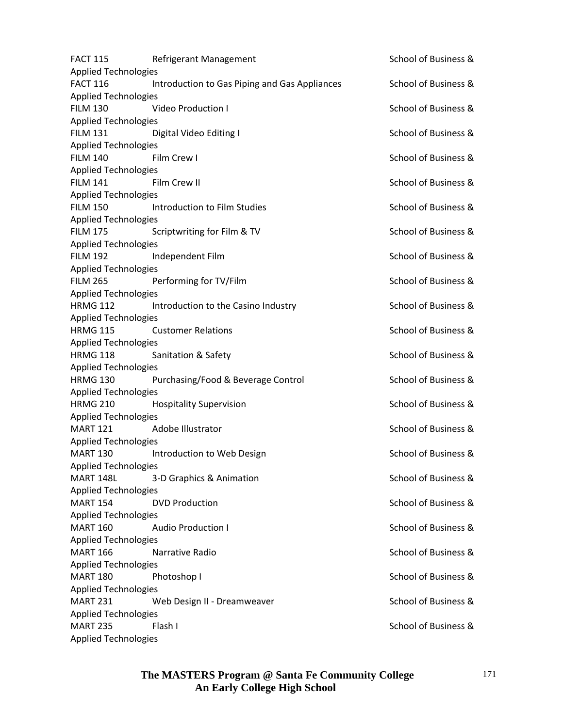| <b>FACT 115</b>             | Refrigerant Management                        | School of Business & |
|-----------------------------|-----------------------------------------------|----------------------|
| <b>Applied Technologies</b> |                                               |                      |
| <b>FACT 116</b>             | Introduction to Gas Piping and Gas Appliances | School of Business & |
| <b>Applied Technologies</b> |                                               |                      |
| <b>FILM 130</b>             | <b>Video Production I</b>                     | School of Business & |
| <b>Applied Technologies</b> |                                               |                      |
| <b>FILM 131</b>             | Digital Video Editing I                       | School of Business & |
| <b>Applied Technologies</b> |                                               |                      |
| <b>FILM 140</b>             | Film Crew I                                   | School of Business & |
| <b>Applied Technologies</b> |                                               |                      |
| <b>FILM 141</b>             | Film Crew II                                  | School of Business & |
| <b>Applied Technologies</b> |                                               |                      |
| <b>FILM 150</b>             | Introduction to Film Studies                  | School of Business & |
| <b>Applied Technologies</b> |                                               |                      |
| <b>FILM 175</b>             | Scriptwriting for Film & TV                   | School of Business & |
| <b>Applied Technologies</b> |                                               |                      |
| <b>FILM 192</b>             | Independent Film                              | School of Business & |
| <b>Applied Technologies</b> |                                               |                      |
| <b>FILM 265</b>             | Performing for TV/Film                        | School of Business & |
| <b>Applied Technologies</b> |                                               |                      |
| <b>HRMG 112</b>             | Introduction to the Casino Industry           | School of Business & |
| <b>Applied Technologies</b> |                                               |                      |
| <b>HRMG 115</b>             | <b>Customer Relations</b>                     | School of Business & |
| <b>Applied Technologies</b> |                                               |                      |
| <b>HRMG 118</b>             | Sanitation & Safety                           | School of Business & |
| <b>Applied Technologies</b> |                                               |                      |
| <b>HRMG 130</b>             | Purchasing/Food & Beverage Control            | School of Business & |
| <b>Applied Technologies</b> |                                               |                      |
| <b>HRMG 210</b>             | <b>Hospitality Supervision</b>                | School of Business & |
| <b>Applied Technologies</b> |                                               |                      |
| <b>MART 121</b>             | Adobe Illustrator                             | School of Business & |
| <b>Applied Technologies</b> |                                               |                      |
| <b>MART 130</b>             | Introduction to Web Design                    | School of Business & |
| <b>Applied Technologies</b> |                                               |                      |
| <b>MART 148L</b>            | 3-D Graphics & Animation                      | School of Business & |
| <b>Applied Technologies</b> |                                               |                      |
| <b>MART 154</b>             | <b>DVD Production</b>                         | School of Business & |
| <b>Applied Technologies</b> |                                               |                      |
| <b>MART 160</b>             | <b>Audio Production I</b>                     | School of Business & |
|                             |                                               |                      |
| <b>Applied Technologies</b> |                                               |                      |
| <b>MART 166</b>             | Narrative Radio                               | School of Business & |
| <b>Applied Technologies</b> |                                               |                      |
| <b>MART 180</b>             | Photoshop I                                   | School of Business & |
| <b>Applied Technologies</b> |                                               |                      |
| <b>MART 231</b>             | Web Design II - Dreamweaver                   | School of Business & |
| <b>Applied Technologies</b> |                                               |                      |
| <b>MART 235</b>             | Flash I                                       | School of Business & |
| <b>Applied Technologies</b> |                                               |                      |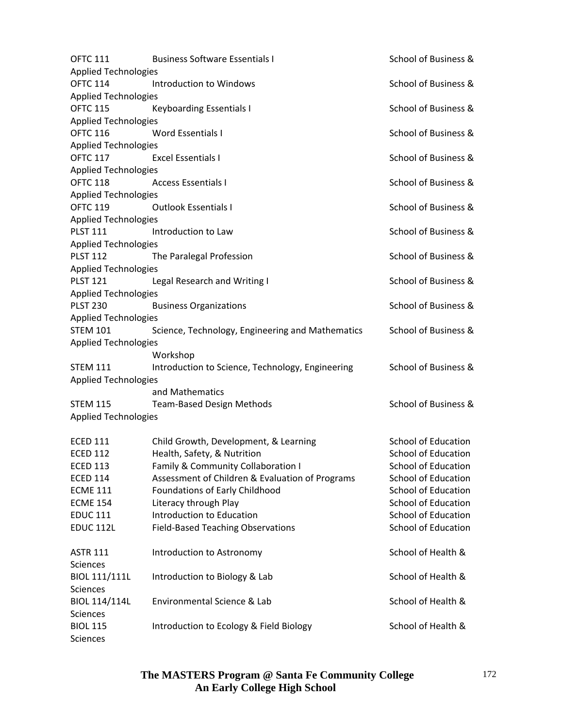| <b>OFTC 111</b>             | <b>Business Software Essentials I</b>            | School of Business &       |
|-----------------------------|--------------------------------------------------|----------------------------|
| <b>Applied Technologies</b> |                                                  |                            |
| <b>OFTC 114</b>             | Introduction to Windows                          | School of Business &       |
| <b>Applied Technologies</b> |                                                  |                            |
| <b>OFTC 115</b>             | <b>Keyboarding Essentials I</b>                  | School of Business &       |
| <b>Applied Technologies</b> |                                                  |                            |
| <b>OFTC 116</b>             | <b>Word Essentials I</b>                         | School of Business &       |
| <b>Applied Technologies</b> |                                                  |                            |
| <b>OFTC 117</b>             | <b>Excel Essentials I</b>                        | School of Business &       |
| <b>Applied Technologies</b> |                                                  |                            |
| <b>OFTC 118</b>             | <b>Access Essentials I</b>                       | School of Business &       |
| <b>Applied Technologies</b> |                                                  |                            |
| <b>OFTC 119</b>             | <b>Outlook Essentials I</b>                      | School of Business &       |
| <b>Applied Technologies</b> |                                                  |                            |
| <b>PLST 111</b>             | Introduction to Law                              | School of Business &       |
| <b>Applied Technologies</b> |                                                  |                            |
| <b>PLST 112</b>             | The Paralegal Profession                         | School of Business &       |
| <b>Applied Technologies</b> |                                                  |                            |
| <b>PLST 121</b>             | Legal Research and Writing I                     | School of Business &       |
| <b>Applied Technologies</b> |                                                  |                            |
| <b>PLST 230</b>             | <b>Business Organizations</b>                    | School of Business &       |
| <b>Applied Technologies</b> |                                                  |                            |
| <b>STEM 101</b>             | Science, Technology, Engineering and Mathematics | School of Business &       |
| <b>Applied Technologies</b> |                                                  |                            |
|                             | Workshop                                         |                            |
| <b>STEM 111</b>             | Introduction to Science, Technology, Engineering | School of Business &       |
| <b>Applied Technologies</b> |                                                  |                            |
|                             | and Mathematics                                  |                            |
| <b>STEM 115</b>             | <b>Team-Based Design Methods</b>                 | School of Business &       |
| <b>Applied Technologies</b> |                                                  |                            |
|                             |                                                  |                            |
| <b>ECED 111</b>             | Child Growth, Development, & Learning            | <b>School of Education</b> |
| <b>ECED 112</b>             | Health, Safety, & Nutrition                      | <b>School of Education</b> |
| <b>ECED 113</b>             | <b>Family &amp; Community Collaboration I</b>    | School of Education        |
| <b>ECED 114</b>             | Assessment of Children & Evaluation of Programs  | <b>School of Education</b> |
| <b>ECME 111</b>             | Foundations of Early Childhood                   | <b>School of Education</b> |
| <b>ECME 154</b>             | Literacy through Play                            | <b>School of Education</b> |
| <b>EDUC 111</b>             | Introduction to Education                        | <b>School of Education</b> |
| <b>EDUC 112L</b>            | <b>Field-Based Teaching Observations</b>         | <b>School of Education</b> |
|                             |                                                  |                            |
| <b>ASTR 111</b>             | Introduction to Astronomy                        | School of Health &         |
| <b>Sciences</b>             |                                                  |                            |
| <b>BIOL 111/111L</b>        |                                                  | School of Health &         |
|                             | Introduction to Biology & Lab                    |                            |
| Sciences                    |                                                  |                            |
| BIOL 114/114L               | Environmental Science & Lab                      | School of Health &         |
| <b>Sciences</b>             |                                                  |                            |
| <b>BIOL 115</b>             | Introduction to Ecology & Field Biology          | School of Health &         |
| Sciences                    |                                                  |                            |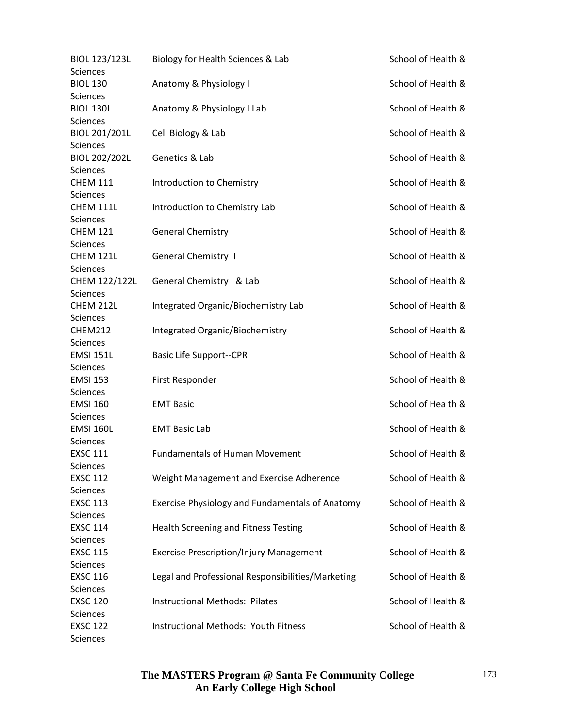| <b>BIOL 123/123L</b>        | Biology for Health Sciences & Lab                 | School of Health & |
|-----------------------------|---------------------------------------------------|--------------------|
| Sciences<br><b>BIOL 130</b> | Anatomy & Physiology I                            | School of Health & |
| <b>Sciences</b>             |                                                   |                    |
| <b>BIOL 130L</b>            | Anatomy & Physiology I Lab                        | School of Health & |
| <b>Sciences</b>             |                                                   |                    |
| BIOL 201/201L               | Cell Biology & Lab                                | School of Health & |
| <b>Sciences</b>             |                                                   |                    |
| <b>BIOL 202/202L</b>        | Genetics & Lab                                    | School of Health & |
| <b>Sciences</b>             |                                                   |                    |
| <b>CHEM 111</b>             | Introduction to Chemistry                         | School of Health & |
| <b>Sciences</b>             |                                                   |                    |
| <b>CHEM 111L</b>            | Introduction to Chemistry Lab                     | School of Health & |
| <b>Sciences</b>             |                                                   |                    |
| <b>CHEM 121</b>             | <b>General Chemistry I</b>                        | School of Health & |
| <b>Sciences</b>             |                                                   |                    |
| <b>CHEM 121L</b>            | <b>General Chemistry II</b>                       | School of Health & |
| <b>Sciences</b>             |                                                   |                    |
| CHEM 122/122L               | General Chemistry I & Lab                         | School of Health & |
| <b>Sciences</b>             |                                                   |                    |
| CHEM 212L                   | Integrated Organic/Biochemistry Lab               | School of Health & |
| <b>Sciences</b>             |                                                   |                    |
| <b>CHEM212</b>              | Integrated Organic/Biochemistry                   | School of Health & |
| <b>Sciences</b>             |                                                   |                    |
| <b>EMSI 151L</b>            | <b>Basic Life Support--CPR</b>                    | School of Health & |
| <b>Sciences</b>             |                                                   |                    |
| <b>EMSI 153</b>             | First Responder                                   | School of Health & |
| <b>Sciences</b>             |                                                   |                    |
| <b>EMSI 160</b>             | <b>EMT Basic</b>                                  | School of Health & |
| <b>Sciences</b>             |                                                   |                    |
| <b>EMSI 160L</b>            | <b>EMT Basic Lab</b>                              | School of Health & |
| Sciences                    |                                                   |                    |
| <b>EXSC 111</b>             | <b>Fundamentals of Human Movement</b>             | School of Health & |
| <b>Sciences</b>             |                                                   |                    |
| <b>EXSC 112</b>             | Weight Management and Exercise Adherence          | School of Health & |
| <b>Sciences</b>             |                                                   |                    |
| <b>EXSC 113</b>             | Exercise Physiology and Fundamentals of Anatomy   | School of Health & |
| <b>Sciences</b>             |                                                   |                    |
| <b>EXSC 114</b>             | <b>Health Screening and Fitness Testing</b>       | School of Health & |
| Sciences                    |                                                   |                    |
|                             |                                                   | School of Health & |
| <b>EXSC 115</b>             | <b>Exercise Prescription/Injury Management</b>    |                    |
| Sciences                    |                                                   |                    |
| <b>EXSC 116</b>             | Legal and Professional Responsibilities/Marketing | School of Health & |
| <b>Sciences</b>             |                                                   |                    |
| <b>EXSC 120</b>             | <b>Instructional Methods: Pilates</b>             | School of Health & |
| Sciences                    |                                                   |                    |
| <b>EXSC 122</b>             | <b>Instructional Methods: Youth Fitness</b>       | School of Health & |
| Sciences                    |                                                   |                    |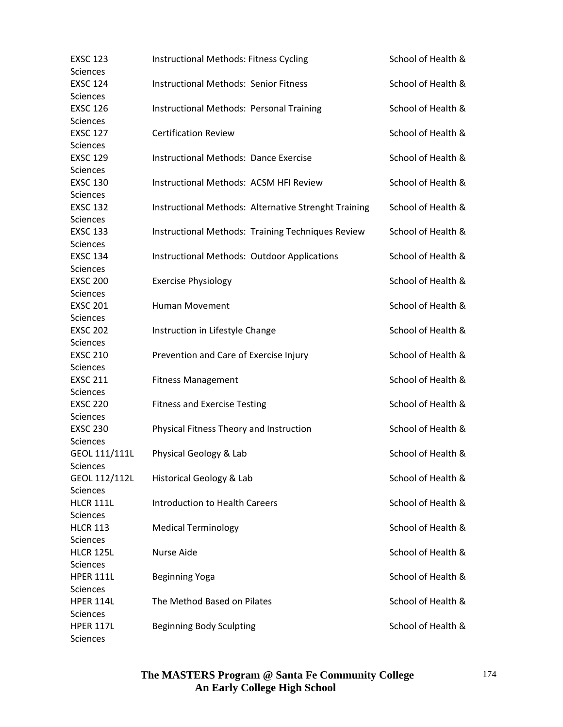| <b>EXSC 123</b>  | <b>Instructional Methods: Fitness Cycling</b>        | School of Health & |
|------------------|------------------------------------------------------|--------------------|
| Sciences         |                                                      |                    |
| <b>EXSC 124</b>  | <b>Instructional Methods: Senior Fitness</b>         | School of Health & |
| Sciences         |                                                      |                    |
| <b>EXSC 126</b>  | <b>Instructional Methods: Personal Training</b>      | School of Health & |
| Sciences         |                                                      |                    |
| <b>EXSC 127</b>  | <b>Certification Review</b>                          | School of Health & |
| <b>Sciences</b>  |                                                      |                    |
| <b>EXSC 129</b>  | <b>Instructional Methods: Dance Exercise</b>         | School of Health & |
| Sciences         |                                                      |                    |
| <b>EXSC 130</b>  | Instructional Methods: ACSM HFI Review               | School of Health & |
| Sciences         |                                                      |                    |
| <b>EXSC 132</b>  | Instructional Methods: Alternative Strenght Training | School of Health & |
| Sciences         |                                                      |                    |
| <b>EXSC 133</b>  | Instructional Methods: Training Techniques Review    | School of Health & |
| Sciences         |                                                      |                    |
| <b>EXSC 134</b>  | <b>Instructional Methods: Outdoor Applications</b>   | School of Health & |
| Sciences         |                                                      |                    |
| <b>EXSC 200</b>  | <b>Exercise Physiology</b>                           | School of Health & |
| Sciences         |                                                      |                    |
| <b>EXSC 201</b>  | Human Movement                                       | School of Health & |
| Sciences         |                                                      |                    |
| <b>EXSC 202</b>  | Instruction in Lifestyle Change                      | School of Health & |
| Sciences         |                                                      |                    |
| <b>EXSC 210</b>  | Prevention and Care of Exercise Injury               | School of Health & |
| Sciences         |                                                      |                    |
| <b>EXSC 211</b>  | <b>Fitness Management</b>                            | School of Health & |
| <b>Sciences</b>  |                                                      |                    |
| <b>EXSC 220</b>  | <b>Fitness and Exercise Testing</b>                  | School of Health & |
| Sciences         |                                                      |                    |
| <b>EXSC 230</b>  | Physical Fitness Theory and Instruction              | School of Health & |
| Sciences         |                                                      |                    |
| GEOL 111/111L    | Physical Geology & Lab                               | School of Health & |
| Sciences         |                                                      |                    |
| GEOL 112/112L    | Historical Geology & Lab                             | School of Health & |
| <b>Sciences</b>  |                                                      |                    |
| <b>HLCR 111L</b> | <b>Introduction to Health Careers</b>                | School of Health & |
| <b>Sciences</b>  |                                                      |                    |
| <b>HLCR 113</b>  |                                                      | School of Health & |
|                  | <b>Medical Terminology</b>                           |                    |
| <b>Sciences</b>  |                                                      |                    |
| <b>HLCR 125L</b> | Nurse Aide                                           | School of Health & |
| <b>Sciences</b>  |                                                      |                    |
| <b>HPER 111L</b> | <b>Beginning Yoga</b>                                | School of Health & |
| <b>Sciences</b>  |                                                      |                    |
| <b>HPER 114L</b> | The Method Based on Pilates                          | School of Health & |
| <b>Sciences</b>  |                                                      |                    |
| <b>HPER 117L</b> | <b>Beginning Body Sculpting</b>                      | School of Health & |
| Sciences         |                                                      |                    |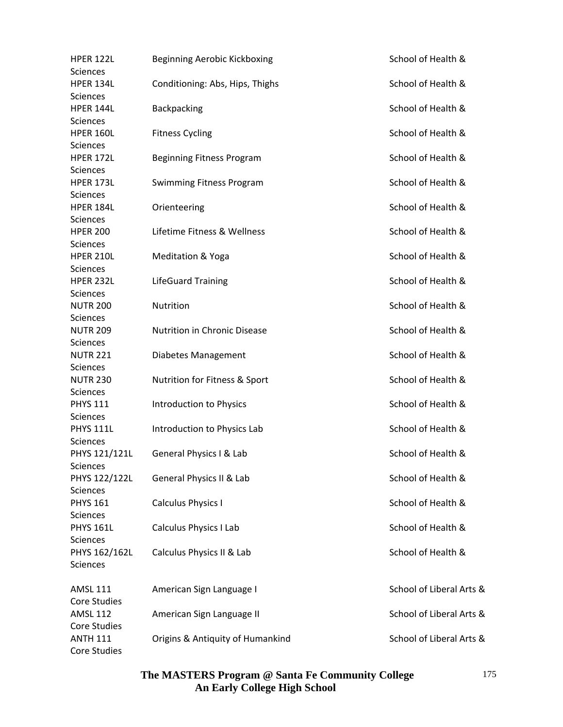| <b>HPER 122L</b>    | Beginning Aerobic Kickboxing     | School of Health &       |
|---------------------|----------------------------------|--------------------------|
| <b>Sciences</b>     |                                  |                          |
| HPER 134L           | Conditioning: Abs, Hips, Thighs  | School of Health &       |
| <b>Sciences</b>     |                                  |                          |
| HPER 144L           | Backpacking                      | School of Health &       |
| <b>Sciences</b>     |                                  |                          |
| <b>HPER 160L</b>    | <b>Fitness Cycling</b>           | School of Health &       |
| <b>Sciences</b>     |                                  |                          |
| <b>HPER 172L</b>    | Beginning Fitness Program        | School of Health &       |
| <b>Sciences</b>     |                                  |                          |
| <b>HPER 173L</b>    | <b>Swimming Fitness Program</b>  | School of Health &       |
| <b>Sciences</b>     |                                  |                          |
| HPER 184L           | Orienteering                     | School of Health &       |
| <b>Sciences</b>     |                                  |                          |
| <b>HPER 200</b>     | Lifetime Fitness & Wellness      | School of Health &       |
| <b>Sciences</b>     |                                  |                          |
| <b>HPER 210L</b>    | <b>Meditation &amp; Yoga</b>     | School of Health &       |
| <b>Sciences</b>     |                                  |                          |
| <b>HPER 232L</b>    | <b>LifeGuard Training</b>        | School of Health &       |
| <b>Sciences</b>     |                                  |                          |
| <b>NUTR 200</b>     | Nutrition                        | School of Health &       |
| <b>Sciences</b>     |                                  |                          |
| <b>NUTR 209</b>     | Nutrition in Chronic Disease     | School of Health &       |
| Sciences            |                                  |                          |
| <b>NUTR 221</b>     | Diabetes Management              | School of Health &       |
| <b>Sciences</b>     |                                  |                          |
| <b>NUTR 230</b>     | Nutrition for Fitness & Sport    | School of Health &       |
| <b>Sciences</b>     |                                  |                          |
| <b>PHYS 111</b>     | Introduction to Physics          | School of Health &       |
| <b>Sciences</b>     |                                  |                          |
| <b>PHYS 111L</b>    | Introduction to Physics Lab      | School of Health &       |
| Sciences            |                                  |                          |
| PHYS 121/121L       | General Physics I & Lab          | School of Health &       |
| Sciences            |                                  |                          |
| PHYS 122/122L       | General Physics II & Lab         | School of Health &       |
| <b>Sciences</b>     |                                  |                          |
| <b>PHYS 161</b>     | Calculus Physics I               | School of Health &       |
| <b>Sciences</b>     |                                  |                          |
| <b>PHYS 161L</b>    | Calculus Physics I Lab           | School of Health &       |
| <b>Sciences</b>     |                                  |                          |
| PHYS 162/162L       | Calculus Physics II & Lab        | School of Health &       |
| <b>Sciences</b>     |                                  |                          |
| <b>AMSL 111</b>     | American Sign Language I         | School of Liberal Arts & |
| <b>Core Studies</b> |                                  |                          |
| <b>AMSL 112</b>     | American Sign Language II        | School of Liberal Arts & |
| Core Studies        |                                  |                          |
| <b>ANTH 111</b>     | Origins & Antiquity of Humankind | School of Liberal Arts & |
| Core Studies        |                                  |                          |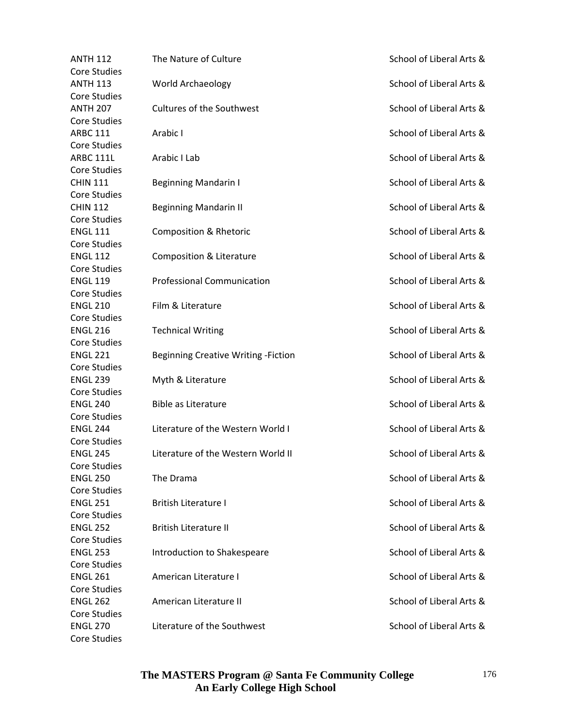| <b>ANTH 112</b>     | The Nature of Culture                      | School of Liberal Arts & |
|---------------------|--------------------------------------------|--------------------------|
| <b>Core Studies</b> |                                            |                          |
| <b>ANTH 113</b>     | World Archaeology                          | School of Liberal Arts & |
| <b>Core Studies</b> |                                            |                          |
| <b>ANTH 207</b>     | <b>Cultures of the Southwest</b>           | School of Liberal Arts & |
| <b>Core Studies</b> |                                            |                          |
| <b>ARBC 111</b>     | Arabic I                                   | School of Liberal Arts & |
| <b>Core Studies</b> |                                            |                          |
| <b>ARBC 111L</b>    | Arabic I Lab                               | School of Liberal Arts & |
| <b>Core Studies</b> |                                            |                          |
| <b>CHIN 111</b>     | <b>Beginning Mandarin I</b>                | School of Liberal Arts & |
| <b>Core Studies</b> |                                            |                          |
| <b>CHIN 112</b>     | <b>Beginning Mandarin II</b>               | School of Liberal Arts & |
| <b>Core Studies</b> |                                            |                          |
| <b>ENGL 111</b>     | <b>Composition &amp; Rhetoric</b>          | School of Liberal Arts & |
| <b>Core Studies</b> |                                            |                          |
| <b>ENGL 112</b>     | Composition & Literature                   | School of Liberal Arts & |
| <b>Core Studies</b> |                                            |                          |
| <b>ENGL 119</b>     | <b>Professional Communication</b>          | School of Liberal Arts & |
| <b>Core Studies</b> |                                            |                          |
| <b>ENGL 210</b>     | Film & Literature                          | School of Liberal Arts & |
| <b>Core Studies</b> |                                            |                          |
| <b>ENGL 216</b>     | <b>Technical Writing</b>                   | School of Liberal Arts & |
| <b>Core Studies</b> |                                            |                          |
| <b>ENGL 221</b>     | <b>Beginning Creative Writing -Fiction</b> | School of Liberal Arts & |
| <b>Core Studies</b> |                                            |                          |
| <b>ENGL 239</b>     | Myth & Literature                          | School of Liberal Arts & |
| <b>Core Studies</b> |                                            |                          |
| <b>ENGL 240</b>     | <b>Bible as Literature</b>                 | School of Liberal Arts & |
| <b>Core Studies</b> |                                            |                          |
| <b>ENGL 244</b>     | Literature of the Western World I          | School of Liberal Arts & |
| <b>Core Studies</b> |                                            |                          |
| <b>ENGL 245</b>     | Literature of the Western World II         | School of Liberal Arts & |
| Core Studies        |                                            |                          |
| <b>ENGL 250</b>     | The Drama                                  | School of Liberal Arts & |
| <b>Core Studies</b> |                                            |                          |
| <b>ENGL 251</b>     | <b>British Literature I</b>                | School of Liberal Arts & |
| <b>Core Studies</b> |                                            |                          |
| <b>ENGL 252</b>     | <b>British Literature II</b>               | School of Liberal Arts & |
| Core Studies        |                                            |                          |
| <b>ENGL 253</b>     | Introduction to Shakespeare                | School of Liberal Arts & |
| <b>Core Studies</b> |                                            |                          |
| <b>ENGL 261</b>     | American Literature I                      | School of Liberal Arts & |
| <b>Core Studies</b> |                                            |                          |
| <b>ENGL 262</b>     | American Literature II                     | School of Liberal Arts & |
| Core Studies        |                                            |                          |
| <b>ENGL 270</b>     | Literature of the Southwest                | School of Liberal Arts & |
| Core Studies        |                                            |                          |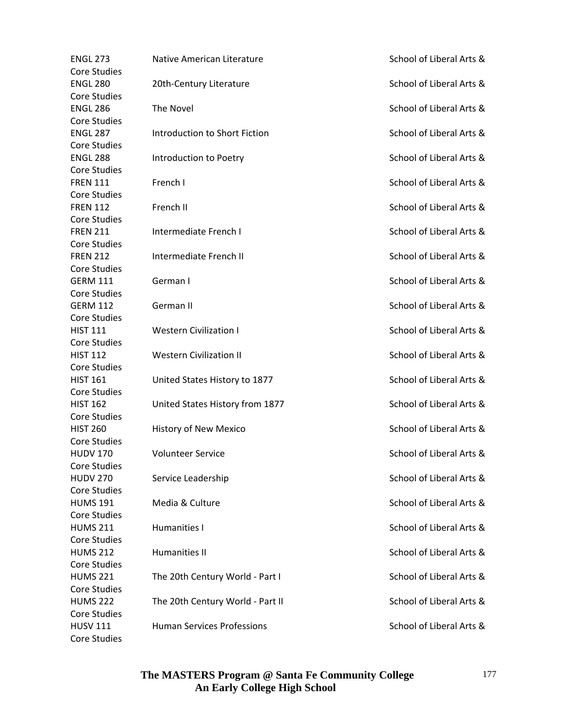| <b>ENGL 273</b>     | Native American Literature        | School of Liberal Arts & |
|---------------------|-----------------------------------|--------------------------|
| <b>Core Studies</b> |                                   |                          |
| <b>ENGL 280</b>     | 20th-Century Literature           | School of Liberal Arts & |
| <b>Core Studies</b> |                                   |                          |
| <b>ENGL 286</b>     | The Novel                         | School of Liberal Arts & |
| <b>Core Studies</b> |                                   |                          |
| <b>ENGL 287</b>     | Introduction to Short Fiction     | School of Liberal Arts & |
| <b>Core Studies</b> |                                   |                          |
| <b>ENGL 288</b>     | Introduction to Poetry            | School of Liberal Arts & |
| <b>Core Studies</b> |                                   |                          |
| <b>FREN 111</b>     | French I                          | School of Liberal Arts & |
| <b>Core Studies</b> |                                   |                          |
| <b>FREN 112</b>     | French II                         | School of Liberal Arts & |
| <b>Core Studies</b> |                                   |                          |
| <b>FREN 211</b>     | Intermediate French I             | School of Liberal Arts & |
| <b>Core Studies</b> |                                   |                          |
| <b>FREN 212</b>     | Intermediate French II            | School of Liberal Arts & |
|                     |                                   |                          |
| <b>Core Studies</b> |                                   |                          |
| <b>GERM 111</b>     | German I                          | School of Liberal Arts & |
| <b>Core Studies</b> |                                   |                          |
| <b>GERM 112</b>     | German II                         | School of Liberal Arts & |
| <b>Core Studies</b> |                                   |                          |
| <b>HIST 111</b>     | <b>Western Civilization I</b>     | School of Liberal Arts & |
| <b>Core Studies</b> |                                   |                          |
| <b>HIST 112</b>     | <b>Western Civilization II</b>    | School of Liberal Arts & |
| <b>Core Studies</b> |                                   |                          |
| <b>HIST 161</b>     | United States History to 1877     | School of Liberal Arts & |
| <b>Core Studies</b> |                                   |                          |
| <b>HIST 162</b>     | United States History from 1877   | School of Liberal Arts & |
| <b>Core Studies</b> |                                   |                          |
| <b>HIST 260</b>     | History of New Mexico             | School of Liberal Arts & |
| <b>Core Studies</b> |                                   |                          |
| <b>HUDV 170</b>     | <b>Volunteer Service</b>          | School of Liberal Arts & |
| Core Studies        |                                   |                          |
| <b>HUDV 270</b>     | Service Leadership                | School of Liberal Arts & |
| <b>Core Studies</b> |                                   |                          |
| <b>HUMS 191</b>     | Media & Culture                   | School of Liberal Arts & |
| <b>Core Studies</b> |                                   |                          |
| <b>HUMS 211</b>     | Humanities I                      | School of Liberal Arts & |
| Core Studies        |                                   |                          |
| <b>HUMS 212</b>     | Humanities II                     | School of Liberal Arts & |
| <b>Core Studies</b> |                                   |                          |
| <b>HUMS 221</b>     | The 20th Century World - Part I   | School of Liberal Arts & |
| <b>Core Studies</b> |                                   |                          |
| <b>HUMS 222</b>     | The 20th Century World - Part II  | School of Liberal Arts & |
| <b>Core Studies</b> |                                   |                          |
| <b>HUSV 111</b>     | <b>Human Services Professions</b> | School of Liberal Arts & |
| Core Studies        |                                   |                          |
|                     |                                   |                          |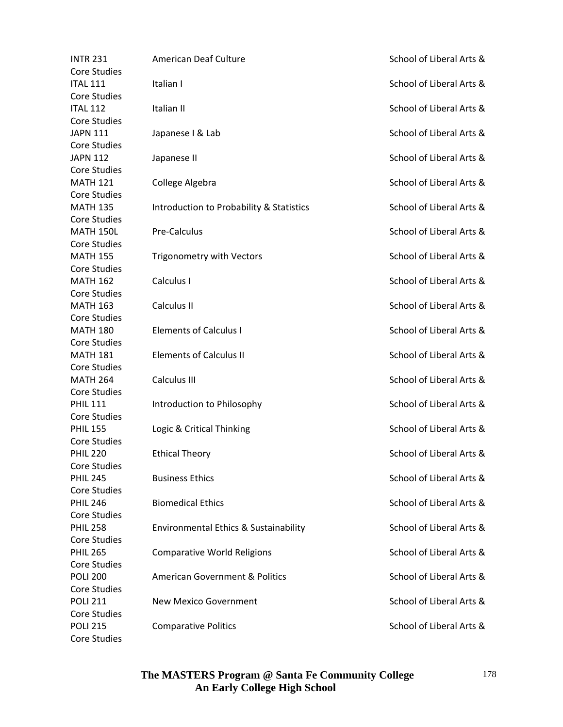| <b>INTR 231</b>                        | American Deaf Culture                     | School of Liberal Arts & |
|----------------------------------------|-------------------------------------------|--------------------------|
| <b>Core Studies</b>                    |                                           |                          |
| <b>ITAL 111</b>                        | Italian I                                 | School of Liberal Arts & |
| <b>Core Studies</b>                    |                                           |                          |
| <b>ITAL 112</b>                        | Italian II                                | School of Liberal Arts & |
| <b>Core Studies</b>                    |                                           |                          |
| <b>JAPN 111</b>                        | Japanese I & Lab                          | School of Liberal Arts & |
| <b>Core Studies</b>                    |                                           |                          |
| <b>JAPN 112</b>                        | Japanese II                               | School of Liberal Arts & |
| <b>Core Studies</b>                    |                                           |                          |
| <b>MATH 121</b>                        | College Algebra                           | School of Liberal Arts & |
| <b>Core Studies</b>                    |                                           |                          |
| <b>MATH 135</b>                        | Introduction to Probability & Statistics  | School of Liberal Arts & |
| <b>Core Studies</b>                    |                                           |                          |
| <b>MATH 150L</b>                       | Pre-Calculus                              | School of Liberal Arts & |
| <b>Core Studies</b>                    |                                           |                          |
| <b>MATH 155</b>                        | Trigonometry with Vectors                 | School of Liberal Arts & |
| <b>Core Studies</b>                    |                                           |                          |
| <b>MATH 162</b>                        | Calculus I                                | School of Liberal Arts & |
| <b>Core Studies</b>                    |                                           |                          |
| <b>MATH 163</b>                        | Calculus II                               | School of Liberal Arts & |
| <b>Core Studies</b>                    |                                           |                          |
| <b>MATH 180</b>                        | <b>Elements of Calculus I</b>             | School of Liberal Arts & |
|                                        |                                           |                          |
| <b>Core Studies</b><br><b>MATH 181</b> | <b>Elements of Calculus II</b>            |                          |
|                                        |                                           | School of Liberal Arts & |
| <b>Core Studies</b>                    |                                           |                          |
| <b>MATH 264</b>                        | Calculus III                              | School of Liberal Arts & |
| <b>Core Studies</b>                    |                                           |                          |
| <b>PHIL 111</b>                        | Introduction to Philosophy                | School of Liberal Arts & |
| <b>Core Studies</b>                    |                                           |                          |
| <b>PHIL 155</b>                        | Logic & Critical Thinking                 | School of Liberal Arts & |
| <b>Core Studies</b>                    |                                           |                          |
| <b>PHIL 220</b>                        | <b>Ethical Theory</b>                     | School of Liberal Arts & |
| Core Studies                           |                                           |                          |
| <b>PHIL 245</b>                        | <b>Business Ethics</b>                    | School of Liberal Arts & |
| <b>Core Studies</b>                    |                                           |                          |
| <b>PHIL 246</b>                        | <b>Biomedical Ethics</b>                  | School of Liberal Arts & |
| <b>Core Studies</b>                    |                                           |                          |
| <b>PHIL 258</b>                        | Environmental Ethics & Sustainability     | School of Liberal Arts & |
| <b>Core Studies</b>                    |                                           |                          |
| <b>PHIL 265</b>                        | <b>Comparative World Religions</b>        | School of Liberal Arts & |
| <b>Core Studies</b>                    |                                           |                          |
| <b>POLI 200</b>                        | <b>American Government &amp; Politics</b> | School of Liberal Arts & |
| <b>Core Studies</b>                    |                                           |                          |
| <b>POLI 211</b>                        | <b>New Mexico Government</b>              | School of Liberal Arts & |
| <b>Core Studies</b>                    |                                           |                          |
| <b>POLI 215</b>                        | <b>Comparative Politics</b>               | School of Liberal Arts & |
| Core Studies                           |                                           |                          |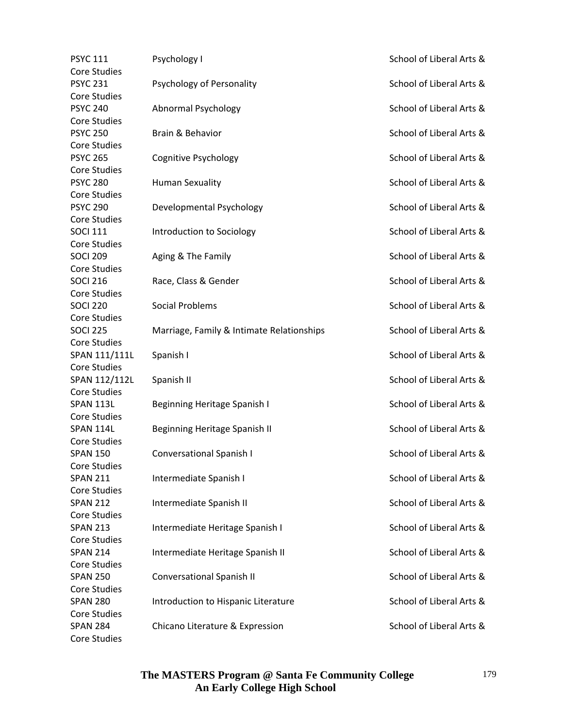| <b>PSYC 111</b>     | Psychology I                              | School of Liberal Arts & |
|---------------------|-------------------------------------------|--------------------------|
| <b>Core Studies</b> |                                           |                          |
| <b>PSYC 231</b>     | Psychology of Personality                 | School of Liberal Arts & |
| <b>Core Studies</b> |                                           |                          |
| <b>PSYC 240</b>     | Abnormal Psychology                       | School of Liberal Arts & |
| <b>Core Studies</b> |                                           |                          |
| <b>PSYC 250</b>     | Brain & Behavior                          | School of Liberal Arts & |
| Core Studies        |                                           |                          |
| <b>PSYC 265</b>     | Cognitive Psychology                      | School of Liberal Arts & |
| <b>Core Studies</b> |                                           |                          |
| <b>PSYC 280</b>     | <b>Human Sexuality</b>                    | School of Liberal Arts & |
| <b>Core Studies</b> |                                           |                          |
| <b>PSYC 290</b>     | Developmental Psychology                  | School of Liberal Arts & |
| <b>Core Studies</b> |                                           |                          |
| <b>SOCI 111</b>     | Introduction to Sociology                 | School of Liberal Arts & |
| Core Studies        |                                           |                          |
| <b>SOCI 209</b>     | Aging & The Family                        | School of Liberal Arts & |
| <b>Core Studies</b> |                                           |                          |
| <b>SOCI 216</b>     | Race, Class & Gender                      | School of Liberal Arts & |
| <b>Core Studies</b> |                                           |                          |
| <b>SOCI 220</b>     | <b>Social Problems</b>                    | School of Liberal Arts & |
| <b>Core Studies</b> |                                           |                          |
|                     |                                           |                          |
| <b>SOCI 225</b>     | Marriage, Family & Intimate Relationships | School of Liberal Arts & |
| Core Studies        |                                           |                          |
| SPAN 111/111L       | Spanish I                                 | School of Liberal Arts & |
| Core Studies        |                                           |                          |
| SPAN 112/112L       | Spanish II                                | School of Liberal Arts & |
| <b>Core Studies</b> |                                           |                          |
| <b>SPAN 113L</b>    | Beginning Heritage Spanish I              | School of Liberal Arts & |
| <b>Core Studies</b> |                                           |                          |
| <b>SPAN 114L</b>    | Beginning Heritage Spanish II             | School of Liberal Arts & |
| <b>Core Studies</b> |                                           |                          |
| <b>SPAN 150</b>     | Conversational Spanish I                  | School of Liberal Arts & |
| Core Studies        |                                           |                          |
| <b>SPAN 211</b>     | Intermediate Spanish I                    | School of Liberal Arts & |
| Core Studies        |                                           |                          |
| <b>SPAN 212</b>     | Intermediate Spanish II                   | School of Liberal Arts & |
| Core Studies        |                                           |                          |
| <b>SPAN 213</b>     | Intermediate Heritage Spanish I           | School of Liberal Arts & |
| Core Studies        |                                           |                          |
| <b>SPAN 214</b>     | Intermediate Heritage Spanish II          | School of Liberal Arts & |
| <b>Core Studies</b> |                                           |                          |
| <b>SPAN 250</b>     | Conversational Spanish II                 | School of Liberal Arts & |
| <b>Core Studies</b> |                                           |                          |
| <b>SPAN 280</b>     | Introduction to Hispanic Literature       | School of Liberal Arts & |
| Core Studies        |                                           |                          |
| <b>SPAN 284</b>     | Chicano Literature & Expression           | School of Liberal Arts & |
| <b>Core Studies</b> |                                           |                          |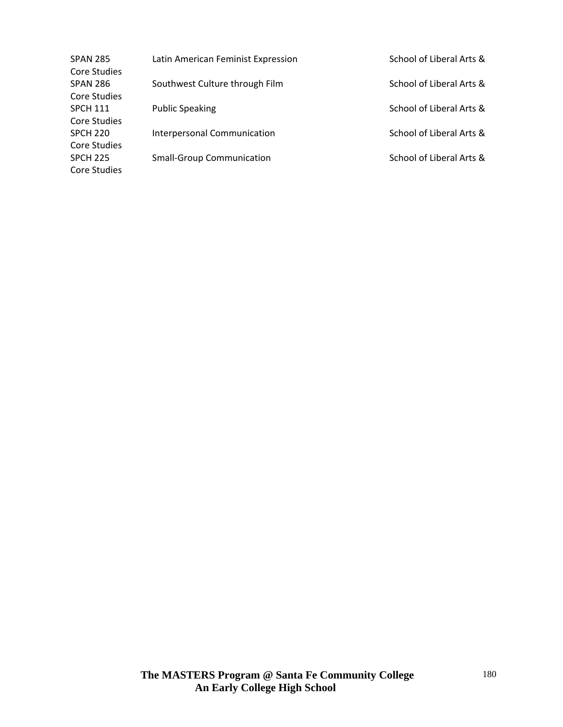| SPAN 285        | Latin American Feminist Expression | School of Liberal Arts & |
|-----------------|------------------------------------|--------------------------|
| Core Studies    |                                    |                          |
| SPAN 286        | Southwest Culture through Film     | School of Liberal Arts & |
| Core Studies    |                                    |                          |
| SPCH 111        | <b>Public Speaking</b>             | School of Liberal Arts & |
| Core Studies    |                                    |                          |
| SPCH 220        | Interpersonal Communication        | School of Liberal Arts & |
| Core Studies    |                                    |                          |
| <b>SPCH 225</b> | <b>Small-Group Communication</b>   | School of Liberal Arts & |
| Core Studies    |                                    |                          |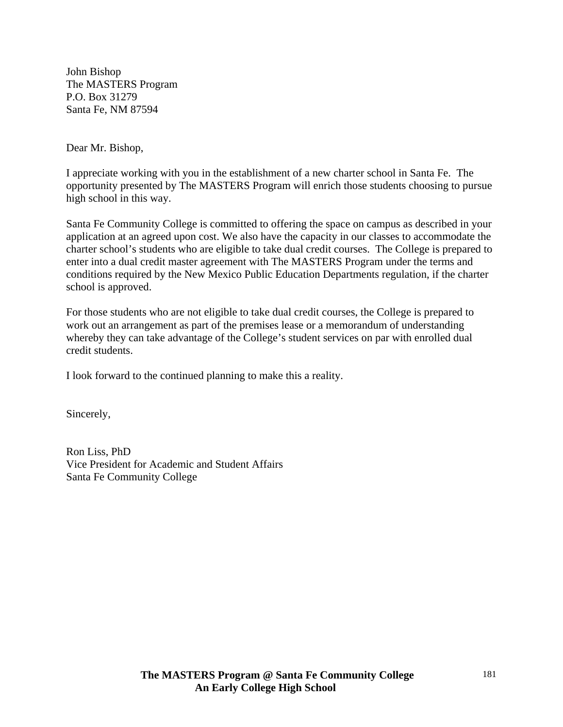John Bishop The MASTERS Program P.O. Box 31279 Santa Fe, NM 87594

Dear Mr. Bishop,

I appreciate working with you in the establishment of a new charter school in Santa Fe. The opportunity presented by The MASTERS Program will enrich those students choosing to pursue high school in this way.

Santa Fe Community College is committed to offering the space on campus as described in your application at an agreed upon cost. We also have the capacity in our classes to accommodate the charter school's students who are eligible to take dual credit courses. The College is prepared to enter into a dual credit master agreement with The MASTERS Program under the terms and conditions required by the New Mexico Public Education Departments regulation, if the charter school is approved.

For those students who are not eligible to take dual credit courses, the College is prepared to work out an arrangement as part of the premises lease or a memorandum of understanding whereby they can take advantage of the College's student services on par with enrolled dual credit students.

I look forward to the continued planning to make this a reality.

Sincerely,

Ron Liss, PhD Vice President for Academic and Student Affairs Santa Fe Community College